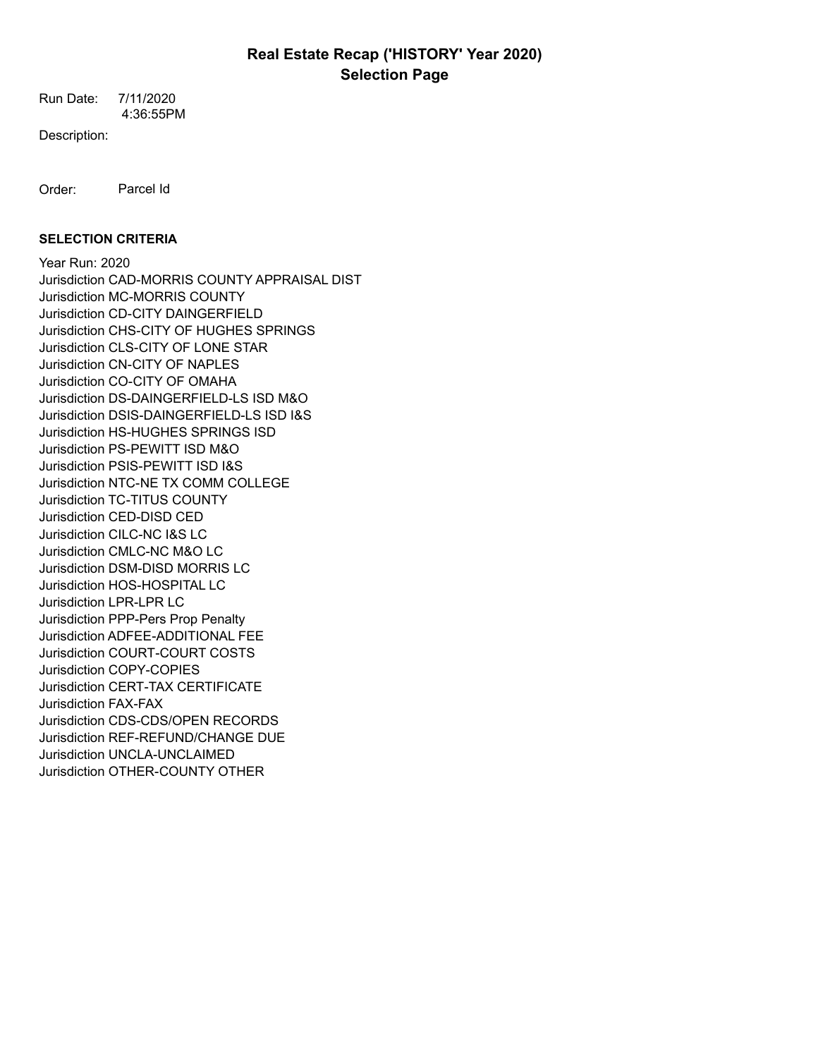# **Real Estate Recap ('HISTORY' Year 2020) Selection Page**

 4:36:55PM Run Date: 7/11/2020

Description:

Order: Parcel Id

## **SELECTION CRITERIA**

Year Run: 2020 Jurisdiction CAD-MORRIS COUNTY APPRAISAL DIST Jurisdiction MC-MORRIS COUNTY Jurisdiction CD-CITY DAINGERFIELD Jurisdiction CHS-CITY OF HUGHES SPRINGS Jurisdiction CLS-CITY OF LONE STAR Jurisdiction CN-CITY OF NAPLES Jurisdiction CO-CITY OF OMAHA Jurisdiction DS-DAINGERFIELD-LS ISD M&O Jurisdiction DSIS-DAINGERFIELD-LS ISD I&S Jurisdiction HS-HUGHES SPRINGS ISD Jurisdiction PS-PEWITT ISD M&O Jurisdiction PSIS-PEWITT ISD I&S Jurisdiction NTC-NE TX COMM COLLEGE Jurisdiction TC-TITUS COUNTY Jurisdiction CED-DISD CED Jurisdiction CILC-NC I&S LC Jurisdiction CMLC-NC M&O LC Jurisdiction DSM-DISD MORRIS LC Jurisdiction HOS-HOSPITAL LC Jurisdiction LPR-LPR LC Jurisdiction PPP-Pers Prop Penalty Jurisdiction ADFEE-ADDITIONAL FEE Jurisdiction COURT-COURT COSTS Jurisdiction COPY-COPIES Jurisdiction CERT-TAX CERTIFICATE Jurisdiction FAX-FAX Jurisdiction CDS-CDS/OPEN RECORDS Jurisdiction REF-REFUND/CHANGE DUE Jurisdiction UNCLA-UNCLAIMED Jurisdiction OTHER-COUNTY OTHER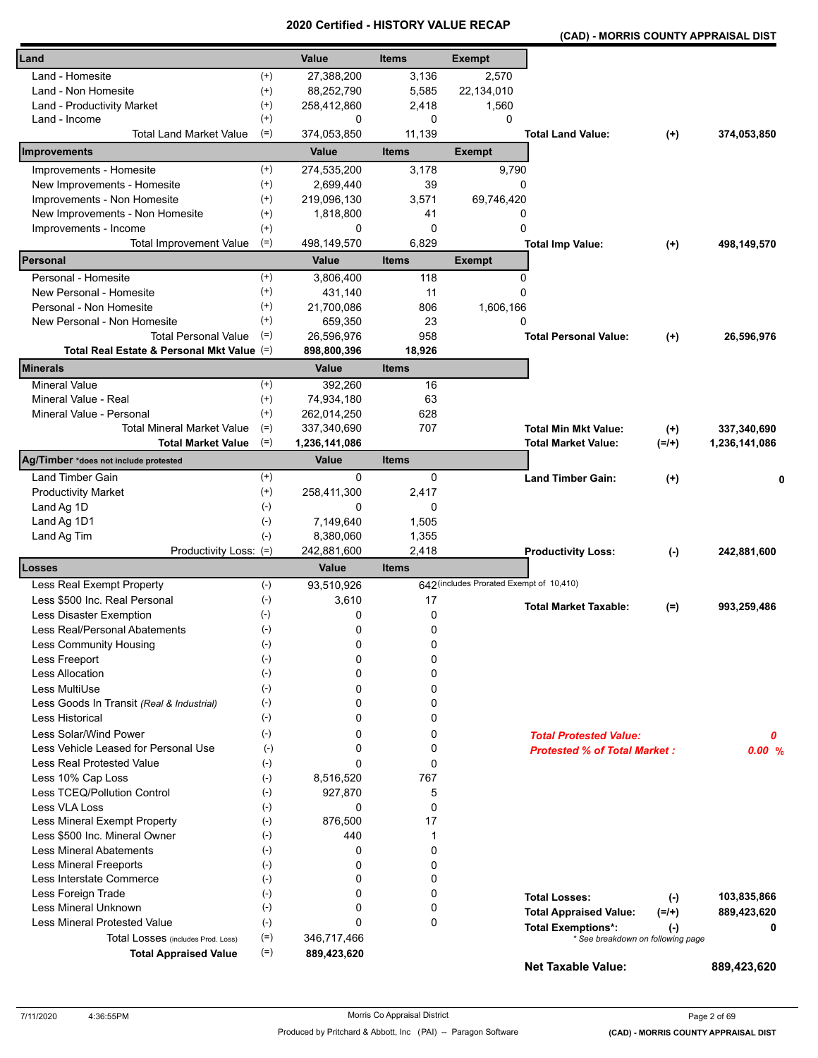**(CAD) - MORRIS COUNTY APPRAISAL DIST** 

| Land                                                          |                      | <b>Value</b>     | <b>Items</b> | <b>Exempt</b>                            |                                                                |           |               |
|---------------------------------------------------------------|----------------------|------------------|--------------|------------------------------------------|----------------------------------------------------------------|-----------|---------------|
|                                                               |                      |                  |              |                                          |                                                                |           |               |
| Land - Homesite                                               | $^{(+)}$             | 27,388,200       | 3,136        | 2,570                                    |                                                                |           |               |
| Land - Non Homesite                                           | $^{(+)}$             | 88,252,790       | 5,585        | 22,134,010                               |                                                                |           |               |
| Land - Productivity Market<br>Land - Income                   | $^{(+)}$<br>$^{(+)}$ | 258,412,860<br>0 | 2,418<br>0   | 1,560<br>0                               |                                                                |           |               |
| <b>Total Land Market Value</b>                                | $(=)$                | 374,053,850      | 11,139       |                                          | <b>Total Land Value:</b>                                       | $(+)$     | 374,053,850   |
| <b>Improvements</b>                                           |                      | Value            | <b>Items</b> | <b>Exempt</b>                            |                                                                |           |               |
| Improvements - Homesite                                       | $^{(+)}$             | 274,535,200      | 3,178        | 9,790                                    |                                                                |           |               |
| New Improvements - Homesite                                   | $^{(+)}$             | 2,699,440        | 39           | 0                                        |                                                                |           |               |
| Improvements - Non Homesite                                   | $^{(+)}$             | 219,096,130      | 3,571        | 69,746,420                               |                                                                |           |               |
| New Improvements - Non Homesite                               | $^{(+)}$             | 1,818,800        | 41           | 0                                        |                                                                |           |               |
| Improvements - Income                                         | $^{(+)}$             | 0                | 0            | 0                                        |                                                                |           |               |
| Total Improvement Value                                       | $(=)$                | 498,149,570      | 6,829        |                                          | <b>Total Imp Value:</b>                                        | $^{(+)}$  | 498,149,570   |
| Personal                                                      |                      | Value            | <b>Items</b> | <b>Exempt</b>                            |                                                                |           |               |
| Personal - Homesite                                           | $^{(+)}$             | 3,806,400        | 118          | 0                                        |                                                                |           |               |
| New Personal - Homesite                                       | $^{(+)}$             | 431,140          | 11           | 0                                        |                                                                |           |               |
| Personal - Non Homesite                                       | $^{(+)}$             | 21,700,086       | 806          | 1,606,166                                |                                                                |           |               |
| New Personal - Non Homesite                                   | $^{(+)}$             | 659,350          | 23           | 0                                        |                                                                |           |               |
| <b>Total Personal Value</b>                                   | $(=)$                | 26,596,976       | 958          |                                          | <b>Total Personal Value:</b>                                   | $(+)$     | 26,596,976    |
| Total Real Estate & Personal Mkt Value (=)                    |                      | 898,800,396      | 18,926       |                                          |                                                                |           |               |
| Minerals                                                      |                      | Value            | <b>Items</b> |                                          |                                                                |           |               |
| <b>Mineral Value</b>                                          | $^{(+)}$             | 392,260          | 16           |                                          |                                                                |           |               |
| Mineral Value - Real                                          | $^{(+)}$             | 74,934,180       | 63           |                                          |                                                                |           |               |
| Mineral Value - Personal                                      | $^{(+)}$             | 262,014,250      | 628          |                                          |                                                                |           |               |
| <b>Total Mineral Market Value</b>                             | $(=)$                | 337,340,690      | 707          |                                          | <b>Total Min Mkt Value:</b>                                    | $^{(+)}$  | 337,340,690   |
| <b>Total Market Value</b>                                     | $(=)$                | 1,236,141,086    |              |                                          | <b>Total Market Value:</b>                                     | $(=/+)$   | 1,236,141,086 |
| Ag/Timber *does not include protested                         |                      | Value            | <b>Items</b> |                                          |                                                                |           |               |
| Land Timber Gain                                              | $^{(+)}$             | 0                | 0            |                                          | <b>Land Timber Gain:</b>                                       | $(+)$     | 0             |
| <b>Productivity Market</b>                                    | $^{(+)}$             | 258,411,300      | 2,417        |                                          |                                                                |           |               |
| Land Ag 1D                                                    | $(-)$                | 0                | 0            |                                          |                                                                |           |               |
| Land Ag 1D1                                                   | $(-)$                | 7,149,640        | 1,505        |                                          |                                                                |           |               |
| Land Ag Tim                                                   | $(-)$                | 8,380,060        | 1,355        |                                          |                                                                |           |               |
| Productivity Loss: (=)                                        |                      | 242,881,600      | 2,418        |                                          | <b>Productivity Loss:</b>                                      | $(\cdot)$ | 242,881,600   |
| Losses                                                        |                      | Value            | <b>Items</b> |                                          |                                                                |           |               |
| Less Real Exempt Property                                     | $(-)$                | 93,510,926       |              | 642 (includes Prorated Exempt of 10,410) |                                                                |           |               |
| Less \$500 Inc. Real Personal                                 | $(\cdot)$            | 3,610            | 17           |                                          | <b>Total Market Taxable:</b>                                   | $(=)$     | 993,259,486   |
| Less Disaster Exemption                                       | $(\cdot)$            | 0                | $\Omega$     |                                          |                                                                |           |               |
| Less Real/Personal Abatements                                 | $(-)$                | 0                | 0            |                                          |                                                                |           |               |
| <b>Less Community Housing</b>                                 | $(-)$                | 0                | 0            |                                          |                                                                |           |               |
| Less Freeport                                                 | $(-)$                | 0                | 0            |                                          |                                                                |           |               |
| <b>Less Allocation</b>                                        | $(-)$                | 0                | 0            |                                          |                                                                |           |               |
| Less MultiUse                                                 | $(-)$                | 0                | 0            |                                          |                                                                |           |               |
| Less Goods In Transit (Real & Industrial)                     | $(-)$                | 0                | 0            |                                          |                                                                |           |               |
| Less Historical                                               | $(-)$                | 0                | 0            |                                          |                                                                |           |               |
| Less Solar/Wind Power                                         | $(-)$                | 0                | 0            |                                          | <b>Total Protested Value:</b>                                  |           | 0             |
| Less Vehicle Leased for Personal Use                          | $(-)$                | 0                | 0            |                                          | <b>Protested % of Total Market:</b>                            |           | 0.00%         |
| Less Real Protested Value                                     | $(-)$                | $\Omega$         | $\Omega$     |                                          |                                                                |           |               |
| Less 10% Cap Loss                                             | $(-)$                | 8,516,520        | 767          |                                          |                                                                |           |               |
| Less TCEQ/Pollution Control                                   | $(-)$                | 927,870          | 5            |                                          |                                                                |           |               |
| Less VLA Loss                                                 | $(-)$                | 0                | $\Omega$     |                                          |                                                                |           |               |
| Less Mineral Exempt Property<br>Less \$500 Inc. Mineral Owner | $(-)$<br>$(-)$       | 876,500<br>440   | 17<br>1      |                                          |                                                                |           |               |
| <b>Less Mineral Abatements</b>                                | $(-)$                | 0                | $\mathbf 0$  |                                          |                                                                |           |               |
| <b>Less Mineral Freeports</b>                                 | $(-)$                | 0                | 0            |                                          |                                                                |           |               |
| Less Interstate Commerce                                      | $(-)$                | 0                | $\Omega$     |                                          |                                                                |           |               |
| Less Foreign Trade                                            | $(-)$                | 0                | 0            |                                          |                                                                |           |               |
| Less Mineral Unknown                                          | $(-)$                | 0                | 0            |                                          | <b>Total Losses:</b>                                           | $(-)$     | 103,835,866   |
| Less Mineral Protested Value                                  | $(-)$                | 0                | $\Omega$     |                                          | <b>Total Appraised Value:</b>                                  | $(=/+)$   | 889,423,620   |
| Total Losses (includes Prod. Loss)                            | $(=)$                | 346,717,466      |              |                                          | <b>Total Exemptions*:</b><br>* See breakdown on following page | $(-)$     | 0             |
| <b>Total Appraised Value</b>                                  | $(=)$                | 889,423,620      |              |                                          |                                                                |           |               |
|                                                               |                      |                  |              |                                          | <b>Net Taxable Value:</b>                                      |           | 889,423,620   |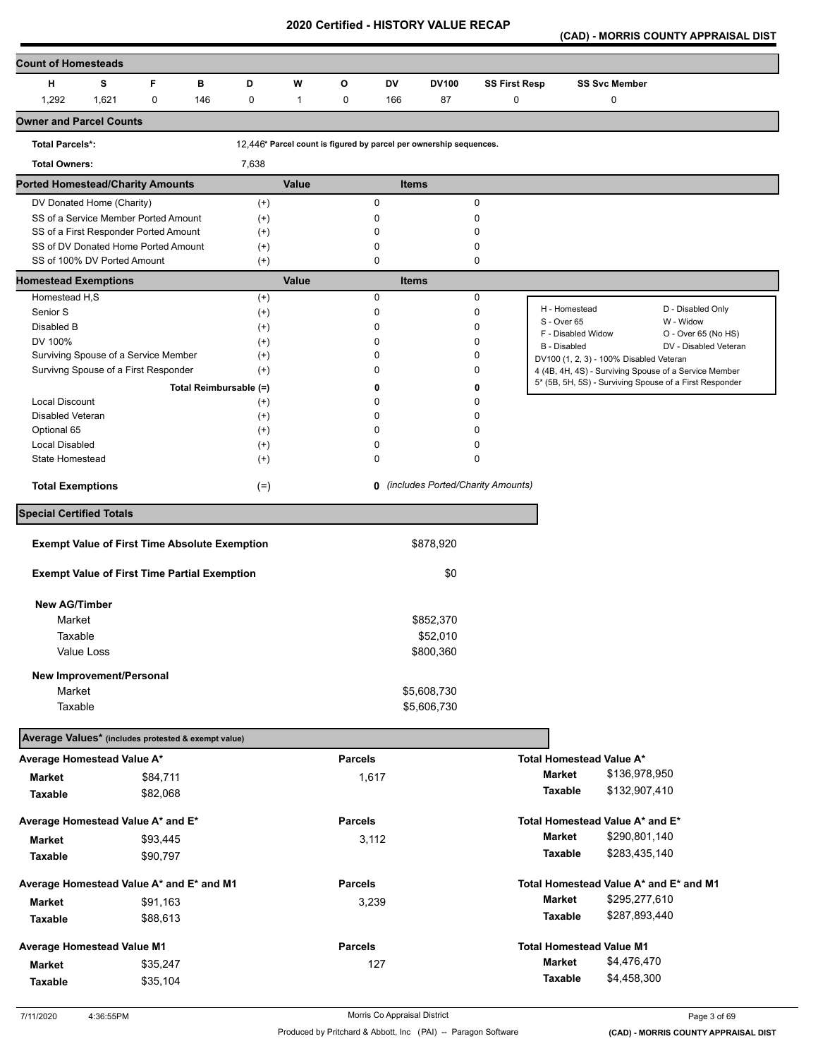**(CAD) - MORRIS COUNTY APPRAISAL DIST** 

| <b>Count of Homesteads</b>                           |       |             |     |                        |              |                |             |                                                                    |                                     |                              |                                         |                                                         |
|------------------------------------------------------|-------|-------------|-----|------------------------|--------------|----------------|-------------|--------------------------------------------------------------------|-------------------------------------|------------------------------|-----------------------------------------|---------------------------------------------------------|
| н                                                    | s     | F           | в   | D                      | W            | O              | DV          | <b>DV100</b>                                                       | <b>SS First Resp</b>                |                              | <b>SS Svc Member</b>                    |                                                         |
| 1,292                                                | 1,621 | $\mathbf 0$ | 146 | 0                      | $\mathbf{1}$ | 0              | 166         | 87                                                                 | 0                                   |                              | 0                                       |                                                         |
| <b>Owner and Parcel Counts</b>                       |       |             |     |                        |              |                |             |                                                                    |                                     |                              |                                         |                                                         |
| <b>Total Parcels*:</b>                               |       |             |     |                        |              |                |             | 12,446* Parcel count is figured by parcel per ownership sequences. |                                     |                              |                                         |                                                         |
| <b>Total Owners:</b>                                 |       |             |     | 7,638                  |              |                |             |                                                                    |                                     |                              |                                         |                                                         |
| <b>Ported Homestead/Charity Amounts</b>              |       |             |     |                        | <b>Value</b> |                |             | <b>Items</b>                                                       |                                     |                              |                                         |                                                         |
| DV Donated Home (Charity)                            |       |             |     | $^{(+)}$               |              |                | 0           |                                                                    | $\pmb{0}$                           |                              |                                         |                                                         |
| SS of a Service Member Ported Amount                 |       |             |     | $^{(+)}$               |              |                | 0           |                                                                    | 0                                   |                              |                                         |                                                         |
| SS of a First Responder Ported Amount                |       |             |     | $^{(+)}$               |              |                | 0           |                                                                    | 0                                   |                              |                                         |                                                         |
| SS of DV Donated Home Ported Amount                  |       |             |     | $^{(+)}$               |              |                | 0           |                                                                    | 0                                   |                              |                                         |                                                         |
| SS of 100% DV Ported Amount                          |       |             |     | $^{(+)}$               |              |                | $\mathbf 0$ |                                                                    | 0                                   |                              |                                         |                                                         |
| <b>Homestead Exemptions</b>                          |       |             |     |                        | Value        |                |             | <b>Items</b>                                                       |                                     |                              |                                         |                                                         |
| Homestead H,S                                        |       |             |     | $^{(+)}$               |              |                | 0           |                                                                    | 0                                   |                              |                                         |                                                         |
| Senior S                                             |       |             |     | $^{(+)}$               |              |                | 0           |                                                                    | $\mathbf 0$                         | H - Homestead<br>S - Over 65 |                                         | D - Disabled Only<br>W - Widow                          |
| Disabled B                                           |       |             |     | $^{(+)}$               |              |                | 0           |                                                                    | 0                                   | F - Disabled Widow           |                                         | O - Over 65 (No HS)                                     |
| DV 100%                                              |       |             |     | $^{(+)}$               |              |                | $\mathbf 0$ |                                                                    | 0                                   | B - Disabled                 |                                         | DV - Disabled Veteran                                   |
| Surviving Spouse of a Service Member                 |       |             |     | $^{(+)}$               |              |                | 0           |                                                                    | 0                                   |                              | DV100 (1, 2, 3) - 100% Disabled Veteran |                                                         |
| Survivng Spouse of a First Responder                 |       |             |     | $^{(+)}$               |              |                | 0           |                                                                    | 0                                   |                              |                                         | 4 (4B, 4H, 4S) - Surviving Spouse of a Service Member   |
|                                                      |       |             |     | Total Reimbursable (=) |              |                | 0           |                                                                    | 0                                   |                              |                                         | 5* (5B, 5H, 5S) - Surviving Spouse of a First Responder |
| Local Discount                                       |       |             |     | $^{(+)}$               |              |                | 0           |                                                                    | 0                                   |                              |                                         |                                                         |
| Disabled Veteran                                     |       |             |     | $^{(+)}$               |              |                | 0           |                                                                    | 0                                   |                              |                                         |                                                         |
| Optional 65                                          |       |             |     | $^{(+)}$               |              |                | $\mathbf 0$ |                                                                    | 0                                   |                              |                                         |                                                         |
| <b>Local Disabled</b>                                |       |             |     | $^{(+)}$               |              |                | 0           |                                                                    | 0                                   |                              |                                         |                                                         |
| State Homestead                                      |       |             |     | $^{(+)}$               |              |                | 0           |                                                                    | 0                                   |                              |                                         |                                                         |
| <b>Total Exemptions</b>                              |       |             |     | $(=)$                  |              |                |             |                                                                    | 0 (includes Ported/Charity Amounts) |                              |                                         |                                                         |
| <b>Special Certified Totals</b>                      |       |             |     |                        |              |                |             |                                                                    |                                     |                              |                                         |                                                         |
| <b>Exempt Value of First Time Absolute Exemption</b> |       |             |     |                        |              |                |             | \$878,920                                                          |                                     |                              |                                         |                                                         |
|                                                      |       |             |     |                        |              |                |             |                                                                    |                                     |                              |                                         |                                                         |
| <b>Exempt Value of First Time Partial Exemption</b>  |       |             |     |                        |              |                |             | \$0                                                                |                                     |                              |                                         |                                                         |
| <b>New AG/Timber</b>                                 |       |             |     |                        |              |                |             |                                                                    |                                     |                              |                                         |                                                         |
| Market                                               |       |             |     |                        |              |                |             | \$852,370                                                          |                                     |                              |                                         |                                                         |
| Taxable                                              |       |             |     |                        |              |                |             | \$52,010                                                           |                                     |                              |                                         |                                                         |
|                                                      |       |             |     |                        |              |                |             |                                                                    |                                     |                              |                                         |                                                         |
| Value Loss                                           |       |             |     |                        |              |                |             | \$800,360                                                          |                                     |                              |                                         |                                                         |
| New Improvement/Personal                             |       |             |     |                        |              |                |             |                                                                    |                                     |                              |                                         |                                                         |
| Market                                               |       |             |     |                        |              |                |             | \$5,608,730                                                        |                                     |                              |                                         |                                                         |
| Taxable                                              |       |             |     |                        |              |                |             | \$5,606,730                                                        |                                     |                              |                                         |                                                         |
| Average Values* (includes protested & exempt value)  |       |             |     |                        |              |                |             |                                                                    |                                     |                              |                                         |                                                         |
| Average Homestead Value A*                           |       |             |     |                        |              | <b>Parcels</b> |             |                                                                    |                                     |                              | Total Homestead Value A*                |                                                         |
| <b>Market</b>                                        |       | \$84,711    |     |                        |              |                | 1,617       |                                                                    |                                     | Market                       | \$136,978,950                           |                                                         |
| Taxable                                              |       | \$82,068    |     |                        |              |                |             |                                                                    |                                     | Taxable                      | \$132,907,410                           |                                                         |
| Average Homestead Value A* and E*                    |       |             |     |                        |              | <b>Parcels</b> |             |                                                                    |                                     |                              | Total Homestead Value A* and E*         |                                                         |
| Market                                               |       | \$93,445    |     |                        |              |                | 3,112       |                                                                    |                                     | <b>Market</b>                | \$290,801,140                           |                                                         |
|                                                      |       |             |     |                        |              |                |             |                                                                    |                                     | Taxable                      | \$283,435,140                           |                                                         |
| Taxable                                              |       | \$90,797    |     |                        |              |                |             |                                                                    |                                     |                              |                                         |                                                         |
| Average Homestead Value A* and E* and M1             |       |             |     |                        |              | <b>Parcels</b> |             |                                                                    |                                     |                              | Total Homestead Value A* and E* and M1  |                                                         |
| Market                                               |       | \$91,163    |     |                        |              |                | 3,239       |                                                                    |                                     | <b>Market</b>                | \$295,277,610                           |                                                         |
| Taxable                                              |       | \$88,613    |     |                        |              |                |             |                                                                    |                                     | Taxable                      | \$287,893,440                           |                                                         |
| Average Homestead Value M1                           |       |             |     |                        |              | <b>Parcels</b> |             |                                                                    |                                     |                              | <b>Total Homestead Value M1</b>         |                                                         |
|                                                      |       |             |     |                        |              |                |             |                                                                    |                                     | <b>Market</b>                | \$4,476,470                             |                                                         |
| <b>Market</b>                                        |       | \$35,247    |     |                        |              |                | 127         |                                                                    |                                     | Taxable                      | \$4,458,300                             |                                                         |
| <b>Taxable</b>                                       |       | \$35,104    |     |                        |              |                |             |                                                                    |                                     |                              |                                         |                                                         |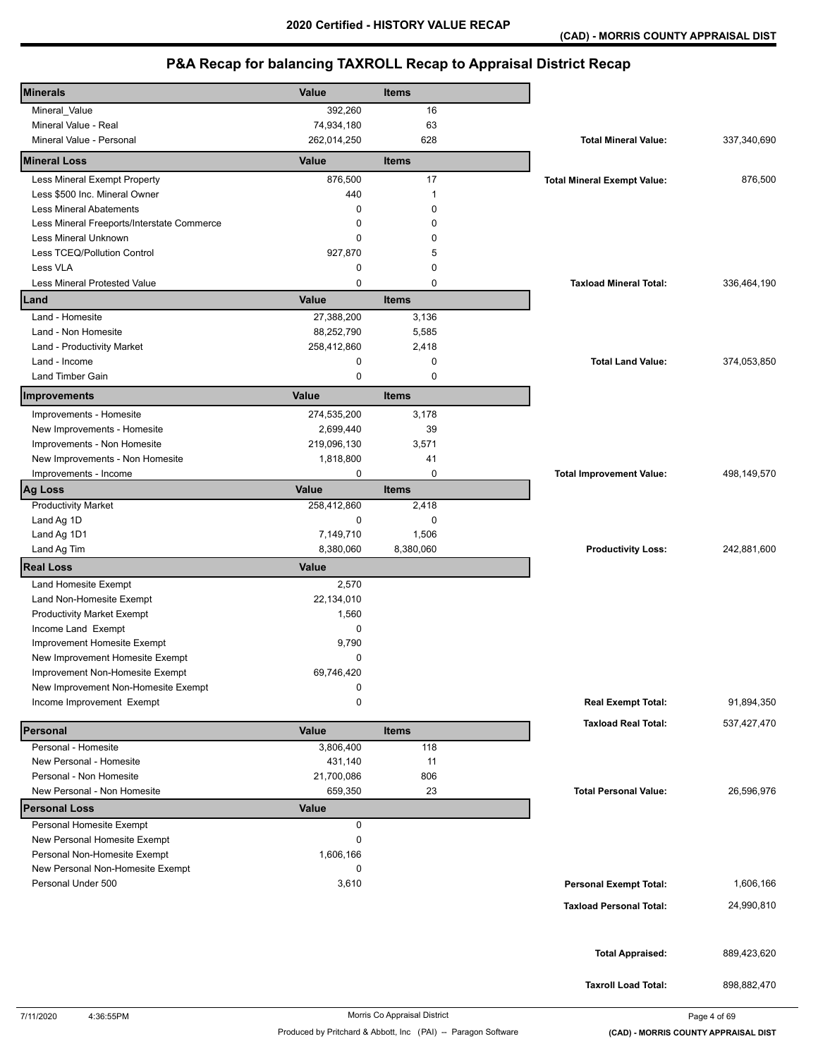| <b>Minerals</b>                                                  | Value          | <b>Items</b> |                                    |             |
|------------------------------------------------------------------|----------------|--------------|------------------------------------|-------------|
| Mineral_Value                                                    | 392,260        | 16           |                                    |             |
| Mineral Value - Real                                             | 74,934,180     | 63           |                                    |             |
| Mineral Value - Personal                                         | 262,014,250    | 628          | <b>Total Mineral Value:</b>        | 337,340,690 |
| <b>Mineral Loss</b>                                              | Value          | <b>Items</b> |                                    |             |
| Less Mineral Exempt Property                                     | 876,500        | 17           | <b>Total Mineral Exempt Value:</b> | 876,500     |
| Less \$500 Inc. Mineral Owner                                    | 440            | $\mathbf 1$  |                                    |             |
| <b>Less Mineral Abatements</b>                                   | 0              | $\mathbf 0$  |                                    |             |
| Less Mineral Freeports/Interstate Commerce                       | 0              | 0            |                                    |             |
| Less Mineral Unknown                                             | 0              | $\Omega$     |                                    |             |
| Less TCEQ/Pollution Control                                      | 927,870        | 5            |                                    |             |
| Less VLA                                                         | 0              | 0            |                                    |             |
| <b>Less Mineral Protested Value</b>                              | 0              | $\mathbf 0$  | <b>Taxload Mineral Total:</b>      | 336,464,190 |
| Land                                                             | Value          | <b>Items</b> |                                    |             |
| Land - Homesite                                                  | 27,388,200     | 3,136        |                                    |             |
| Land - Non Homesite                                              | 88,252,790     | 5,585        |                                    |             |
| Land - Productivity Market                                       | 258,412,860    | 2,418        |                                    |             |
| Land - Income                                                    | 0              | $\mathbf 0$  | <b>Total Land Value:</b>           | 374,053,850 |
| <b>Land Timber Gain</b>                                          | 0              | 0            |                                    |             |
| Improvements                                                     | Value          | <b>Items</b> |                                    |             |
| Improvements - Homesite                                          | 274,535,200    | 3,178        |                                    |             |
| New Improvements - Homesite                                      | 2,699,440      | 39           |                                    |             |
| Improvements - Non Homesite                                      | 219,096,130    | 3,571        |                                    |             |
| New Improvements - Non Homesite                                  | 1,818,800      | 41           |                                    |             |
| Improvements - Income                                            | $\mathbf 0$    | $\mathbf 0$  | <b>Total Improvement Value:</b>    | 498,149,570 |
| <b>Ag Loss</b>                                                   | Value          | <b>Items</b> |                                    |             |
| <b>Productivity Market</b>                                       | 258,412,860    | 2,418        |                                    |             |
| Land Ag 1D                                                       | 0              | 0            |                                    |             |
| Land Ag 1D1                                                      | 7,149,710      | 1,506        |                                    |             |
| Land Ag Tim                                                      | 8,380,060      | 8,380,060    | <b>Productivity Loss:</b>          | 242,881,600 |
| <b>Real Loss</b>                                                 | <b>Value</b>   |              |                                    |             |
| Land Homesite Exempt                                             | 2,570          |              |                                    |             |
| Land Non-Homesite Exempt                                         | 22,134,010     |              |                                    |             |
| <b>Productivity Market Exempt</b>                                | 1,560          |              |                                    |             |
| Income Land Exempt                                               | 0              |              |                                    |             |
| Improvement Homesite Exempt                                      | 9,790          |              |                                    |             |
| New Improvement Homesite Exempt                                  | 0              |              |                                    |             |
| Improvement Non-Homesite Exempt                                  | 69,746,420     |              |                                    |             |
| New Improvement Non-Homesite Exempt<br>Income Improvement Exempt | 0<br>0         |              |                                    | 91,894,350  |
|                                                                  |                |              | <b>Real Exempt Total:</b>          |             |
| Personal                                                         | Value          | <b>Items</b> | <b>Taxload Real Total:</b>         | 537,427,470 |
| Personal - Homesite                                              | 3,806,400      | 118          |                                    |             |
| New Personal - Homesite                                          | 431,140        | 11           |                                    |             |
| Personal - Non Homesite                                          | 21,700,086     | 806          |                                    |             |
| New Personal - Non Homesite                                      | 659,350        | 23           | <b>Total Personal Value:</b>       | 26,596,976  |
| <b>Personal Loss</b>                                             | Value          |              |                                    |             |
| Personal Homesite Exempt                                         | 0              |              |                                    |             |
| New Personal Homesite Exempt<br>Personal Non-Homesite Exempt     | 0<br>1,606,166 |              |                                    |             |
|                                                                  | 0              |              |                                    |             |
| New Personal Non-Homesite Exempt<br>Personal Under 500           | 3,610          |              | <b>Personal Exempt Total:</b>      | 1,606,166   |
|                                                                  |                |              |                                    |             |
|                                                                  |                |              | <b>Taxload Personal Total:</b>     | 24,990,810  |
|                                                                  |                |              |                                    |             |
|                                                                  |                |              | <b>Total Appraised:</b>            | 889,423,620 |
|                                                                  |                |              |                                    |             |
|                                                                  |                |              | <b>Taxroll Load Total:</b>         | 898,882,470 |
|                                                                  |                |              |                                    |             |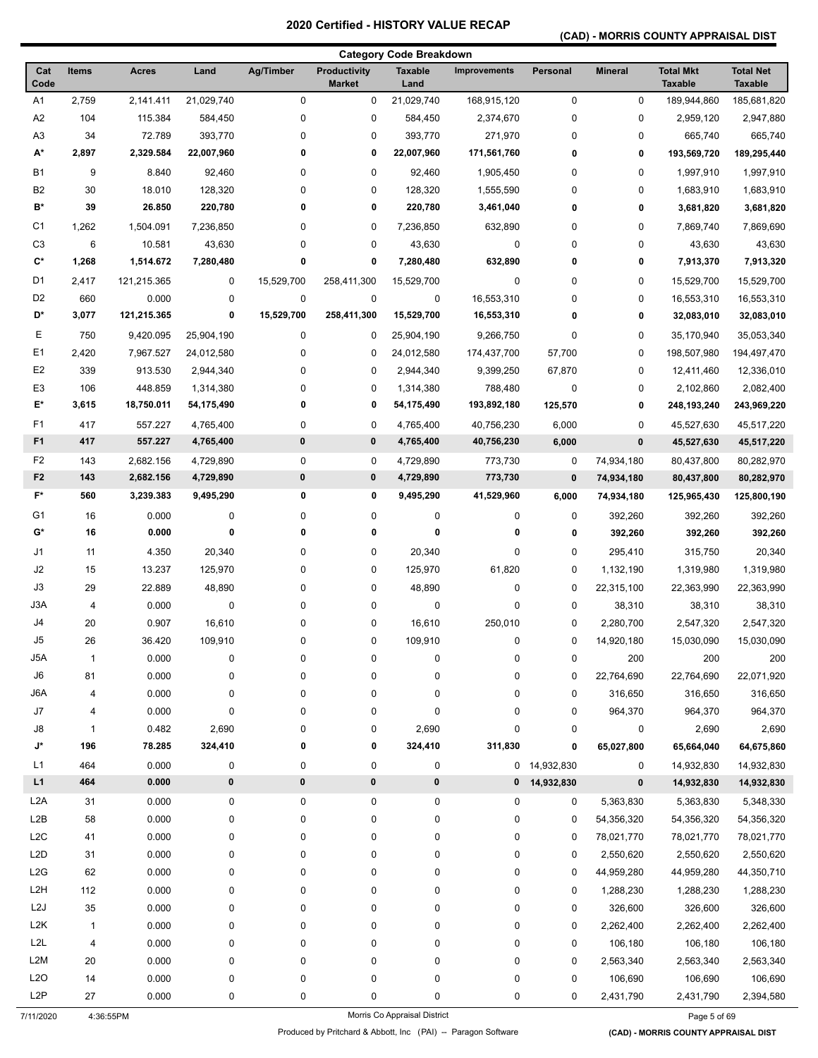### **(CAD) - MORRIS COUNTY APPRAISAL DIST**

|                  |                |              |            |            |                               | <b>Category Code Breakdown</b> |                     |              |                |                                    |                                    |
|------------------|----------------|--------------|------------|------------|-------------------------------|--------------------------------|---------------------|--------------|----------------|------------------------------------|------------------------------------|
| Cat<br>Code      | <b>Items</b>   | <b>Acres</b> | Land       | Ag/Timber  | Productivity<br><b>Market</b> | <b>Taxable</b><br>Land         | <b>Improvements</b> | Personal     | <b>Mineral</b> | <b>Total Mkt</b><br><b>Taxable</b> | <b>Total Net</b><br><b>Taxable</b> |
| A1               | 2,759          | 2,141.411    | 21,029,740 | 0          | 0                             | 21,029,740                     | 168,915,120         | $\pmb{0}$    | $\pmb{0}$      | 189,944,860                        | 185,681,820                        |
| A <sub>2</sub>   | 104            | 115.384      | 584,450    | 0          | 0                             | 584,450                        | 2,374,670           | 0            | 0              | 2,959,120                          | 2,947,880                          |
| A <sub>3</sub>   | 34             | 72.789       | 393,770    | 0          | 0                             | 393,770                        | 271,970             | $\pmb{0}$    | 0              | 665,740                            | 665,740                            |
| A*               | 2,897          | 2,329.584    | 22,007,960 | 0          | 0                             | 22,007,960                     | 171,561,760         | 0            | 0              | 193,569,720                        | 189,295,440                        |
| <b>B1</b>        | 9              | 8.840        | 92,460     | 0          | 0                             | 92,460                         | 1,905,450           | 0            | 0              | 1,997,910                          | 1,997,910                          |
| B <sub>2</sub>   | 30             | 18.010       | 128,320    | 0          | 0                             | 128,320                        | 1,555,590           | 0            | 0              | 1,683,910                          | 1,683,910                          |
| B*               | 39             | 26.850       | 220,780    | 0          | 0                             | 220,780                        | 3,461,040           | 0            | 0              | 3,681,820                          | 3,681,820                          |
| C <sub>1</sub>   | 1,262          | 1,504.091    | 7,236,850  | 0          | 0                             | 7,236,850                      | 632,890             | 0            | 0              | 7,869,740                          | 7,869,690                          |
| C <sub>3</sub>   | 6              | 10.581       | 43,630     | 0          | 0                             | 43,630                         | 0                   | 0            | 0              | 43,630                             | 43,630                             |
| C*               | 1,268          | 1,514.672    | 7,280,480  | 0          | 0                             | 7,280,480                      | 632,890             | 0            | 0              | 7,913,370                          | 7,913,320                          |
| D <sub>1</sub>   | 2,417          | 121,215.365  | 0          | 15,529,700 | 258,411,300                   | 15,529,700                     | $\pmb{0}$           | 0            | 0              | 15,529,700                         | 15,529,700                         |
| D <sub>2</sub>   | 660            | 0.000        | 0          | 0          | 0                             | 0                              | 16,553,310          | 0            | 0              | 16,553,310                         | 16,553,310                         |
| D*               | 3,077          | 121,215.365  | 0          | 15,529,700 | 258,411,300                   | 15,529,700                     | 16,553,310          | 0            | 0              | 32,083,010                         | 32,083,010                         |
| Ε                | 750            | 9,420.095    | 25,904,190 | $\pmb{0}$  | 0                             | 25,904,190                     | 9,266,750           | 0            | 0              | 35,170,940                         | 35,053,340                         |
| E1               | 2,420          | 7,967.527    | 24,012,580 | 0          | 0                             | 24,012,580                     | 174,437,700         | 57,700       | 0              | 198,507,980                        | 194,497,470                        |
| E <sub>2</sub>   | 339            | 913.530      | 2,944,340  | 0          | 0                             | 2,944,340                      | 9,399,250           | 67,870       | 0              | 12,411,460                         | 12,336,010                         |
| E <sub>3</sub>   | 106            | 448.859      | 1,314,380  | 0          | 0                             | 1,314,380                      | 788,480             | 0            | 0              | 2,102,860                          | 2,082,400                          |
| E*               | 3,615          | 18,750.011   | 54,175,490 | 0          | 0                             | 54,175,490                     | 193,892,180         | 125,570      | 0              | 248,193,240                        | 243,969,220                        |
| F <sub>1</sub>   | 417            | 557.227      | 4,765,400  | 0          | 0                             | 4,765,400                      | 40,756,230          | 6,000        | 0              | 45,527,630                         | 45,517,220                         |
| F <sub>1</sub>   | 417            | 557.227      | 4,765,400  | $\pmb{0}$  | $\pmb{0}$                     | 4,765,400                      | 40,756,230          | 6,000        | $\pmb{0}$      | 45,527,630                         | 45,517,220                         |
| F <sub>2</sub>   | 143            | 2,682.156    | 4,729,890  | 0          | 0                             | 4,729,890                      | 773,730             | $\mathbf 0$  | 74,934,180     | 80,437,800                         | 80,282,970                         |
| F <sub>2</sub>   | 143            | 2,682.156    | 4,729,890  | $\pmb{0}$  | $\pmb{0}$                     | 4,729,890                      | 773,730             | 0            | 74,934,180     | 80,437,800                         | 80,282,970                         |
| F*               | 560            | 3,239.383    | 9,495,290  | 0          | 0                             | 9,495,290                      | 41,529,960          |              |                |                                    |                                    |
|                  |                |              |            |            |                               |                                |                     | 6,000        | 74,934,180     | 125,965,430                        | 125,800,190                        |
| G <sub>1</sub>   | 16             | 0.000        | 0          | 0          | 0                             | $\mathbf 0$<br>0               | 0                   | 0            | 392,260        | 392,260                            | 392,260                            |
| G*               | 16             | 0.000        | 0          | 0          | 0                             |                                | 0                   | 0            | 392,260        | 392,260                            | 392,260                            |
| J1               | 11             | 4.350        | 20,340     | 0          | 0                             | 20,340                         | $\pmb{0}$           | 0            | 295,410        | 315,750                            | 20,340                             |
| J2               | 15             | 13.237       | 125,970    | 0          | 0                             | 125,970                        | 61,820              | 0            | 1,132,190      | 1,319,980                          | 1,319,980                          |
| J3               | 29             | 22.889       | 48,890     | 0          | 0                             | 48,890                         | 0                   | 0            | 22,315,100     | 22,363,990                         | 22,363,990                         |
| J3A              | $\overline{4}$ | 0.000        | 0          | 0          | 0                             | 0                              | 0                   | 0            | 38,310         | 38,310                             | 38,310                             |
| J4               | 20             | 0.907        | 16,610     | 0          | 0                             | 16,610                         | 250,010             | 0            | 2,280,700      | 2,547,320                          | 2,547,320                          |
| J5               | 26             | 36.420       | 109,910    | 0          | 0                             | 109,910                        | 0                   | 0            | 14,920,180     | 15,030,090                         | 15,030,090                         |
| J5A              | 1              | 0.000        | 0          | 0          | 0                             | 0                              | $\pmb{0}$           | $\pmb{0}$    | 200            | 200                                | 200                                |
| $\mathsf{J6}$    | 81             | 0.000        | 0          | 0          | 0                             | 0                              | $\pmb{0}$           | 0            | 22,764,690     | 22,764,690                         | 22,071,920                         |
| J6A              | 4              | 0.000        | 0          | 0          | 0                             | 0                              | $\pmb{0}$           | 0            | 316,650        | 316,650                            | 316,650                            |
| J7               | 4              | 0.000        | 0          | 0          | 0                             | 0                              | $\pmb{0}$           | 0            | 964,370        | 964,370                            | 964,370                            |
| J8               | $\mathbf{1}$   | 0.482        | 2,690      | 0          | 0                             | 2,690                          | $\pmb{0}$           | 0            | 0              | 2,690                              | 2,690                              |
| J*               | 196            | 78.285       | 324,410    | 0          | 0                             | 324,410                        | 311,830             | 0            | 65,027,800     | 65,664,040                         | 64,675,860                         |
| L1               | 464            | 0.000        | 0          | 0          | 0                             | $\pmb{0}$                      |                     | 0 14,932,830 | 0              | 14,932,830                         | 14,932,830                         |
| L1               | 464            | 0.000        | $\pmb{0}$  | $\pmb{0}$  | $\pmb{0}$                     | $\pmb{0}$                      | $\mathbf 0$         | 14,932,830   | $\pmb{0}$      | 14,932,830                         | 14,932,830                         |
| L <sub>2</sub> A | 31             | 0.000        | 0          | 0          | 0                             | $\mathbf 0$                    | $\pmb{0}$           | 0            | 5,363,830      | 5,363,830                          | 5,348,330                          |
| L2B              | 58             | 0.000        | 0          | 0          | 0                             | 0                              | 0                   | 0            | 54,356,320     | 54,356,320                         | 54,356,320                         |
| L <sub>2</sub> C | 41             | 0.000        | 0          | 0          | 0                             | 0                              | $\pmb{0}$           | 0            | 78,021,770     | 78,021,770                         | 78,021,770                         |
| L <sub>2</sub> D | 31             | 0.000        | 0          | 0          | 0                             | 0                              | $\pmb{0}$           | 0            | 2,550,620      | 2,550,620                          | 2,550,620                          |
| L <sub>2</sub> G | 62             | 0.000        | 0          | 0          | 0                             | 0                              | $\pmb{0}$           | 0            | 44,959,280     | 44,959,280                         | 44,350,710                         |
| L <sub>2</sub> H | 112            | 0.000        | 0          | 0          | 0                             | 0                              | $\pmb{0}$           | 0            | 1,288,230      | 1,288,230                          | 1,288,230                          |
| L <sub>2</sub> J | 35             | 0.000        | 0          | 0          | 0                             | 0                              | 0                   | 0            | 326,600        | 326,600                            | 326,600                            |
| L <sub>2</sub> K | $\mathbf{1}$   | 0.000        | 0          | 0          | 0                             | 0                              | 0                   | 0            | 2,262,400      | 2,262,400                          | 2,262,400                          |
| L2L              | 4              | 0.000        | 0          | 0          | 0                             | 0                              | $\pmb{0}$           | $\pmb{0}$    | 106,180        | 106,180                            | 106,180                            |
| L <sub>2</sub> M | 20             | 0.000        | 0          | 0          | 0                             | 0                              | $\pmb{0}$           | $\pmb{0}$    | 2,563,340      | 2,563,340                          | 2,563,340                          |
| L <sub>20</sub>  | 14             | 0.000        | 0          | 0          | 0                             | 0                              | $\pmb{0}$           | $\pmb{0}$    | 106,690        | 106,690                            | 106,690                            |
| L <sub>2</sub> P | 27             | 0.000        | 0          | 0          | 0                             | 0                              | 0                   | 0            | 2,431,790      | 2,431,790                          | 2,394,580                          |
| 7/11/2020        |                | 4:36:55PM    |            |            |                               | Morris Co Appraisal District   |                     |              |                | Page 5 of 69                       |                                    |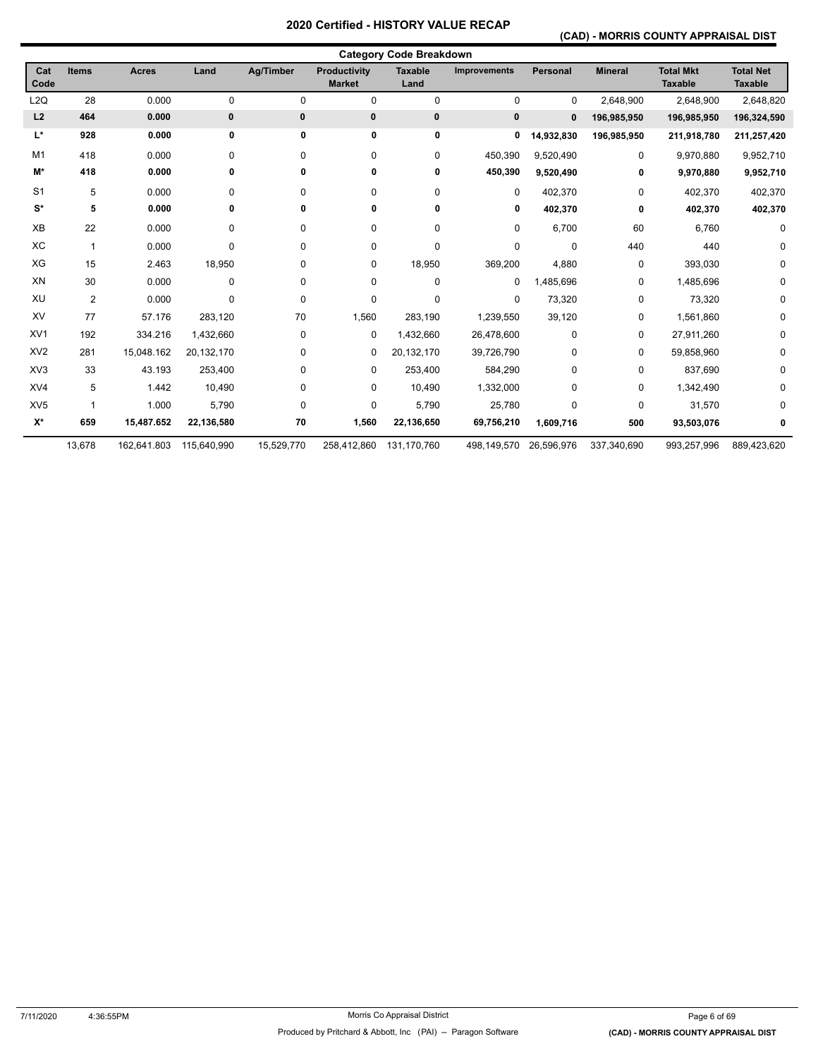### **(CAD) - MORRIS COUNTY APPRAISAL DIST**

|                  |                |              |             |            |                                      | <b>Category Code Breakdown</b> |                     |              |                |                                    |                                    |
|------------------|----------------|--------------|-------------|------------|--------------------------------------|--------------------------------|---------------------|--------------|----------------|------------------------------------|------------------------------------|
| Cat<br>Code      | <b>Items</b>   | <b>Acres</b> | Land        | Ag/Timber  | <b>Productivity</b><br><b>Market</b> | <b>Taxable</b><br>Land         | <b>Improvements</b> | Personal     | <b>Mineral</b> | <b>Total Mkt</b><br><b>Taxable</b> | <b>Total Net</b><br><b>Taxable</b> |
| L <sub>2</sub> Q | 28             | 0.000        | 0           | 0          | 0                                    | $\pmb{0}$                      | $\mathbf 0$         | $\mathbf 0$  | 2,648,900      | 2,648,900                          | 2,648,820                          |
| L2               | 464            | 0.000        | 0           | 0          | 0                                    | 0                              | 0                   | $\mathbf{0}$ | 196,985,950    | 196,985,950                        | 196,324,590                        |
| L*               | 928            | 0.000        | 0           | 0          | 0                                    | 0                              | 0                   | 14,932,830   | 196,985,950    | 211,918,780                        | 211,257,420                        |
| M <sub>1</sub>   | 418            | 0.000        | 0           | 0          | 0                                    | 0                              | 450,390             | 9,520,490    | 0              | 9,970,880                          | 9,952,710                          |
| M*               | 418            | 0.000        | 0           | 0          | 0                                    | 0                              | 450,390             | 9,520,490    | 0              | 9,970,880                          | 9,952,710                          |
| S <sub>1</sub>   | 5              | 0.000        | 0           | 0          | 0                                    | $\mathbf 0$                    | $\Omega$            | 402,370      | 0              | 402,370                            | 402,370                            |
| $\mathbf{S}^*$   | 5              | 0.000        | 0           | 0          | 0                                    | 0                              | 0                   | 402,370      | 0              | 402,370                            | 402,370                            |
| XB               | 22             | 0.000        | 0           | $\Omega$   | 0                                    | $\pmb{0}$                      | 0                   | 6,700        | 60             | 6,760                              | 0                                  |
| XC               | $\mathbf{1}$   | 0.000        | 0           | 0          | 0                                    | 0                              | 0                   | $\mathbf 0$  | 440            | 440                                | 0                                  |
| XG               | 15             | 2.463        | 18,950      | 0          | 0                                    | 18,950                         | 369,200             | 4,880        | 0              | 393,030                            | 0                                  |
| XN               | 30             | 0.000        | 0           | 0          | 0                                    | $\pmb{0}$                      | 0                   | 1,485,696    | 0              | 1,485,696                          | 0                                  |
| XU               | $\overline{2}$ | 0.000        | 0           | 0          | 0                                    | 0                              | 0                   | 73,320       | 0              | 73,320                             | 0                                  |
| XV               | 77             | 57.176       | 283,120     | 70         | 1,560                                | 283,190                        | 1,239,550           | 39,120       | 0              | 1,561,860                          | 0                                  |
| XV <sub>1</sub>  | 192            | 334.216      | 1,432,660   | 0          | 0                                    | 1,432,660                      | 26,478,600          | $\mathbf 0$  | 0              | 27,911,260                         | 0                                  |
| XV <sub>2</sub>  | 281            | 15,048.162   | 20,132,170  | 0          | 0                                    | 20,132,170                     | 39,726,790          | $\mathbf 0$  | 0              | 59,858,960                         | 0                                  |
| XV <sub>3</sub>  | 33             | 43.193       | 253,400     | 0          | 0                                    | 253,400                        | 584,290             | $\mathbf 0$  | 0              | 837,690                            | 0                                  |
| XV4              | 5              | 1.442        | 10,490      | 0          | 0                                    | 10,490                         | 1,332,000           | $\mathbf 0$  | 0              | 1,342,490                          | 0                                  |
| XV <sub>5</sub>  | 1              | 1.000        | 5,790       | 0          | 0                                    | 5,790                          | 25,780              | 0            | 0              | 31,570                             | 0                                  |
| $X^*$            | 659            | 15,487.652   | 22,136,580  | 70         | 1,560                                | 22,136,650                     | 69,756,210          | 1,609,716    | 500            | 93,503,076                         | 0                                  |
|                  | 13,678         | 162,641.803  | 115,640,990 | 15,529,770 | 258,412,860                          | 131,170,760                    | 498,149,570         | 26,596,976   | 337,340,690    | 993,257,996                        | 889,423,620                        |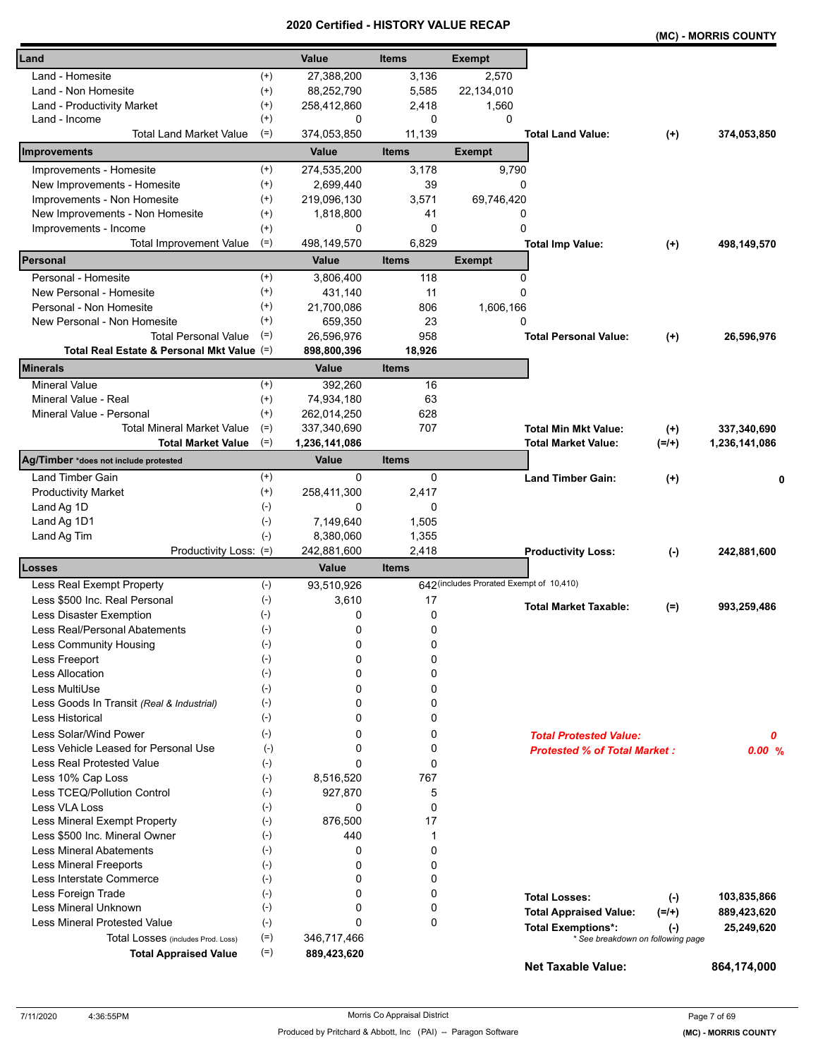|                                                                 |                    | uncu          | VN L         |                                          |                                     |           | (MC) - MORRIS COUNTY |
|-----------------------------------------------------------------|--------------------|---------------|--------------|------------------------------------------|-------------------------------------|-----------|----------------------|
| Land                                                            |                    | Value         | <b>Items</b> | <b>Exempt</b>                            |                                     |           |                      |
| Land - Homesite                                                 | $^{(+)}$           | 27,388,200    | 3,136        | 2,570                                    |                                     |           |                      |
| Land - Non Homesite                                             | $^{(+)}$           | 88,252,790    | 5,585        | 22,134,010                               |                                     |           |                      |
| Land - Productivity Market                                      | $(+)$              | 258,412,860   | 2,418        | 1,560                                    |                                     |           |                      |
| Land - Income                                                   | $^{(+)}$           | 0             | 0            | $\Omega$                                 |                                     |           |                      |
| Total Land Market Value                                         | $(=)$              | 374,053,850   | 11,139       |                                          | <b>Total Land Value:</b>            | $^{(+)}$  | 374,053,850          |
| Improvements                                                    |                    | Value         | <b>Items</b> | <b>Exempt</b>                            |                                     |           |                      |
| Improvements - Homesite                                         | $^{(+)}$           | 274,535,200   | 3,178        | 9,790                                    |                                     |           |                      |
| New Improvements - Homesite                                     | $^{(+)}$           | 2,699,440     | 39           | 0                                        |                                     |           |                      |
| Improvements - Non Homesite                                     | $^{(+)}$           | 219,096,130   | 3,571        | 69,746,420                               |                                     |           |                      |
| New Improvements - Non Homesite                                 | $(+)$              | 1,818,800     | 41           | 0                                        |                                     |           |                      |
| Improvements - Income                                           | $^{(+)}$           | 0             | 0            | 0                                        |                                     |           |                      |
| <b>Total Improvement Value</b>                                  | $(=)$              | 498,149,570   | 6,829        |                                          | <b>Total Imp Value:</b>             | $^{(+)}$  | 498,149,570          |
| Personal                                                        |                    | Value         | <b>Items</b> | <b>Exempt</b>                            |                                     |           |                      |
| Personal - Homesite                                             | $^{(+)}$           | 3,806,400     | 118          | 0                                        |                                     |           |                      |
| New Personal - Homesite                                         | $^{(+)}$           | 431,140       | 11           | 0                                        |                                     |           |                      |
| Personal - Non Homesite                                         | $(+)$              | 21,700,086    | 806          | 1,606,166                                |                                     |           |                      |
| New Personal - Non Homesite                                     | $^{(+)}$           | 659,350       | 23           | 0                                        |                                     |           |                      |
| <b>Total Personal Value</b>                                     | $(=)$              | 26,596,976    | 958          |                                          | <b>Total Personal Value:</b>        | $(+)$     | 26,596,976           |
| Total Real Estate & Personal Mkt Value (=)                      |                    | 898,800,396   | 18,926       |                                          |                                     |           |                      |
| <b>Minerals</b>                                                 |                    | Value         | <b>Items</b> |                                          |                                     |           |                      |
| <b>Mineral Value</b>                                            | $(+)$              | 392,260       | 16           |                                          |                                     |           |                      |
| Mineral Value - Real                                            | $^{(+)}$           | 74,934,180    | 63           |                                          |                                     |           |                      |
| Mineral Value - Personal                                        | $^{(+)}$           | 262,014,250   | 628          |                                          |                                     |           |                      |
| <b>Total Mineral Market Value</b>                               | $(=)$              | 337,340,690   | 707          |                                          | <b>Total Min Mkt Value:</b>         | $^{(+)}$  | 337,340,690          |
| <b>Total Market Value</b>                                       | $(=)$              | 1,236,141,086 |              |                                          | <b>Total Market Value:</b>          | $(=/+)$   | 1,236,141,086        |
| Ag/Timber *does not include protested                           |                    | Value         | <b>Items</b> |                                          |                                     |           |                      |
| Land Timber Gain                                                | $^{(+)}$           | 0             | 0            |                                          | <b>Land Timber Gain:</b>            | $(+)$     | 0                    |
| <b>Productivity Market</b>                                      | $^{(+)}$           | 258,411,300   | 2,417        |                                          |                                     |           |                      |
| Land Ag 1D                                                      | $(-)$              | 0             | 0            |                                          |                                     |           |                      |
| Land Ag 1D1                                                     | $(-)$              | 7,149,640     | 1,505        |                                          |                                     |           |                      |
| Land Ag Tim                                                     | $(-)$              | 8,380,060     | 1,355        |                                          |                                     |           |                      |
| Productivity Loss: (=)                                          |                    | 242,881,600   | 2,418        |                                          | <b>Productivity Loss:</b>           | $(\cdot)$ | 242,881,600          |
| Losses                                                          |                    | Value         | <b>Items</b> |                                          |                                     |           |                      |
| Less Real Exempt Property                                       | $(-)$              | 93,510,926    |              | 642 (includes Prorated Exempt of 10,410) |                                     |           |                      |
| Less \$500 Inc. Real Personal                                   | $(\text{-})$       | 3,610         | 17           |                                          |                                     |           |                      |
| Less Disaster Exemption<br>$(-)$                                |                    | 0             | 0            |                                          | <b>Total Market Taxable:</b>        | $(=)$     | 993,259,486          |
| Less Real/Personal Abatements                                   | $(\textnormal{-})$ | 0             | 0            |                                          |                                     |           |                      |
| Less Community Housing                                          | $(\textnormal{-})$ | 0             | 0            |                                          |                                     |           |                      |
| Less Freeport                                                   | $(-)$              | 0             | 0            |                                          |                                     |           |                      |
| <b>Less Allocation</b>                                          | $(-)$              | 0             | 0            |                                          |                                     |           |                      |
| Less MultiUse                                                   | $(-)$              | 0             | 0            |                                          |                                     |           |                      |
| Less Goods In Transit (Real & Industrial)                       | $(-)$              | 0             | 0            |                                          |                                     |           |                      |
| <b>Less Historical</b>                                          | $(-)$              | 0             | 0            |                                          |                                     |           |                      |
| Less Solar/Wind Power                                           | $(-)$              | 0             | 0            |                                          |                                     |           |                      |
| Less Vehicle Leased for Personal Use                            | $(-)$              | 0             | 0            |                                          | <b>Total Protested Value:</b>       |           | 0                    |
| Less Real Protested Value                                       |                    | $\Omega$      | 0            |                                          | <b>Protested % of Total Market:</b> |           | 0.00%                |
| Less 10% Cap Loss                                               | $(-)$              |               | 767          |                                          |                                     |           |                      |
| Less TCEQ/Pollution Control                                     | $(-)$              | 8,516,520     |              |                                          |                                     |           |                      |
|                                                                 | $(-)$              | 927,870       | 5            |                                          |                                     |           |                      |
| Less VLA Loss                                                   | $(-)$              | 0             | 0<br>17      |                                          |                                     |           |                      |
| Less Mineral Exempt Property                                    | $(-)$              | 876,500       |              |                                          |                                     |           |                      |
| Less \$500 Inc. Mineral Owner<br><b>Less Mineral Abatements</b> | $(-)$              | 440           | 1<br>0       |                                          |                                     |           |                      |
|                                                                 | $(-)$              | 0             |              |                                          |                                     |           |                      |
| <b>Less Mineral Freeports</b>                                   | $(-)$              | 0             | 0            |                                          |                                     |           |                      |
| Less Interstate Commerce                                        | $(-)$              | 0             | 0            |                                          |                                     |           |                      |
| Less Foreign Trade                                              | $(-)$              | 0             | 0            |                                          | <b>Total Losses:</b>                | $(-)$     | 103,835,866          |
| Less Mineral Unknown                                            | $(-)$              | 0             | 0            |                                          | <b>Total Appraised Value:</b>       | $(=/+)$   | 889,423,620          |
| <b>Less Mineral Protested Value</b>                             | $(-)$              | $\Omega$      | 0            |                                          | <b>Total Exemptions*:</b>           | $(-)$     | 25,249,620           |
| Total Losses (includes Prod. Loss)                              | $(=)$              | 346,717,466   |              |                                          | * See breakdown on following page   |           |                      |
| <b>Total Appraised Value</b>                                    | $(=)$              | 889,423,620   |              |                                          | <b>Net Taxable Value:</b>           |           | 864,174,000          |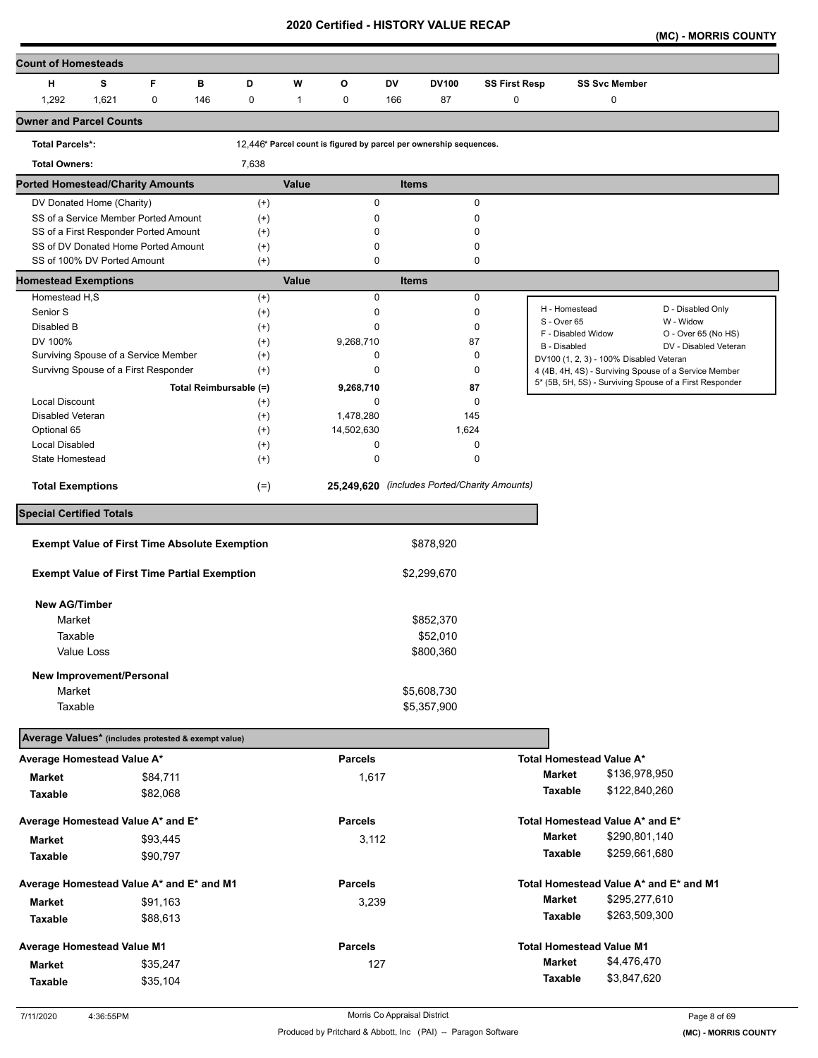**(MC) - MORRIS COUNTY** 

| <b>Count of Homesteads</b>                          |                                                                              |             |                        |                      |              |                |     |                                                                    |                      |                              |                                         |                                                                                                                  |
|-----------------------------------------------------|------------------------------------------------------------------------------|-------------|------------------------|----------------------|--------------|----------------|-----|--------------------------------------------------------------------|----------------------|------------------------------|-----------------------------------------|------------------------------------------------------------------------------------------------------------------|
| н                                                   | s                                                                            | F           | в                      | D                    | W            | O              | DV  | <b>DV100</b>                                                       | <b>SS First Resp</b> |                              | <b>SS Svc Member</b>                    |                                                                                                                  |
| 1,292                                               | 1,621                                                                        | $\mathbf 0$ | 146                    | 0                    | $\mathbf{1}$ | 0              | 166 | 87                                                                 | $\mathbf 0$          |                              | $\pmb{0}$                               |                                                                                                                  |
| <b>Owner and Parcel Counts</b>                      |                                                                              |             |                        |                      |              |                |     |                                                                    |                      |                              |                                         |                                                                                                                  |
| <b>Total Parcels*:</b>                              |                                                                              |             |                        |                      |              |                |     | 12,446* Parcel count is figured by parcel per ownership sequences. |                      |                              |                                         |                                                                                                                  |
| <b>Total Owners:</b>                                |                                                                              |             |                        | 7,638                |              |                |     |                                                                    |                      |                              |                                         |                                                                                                                  |
| <b>Ported Homestead/Charity Amounts</b>             |                                                                              |             |                        |                      | Value        |                |     | <b>Items</b>                                                       |                      |                              |                                         |                                                                                                                  |
|                                                     | DV Donated Home (Charity)                                                    |             |                        | $^{(+)}$             |              | 0              |     |                                                                    | 0                    |                              |                                         |                                                                                                                  |
|                                                     | SS of a Service Member Ported Amount                                         |             |                        | $^{(+)}$             |              | 0              |     |                                                                    | 0                    |                              |                                         |                                                                                                                  |
|                                                     | SS of a First Responder Ported Amount<br>SS of DV Donated Home Ported Amount |             |                        | $^{(+)}$<br>$^{(+)}$ |              | 0<br>0         |     |                                                                    | $\Omega$<br>0        |                              |                                         |                                                                                                                  |
|                                                     | SS of 100% DV Ported Amount                                                  |             |                        | $^{(+)}$             |              | 0              |     |                                                                    | 0                    |                              |                                         |                                                                                                                  |
| <b>Homestead Exemptions</b>                         |                                                                              |             |                        |                      | Value        |                |     | <b>Items</b>                                                       |                      |                              |                                         |                                                                                                                  |
| Homestead H,S                                       |                                                                              |             |                        | $^{(+)}$             |              | 0              |     |                                                                    | $\mathbf 0$          |                              |                                         |                                                                                                                  |
| Senior S                                            |                                                                              |             |                        | $^{(+)}$             |              | $\mathbf 0$    |     |                                                                    | 0                    | H - Homestead<br>S - Over 65 |                                         | D - Disabled Only<br>W - Widow                                                                                   |
| Disabled B                                          |                                                                              |             |                        | $^{(+)}$             |              | 0              |     |                                                                    | 0                    | F - Disabled Widow           |                                         | O - Over 65 (No HS)                                                                                              |
| DV 100%                                             |                                                                              |             |                        | $^{(+)}$             |              | 9,268,710      |     |                                                                    | 87                   | B - Disabled                 |                                         | DV - Disabled Veteran                                                                                            |
|                                                     | Surviving Spouse of a Service Member<br>Survivng Spouse of a First Responder |             |                        | $^{(+)}$             |              | 0<br>0         |     |                                                                    | 0<br>0               |                              | DV100 (1, 2, 3) - 100% Disabled Veteran |                                                                                                                  |
|                                                     |                                                                              |             |                        | $^{(+)}$             |              |                |     |                                                                    |                      |                              |                                         | 4 (4B, 4H, 4S) - Surviving Spouse of a Service Member<br>5* (5B, 5H, 5S) - Surviving Spouse of a First Responder |
| Local Discount                                      |                                                                              |             | Total Reimbursable (=) | $^{(+)}$             |              | 9,268,710<br>0 |     |                                                                    | 87<br>0              |                              |                                         |                                                                                                                  |
| Disabled Veteran                                    |                                                                              |             |                        | $^{(+)}$             |              | 1,478,280      |     | 145                                                                |                      |                              |                                         |                                                                                                                  |
| Optional 65                                         |                                                                              |             |                        | $^{(+)}$             |              | 14,502,630     |     | 1,624                                                              |                      |                              |                                         |                                                                                                                  |
| <b>Local Disabled</b>                               |                                                                              |             |                        | $^{(+)}$             |              | 0              |     |                                                                    | 0                    |                              |                                         |                                                                                                                  |
| State Homestead                                     |                                                                              |             |                        | $^{(+)}$             |              | 0              |     |                                                                    | 0                    |                              |                                         |                                                                                                                  |
| <b>Total Exemptions</b>                             |                                                                              |             |                        | $(=)$                |              |                |     | 25,249,620 (includes Ported/Charity Amounts)                       |                      |                              |                                         |                                                                                                                  |
| <b>Special Certified Totals</b>                     |                                                                              |             |                        |                      |              |                |     |                                                                    |                      |                              |                                         |                                                                                                                  |
|                                                     | <b>Exempt Value of First Time Absolute Exemption</b>                         |             |                        |                      |              |                |     | \$878,920                                                          |                      |                              |                                         |                                                                                                                  |
|                                                     | <b>Exempt Value of First Time Partial Exemption</b>                          |             |                        |                      |              |                |     | \$2,299,670                                                        |                      |                              |                                         |                                                                                                                  |
|                                                     |                                                                              |             |                        |                      |              |                |     |                                                                    |                      |                              |                                         |                                                                                                                  |
| <b>New AG/Timber</b>                                |                                                                              |             |                        |                      |              |                |     |                                                                    |                      |                              |                                         |                                                                                                                  |
| Market                                              |                                                                              |             |                        |                      |              |                |     | \$852,370                                                          |                      |                              |                                         |                                                                                                                  |
| Taxable                                             |                                                                              |             |                        |                      |              |                |     | \$52,010                                                           |                      |                              |                                         |                                                                                                                  |
|                                                     | Value Loss                                                                   |             |                        |                      |              |                |     | \$800,360                                                          |                      |                              |                                         |                                                                                                                  |
|                                                     | New Improvement/Personal                                                     |             |                        |                      |              |                |     |                                                                    |                      |                              |                                         |                                                                                                                  |
| Market                                              |                                                                              |             |                        |                      |              |                |     | \$5,608,730                                                        |                      |                              |                                         |                                                                                                                  |
| Taxable                                             |                                                                              |             |                        |                      |              |                |     | \$5,357,900                                                        |                      |                              |                                         |                                                                                                                  |
| Average Values* (includes protested & exempt value) |                                                                              |             |                        |                      |              |                |     |                                                                    |                      |                              |                                         |                                                                                                                  |
| Average Homestead Value A*                          |                                                                              |             |                        |                      |              | <b>Parcels</b> |     |                                                                    |                      |                              | Total Homestead Value A*                |                                                                                                                  |
| Market                                              |                                                                              | \$84,711    |                        |                      |              | 1,617          |     |                                                                    |                      | <b>Market</b>                | \$136,978,950                           |                                                                                                                  |
| Taxable                                             |                                                                              | \$82,068    |                        |                      |              |                |     |                                                                    |                      | <b>Taxable</b>               | \$122,840,260                           |                                                                                                                  |
| Average Homestead Value A* and E*                   |                                                                              |             |                        |                      |              | <b>Parcels</b> |     |                                                                    |                      |                              | Total Homestead Value A* and E*         |                                                                                                                  |
|                                                     |                                                                              |             |                        |                      |              |                |     |                                                                    |                      | <b>Market</b>                | \$290,801,140                           |                                                                                                                  |
| Market                                              |                                                                              | \$93,445    |                        |                      |              | 3,112          |     |                                                                    |                      |                              |                                         |                                                                                                                  |
| Taxable                                             |                                                                              | \$90,797    |                        |                      |              |                |     |                                                                    |                      | Taxable                      | \$259,661,680                           |                                                                                                                  |
| Average Homestead Value A* and E* and M1            |                                                                              |             |                        |                      |              | <b>Parcels</b> |     |                                                                    |                      |                              | Total Homestead Value A* and E* and M1  |                                                                                                                  |
| <b>Market</b>                                       |                                                                              | \$91,163    |                        |                      |              | 3,239          |     |                                                                    |                      | <b>Market</b>                | \$295,277,610                           |                                                                                                                  |
| Taxable                                             |                                                                              | \$88,613    |                        |                      |              |                |     |                                                                    |                      | Taxable                      | \$263,509,300                           |                                                                                                                  |
| <b>Average Homestead Value M1</b>                   |                                                                              |             |                        |                      |              | <b>Parcels</b> |     |                                                                    |                      |                              | <b>Total Homestead Value M1</b>         |                                                                                                                  |
| <b>Market</b>                                       |                                                                              | \$35,247    |                        |                      |              | 127            |     |                                                                    |                      | <b>Market</b>                | \$4,476,470                             |                                                                                                                  |
|                                                     |                                                                              |             |                        |                      |              |                |     |                                                                    |                      | <b>Taxable</b>               | \$3,847,620                             |                                                                                                                  |
| Taxable                                             |                                                                              | \$35,104    |                        |                      |              |                |     |                                                                    |                      |                              |                                         |                                                                                                                  |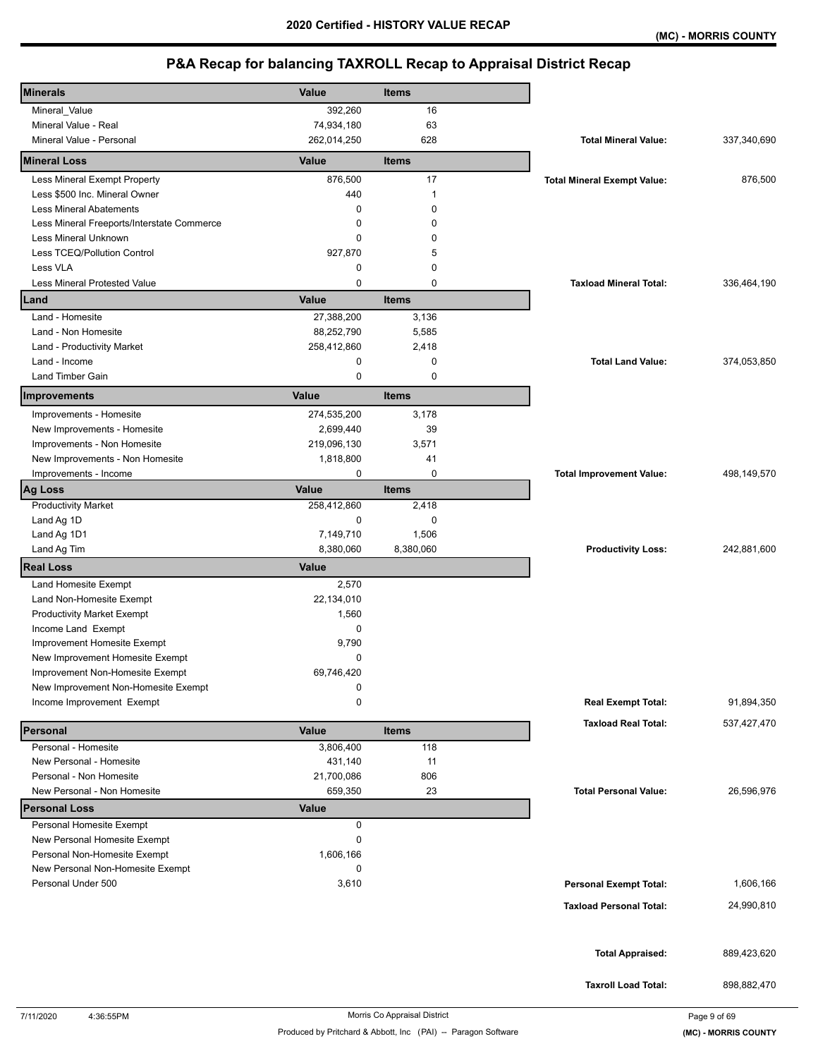| <b>Minerals</b>                            | Value        | <b>Items</b> |                                    |             |
|--------------------------------------------|--------------|--------------|------------------------------------|-------------|
| Mineral_Value                              | 392,260      | 16           |                                    |             |
| Mineral Value - Real                       | 74,934,180   | 63           |                                    |             |
| Mineral Value - Personal                   | 262,014,250  | 628          | <b>Total Mineral Value:</b>        | 337,340,690 |
| <b>Mineral Loss</b>                        | Value        | <b>Items</b> |                                    |             |
| Less Mineral Exempt Property               | 876,500      | 17           | <b>Total Mineral Exempt Value:</b> | 876,500     |
| Less \$500 Inc. Mineral Owner              | 440          | $\mathbf{1}$ |                                    |             |
| <b>Less Mineral Abatements</b>             | 0            | $\Omega$     |                                    |             |
| Less Mineral Freeports/Interstate Commerce | 0            | 0            |                                    |             |
| Less Mineral Unknown                       | 0            | 0            |                                    |             |
| Less TCEQ/Pollution Control                | 927,870      | 5            |                                    |             |
| Less VLA                                   | 0            | $\mathbf 0$  |                                    |             |
| <b>Less Mineral Protested Value</b>        | $\mathbf 0$  | $\mathbf 0$  | <b>Taxload Mineral Total:</b>      | 336,464,190 |
| Land                                       | Value        | <b>Items</b> |                                    |             |
| Land - Homesite                            | 27,388,200   | 3,136        |                                    |             |
| Land - Non Homesite                        | 88,252,790   | 5,585        |                                    |             |
| Land - Productivity Market                 | 258,412,860  | 2,418        |                                    |             |
| Land - Income                              | 0            | $\mathbf 0$  | <b>Total Land Value:</b>           | 374,053,850 |
| Land Timber Gain                           | 0            | $\mathbf 0$  |                                    |             |
| <b>Improvements</b>                        | Value        | <b>Items</b> |                                    |             |
|                                            |              |              |                                    |             |
| Improvements - Homesite                    | 274,535,200  | 3,178        |                                    |             |
| New Improvements - Homesite                | 2,699,440    | 39           |                                    |             |
| Improvements - Non Homesite                | 219,096,130  | 3,571        |                                    |             |
| New Improvements - Non Homesite            | 1,818,800    | 41           |                                    |             |
| Improvements - Income                      | 0            | 0            | <b>Total Improvement Value:</b>    | 498,149,570 |
| <b>Ag Loss</b>                             | Value        | <b>Items</b> |                                    |             |
| <b>Productivity Market</b>                 | 258,412,860  | 2,418        |                                    |             |
| Land Ag 1D                                 | 0            | 0            |                                    |             |
| Land Ag 1D1                                | 7,149,710    | 1,506        |                                    |             |
| Land Ag Tim                                | 8,380,060    | 8,380,060    | <b>Productivity Loss:</b>          | 242,881,600 |
| <b>Real Loss</b>                           | Value        |              |                                    |             |
| Land Homesite Exempt                       | 2,570        |              |                                    |             |
| Land Non-Homesite Exempt                   | 22,134,010   |              |                                    |             |
| <b>Productivity Market Exempt</b>          | 1,560        |              |                                    |             |
| Income Land Exempt                         | 0            |              |                                    |             |
| Improvement Homesite Exempt                | 9,790        |              |                                    |             |
| New Improvement Homesite Exempt            | 0            |              |                                    |             |
| Improvement Non-Homesite Exempt            | 69.746.420   |              |                                    |             |
| New Improvement Non-Homesite Exempt        | 0            |              |                                    |             |
| Income Improvement Exempt                  | 0            |              | <b>Real Exempt Total:</b>          | 91,894,350  |
|                                            |              |              | <b>Taxload Real Total:</b>         | 537,427,470 |
| Personal                                   | Value        | <b>Items</b> |                                    |             |
| Personal - Homesite                        | 3,806,400    | 118          |                                    |             |
| New Personal - Homesite                    | 431,140      | 11           |                                    |             |
| Personal - Non Homesite                    | 21,700,086   | 806          |                                    |             |
| New Personal - Non Homesite                | 659,350      | 23           | <b>Total Personal Value:</b>       | 26,596,976  |
| <b>Personal Loss</b>                       | <b>Value</b> |              |                                    |             |
| Personal Homesite Exempt                   | 0            |              |                                    |             |
| New Personal Homesite Exempt               | 0            |              |                                    |             |
| Personal Non-Homesite Exempt               | 1,606,166    |              |                                    |             |
| New Personal Non-Homesite Exempt           | 0            |              |                                    |             |
| Personal Under 500                         | 3,610        |              | <b>Personal Exempt Total:</b>      | 1,606,166   |
|                                            |              |              | <b>Taxload Personal Total:</b>     | 24,990,810  |
|                                            |              |              |                                    |             |
|                                            |              |              |                                    |             |
|                                            |              |              | <b>Total Appraised:</b>            | 889,423,620 |
|                                            |              |              |                                    |             |
|                                            |              |              | <b>Taxroll Load Total:</b>         | 898,882,470 |
|                                            |              |              |                                    |             |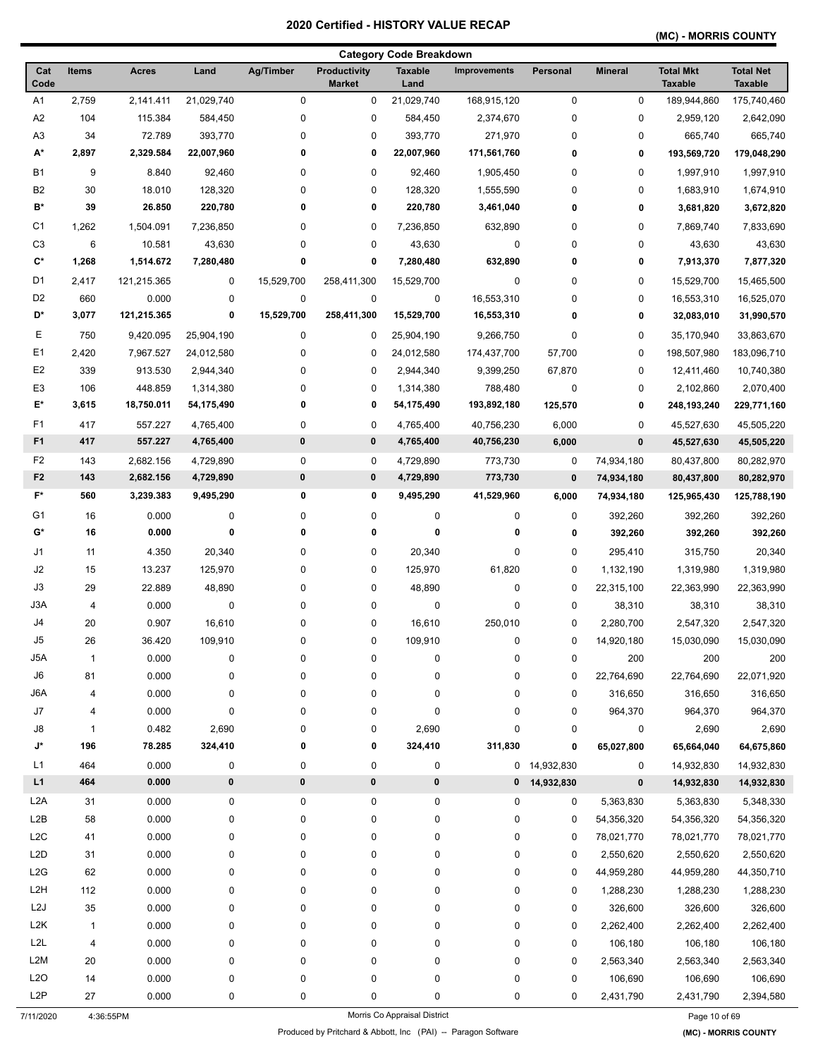## **(MC) - MORRIS COUNTY**

|                    |              |              |            |             |                                      | <b>Category Code Breakdown</b> |                     |              |                |                                    |                                    |
|--------------------|--------------|--------------|------------|-------------|--------------------------------------|--------------------------------|---------------------|--------------|----------------|------------------------------------|------------------------------------|
| Cat<br>Code        | <b>Items</b> | <b>Acres</b> | Land       | Ag/Timber   | <b>Productivity</b><br><b>Market</b> | <b>Taxable</b><br>Land         | <b>Improvements</b> | Personal     | <b>Mineral</b> | <b>Total Mkt</b><br><b>Taxable</b> | <b>Total Net</b><br><b>Taxable</b> |
| A1                 | 2,759        | 2,141.411    | 21,029,740 | 0           | 0                                    | 21,029,740                     | 168,915,120         | 0            | $\pmb{0}$      | 189,944,860                        | 175,740,460                        |
| A <sub>2</sub>     | 104          | 115.384      | 584,450    | 0           | 0                                    | 584,450                        | 2,374,670           | 0            | 0              | 2,959,120                          | 2,642,090                          |
| A3                 | 34           | 72.789       | 393,770    | 0           | 0                                    | 393,770                        | 271,970             | 0            | 0              | 665.740                            | 665,740                            |
| A*                 | 2,897        | 2,329.584    | 22,007,960 | 0           | 0                                    | 22,007,960                     | 171,561,760         | 0            | 0              | 193,569,720                        | 179,048,290                        |
| <b>B1</b>          | 9            | 8.840        | 92,460     | 0           | 0                                    | 92,460                         | 1,905,450           | 0            | 0              | 1,997,910                          | 1,997,910                          |
| B <sub>2</sub>     | 30           | 18.010       | 128,320    | 0           | $\mathbf 0$                          | 128,320                        | 1,555,590           | 0            | 0              | 1,683,910                          | 1,674,910                          |
| B*                 | 39           | 26.850       | 220,780    | 0           | 0                                    | 220,780                        | 3,461,040           | 0            | 0              | 3,681,820                          | 3,672,820                          |
| C <sub>1</sub>     | 1,262        | 1,504.091    | 7,236,850  | 0           | 0                                    | 7,236,850                      | 632,890             | 0            | 0              | 7,869,740                          | 7,833,690                          |
| C <sub>3</sub>     | 6            | 10.581       | 43,630     | 0           | 0                                    | 43,630                         | 0                   | 0            | 0              | 43,630                             | 43,630                             |
| $C^*$              | 1,268        | 1,514.672    | 7,280,480  | 0           | 0                                    | 7,280,480                      | 632,890             | 0            | 0              | 7,913,370                          | 7,877,320                          |
| D <sub>1</sub>     | 2,417        | 121,215.365  | 0          | 15,529,700  | 258,411,300                          | 15,529,700                     | 0                   | 0            | 0              | 15,529,700                         | 15,465,500                         |
| D <sub>2</sub>     | 660          | 0.000        | 0          | 0           | 0                                    | 0                              | 16,553,310          | 0            | 0              | 16,553,310                         | 16,525,070                         |
| D*                 | 3,077        | 121,215.365  | 0          | 15,529,700  | 258,411,300                          | 15,529,700                     | 16,553,310          | 0            | 0              | 32,083,010                         | 31,990,570                         |
| Е                  | 750          | 9,420.095    | 25,904,190 | 0           | 0                                    | 25,904,190                     | 9,266,750           | $\mathbf 0$  | 0              | 35,170,940                         | 33,863,670                         |
| E <sub>1</sub>     | 2,420        | 7,967.527    | 24,012,580 | 0           | 0                                    | 24,012,580                     | 174,437,700         | 57,700       | 0              | 198,507,980                        | 183,096,710                        |
| E <sub>2</sub>     | 339          | 913.530      | 2,944,340  | 0           | 0                                    | 2,944,340                      | 9,399,250           | 67,870       | 0              | 12,411,460                         | 10,740,380                         |
| E3                 | 106          | 448.859      | 1,314,380  | 0           | 0                                    | 1,314,380                      | 788,480             | $\mathbf 0$  | 0              | 2,102,860                          | 2,070,400                          |
| E*                 | 3,615        | 18,750.011   | 54,175,490 | 0           | 0                                    | 54,175,490                     | 193,892,180         | 125,570      | 0              | 248, 193, 240                      | 229,771,160                        |
| F1                 | 417          | 557.227      | 4,765,400  | 0           | 0                                    | 4,765,400                      | 40,756,230          | 6,000        | 0              | 45,527,630                         | 45,505,220                         |
| F <sub>1</sub>     | 417          | 557.227      | 4,765,400  | 0           | 0                                    | 4,765,400                      | 40,756,230          | 6,000        | $\pmb{0}$      | 45,527,630                         | 45,505,220                         |
| F <sub>2</sub>     | 143          | 2,682.156    | 4,729,890  | 0           | 0                                    | 4,729,890                      | 773,730             | 0            | 74,934,180     | 80,437,800                         | 80,282,970                         |
| F <sub>2</sub>     | 143          | 2,682.156    | 4,729,890  | $\pmb{0}$   | 0                                    | 4,729,890                      | 773,730             | $\bf{0}$     | 74,934,180     | 80,437,800                         | 80,282,970                         |
| $F^*$              | 560          | 3,239.383    | 9,495,290  | 0           | 0                                    | 9,495,290                      | 41,529,960          | 6,000        | 74,934,180     | 125,965,430                        | 125,788,190                        |
| G1                 | 16           | 0.000        | 0          | 0           | 0                                    | 0                              | 0                   | 0            | 392,260        | 392,260                            | 392,260                            |
| G*                 | 16           | 0.000        | 0          | 0           | 0                                    | 0                              | 0                   | 0            | 392,260        | 392,260                            | 392,260                            |
| J1                 | 11           | 4.350        | 20,340     | 0           | 0                                    | 20,340                         | $\mathbf 0$         | 0            | 295,410        | 315,750                            | 20,340                             |
| J2                 | 15           | 13.237       | 125,970    | 0           | 0                                    | 125,970                        | 61,820              | $\mathbf 0$  | 1,132,190      | 1,319,980                          | 1,319,980                          |
| J3                 | 29           | 22.889       | 48,890     | 0           | 0                                    | 48,890                         | 0                   | 0            | 22,315,100     | 22,363,990                         | 22,363,990                         |
| J3A                | 4            | 0.000        | 0          | 0           | 0                                    | 0                              | 0                   | 0            | 38,310         | 38,310                             | 38,310                             |
| J4                 | 20           | 0.907        | 16,610     | 0           | 0                                    | 16,610                         | 250,010             | 0            | 2,280,700      | 2,547,320                          | 2,547,320                          |
| J5                 | 26           | 36.420       | 109,910    | 0           | 0                                    | 109,910                        | 0                   | 0            | 14,920,180     | 15,030,090                         | 15,030,090                         |
| J5A                | $\mathbf{1}$ | 0.000        | 0          | $\mathsf 0$ | 0                                    | 0                              | 0                   | $\pmb{0}$    | 200            | 200                                | 200                                |
| ${\sf J6}$         | 81           | 0.000        | 0          | 0           | 0                                    | 0                              | 0                   | 0            | 22,764,690     | 22,764,690                         | 22,071,920                         |
| J6A                | 4            | 0.000        | 0          | 0           | 0                                    | 0                              | 0                   | 0            | 316,650        | 316,650                            | 316,650                            |
| J7                 | 4            | 0.000        | 0          | 0           | 0                                    | 0                              | 0                   | 0            | 964,370        | 964,370                            | 964,370                            |
| J8                 | $\mathbf{1}$ | 0.482        | 2,690      | 0           | 0                                    | 2,690                          | 0                   | 0            | 0              | 2,690                              | 2,690                              |
| $\mathsf{J}^\star$ | 196          | 78.285       | 324,410    | 0           | 0                                    | 324,410                        | 311,830             | 0            | 65,027,800     | 65,664,040                         | 64,675,860                         |
| L1                 | 464          | 0.000        | 0          | 0           | 0                                    | 0                              |                     | 0 14,932,830 | 0              | 14,932,830                         | 14,932,830                         |
| L1                 | 464          | 0.000        | 0          | 0           | 0                                    | 0                              | 0                   | 14,932,830   | 0              | 14,932,830                         | 14,932,830                         |
| L <sub>2</sub> A   | 31           | 0.000        | 0          | 0           | 0                                    | 0                              | 0                   | 0            | 5,363,830      | 5,363,830                          | 5,348,330                          |
| L2B                | 58           | 0.000        | 0          | 0           | 0                                    | 0                              | 0                   | 0            | 54,356,320     | 54,356,320                         | 54,356,320                         |
| L <sub>2</sub> C   | 41           | 0.000        | 0          | 0           | 0                                    | 0                              | 0                   | 0            | 78,021,770     | 78,021,770                         | 78,021,770                         |
| L <sub>2</sub> D   | 31           | 0.000        | 0          | 0           | 0                                    | 0                              | 0                   | 0            | 2,550,620      | 2,550,620                          | 2,550,620                          |
| L2G                | 62           | 0.000        | 0          | 0           | 0                                    | 0                              | 0                   | 0            | 44,959,280     | 44,959,280                         | 44,350,710                         |
| L <sub>2</sub> H   | 112          | 0.000        | 0          | 0           | 0                                    | 0                              | 0                   | 0            | 1,288,230      | 1,288,230                          | 1,288,230                          |
| L <sub>2</sub> J   | 35           | 0.000        | 0          | 0           | 0                                    | 0                              | 0                   | 0            | 326,600        | 326,600                            | 326,600                            |
| L <sub>2</sub> K   | $\mathbf{1}$ | 0.000        | 0          | 0           | 0                                    | 0                              | 0                   | 0            | 2,262,400      | 2,262,400                          | 2,262,400                          |
| L <sub>2</sub> L   | 4            | 0.000        | 0          | 0           | 0                                    | 0                              | 0                   | 0            | 106,180        | 106,180                            | 106,180                            |
| L <sub>2</sub> M   | 20           | 0.000        | 0          | 0           | 0                                    | 0                              | 0                   | 0            | 2,563,340      | 2,563,340                          | 2,563,340                          |
| L <sub>20</sub>    | 14           | 0.000        | 0          | 0           | 0                                    | 0                              | 0                   | $\pmb{0}$    | 106,690        | 106,690                            | 106,690                            |
| L <sub>2</sub> P   | 27           | 0.000        | 0          | 0           | 0                                    | 0                              | 0                   | 0            | 2,431,790      | 2,431,790                          | 2,394,580                          |
|                    |              |              |            |             |                                      |                                |                     |              |                |                                    |                                    |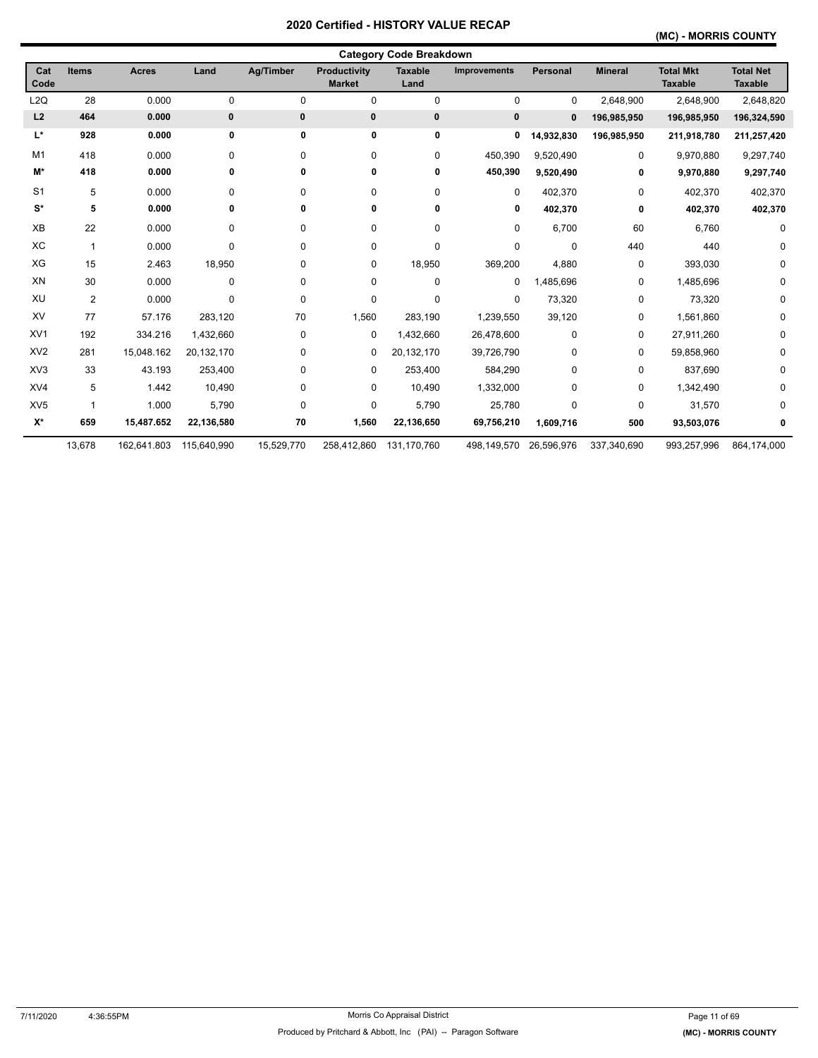## **(MC) - MORRIS COUNTY**

|                 |                |              |             |            |                               | <b>Category Code Breakdown</b> |              |             |                |                                    |                                    |
|-----------------|----------------|--------------|-------------|------------|-------------------------------|--------------------------------|--------------|-------------|----------------|------------------------------------|------------------------------------|
| Cat<br>Code     | <b>Items</b>   | <b>Acres</b> | Land        | Ag/Timber  | Productivity<br><b>Market</b> | <b>Taxable</b><br>Land         | Improvements | Personal    | <b>Mineral</b> | <b>Total Mkt</b><br><b>Taxable</b> | <b>Total Net</b><br><b>Taxable</b> |
| L <sub>2Q</sub> | 28             | 0.000        | 0           | 0          | 0                             | 0                              | 0            | 0           | 2,648,900      | 2,648,900                          | 2,648,820                          |
| L2              | 464            | 0.000        | 0           | 0          | $\bf{0}$                      | 0                              | 0            | $\mathbf 0$ | 196,985,950    | 196,985,950                        | 196,324,590                        |
| L*              | 928            | 0.000        | 0           | 0          | 0                             | 0                              | 0            | 14,932,830  | 196,985,950    | 211,918,780                        | 211,257,420                        |
| M1              | 418            | 0.000        | 0           | 0          | 0                             | 0                              | 450,390      | 9,520,490   | 0              | 9,970,880                          | 9,297,740                          |
| M*              | 418            | 0.000        | 0           | 0          | 0                             | 0                              | 450,390      | 9,520,490   | 0              | 9,970,880                          | 9,297,740                          |
| S <sub>1</sub>  | 5              | 0.000        | 0           | 0          | 0                             | 0                              | $\mathbf 0$  | 402,370     | 0              | 402,370                            | 402,370                            |
| $S^*$           | 5              | 0.000        | 0           | 0          | 0                             | 0                              | 0            | 402,370     | 0              | 402,370                            | 402,370                            |
| XB              | 22             | 0.000        | 0           | 0          | 0                             | 0                              | 0            | 6,700       | 60             | 6,760                              | 0                                  |
| XC              | $\mathbf{1}$   | 0.000        | 0           | 0          | 0                             | 0                              | 0            | $\mathbf 0$ | 440            | 440                                | 0                                  |
| XG              | 15             | 2.463        | 18,950      | 0          | 0                             | 18,950                         | 369,200      | 4,880       | 0              | 393,030                            | 0                                  |
| XN              | 30             | 0.000        | $\mathbf 0$ | 0          | 0                             | 0                              | 0            | 1,485,696   | 0              | 1,485,696                          | 0                                  |
| XU              | $\overline{2}$ | 0.000        | 0           | 0          | 0                             | 0                              | $\Omega$     | 73,320      | 0              | 73,320                             | 0                                  |
| XV              | 77             | 57.176       | 283,120     | 70         | 1,560                         | 283,190                        | 1,239,550    | 39,120      | 0              | 1,561,860                          | 0                                  |
| XV <sub>1</sub> | 192            | 334.216      | 1,432,660   | 0          | $\mathbf 0$                   | 1,432,660                      | 26,478,600   | $\mathbf 0$ | 0              | 27,911,260                         | 0                                  |
| XV <sub>2</sub> | 281            | 15,048.162   | 20,132,170  | 0          | 0                             | 20,132,170                     | 39,726,790   | 0           | 0              | 59,858,960                         | 0                                  |
| XV <sub>3</sub> | 33             | 43.193       | 253,400     | 0          | 0                             | 253,400                        | 584,290      | 0           | 0              | 837,690                            | 0                                  |
| XV4             | 5              | 1.442        | 10,490      | 0          | 0                             | 10,490                         | 1,332,000    | 0           | 0              | 1,342,490                          | 0                                  |
| XV <sub>5</sub> | $\mathbf 1$    | 1.000        | 5,790       | 0          | 0                             | 5,790                          | 25,780       | 0           | 0              | 31,570                             | 0                                  |
| $X^*$           | 659            | 15,487.652   | 22,136,580  | 70         | 1,560                         | 22,136,650                     | 69,756,210   | 1,609,716   | 500            | 93,503,076                         | 0                                  |
|                 | 13,678         | 162,641.803  | 115,640,990 | 15,529,770 | 258,412,860                   | 131,170,760                    | 498,149,570  | 26,596,976  | 337,340,690    | 993,257,996                        | 864,174,000                        |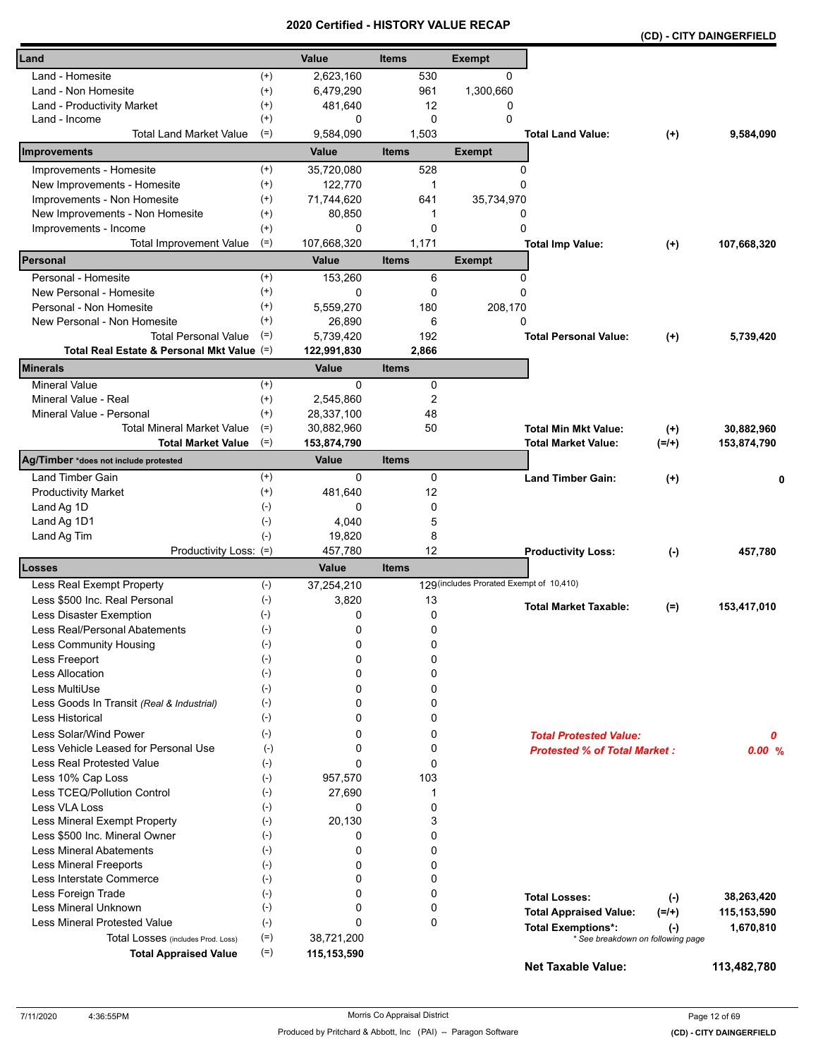|                                            |                    |                         | Geruned - HISTORT VALUE REGAR |                                          |                                     |                                   | (CD) - CITY DAINGERFIELD |
|--------------------------------------------|--------------------|-------------------------|-------------------------------|------------------------------------------|-------------------------------------|-----------------------------------|--------------------------|
| Land                                       |                    | Value                   | <b>Items</b>                  | <b>Exempt</b>                            |                                     |                                   |                          |
| Land - Homesite                            | $^{(+)}$           | 2,623,160               | 530                           | 0                                        |                                     |                                   |                          |
| Land - Non Homesite                        | $^{(+)}$           | 6,479,290               | 961                           | 1,300,660                                |                                     |                                   |                          |
| Land - Productivity Market                 | $^{(+)}$           | 481,640                 | 12                            | 0                                        |                                     |                                   |                          |
| Land - Income                              | $^{(+)}$           | 0                       | $\Omega$                      | $\Omega$                                 |                                     |                                   |                          |
| <b>Total Land Market Value</b>             | $(=)$              | 9,584,090               | 1,503                         |                                          | <b>Total Land Value:</b>            | $^{(+)}$                          | 9,584,090                |
| Improvements                               |                    | Value                   | <b>Items</b>                  | <b>Exempt</b>                            |                                     |                                   |                          |
| Improvements - Homesite                    | $^{(+)}$           | 35,720,080              | 528                           | 0                                        |                                     |                                   |                          |
| New Improvements - Homesite                | $^{(+)}$           | 122,770                 | 1                             | $\Omega$                                 |                                     |                                   |                          |
| Improvements - Non Homesite                | $^{(+)}$           | 71,744,620              | 641                           | 35,734,970                               |                                     |                                   |                          |
| New Improvements - Non Homesite            | $^{(+)}$           | 80,850                  | 1                             | 0                                        |                                     |                                   |                          |
| Improvements - Income                      | $^{(+)}$           | 0                       | 0                             | 0                                        |                                     |                                   |                          |
| <b>Total Improvement Value</b>             | $(=)$              | 107,668,320             | 1,171                         |                                          | <b>Total Imp Value:</b>             | $^{(+)}$                          | 107,668,320              |
| Personal                                   |                    | Value                   | <b>Items</b>                  | <b>Exempt</b>                            |                                     |                                   |                          |
| Personal - Homesite                        | $^{(+)}$           | 153,260                 | 6                             | 0                                        |                                     |                                   |                          |
| New Personal - Homesite                    | $^{(+)}$           | 0                       | 0                             | $\Omega$                                 |                                     |                                   |                          |
| Personal - Non Homesite                    | $^{(+)}$           | 5,559,270               | 180                           | 208,170                                  |                                     |                                   |                          |
| New Personal - Non Homesite                | $^{(+)}$           | 26,890                  | 6                             | 0                                        |                                     |                                   |                          |
| <b>Total Personal Value</b>                | $(=)$              | 5.739.420               | 192                           |                                          | <b>Total Personal Value:</b>        | $^{(+)}$                          | 5,739,420                |
| Total Real Estate & Personal Mkt Value (=) |                    | 122,991,830             | 2,866                         |                                          |                                     |                                   |                          |
| Minerals                                   |                    | Value                   | <b>Items</b>                  |                                          |                                     |                                   |                          |
| <b>Mineral Value</b>                       | $^{(+)}$           | 0                       | 0                             |                                          |                                     |                                   |                          |
| Mineral Value - Real                       | $^{(+)}$           | 2,545,860               | 2                             |                                          |                                     |                                   |                          |
| Mineral Value - Personal                   | $^{(+)}$           | 28,337,100              | 48                            |                                          |                                     |                                   |                          |
| <b>Total Mineral Market Value</b>          | $(=)$              | 30,882,960              | 50                            |                                          | <b>Total Min Mkt Value:</b>         | $^{(+)}$                          | 30,882,960               |
| <b>Total Market Value</b>                  | $(=)$              | 153,874,790             |                               |                                          | Total Market Value:                 | $(=/+)$                           | 153,874,790              |
| Ag/Timber *does not include protested      |                    | <b>Value</b>            | <b>Items</b>                  |                                          |                                     |                                   |                          |
| Land Timber Gain                           | $^{(+)}$           | 0                       | 0                             |                                          | <b>Land Timber Gain:</b>            | $^{(+)}$                          | 0                        |
| <b>Productivity Market</b>                 | $^{(+)}$           | 481,640                 | 12                            |                                          |                                     |                                   |                          |
| Land Ag 1D                                 | $(-)$              | 0                       | 0                             |                                          |                                     |                                   |                          |
| Land Ag 1D1                                | $(-)$              | 4,040                   | 5                             |                                          |                                     |                                   |                          |
| Land Ag Tim                                | $(-)$              | 19,820                  | 8                             |                                          |                                     |                                   |                          |
| Productivity Loss: (=)<br>Losses           |                    | 457,780<br><b>Value</b> | 12<br><b>Items</b>            |                                          | <b>Productivity Loss:</b>           | $(-)$                             | 457,780                  |
| Less Real Exempt Property                  | $(-)$              | 37,254,210              |                               | 129 (includes Prorated Exempt of 10,410) |                                     |                                   |                          |
| Less \$500 Inc. Real Personal              | $(-)$              | 3,820                   | 13                            |                                          |                                     |                                   |                          |
| Less Disaster Exemption                    | $(-)$              | 0                       | 0                             |                                          | <b>Total Market Taxable:</b>        | $(=)$                             | 153,417,010              |
| Less Real/Personal Abatements              | $(\textnormal{-})$ | 0                       | 0                             |                                          |                                     |                                   |                          |
| Less Community Housing                     | $(-)$              | 0                       | 0                             |                                          |                                     |                                   |                          |
| Less Freeport                              | $(-)$              | 0                       | 0                             |                                          |                                     |                                   |                          |
| <b>Less Allocation</b>                     | $(-)$              | 0                       | 0                             |                                          |                                     |                                   |                          |
| Less MultiUse                              | $(-)$              | 0                       | 0                             |                                          |                                     |                                   |                          |
| Less Goods In Transit (Real & Industrial)  | $(-)$              | 0                       | 0                             |                                          |                                     |                                   |                          |
| <b>Less Historical</b>                     | $(-)$              | 0                       | 0                             |                                          |                                     |                                   |                          |
| Less Solar/Wind Power                      | $(-)$              | 0                       | 0                             |                                          | <b>Total Protested Value:</b>       |                                   | 0                        |
| Less Vehicle Leased for Personal Use       | $(-)$              | 0                       | 0                             |                                          | <b>Protested % of Total Market:</b> |                                   | 0.00%                    |
| Less Real Protested Value                  | $(-)$              | 0                       | $\mathbf 0$                   |                                          |                                     |                                   |                          |
| Less 10% Cap Loss                          | $(-)$              | 957,570                 | 103                           |                                          |                                     |                                   |                          |
| Less TCEQ/Pollution Control                | $(-)$              | 27,690                  | 1                             |                                          |                                     |                                   |                          |
| Less VLA Loss                              | $(\cdot)$          | 0                       | 0                             |                                          |                                     |                                   |                          |
| Less Mineral Exempt Property               | $(-)$              | 20,130                  | 3                             |                                          |                                     |                                   |                          |
| Less \$500 Inc. Mineral Owner              | $(-)$              | 0                       | 0                             |                                          |                                     |                                   |                          |
| <b>Less Mineral Abatements</b>             | $(-)$              | 0                       | 0                             |                                          |                                     |                                   |                          |
| <b>Less Mineral Freeports</b>              | $(-)$              | 0                       | 0                             |                                          |                                     |                                   |                          |
| Less Interstate Commerce                   | $(\cdot)$          | 0                       | 0                             |                                          |                                     |                                   |                          |
| Less Foreign Trade                         | $(-)$              | 0                       | 0                             |                                          | <b>Total Losses:</b>                | $(\cdot)$                         | 38,263,420               |
| Less Mineral Unknown                       | $(-)$              | 0                       | 0                             |                                          | <b>Total Appraised Value:</b>       | $(=/+)$                           | 115,153,590              |
| Less Mineral Protested Value               | $(-)$              | 0                       | 0                             |                                          | <b>Total Exemptions*:</b>           | $(\cdot)$                         | 1,670,810                |
| Total Losses (includes Prod. Loss)         | $(=)$              | 38,721,200              |                               |                                          |                                     | * See breakdown on following page |                          |
| <b>Total Appraised Value</b>               | $(=)$              | 115,153,590             |                               |                                          | <b>Net Taxable Value:</b>           |                                   | 113,482,780              |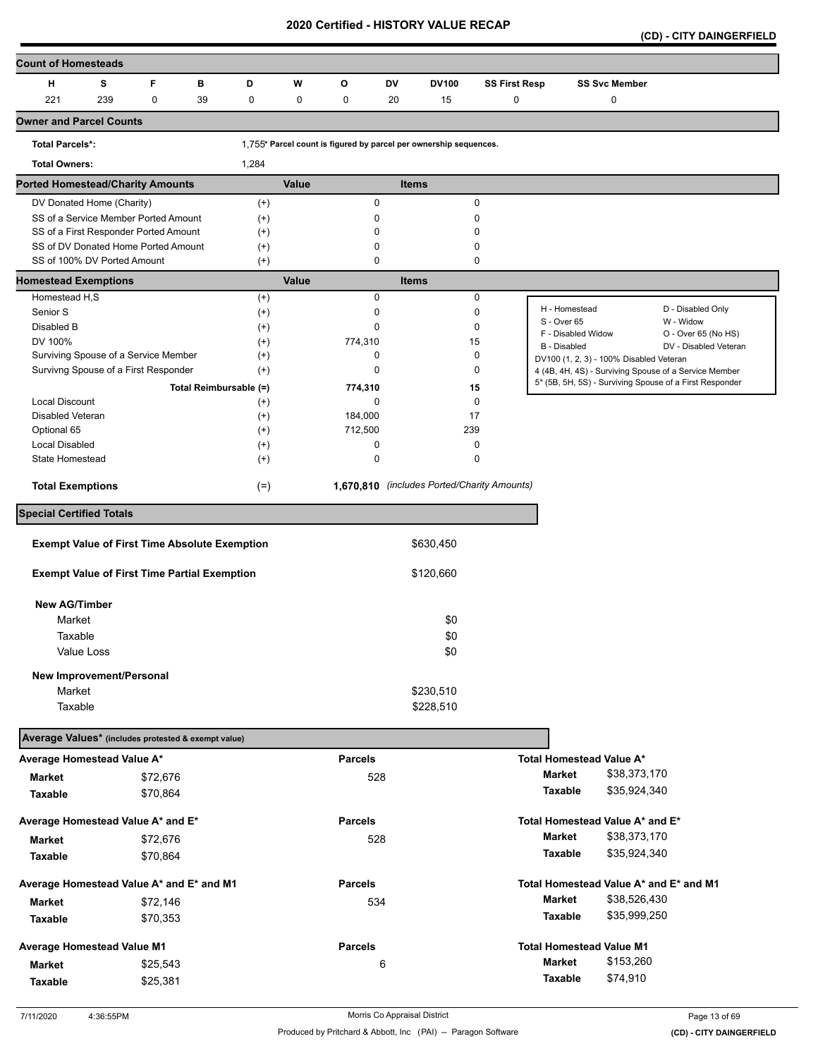**(CD) - CITY DAINGERFIELD** 

| <b>Count of Homesteads</b>                           |             |                        |          |             |                |    |                                                                   |                      |                              |                                         |                                                         |
|------------------------------------------------------|-------------|------------------------|----------|-------------|----------------|----|-------------------------------------------------------------------|----------------------|------------------------------|-----------------------------------------|---------------------------------------------------------|
| н<br>s                                               | F           | в                      | D        | W           | O              | DV | <b>DV100</b>                                                      | <b>SS First Resp</b> |                              | <b>SS Svc Member</b>                    |                                                         |
| 221<br>239                                           | $\mathbf 0$ | 39                     | 0        | $\mathbf 0$ | 0              | 20 | 15                                                                | $\mathbf 0$          |                              | 0                                       |                                                         |
| <b>Owner and Parcel Counts</b>                       |             |                        |          |             |                |    |                                                                   |                      |                              |                                         |                                                         |
| <b>Total Parcels*:</b>                               |             |                        |          |             |                |    | 1,755* Parcel count is figured by parcel per ownership sequences. |                      |                              |                                         |                                                         |
| <b>Total Owners:</b>                                 |             |                        | 1,284    |             |                |    |                                                                   |                      |                              |                                         |                                                         |
| <b>Ported Homestead/Charity Amounts</b>              |             |                        |          | Value       |                |    | <b>Items</b>                                                      |                      |                              |                                         |                                                         |
| DV Donated Home (Charity)                            |             |                        | $^{(+)}$ |             | 0              |    |                                                                   | 0                    |                              |                                         |                                                         |
| SS of a Service Member Ported Amount                 |             |                        | $^{(+)}$ |             | 0              |    |                                                                   | 0                    |                              |                                         |                                                         |
| SS of a First Responder Ported Amount                |             |                        | $^{(+)}$ |             | 0              |    |                                                                   | 0                    |                              |                                         |                                                         |
| SS of DV Donated Home Ported Amount                  |             |                        | $^{(+)}$ |             | 0              |    |                                                                   | 0                    |                              |                                         |                                                         |
| SS of 100% DV Ported Amount                          |             |                        | $^{(+)}$ |             | 0              |    |                                                                   | 0                    |                              |                                         |                                                         |
| <b>Homestead Exemptions</b>                          |             |                        |          | Value       |                |    | <b>Items</b>                                                      |                      |                              |                                         |                                                         |
| Homestead H,S                                        |             |                        | $^{(+)}$ |             | 0              |    |                                                                   | 0                    |                              |                                         |                                                         |
| Senior S                                             |             |                        | $^{(+)}$ |             | 0              |    |                                                                   | 0                    | H - Homestead<br>S - Over 65 |                                         | D - Disabled Only<br>W - Widow                          |
| Disabled B                                           |             |                        | $^{(+)}$ |             | 0              |    |                                                                   | 0                    | F - Disabled Widow           |                                         | O - Over 65 (No HS)                                     |
| DV 100%                                              |             |                        | $^{(+)}$ |             | 774,310        |    | 15                                                                |                      | B - Disabled                 |                                         | DV - Disabled Veteran                                   |
| Surviving Spouse of a Service Member                 |             |                        | $^{(+)}$ |             | 0              |    |                                                                   | 0                    |                              | DV100 (1, 2, 3) - 100% Disabled Veteran |                                                         |
| Survivng Spouse of a First Responder                 |             |                        | $^{(+)}$ |             | 0              |    |                                                                   | 0                    |                              |                                         | 4 (4B, 4H, 4S) - Surviving Spouse of a Service Member   |
|                                                      |             | Total Reimbursable (=) |          |             | 774,310        |    |                                                                   | 15                   |                              |                                         | 5* (5B, 5H, 5S) - Surviving Spouse of a First Responder |
| <b>Local Discount</b>                                |             |                        | $^{(+)}$ |             | 0              |    |                                                                   | 0                    |                              |                                         |                                                         |
| Disabled Veteran                                     |             |                        | $^{(+)}$ |             | 184,000        |    | 17                                                                |                      |                              |                                         |                                                         |
| Optional 65                                          |             |                        | $^{(+)}$ |             | 712,500        |    | 239                                                               |                      |                              |                                         |                                                         |
| <b>Local Disabled</b>                                |             |                        | $^{(+)}$ |             | 0              |    |                                                                   | 0                    |                              |                                         |                                                         |
| State Homestead                                      |             |                        | $^{(+)}$ |             | 0              |    |                                                                   | 0                    |                              |                                         |                                                         |
| <b>Total Exemptions</b>                              |             |                        | $(=)$    |             |                |    | 1,670,810 (includes Ported/Charity Amounts)                       |                      |                              |                                         |                                                         |
| <b>Special Certified Totals</b>                      |             |                        |          |             |                |    |                                                                   |                      |                              |                                         |                                                         |
|                                                      |             |                        |          |             |                |    |                                                                   |                      |                              |                                         |                                                         |
| <b>Exempt Value of First Time Absolute Exemption</b> |             |                        |          |             |                |    | \$630,450                                                         |                      |                              |                                         |                                                         |
| <b>Exempt Value of First Time Partial Exemption</b>  |             |                        |          |             |                |    | \$120,660                                                         |                      |                              |                                         |                                                         |
| <b>New AG/Timber</b>                                 |             |                        |          |             |                |    |                                                                   |                      |                              |                                         |                                                         |
| Market                                               |             |                        |          |             |                |    | \$0                                                               |                      |                              |                                         |                                                         |
| Taxable                                              |             |                        |          |             |                |    | \$0                                                               |                      |                              |                                         |                                                         |
| Value Loss                                           |             |                        |          |             |                |    | \$0                                                               |                      |                              |                                         |                                                         |
|                                                      |             |                        |          |             |                |    |                                                                   |                      |                              |                                         |                                                         |
| New Improvement/Personal                             |             |                        |          |             |                |    |                                                                   |                      |                              |                                         |                                                         |
| Market                                               |             |                        |          |             |                |    | \$230,510                                                         |                      |                              |                                         |                                                         |
| Taxable                                              |             |                        |          |             |                |    | \$228,510                                                         |                      |                              |                                         |                                                         |
| Average Values* (includes protested & exempt value)  |             |                        |          |             |                |    |                                                                   |                      |                              |                                         |                                                         |
| Average Homestead Value A*                           |             |                        |          |             | <b>Parcels</b> |    |                                                                   |                      |                              | Total Homestead Value A*                |                                                         |
| <b>Market</b>                                        | \$72,676    |                        |          |             | 528            |    |                                                                   |                      | <b>Market</b>                | \$38,373,170                            |                                                         |
| <b>Taxable</b>                                       | \$70,864    |                        |          |             |                |    |                                                                   |                      | Taxable                      | \$35,924,340                            |                                                         |
|                                                      |             |                        |          |             |                |    |                                                                   |                      |                              |                                         |                                                         |
| Average Homestead Value A* and E*                    |             |                        |          |             | <b>Parcels</b> |    |                                                                   |                      |                              | Total Homestead Value A* and E*         |                                                         |
| Market                                               | \$72,676    |                        |          |             | 528            |    |                                                                   |                      | <b>Market</b>                | \$38,373,170                            |                                                         |
| Taxable                                              | \$70,864    |                        |          |             |                |    |                                                                   |                      | Taxable                      | \$35,924,340                            |                                                         |
| Average Homestead Value A* and E* and M1             |             |                        |          |             | <b>Parcels</b> |    |                                                                   |                      |                              |                                         | Total Homestead Value A* and E* and M1                  |
| Market                                               |             |                        |          |             | 534            |    |                                                                   |                      | <b>Market</b>                | \$38,526,430                            |                                                         |
|                                                      | \$72,146    |                        |          |             |                |    |                                                                   |                      | Taxable                      | \$35,999,250                            |                                                         |
| Taxable                                              | \$70,353    |                        |          |             |                |    |                                                                   |                      |                              |                                         |                                                         |
| <b>Average Homestead Value M1</b>                    |             |                        |          |             | <b>Parcels</b> |    |                                                                   |                      |                              | <b>Total Homestead Value M1</b>         |                                                         |
| <b>Market</b>                                        | \$25,543    |                        |          |             |                | 6  |                                                                   |                      | <b>Market</b>                | \$153,260                               |                                                         |
| Taxable                                              | \$25,381    |                        |          |             |                |    |                                                                   |                      | <b>Taxable</b>               | \$74,910                                |                                                         |
|                                                      |             |                        |          |             |                |    |                                                                   |                      |                              |                                         |                                                         |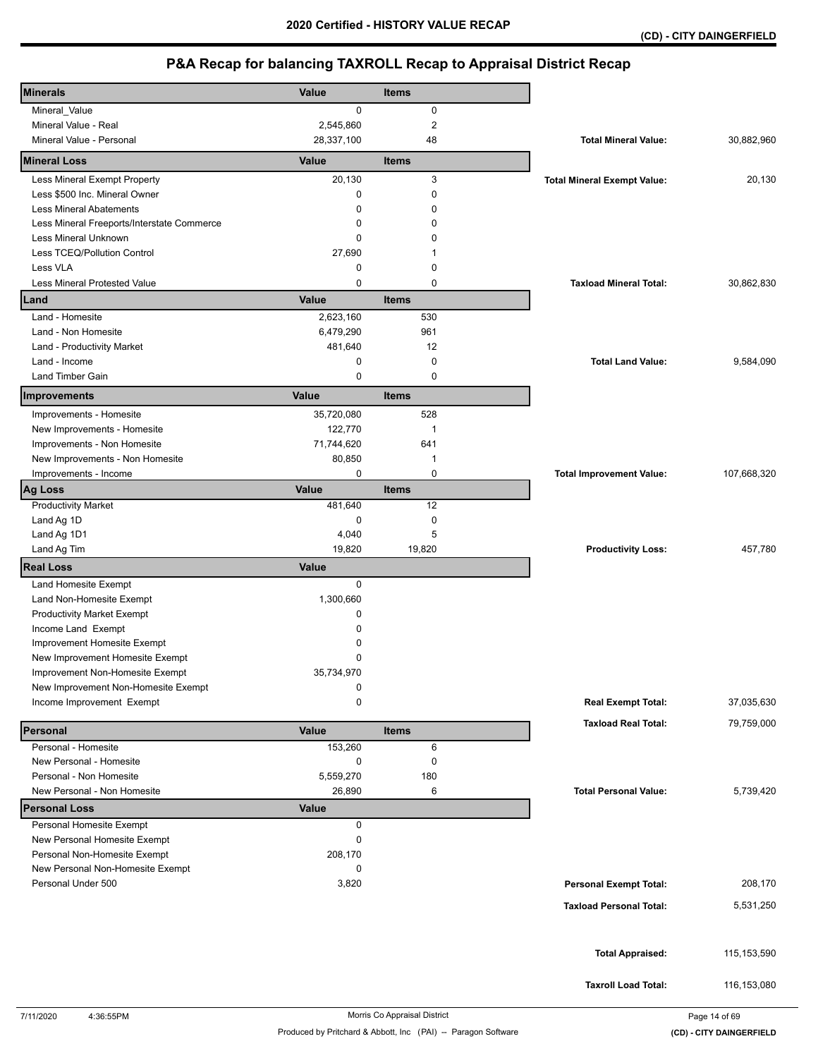| <b>Minerals</b>                                              | <b>Value</b> | <b>Items</b>   |                                    |               |
|--------------------------------------------------------------|--------------|----------------|------------------------------------|---------------|
| Mineral_Value                                                | 0            | 0              |                                    |               |
| Mineral Value - Real                                         | 2,545,860    | $\overline{2}$ |                                    |               |
| Mineral Value - Personal                                     | 28,337,100   | 48             | <b>Total Mineral Value:</b>        | 30,882,960    |
| <b>Mineral Loss</b>                                          | Value        | <b>Items</b>   |                                    |               |
| Less Mineral Exempt Property                                 | 20,130       | 3              | <b>Total Mineral Exempt Value:</b> | 20,130        |
| Less \$500 Inc. Mineral Owner                                | 0            | $\mathbf 0$    |                                    |               |
| <b>Less Mineral Abatements</b>                               | 0            | 0              |                                    |               |
| Less Mineral Freeports/Interstate Commerce                   | 0            | $\Omega$       |                                    |               |
| Less Mineral Unknown                                         | 0            | ი              |                                    |               |
| Less TCEQ/Pollution Control                                  | 27,690       | 1              |                                    |               |
| Less VLA                                                     | 0            | $\mathbf 0$    |                                    |               |
| Less Mineral Protested Value                                 | 0            | $\mathbf 0$    | <b>Taxload Mineral Total:</b>      | 30,862,830    |
| Land                                                         | Value        | <b>Items</b>   |                                    |               |
| Land - Homesite                                              | 2,623,160    | 530            |                                    |               |
| Land - Non Homesite                                          | 6,479,290    | 961            |                                    |               |
| Land - Productivity Market                                   | 481,640      | 12             |                                    |               |
| Land - Income                                                | 0            | $\mathbf 0$    | <b>Total Land Value:</b>           | 9,584,090     |
| Land Timber Gain                                             | 0            | $\mathbf 0$    |                                    |               |
| Improvements                                                 | Value        | <b>Items</b>   |                                    |               |
| Improvements - Homesite                                      | 35,720,080   | 528            |                                    |               |
| New Improvements - Homesite                                  | 122,770      | $\mathbf 1$    |                                    |               |
| Improvements - Non Homesite                                  | 71,744,620   | 641            |                                    |               |
| New Improvements - Non Homesite                              | 80,850       | $\mathbf 1$    |                                    |               |
| Improvements - Income                                        | 0            | $\mathbf 0$    | <b>Total Improvement Value:</b>    | 107,668,320   |
| <b>Ag Loss</b>                                               | Value        | <b>Items</b>   |                                    |               |
| <b>Productivity Market</b>                                   | 481,640      | 12             |                                    |               |
| Land Ag 1D                                                   | 0            | $\pmb{0}$      |                                    |               |
| Land Ag 1D1                                                  | 4,040        | 5              |                                    |               |
| Land Ag Tim                                                  | 19,820       | 19,820         | <b>Productivity Loss:</b>          | 457,780       |
| <b>Real Loss</b>                                             | <b>Value</b> |                |                                    |               |
| Land Homesite Exempt                                         | 0            |                |                                    |               |
| Land Non-Homesite Exempt                                     | 1,300,660    |                |                                    |               |
| <b>Productivity Market Exempt</b>                            | 0            |                |                                    |               |
| Income Land Exempt                                           | $\Omega$     |                |                                    |               |
| Improvement Homesite Exempt                                  | 0            |                |                                    |               |
| New Improvement Homesite Exempt                              | 0            |                |                                    |               |
| Improvement Non-Homesite Exempt                              | 35,734,970   |                |                                    |               |
| New Improvement Non-Homesite Exempt                          | 0            |                |                                    |               |
| Income Improvement Exempt                                    | 0            |                | <b>Real Exempt Total:</b>          | 37,035,630    |
| Personal                                                     | Value        | <b>Items</b>   | <b>Taxload Real Total:</b>         | 79,759,000    |
| Personal - Homesite                                          | 153,260      | 6              |                                    |               |
| New Personal - Homesite                                      | 0            | 0              |                                    |               |
| Personal - Non Homesite                                      | 5,559,270    | 180            |                                    |               |
| New Personal - Non Homesite                                  | 26,890       | 6              | <b>Total Personal Value:</b>       | 5,739,420     |
| <b>Personal Loss</b>                                         | <b>Value</b> |                |                                    |               |
| Personal Homesite Exempt                                     | 0            |                |                                    |               |
| New Personal Homesite Exempt<br>Personal Non-Homesite Exempt | 0<br>208,170 |                |                                    |               |
| New Personal Non-Homesite Exempt                             | 0            |                |                                    |               |
| Personal Under 500                                           | 3,820        |                | <b>Personal Exempt Total:</b>      | 208,170       |
|                                                              |              |                |                                    |               |
|                                                              |              |                | <b>Taxload Personal Total:</b>     | 5,531,250     |
|                                                              |              |                |                                    |               |
|                                                              |              |                | <b>Total Appraised:</b>            | 115, 153, 590 |
|                                                              |              |                |                                    |               |
|                                                              |              |                | <b>Taxroll Load Total:</b>         | 116, 153, 080 |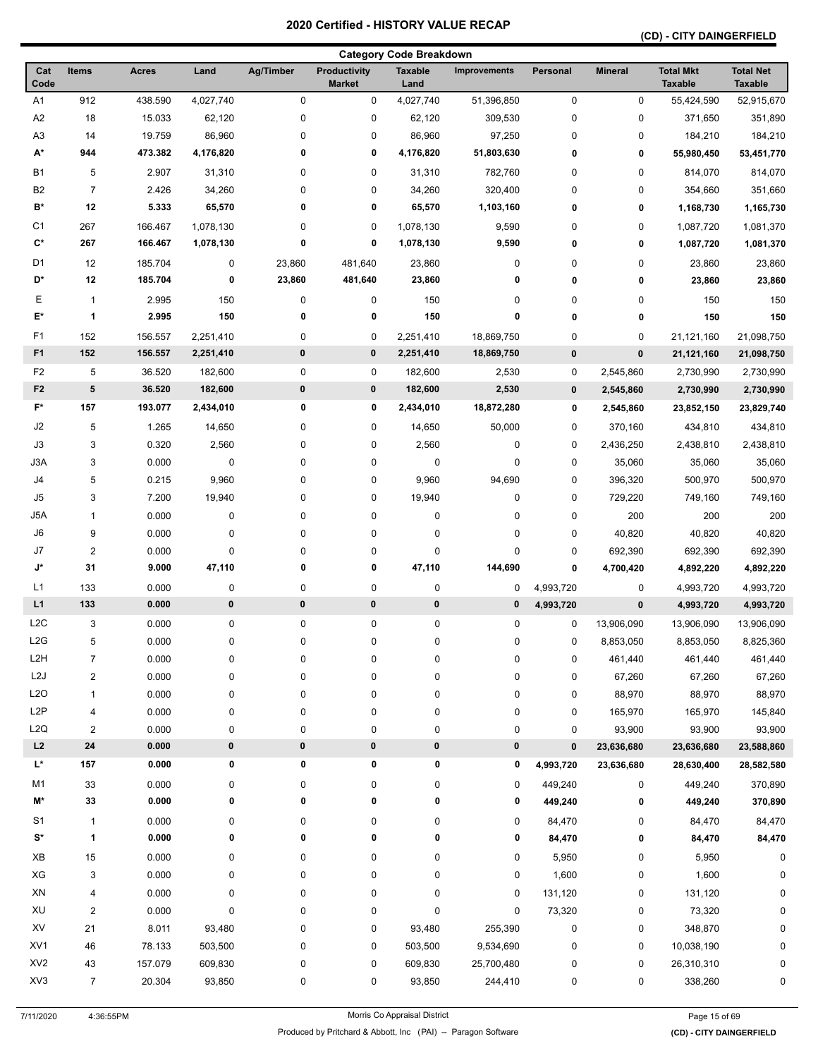### **(CD) - CITY DAINGERFIELD**

| <b>Category Code Breakdown</b> |                         |              |           |             |                                      |                        |                     |             |                |                                    |                                    |
|--------------------------------|-------------------------|--------------|-----------|-------------|--------------------------------------|------------------------|---------------------|-------------|----------------|------------------------------------|------------------------------------|
| Cat<br>Code                    | Items                   | <b>Acres</b> | Land      | Ag/Timber   | <b>Productivity</b><br><b>Market</b> | <b>Taxable</b><br>Land | <b>Improvements</b> | Personal    | <b>Mineral</b> | <b>Total Mkt</b><br><b>Taxable</b> | <b>Total Net</b><br><b>Taxable</b> |
| A1                             | 912                     | 438.590      | 4,027,740 | $\mathbf 0$ | 0                                    | 4,027,740              | 51,396,850          | 0           | $\pmb{0}$      | 55,424,590                         | 52,915,670                         |
| A <sub>2</sub>                 | 18                      | 15.033       | 62,120    | 0           | 0                                    | 62,120                 | 309,530             | $\pmb{0}$   | 0              | 371,650                            | 351,890                            |
| A3                             | 14                      | 19.759       | 86,960    | 0           | 0                                    | 86,960                 | 97,250              | 0           | 0              | 184,210                            | 184,210                            |
| A*                             | 944                     | 473.382      | 4,176,820 | 0           | 0                                    | 4,176,820              | 51,803,630          | 0           | 0              | 55,980,450                         | 53,451,770                         |
| <b>B1</b>                      | 5                       | 2.907        | 31,310    | 0           | 0                                    | 31,310                 | 782,760             | 0           | 0              | 814,070                            | 814,070                            |
| B <sub>2</sub>                 | $\overline{7}$          | 2.426        | 34,260    | 0           | 0                                    | 34,260                 | 320,400             | 0           | 0              | 354,660                            | 351,660                            |
| B*                             | 12                      | 5.333        | 65,570    | 0           | 0                                    | 65,570                 | 1,103,160           | 0           | 0              | 1,168,730                          | 1,165,730                          |
| C <sub>1</sub>                 | 267                     | 166.467      | 1,078,130 | 0           | 0                                    | 1,078,130              | 9,590               | 0           | 0              | 1,087,720                          | 1,081,370                          |
| $C^*$                          | 267                     | 166.467      | 1,078,130 | 0           | 0                                    | 1,078,130              | 9,590               | 0           | 0              | 1,087,720                          | 1,081,370                          |
| D <sub>1</sub>                 | 12                      | 185.704      | 0         | 23,860      | 481,640                              | 23,860                 | 0                   | 0           | 0              | 23,860                             | 23,860                             |
| D*                             | 12                      | 185.704      | 0         | 23,860      | 481,640                              | 23,860                 | 0                   | 0           | 0              | 23,860                             | 23,860                             |
| Е                              | $\mathbf{1}$            | 2.995        | 150       | 0           | 0                                    | 150                    | 0                   | 0           | 0              | 150                                | 150                                |
| E*                             | 1                       | 2.995        | 150       | 0           | 0                                    | 150                    | $\mathbf 0$         | 0           | 0              | 150                                | 150                                |
| F1                             | 152                     | 156.557      | 2,251,410 | 0           | 0                                    | 2,251,410              | 18,869,750          | 0           | 0              | 21,121,160                         | 21,098,750                         |
| F <sub>1</sub>                 | 152                     | 156.557      | 2,251,410 | $\pmb{0}$   | 0                                    | 2,251,410              | 18,869,750          | $\pmb{0}$   | 0              | 21,121,160                         | 21,098,750                         |
| F <sub>2</sub>                 | 5                       | 36.520       | 182,600   | 0           | 0                                    | 182,600                | 2,530               | 0           | 2,545,860      | 2,730,990                          | 2,730,990                          |
| F <sub>2</sub>                 | 5                       | 36.520       | 182,600   | 0           | 0                                    | 182,600                | 2,530               | $\pmb{0}$   | 2,545,860      | 2,730,990                          | 2,730,990                          |
| F*                             | 157                     | 193.077      | 2,434,010 | 0           | 0                                    | 2,434,010              | 18,872,280          | 0           | 2,545,860      | 23,852,150                         | 23,829,740                         |
| $\sf J2$                       | 5                       | 1.265        | 14,650    | 0           | 0                                    | 14,650                 | 50,000              | 0           | 370,160        | 434,810                            | 434,810                            |
| J3                             | 3                       | 0.320        | 2,560     | 0           | 0                                    | 2,560                  | 0                   | 0           | 2,436,250      | 2,438,810                          | 2,438,810                          |
| J3A                            | 3                       | 0.000        | 0         | 0           | 0                                    | 0                      | 0                   | 0           | 35,060         | 35,060                             | 35,060                             |
| J4                             | 5                       | 0.215        | 9,960     | 0           | 0                                    | 9,960                  | 94,690              | 0           | 396,320        | 500,970                            | 500,970                            |
| J5                             | 3                       | 7.200        | 19,940    | 0           | 0                                    | 19,940                 | 0                   | $\mathbf 0$ | 729,220        | 749,160                            | 749,160                            |
| J5A                            | $\mathbf{1}$            | 0.000        | 0         | 0           | 0                                    | 0                      | 0                   | 0           | 200            | 200                                | 200                                |
| J6                             | 9                       | 0.000        | 0         | 0           | 0                                    | 0                      | 0                   | 0           | 40,820         | 40,820                             | 40,820                             |
| J7                             | $\overline{\mathbf{c}}$ | 0.000        | 0         | 0           | 0                                    | 0                      | 0                   | 0           | 692,390        | 692,390                            | 692,390                            |
| J*                             | 31                      | 9.000        | 47,110    | 0           | 0                                    | 47,110                 | 144,690             | 0           | 4,700,420      | 4,892,220                          | 4,892,220                          |
| L1                             | 133                     | 0.000        | 0         | 0           | 0                                    | 0                      | 0                   | 4,993,720   | 0              | 4,993,720                          | 4,993,720                          |
| L1                             | 133                     | 0.000        | $\pmb{0}$ | $\pmb{0}$   | 0                                    | 0                      | 0                   | 4,993,720   | $\pmb{0}$      | 4,993,720                          | 4,993,720                          |
| L <sub>2</sub> C               | 3                       | 0.000        | $\pmb{0}$ | 0           | 0                                    | 0                      | 0                   | 0           | 13,906,090     | 13,906,090                         | 13,906,090                         |
| L <sub>2</sub> G               | 5                       | 0.000        | 0         | 0           | 0                                    | 0                      | $\mathbf 0$         | $\mathbf 0$ | 8,853,050      | 8,853,050                          | 8,825,360                          |
| L <sub>2</sub> H               | $\overline{7}$          | 0.000        | 0         | 0           | 0                                    | 0                      | 0                   | 0           | 461,440        | 461,440                            | 461,440                            |
| L2J                            | $\overline{\mathbf{c}}$ | 0.000        | 0         | 0           | 0                                    | 0                      | 0                   | 0           | 67,260         | 67,260                             | 67,260                             |
| L2O                            | 1                       | 0.000        | 0         | 0           | 0                                    | 0                      | 0                   | 0           | 88,970         | 88,970                             | 88,970                             |
| L <sub>2</sub> P               | 4                       | 0.000        | 0         | 0           | 0                                    | 0                      | 0                   | 0           | 165,970        | 165,970                            | 145,840                            |
| L2Q                            | $\overline{\mathbf{c}}$ | 0.000        | 0         | 0           | 0                                    | 0                      | 0                   | 0           | 93,900         | 93,900                             | 93,900                             |
| L2                             | 24                      | 0.000        | $\pmb{0}$ | $\pmb{0}$   | 0                                    | 0                      | $\pmb{0}$           | $\pmb{0}$   | 23,636,680     | 23,636,680                         | 23,588,860                         |
| L*                             | 157                     | 0.000        | 0         | 0           | 0                                    | 0                      | 0                   | 4,993,720   | 23,636,680     | 28,630,400                         | 28,582,580                         |
| M1                             | 33                      | 0.000        | 0         | 0           | 0                                    | 0                      | 0                   | 449,240     | 0              | 449,240                            | 370,890                            |
| M*                             | 33                      | 0.000        | 0         | 0           | 0                                    | 0                      | 0                   | 449,240     | 0              | 449,240                            | 370,890                            |
| S1                             | $\mathbf{1}$            | 0.000        | 0         | 0           | 0                                    | 0                      | 0                   | 84,470      | 0              | 84,470                             | 84,470                             |
| S*                             | 1                       | 0.000        | 0         | 0           | 0                                    | 0                      | 0                   | 84,470      | 0              | 84,470                             | 84,470                             |
|                                |                         |              |           |             |                                      |                        |                     |             |                |                                    |                                    |
| XB                             | 15                      | 0.000        | 0         | 0           | 0                                    | 0                      | 0                   | 5,950       | 0              | 5,950                              | 0                                  |
| XG                             | 3                       | 0.000        | 0         | 0           | 0                                    | 0                      | 0                   | 1,600       | 0              | 1,600                              | 0                                  |
| XN                             | 4                       | 0.000        | 0         | 0           | 0                                    | 0                      | 0                   | 131,120     | 0              | 131,120                            | 0                                  |
| XU                             | $\overline{\mathbf{c}}$ | 0.000        | 0         | 0           | 0                                    | 0                      | 0                   | 73,320      | $\pmb{0}$      | 73,320                             | 0                                  |
| XV                             | 21                      | 8.011        | 93,480    | 0           | 0                                    | 93,480                 | 255,390             | 0           | 0              | 348,870                            | $\mathbf 0$                        |
| XV1                            | 46                      | 78.133       | 503,500   | 0           | 0                                    | 503,500                | 9,534,690           | 0           | 0              | 10,038,190                         | 0                                  |
| XV <sub>2</sub>                | 43                      | 157.079      | 609,830   | 0           | 0                                    | 609,830                | 25,700,480          | 0           | 0              | 26,310,310                         | 0                                  |
| XV3                            | $\overline{7}$          | 20.304       | 93,850    | 0           | 0                                    | 93,850                 | 244,410             | 0           | 0              | 338,260                            | 0                                  |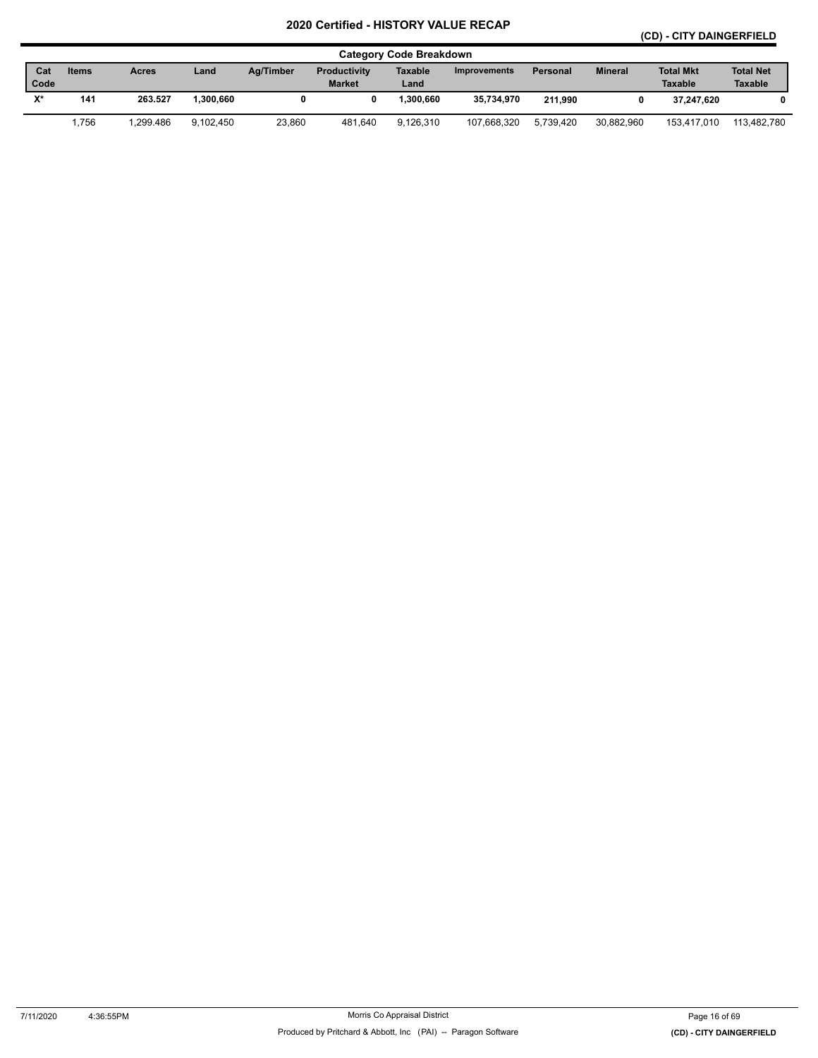### **(CD) - CITY DAINGERFIELD**

|       | <b>Category Code Breakdown</b> |              |           |           |                     |                |                     |                 |                |                  |                  |  |
|-------|--------------------------------|--------------|-----------|-----------|---------------------|----------------|---------------------|-----------------|----------------|------------------|------------------|--|
| Cat   | <b>Items</b>                   | <b>Acres</b> | Land      | Ag/Timber | <b>Productivity</b> | <b>Taxable</b> | <b>Improvements</b> | <b>Personal</b> | <b>Mineral</b> | <b>Total Mkt</b> | <b>Total Net</b> |  |
| Code  |                                |              |           |           | <b>Market</b>       | Land           |                     |                 |                | <b>Taxable</b>   | <b>Taxable</b>   |  |
| $Y^*$ | 141                            | 263.527      | .300.660  |           |                     | 1.300.660      | 35,734,970          | 211.990         |                | 37.247.620       | 0                |  |
|       | 1,756                          | .299.486     | 9.102.450 | 23,860    | 481.640             | 9.126.310      | 107.668.320         | 5.739.420       | 30.882.960     | 153.417.010      | 113.482.780      |  |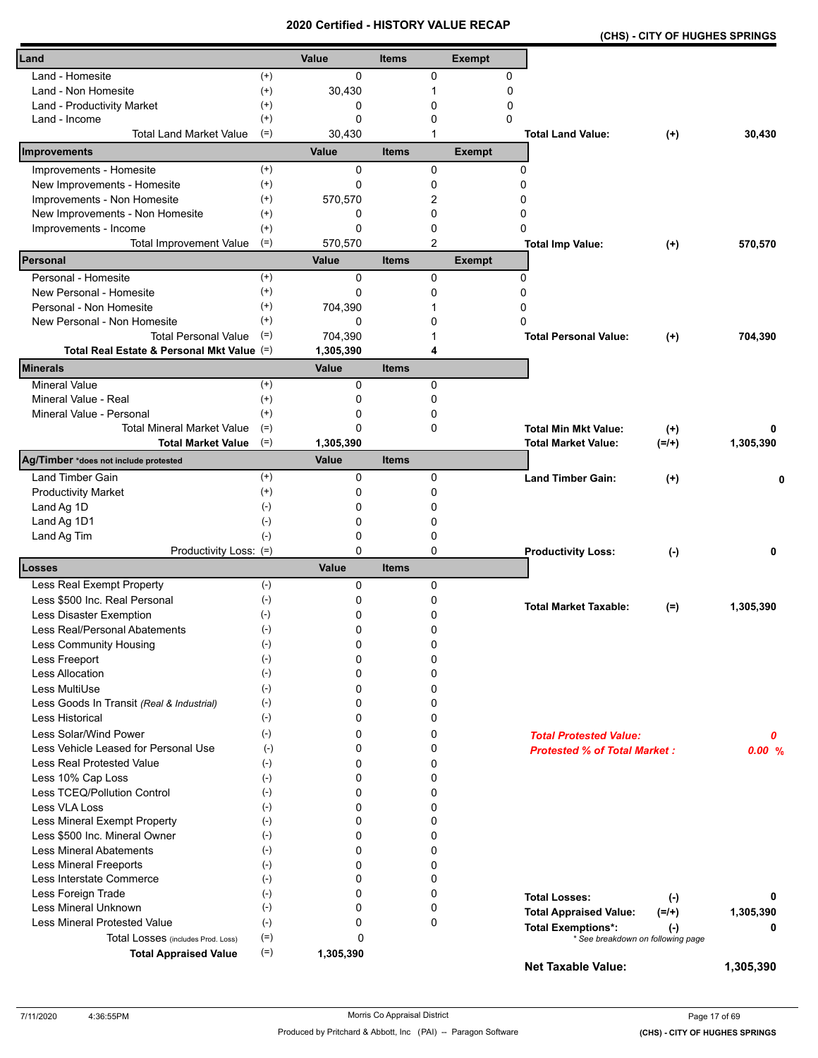|  | (CHS) - CITY OF HUGHES SPRINGS |  |
|--|--------------------------------|--|
|--|--------------------------------|--|

| Land                                                      |                | Value            | <b>Items</b> |                | <b>Exempt</b> |                                                                |           |           |
|-----------------------------------------------------------|----------------|------------------|--------------|----------------|---------------|----------------------------------------------------------------|-----------|-----------|
| Land - Homesite                                           | $^{(+)}$       | 0                |              | 0              | 0             |                                                                |           |           |
| Land - Non Homesite                                       | $^{(+)}$       | 30,430           |              | 1              | 0             |                                                                |           |           |
| Land - Productivity Market                                | $^{(+)}$       | 0                |              | 0              | 0             |                                                                |           |           |
| Land - Income                                             | $^{(+)}$       | 0                |              | 0              | 0             |                                                                |           |           |
| <b>Total Land Market Value</b>                            | $(=)$          | 30,430           |              |                |               | <b>Total Land Value:</b>                                       | $(+)$     | 30,430    |
| Improvements                                              |                | Value            | <b>Items</b> |                | <b>Exempt</b> |                                                                |           |           |
| Improvements - Homesite                                   | $^{(+)}$       | $\Omega$         |              | $\mathbf 0$    |               | 0                                                              |           |           |
| New Improvements - Homesite                               | $^{(+)}$       | 0                |              | 0              |               | 0                                                              |           |           |
| Improvements - Non Homesite                               | $^{(+)}$       | 570,570          |              | 2              |               | 0                                                              |           |           |
| New Improvements - Non Homesite                           | $^{(+)}$       | 0                |              | 0              |               | 0                                                              |           |           |
| Improvements - Income                                     | $^{(+)}$       | 0                |              | 0              |               | 0                                                              |           |           |
| <b>Total Improvement Value</b><br>Personal                | $(=)$          | 570,570<br>Value | <b>Items</b> | $\overline{2}$ | <b>Exempt</b> | <b>Total Imp Value:</b>                                        | $(+)$     | 570,570   |
| Personal - Homesite                                       | $^{(+)}$       |                  |              |                |               |                                                                |           |           |
| New Personal - Homesite                                   | $^{(+)}$       | 0<br>0           |              | 0<br>0         |               | 0<br>0                                                         |           |           |
| Personal - Non Homesite                                   | $^{(+)}$       | 704,390          |              |                |               | 0                                                              |           |           |
| New Personal - Non Homesite                               | $^{(+)}$       | 0                |              | 0              |               | $\Omega$                                                       |           |           |
| <b>Total Personal Value</b>                               | $(=)$          | 704,390          |              |                |               | <b>Total Personal Value:</b>                                   | $(+)$     | 704,390   |
| Total Real Estate & Personal Mkt Value (=)                |                | 1,305,390        |              | 4              |               |                                                                |           |           |
| <b>Minerals</b>                                           |                | Value            | <b>Items</b> |                |               |                                                                |           |           |
| <b>Mineral Value</b>                                      | $^{(+)}$       | 0                |              | 0              |               |                                                                |           |           |
| Mineral Value - Real                                      | $^{(+)}$       | 0                |              | $\mathbf 0$    |               |                                                                |           |           |
| Mineral Value - Personal                                  | $^{(+)}$       | 0                |              | 0              |               |                                                                |           |           |
| <b>Total Mineral Market Value</b>                         | $(=)$          | 0                |              | 0              |               | <b>Total Min Mkt Value:</b>                                    | $(+)$     | 0         |
| <b>Total Market Value</b>                                 | $(=)$          | 1,305,390        |              |                |               | Total Market Value:                                            | $(=/+)$   | 1,305,390 |
| Ag/Timber *does not include protested                     |                | Value            | <b>Items</b> |                |               |                                                                |           |           |
| Land Timber Gain                                          | $^{(+)}$       | 0                |              | 0              |               | <b>Land Timber Gain:</b>                                       | $^{(+)}$  | n         |
| <b>Productivity Market</b>                                | $^{(+)}$       | 0                |              | 0              |               |                                                                |           |           |
| Land Ag 1D                                                | $(-)$          | 0                |              | 0              |               |                                                                |           |           |
| Land Ag 1D1                                               | $(-)$          | 0                |              | 0              |               |                                                                |           |           |
| Land Ag Tim                                               | $(-)$          | 0                |              | 0              |               |                                                                |           |           |
| Productivity Loss: (=)                                    |                | 0<br>Value       |              | 0              |               | <b>Productivity Loss:</b>                                      | $(-)$     | 0         |
| Losses<br>Less Real Exempt Property                       | $(-)$          | 0                | <b>Items</b> | 0              |               |                                                                |           |           |
| Less \$500 Inc. Real Personal                             | $(\cdot)$      | 0                |              | 0              |               |                                                                |           |           |
| Less Disaster Exemption                                   | $(-)$          | 0                |              | 0              |               | <b>Total Market Taxable:</b>                                   | $(=)$     | 1,305,390 |
| Less Real/Personal Abatements                             | $(\cdot)$      | 0                |              | 0              |               |                                                                |           |           |
| <b>Less Community Housing</b>                             | $(\hbox{-})$   | 0                |              | 0              |               |                                                                |           |           |
| Less Freeport                                             | $(-)$          | 0                |              | 0              |               |                                                                |           |           |
| <b>Less Allocation</b>                                    | $(-)$          | 0                |              | 0              |               |                                                                |           |           |
| Less MultiUse                                             | $(-)$          | 0                |              | 0              |               |                                                                |           |           |
| Less Goods In Transit (Real & Industrial)                 | $(-)$          | 0                |              | 0              |               |                                                                |           |           |
| Less Historical                                           | $(-)$          | 0                |              | 0              |               |                                                                |           |           |
| Less Solar/Wind Power                                     | $(-)$          | 0                |              | 0              |               | <b>Total Protested Value:</b>                                  |           | 0         |
| Less Vehicle Leased for Personal Use                      | $(-)$          | 0                |              | 0              |               | <b>Protested % of Total Market:</b>                            |           | 0.00%     |
| Less Real Protested Value                                 | $(-)$          | 0                |              | 0              |               |                                                                |           |           |
| Less 10% Cap Loss                                         | $(-)$          | 0                |              | $\mathbf 0$    |               |                                                                |           |           |
| Less TCEQ/Pollution Control                               | $(-)$          | 0                |              | $\mathbf 0$    |               |                                                                |           |           |
| Less VLA Loss                                             | $(-)$          | 0                |              | 0              |               |                                                                |           |           |
| Less Mineral Exempt Property                              | $(-)$          | 0                |              | 0              |               |                                                                |           |           |
| Less \$500 Inc. Mineral Owner                             | $(-)$          | 0                |              | 0              |               |                                                                |           |           |
| <b>Less Mineral Abatements</b>                            | $(-)$          | 0                |              | $\mathbf 0$    |               |                                                                |           |           |
| <b>Less Mineral Freeports</b><br>Less Interstate Commerce | $(-)$<br>$(-)$ | 0<br>0           |              | 0<br>0         |               |                                                                |           |           |
| Less Foreign Trade                                        | $(-)$          | 0                |              | 0              |               |                                                                |           |           |
| Less Mineral Unknown                                      | $(-)$          | 0                |              | 0              |               | <b>Total Losses:</b>                                           | $(\cdot)$ | 0         |
| Less Mineral Protested Value                              | $(-)$          | 0                |              | $\mathbf 0$    |               | <b>Total Appraised Value:</b>                                  | $(=/+)$   | 1,305,390 |
| Total Losses (includes Prod. Loss)                        | $(=)$          | 0                |              |                |               | <b>Total Exemptions*:</b><br>* See breakdown on following page | $(\cdot)$ | 0         |
| <b>Total Appraised Value</b>                              | $(=)$          | 1,305,390        |              |                |               |                                                                |           |           |
|                                                           |                |                  |              |                |               | Net Taxable Value:                                             |           | 1,305,390 |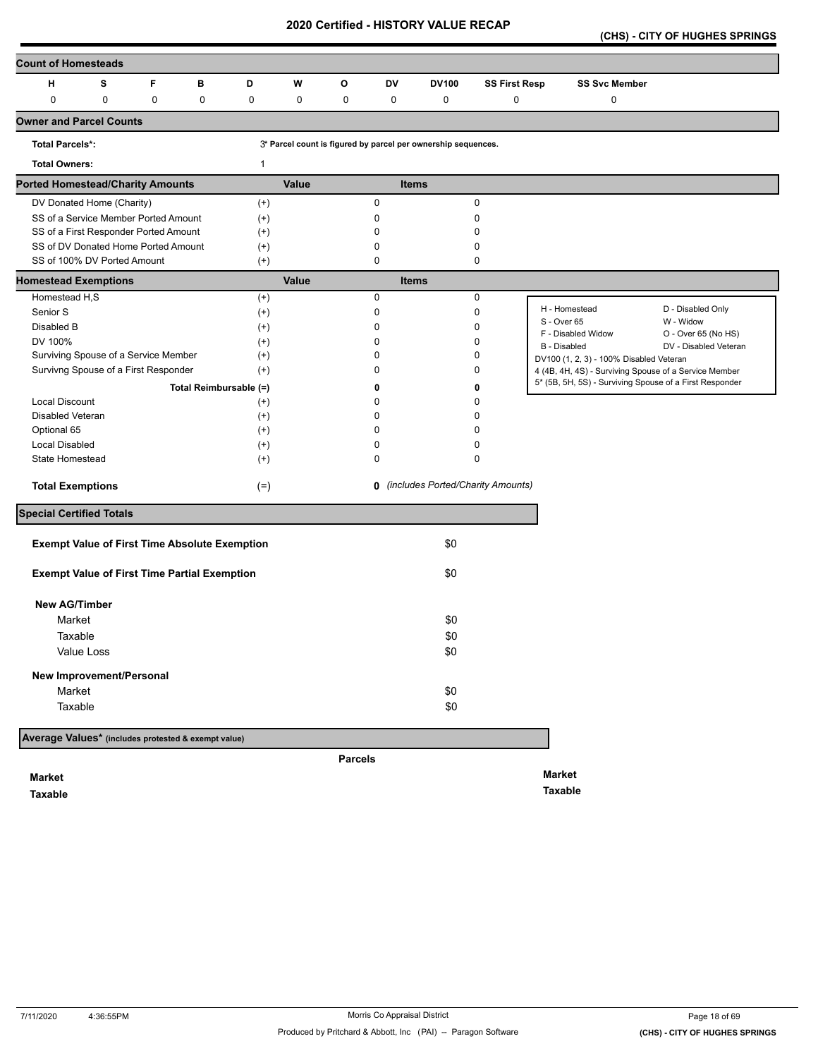**(CHS) - CITY OF HUGHES SPRINGS** 

| <b>Count of Homesteads</b>                          |            |   |                                                      |             |       |                |             |                                                               |                                            |                                                                                                  |                       |
|-----------------------------------------------------|------------|---|------------------------------------------------------|-------------|-------|----------------|-------------|---------------------------------------------------------------|--------------------------------------------|--------------------------------------------------------------------------------------------------|-----------------------|
| н                                                   | s          | F | в                                                    | D           | W     | o              | DV          | <b>DV100</b>                                                  | <b>SS First Resp</b>                       | <b>SS Svc Member</b>                                                                             |                       |
| $\pmb{0}$                                           | 0          | 0 | 0                                                    | $\mathbf 0$ | 0     | 0              | 0           | 0                                                             | 0                                          | 0                                                                                                |                       |
| <b>Owner and Parcel Counts</b>                      |            |   |                                                      |             |       |                |             |                                                               |                                            |                                                                                                  |                       |
| <b>Total Parcels*:</b>                              |            |   |                                                      |             |       |                |             | 3* Parcel count is figured by parcel per ownership sequences. |                                            |                                                                                                  |                       |
| <b>Total Owners:</b>                                |            |   |                                                      | 1           |       |                |             |                                                               |                                            |                                                                                                  |                       |
| <b>Ported Homestead/Charity Amounts</b>             |            |   |                                                      |             | Value |                |             | <b>Items</b>                                                  |                                            |                                                                                                  |                       |
| DV Donated Home (Charity)                           |            |   |                                                      | $(+)$       |       |                | $\mathbf 0$ |                                                               | 0                                          |                                                                                                  |                       |
| SS of a Service Member Ported Amount                |            |   |                                                      | $^{(+)}$    |       |                | 0           |                                                               | 0                                          |                                                                                                  |                       |
| SS of a First Responder Ported Amount               |            |   |                                                      | $(+)$       |       |                | 0           |                                                               | 0                                          |                                                                                                  |                       |
| SS of DV Donated Home Ported Amount                 |            |   |                                                      | $^{(+)}$    |       |                | 0           |                                                               | 0                                          |                                                                                                  |                       |
| SS of 100% DV Ported Amount                         |            |   |                                                      | $(+)$       |       |                | 0           |                                                               | $\mathbf 0$                                |                                                                                                  |                       |
| <b>Homestead Exemptions</b><br>Homestead H,S        |            |   |                                                      | $(+)$       | Value |                | $\pmb{0}$   | <b>Items</b>                                                  | 0                                          |                                                                                                  |                       |
| Senior S                                            |            |   |                                                      | $^{(+)}$    |       |                | 0           |                                                               | 0                                          | H - Homestead                                                                                    | D - Disabled Only     |
| Disabled B                                          |            |   |                                                      | $(+)$       |       |                | 0           |                                                               | 0                                          | S - Over 65                                                                                      | W - Widow             |
| DV 100%                                             |            |   |                                                      | $^{(+)}$    |       |                | 0           |                                                               | $\Omega$                                   | F - Disabled Widow                                                                               | O - Over 65 (No HS)   |
| Surviving Spouse of a Service Member                |            |   |                                                      | $^{(+)}$    |       |                | 0           |                                                               | 0                                          | B - Disabled                                                                                     | DV - Disabled Veteran |
| Survivng Spouse of a First Responder                |            |   |                                                      | $^{(+)}$    |       |                | 0           |                                                               | 0                                          | DV100 (1, 2, 3) - 100% Disabled Veteran<br>4 (4B, 4H, 4S) - Surviving Spouse of a Service Member |                       |
|                                                     |            |   | Total Reimbursable (=)                               |             |       |                | 0           |                                                               | 0                                          | 5* (5B, 5H, 5S) - Surviving Spouse of a First Responder                                          |                       |
| <b>Local Discount</b>                               |            |   |                                                      | $^{(+)}$    |       |                | 0           |                                                               | $\mathbf 0$                                |                                                                                                  |                       |
| Disabled Veteran                                    |            |   |                                                      | $^{(+)}$    |       |                | 0           |                                                               | 0                                          |                                                                                                  |                       |
| Optional 65                                         |            |   |                                                      | $^{(+)}$    |       |                | 0           |                                                               | O                                          |                                                                                                  |                       |
| Local Disabled                                      |            |   |                                                      | $^{(+)}$    |       |                | 0           |                                                               | 0                                          |                                                                                                  |                       |
| State Homestead                                     |            |   |                                                      | $^{(+)}$    |       |                | 0           |                                                               | $\mathbf 0$                                |                                                                                                  |                       |
| <b>Total Exemptions</b>                             |            |   |                                                      | $(=)$       |       |                |             |                                                               | <b>0</b> (includes Ported/Charity Amounts) |                                                                                                  |                       |
| <b>Special Certified Totals</b>                     |            |   |                                                      |             |       |                |             |                                                               |                                            |                                                                                                  |                       |
|                                                     |            |   | <b>Exempt Value of First Time Absolute Exemption</b> |             |       |                |             | \$0                                                           |                                            |                                                                                                  |                       |
|                                                     |            |   |                                                      |             |       |                |             |                                                               |                                            |                                                                                                  |                       |
|                                                     |            |   | <b>Exempt Value of First Time Partial Exemption</b>  |             |       |                |             | \$0                                                           |                                            |                                                                                                  |                       |
| <b>New AG/Timber</b>                                |            |   |                                                      |             |       |                |             |                                                               |                                            |                                                                                                  |                       |
| Market                                              |            |   |                                                      |             |       |                |             | \$0                                                           |                                            |                                                                                                  |                       |
| Taxable                                             |            |   |                                                      |             |       |                |             | \$0                                                           |                                            |                                                                                                  |                       |
|                                                     | Value Loss |   |                                                      |             |       |                |             | \$0                                                           |                                            |                                                                                                  |                       |
| New Improvement/Personal                            |            |   |                                                      |             |       |                |             |                                                               |                                            |                                                                                                  |                       |
| Market                                              |            |   |                                                      |             |       |                |             | \$0                                                           |                                            |                                                                                                  |                       |
| Taxable                                             |            |   |                                                      |             |       |                |             | \$0                                                           |                                            |                                                                                                  |                       |
| Average Values* (includes protested & exempt value) |            |   |                                                      |             |       |                |             |                                                               |                                            |                                                                                                  |                       |
|                                                     |            |   |                                                      |             |       | <b>Parcels</b> |             |                                                               |                                            |                                                                                                  |                       |
| <b>Market</b>                                       |            |   |                                                      |             |       |                |             |                                                               |                                            | <b>Market</b>                                                                                    |                       |

**Taxable** 

**Taxable**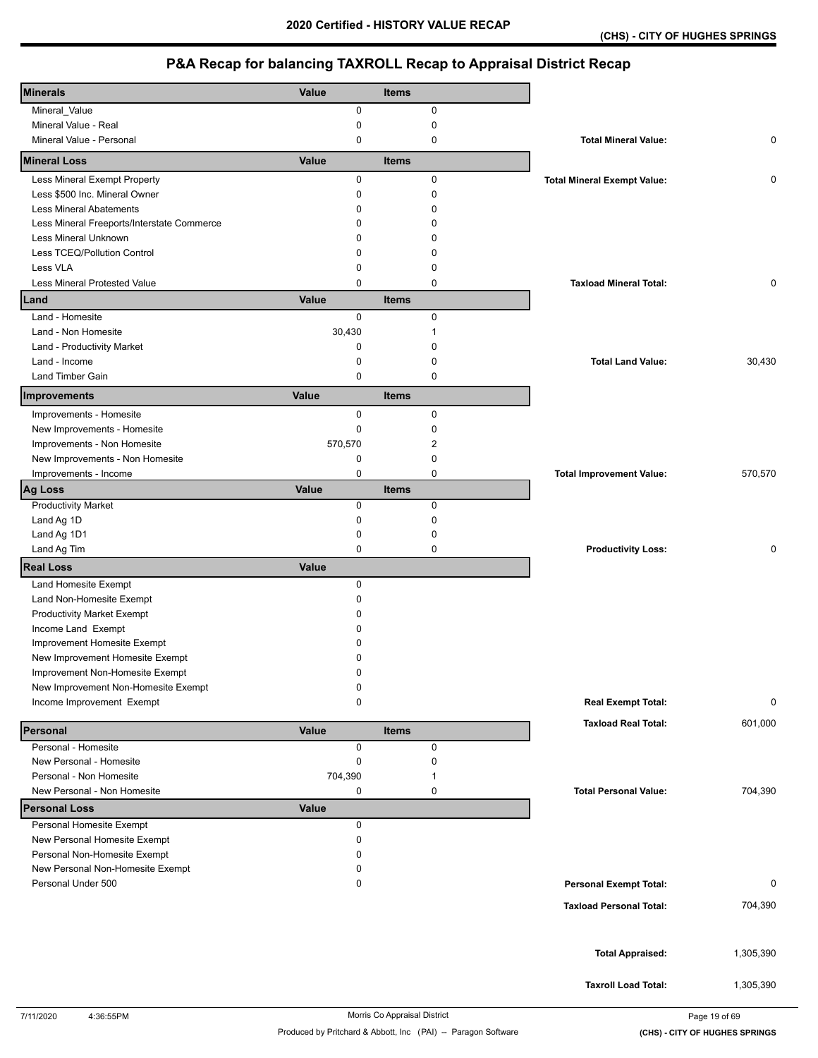| <b>Minerals</b>                            | Value        | <b>Items</b> |                                    |           |
|--------------------------------------------|--------------|--------------|------------------------------------|-----------|
| Mineral_Value                              | 0            | 0            |                                    |           |
| Mineral Value - Real                       | 0            | $\pmb{0}$    |                                    |           |
| Mineral Value - Personal                   | 0            | 0            | <b>Total Mineral Value:</b>        | 0         |
| <b>Mineral Loss</b>                        | Value        | <b>Items</b> |                                    |           |
| Less Mineral Exempt Property               | 0            | $\pmb{0}$    | <b>Total Mineral Exempt Value:</b> | 0         |
| Less \$500 Inc. Mineral Owner              | 0            | 0            |                                    |           |
| <b>Less Mineral Abatements</b>             | 0            | $\mathbf 0$  |                                    |           |
| Less Mineral Freeports/Interstate Commerce | 0            | 0            |                                    |           |
| Less Mineral Unknown                       | 0            | $\Omega$     |                                    |           |
| Less TCEQ/Pollution Control                | 0            | 0            |                                    |           |
| Less VLA                                   | 0            | 0            |                                    |           |
| Less Mineral Protested Value               | 0            | $\mathbf 0$  | <b>Taxload Mineral Total:</b>      | 0         |
| Land                                       | Value        | <b>Items</b> |                                    |           |
| Land - Homesite                            | 0            | 0            |                                    |           |
| Land - Non Homesite                        | 30,430       | 1            |                                    |           |
| Land - Productivity Market                 | 0            | $\mathbf 0$  |                                    |           |
| Land - Income                              | 0            | $\mathbf 0$  | <b>Total Land Value:</b>           | 30,430    |
| <b>Land Timber Gain</b>                    | 0            | 0            |                                    |           |
|                                            |              |              |                                    |           |
| Improvements                               | Value        | <b>Items</b> |                                    |           |
| Improvements - Homesite                    | 0            | 0            |                                    |           |
| New Improvements - Homesite                | 0            | $\mathbf 0$  |                                    |           |
| Improvements - Non Homesite                | 570,570      | 2            |                                    |           |
| New Improvements - Non Homesite            | 0            | 0            |                                    |           |
| Improvements - Income                      | 0            | 0            | <b>Total Improvement Value:</b>    | 570,570   |
| Ag Loss                                    | Value        | <b>Items</b> |                                    |           |
| <b>Productivity Market</b>                 | $\mathbf 0$  | 0            |                                    |           |
| Land Ag 1D                                 | 0            | $\pmb{0}$    |                                    |           |
| Land Ag 1D1                                | 0            | 0            |                                    |           |
| Land Ag Tim                                | 0            | $\mathbf 0$  | <b>Productivity Loss:</b>          | 0         |
| <b>Real Loss</b>                           | Value        |              |                                    |           |
| Land Homesite Exempt                       | 0            |              |                                    |           |
| Land Non-Homesite Exempt                   | 0            |              |                                    |           |
| <b>Productivity Market Exempt</b>          | 0            |              |                                    |           |
| Income Land Exempt                         | 0            |              |                                    |           |
| Improvement Homesite Exempt                | 0            |              |                                    |           |
| New Improvement Homesite Exempt            | 0            |              |                                    |           |
| Improvement Non-Homesite Exempt            | 0            |              |                                    |           |
| New Improvement Non-Homesite Exempt        | 0            |              |                                    |           |
| Income Improvement Exempt                  | 0            |              | <b>Real Exempt Total:</b>          | 0         |
|                                            |              |              | <b>Taxload Real Total:</b>         | 601,000   |
| Personal                                   | Value        | <b>Items</b> |                                    |           |
| Personal - Homesite                        | 0            | 0            |                                    |           |
| New Personal - Homesite                    | 0            | 0            |                                    |           |
| Personal - Non Homesite                    | 704,390      | -1           |                                    |           |
| New Personal - Non Homesite                | 0            | 0            | <b>Total Personal Value:</b>       | 704,390   |
| <b>Personal Loss</b>                       | <b>Value</b> |              |                                    |           |
| Personal Homesite Exempt                   | 0            |              |                                    |           |
| New Personal Homesite Exempt               | 0            |              |                                    |           |
| Personal Non-Homesite Exempt               | 0            |              |                                    |           |
| New Personal Non-Homesite Exempt           | 0            |              |                                    |           |
| Personal Under 500                         | 0            |              | <b>Personal Exempt Total:</b>      | 0         |
|                                            |              |              | <b>Taxload Personal Total:</b>     | 704,390   |
|                                            |              |              |                                    |           |
|                                            |              |              |                                    |           |
|                                            |              |              | <b>Total Appraised:</b>            | 1,305,390 |
|                                            |              |              |                                    |           |
|                                            |              |              | <b>Taxroll Load Total:</b>         | 1,305,390 |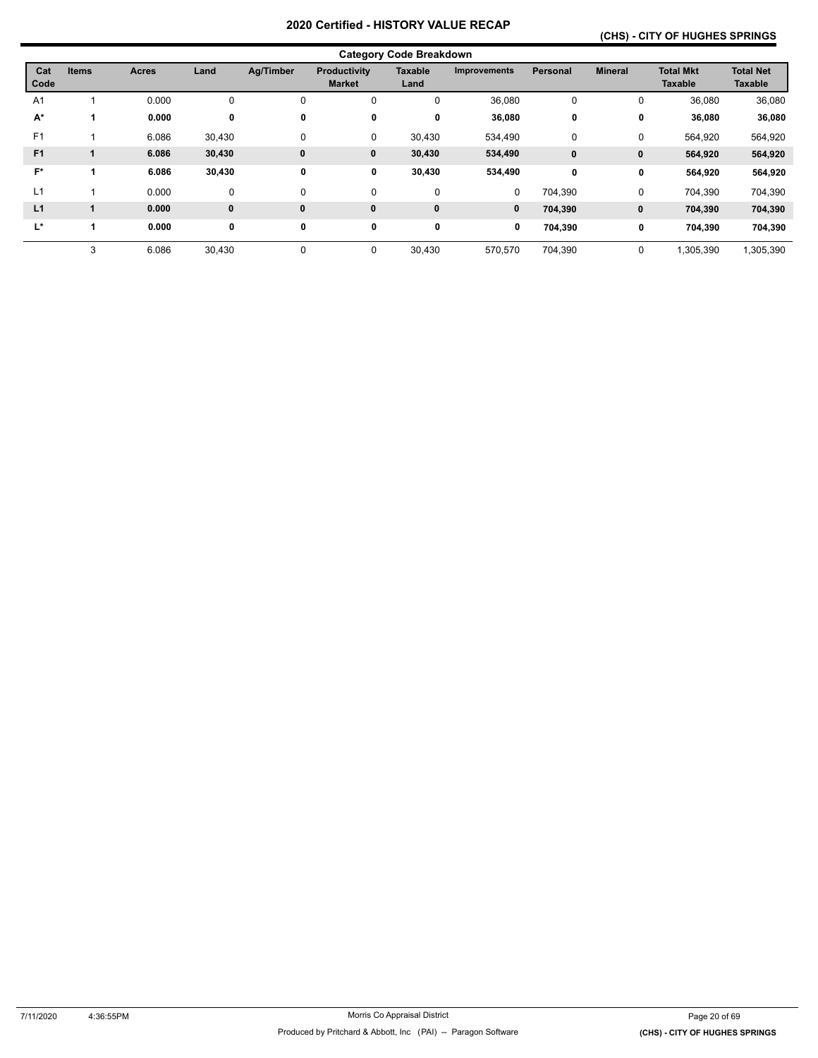## **(CHS) - CITY OF HUGHES SPRINGS**

|                | <b>Category Code Breakdown</b> |       |             |              |                               |                        |                     |             |                |                             |                                    |  |
|----------------|--------------------------------|-------|-------------|--------------|-------------------------------|------------------------|---------------------|-------------|----------------|-----------------------------|------------------------------------|--|
| Cat<br>Code    | <b>Items</b>                   | Acres | Land        | Ag/Timber    | Productivity<br><b>Market</b> | <b>Taxable</b><br>Land | <b>Improvements</b> | Personal    | <b>Mineral</b> | <b>Total Mkt</b><br>Taxable | <b>Total Net</b><br><b>Taxable</b> |  |
| A <sub>1</sub> |                                | 0.000 | 0           | 0            | 0                             | 0                      | 36,080              | 0           | 0              | 36,080                      | 36,080                             |  |
| A*             |                                | 0.000 | 0           | 0            | 0                             | 0                      | 36,080              | 0           | 0              | 36,080                      | 36,080                             |  |
| F <sub>1</sub> |                                | 6.086 | 30,430      | $\mathbf 0$  | 0                             | 30,430                 | 534,490             | $\mathbf 0$ | 0              | 564,920                     | 564,920                            |  |
| F <sub>1</sub> |                                | 6.086 | 30,430      | $\mathbf{0}$ | 0                             | 30,430                 | 534,490             | $\mathbf 0$ | 0              | 564,920                     | 564,920                            |  |
| $F^*$          |                                | 6.086 | 30,430      | 0            | 0                             | 30,430                 | 534,490             | 0           | 0              | 564,920                     | 564,920                            |  |
| L1             |                                | 0.000 | $\mathbf 0$ | $\mathbf 0$  | 0                             | 0                      | 0                   | 704,390     | 0              | 704.390                     | 704,390                            |  |
| L1             |                                | 0.000 | $\bf{0}$    | $\mathbf{0}$ | $\mathbf{0}$                  | $\bf{0}$               | $\bf{0}$            | 704,390     | 0              | 704,390                     | 704,390                            |  |
| L*             | 1                              | 0.000 | 0           | $\mathbf 0$  | 0                             | 0                      | 0                   | 704,390     | 0              | 704,390                     | 704,390                            |  |
|                | 3                              | 6.086 | 30,430      | 0            | 0                             | 30,430                 | 570,570             | 704,390     | 0              | ,305,390                    | 1,305,390                          |  |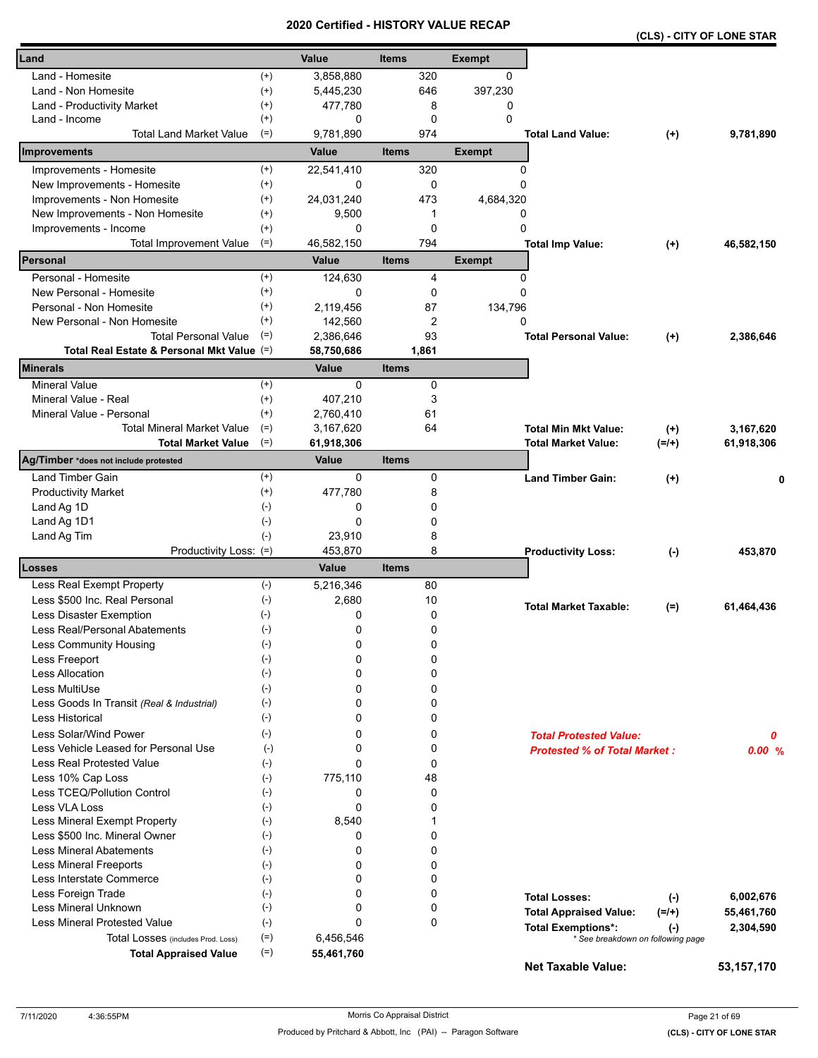|                                            |                    | <b>Certified</b> |              |              | - NIJIUNI VALUE NEUAR |                                     | (CLS) - CITY OF LONE STAR         |              |
|--------------------------------------------|--------------------|------------------|--------------|--------------|-----------------------|-------------------------------------|-----------------------------------|--------------|
| Land                                       |                    | Value            | <b>Items</b> |              | <b>Exempt</b>         |                                     |                                   |              |
| Land - Homesite                            | $^{(+)}$           | 3,858,880        |              | 320          | 0                     |                                     |                                   |              |
| Land - Non Homesite                        | $^{(+)}$           | 5,445,230        |              | 646          | 397,230               |                                     |                                   |              |
| Land - Productivity Market                 | $^{(+)}$           | 477,780          |              | 8            | 0                     |                                     |                                   |              |
| Land - Income                              | $^{(+)}$           | 0                |              | 0            | $\Omega$              |                                     |                                   |              |
| <b>Total Land Market Value</b>             | $(=)$              | 9,781,890        |              | 974          |                       | <b>Total Land Value:</b>            | $^{(+)}$                          | 9,781,890    |
| Improvements                               |                    | Value            | <b>Items</b> |              | <b>Exempt</b>         |                                     |                                   |              |
| Improvements - Homesite                    | $^{(+)}$           | 22,541,410       |              | 320          | 0                     |                                     |                                   |              |
| New Improvements - Homesite                | $^{(+)}$           | 0                |              | 0            | 0                     |                                     |                                   |              |
| Improvements - Non Homesite                | $^{(+)}$           | 24,031,240       |              | 473          | 4,684,320             |                                     |                                   |              |
| New Improvements - Non Homesite            | $^{(+)}$           | 9,500            |              | 1            | 0                     |                                     |                                   |              |
| Improvements - Income                      | $^{(+)}$           | 0                |              | 0            | 0                     |                                     |                                   |              |
| <b>Total Improvement Value</b>             | $(=)$              | 46,582,150       |              | 794          |                       | <b>Total Imp Value:</b>             | $^{(+)}$                          | 46,582,150   |
| Personal                                   |                    | <b>Value</b>     | <b>Items</b> |              | <b>Exempt</b>         |                                     |                                   |              |
| Personal - Homesite                        | $^{(+)}$           | 124,630          |              | 4            | 0                     |                                     |                                   |              |
| New Personal - Homesite                    | $^{(+)}$           | 0                |              | 0            | 0                     |                                     |                                   |              |
| Personal - Non Homesite                    | $^{(+)}$           | 2,119,456        |              | 87           | 134,796               |                                     |                                   |              |
| New Personal - Non Homesite                | $^{(+)}$           | 142,560          |              | 2            | 0                     |                                     |                                   |              |
| <b>Total Personal Value</b>                | $(=)$              | 2,386,646        |              | 93           |                       | <b>Total Personal Value:</b>        | $^{(+)}$                          | 2,386,646    |
| Total Real Estate & Personal Mkt Value (=) |                    | 58,750,686       |              | 1,861        |                       |                                     |                                   |              |
| <b>Minerals</b>                            |                    | Value            | <b>Items</b> |              |                       |                                     |                                   |              |
| <b>Mineral Value</b>                       | $^{(+)}$           | $\Omega$         |              | 0            |                       |                                     |                                   |              |
| Mineral Value - Real                       | $^{(+)}$           | 407,210          |              | 3            |                       |                                     |                                   |              |
| Mineral Value - Personal                   | $^{(+)}$           | 2,760,410        |              | 61           |                       |                                     |                                   |              |
| <b>Total Mineral Market Value</b>          | $(=)$              | 3,167,620        |              | 64           |                       | <b>Total Min Mkt Value:</b>         | $^{(+)}$                          | 3,167,620    |
| <b>Total Market Value</b>                  | $(=)$              | 61,918,306       |              |              |                       | <b>Total Market Value:</b>          | $(=/+)$                           | 61,918,306   |
| Ag/Timber *does not include protested      |                    | Value            | <b>Items</b> |              |                       |                                     |                                   |              |
| <b>Land Timber Gain</b>                    | $^{(+)}$           | 0                |              | 0            |                       | <b>Land Timber Gain:</b>            | $(+)$                             | 0            |
| <b>Productivity Market</b>                 | $^{(+)}$           | 477,780          |              | 8            |                       |                                     |                                   |              |
| Land Ag 1D                                 | $(-)$              | 0                |              | 0            |                       |                                     |                                   |              |
| Land Ag 1D1                                | $(-)$              | 0                |              | 0            |                       |                                     |                                   |              |
| Land Ag Tim                                | $(-)$              | 23,910           |              | 8            |                       |                                     |                                   |              |
| Productivity Loss: (=)                     |                    | 453,870          |              | 8            |                       | <b>Productivity Loss:</b>           | $(-)$                             | 453,870      |
| Losses                                     |                    | Value            | <b>Items</b> |              |                       |                                     |                                   |              |
| Less Real Exempt Property                  | $(-)$              | 5,216,346        |              | 80           |                       |                                     |                                   |              |
| Less \$500 Inc. Real Personal              | $(-)$              | 2,680            |              | 10           |                       | <b>Total Market Taxable:</b>        | $(=)$                             | 61,464,436   |
| Less Disaster Exemption                    | $(-)$              | 0                |              | 0            |                       |                                     |                                   |              |
| Less Real/Personal Abatements              | $(\textnormal{-})$ | 0                |              | 0            |                       |                                     |                                   |              |
| Less Community Housing                     | $(-)$              | 0                |              | 0            |                       |                                     |                                   |              |
| Less Freeport                              | $(-)$              | 0                |              | 0            |                       |                                     |                                   |              |
| Less Allocation                            | $(-)$              | 0                |              | 0            |                       |                                     |                                   |              |
| Less MultiUse                              | $(-)$              | 0                |              | 0            |                       |                                     |                                   |              |
| Less Goods In Transit (Real & Industrial)  | $(-)$              | 0                |              | 0            |                       |                                     |                                   |              |
| <b>Less Historical</b>                     | $(-)$              | 0                |              | 0            |                       |                                     |                                   |              |
| Less Solar/Wind Power                      | $(-)$              | 0                |              | 0            |                       | <b>Total Protested Value:</b>       |                                   | 0            |
| Less Vehicle Leased for Personal Use       | $(-)$              | 0                |              | 0            |                       | <b>Protested % of Total Market:</b> |                                   | 0.00%        |
| <b>Less Real Protested Value</b>           | $(-)$              | 0                |              | 0            |                       |                                     |                                   |              |
| Less 10% Cap Loss                          | $(-)$              | 775,110          |              | 48           |                       |                                     |                                   |              |
| Less TCEQ/Pollution Control                | $(-)$              | 0                |              | 0            |                       |                                     |                                   |              |
| Less VLA Loss                              | $(\cdot)$          | 0                |              | 0            |                       |                                     |                                   |              |
| Less Mineral Exempt Property               | $(-)$              | 8,540            |              | $\mathbf{1}$ |                       |                                     |                                   |              |
| Less \$500 Inc. Mineral Owner              | $(-)$              | 0                |              | 0            |                       |                                     |                                   |              |
| <b>Less Mineral Abatements</b>             | $(-)$              | 0                |              | 0            |                       |                                     |                                   |              |
| <b>Less Mineral Freeports</b>              | $(-)$              | 0                |              | 0            |                       |                                     |                                   |              |
| Less Interstate Commerce                   | $(\cdot)$          | 0                |              | 0            |                       |                                     |                                   |              |
| Less Foreign Trade                         | $(-)$              | 0                |              | 0            |                       | <b>Total Losses:</b>                | $(-)$                             | 6,002,676    |
| Less Mineral Unknown                       | $(-)$              | 0                |              | 0            |                       | <b>Total Appraised Value:</b>       | $(=/+)$                           | 55,461,760   |
| Less Mineral Protested Value               | $(-)$              | 0                |              | 0            |                       | <b>Total Exemptions*:</b>           | $(-)$                             | 2,304,590    |
| Total Losses (includes Prod. Loss)         | $(=)$              | 6,456,546        |              |              |                       |                                     | * See breakdown on following page |              |
| <b>Total Appraised Value</b>               | $(=)$              | 55,461,760       |              |              |                       | <b>Net Taxable Value:</b>           |                                   | 53, 157, 170 |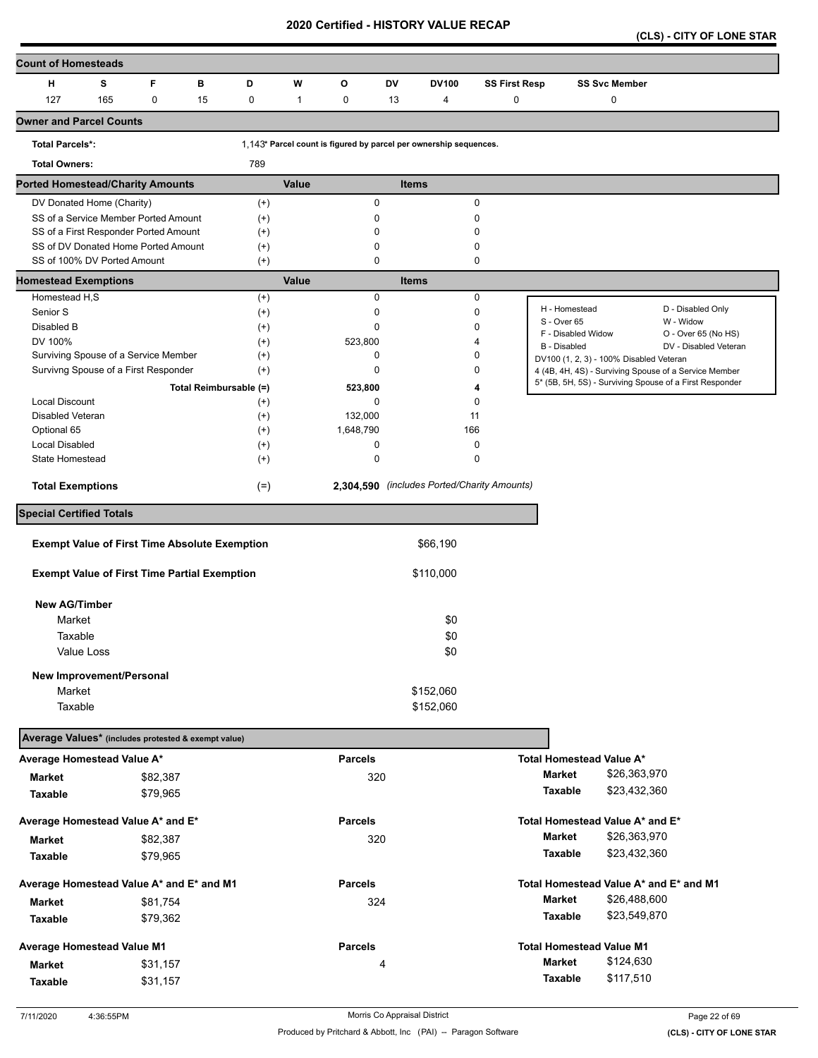**(CLS) - CITY OF LONE STAR** 

| <b>Count of Homesteads</b>                                         |     |          |                        |                      |              |                  |           |                                                                   |                      |                                         |                      |                                                         |  |
|--------------------------------------------------------------------|-----|----------|------------------------|----------------------|--------------|------------------|-----------|-------------------------------------------------------------------|----------------------|-----------------------------------------|----------------------|---------------------------------------------------------|--|
| н                                                                  | s   | F        | в                      | D                    | W            | o                | <b>DV</b> | <b>DV100</b>                                                      | <b>SS First Resp</b> |                                         | <b>SS Svc Member</b> |                                                         |  |
| 127                                                                | 165 | 0        | 15                     | $\pmb{0}$            | $\mathbf{1}$ | 0                | 13        | 4                                                                 | 0                    |                                         | $\pmb{0}$            |                                                         |  |
| <b>Owner and Parcel Counts</b>                                     |     |          |                        |                      |              |                  |           |                                                                   |                      |                                         |                      |                                                         |  |
| <b>Total Parcels*:</b>                                             |     |          |                        |                      |              |                  |           | 1,143* Parcel count is figured by parcel per ownership sequences. |                      |                                         |                      |                                                         |  |
| <b>Total Owners:</b>                                               |     |          |                        | 789                  |              |                  |           |                                                                   |                      |                                         |                      |                                                         |  |
| <b>Ported Homestead/Charity Amounts</b>                            |     |          |                        |                      | Value        |                  |           | <b>Items</b>                                                      |                      |                                         |                      |                                                         |  |
| DV Donated Home (Charity)                                          |     |          |                        | $^{(+)}$             |              | $\pmb{0}$        |           |                                                                   | 0                    |                                         |                      |                                                         |  |
| SS of a Service Member Ported Amount                               |     |          |                        | $^{(+)}$             |              | 0                |           |                                                                   | 0                    |                                         |                      |                                                         |  |
| SS of a First Responder Ported Amount                              |     |          |                        | $^{(+)}$             |              | $\mathbf 0$      |           |                                                                   | 0                    |                                         |                      |                                                         |  |
| SS of DV Donated Home Ported Amount<br>SS of 100% DV Ported Amount |     |          |                        | $^{(+)}$<br>$^{(+)}$ |              | $\mathbf 0$<br>0 |           |                                                                   | 0<br>0               |                                         |                      |                                                         |  |
| <b>Homestead Exemptions</b>                                        |     |          |                        |                      | Value        |                  |           | <b>Items</b>                                                      |                      |                                         |                      |                                                         |  |
| Homestead H,S                                                      |     |          |                        | $^{(+)}$             |              | 0                |           |                                                                   | 0                    |                                         |                      |                                                         |  |
| Senior S                                                           |     |          |                        | $^{(+)}$             |              | $\mathbf 0$      |           |                                                                   | 0                    | H - Homestead                           |                      | D - Disabled Only                                       |  |
| Disabled B                                                         |     |          |                        | $^{(+)}$             |              | $\mathbf 0$      |           |                                                                   | 0                    | S - Over 65                             |                      | W - Widow                                               |  |
| DV 100%                                                            |     |          |                        | $^{(+)}$             |              | 523,800          |           |                                                                   | 4                    | F - Disabled Widow<br>B - Disabled      |                      | O - Over 65 (No HS)<br>DV - Disabled Veteran            |  |
| Surviving Spouse of a Service Member                               |     |          |                        | $^{(+)}$             |              | 0                |           |                                                                   | 0                    | DV100 (1, 2, 3) - 100% Disabled Veteran |                      |                                                         |  |
| Survivng Spouse of a First Responder                               |     |          |                        | $^{(+)}$             |              | $\mathbf 0$      |           |                                                                   | 0                    |                                         |                      | 4 (4B, 4H, 4S) - Surviving Spouse of a Service Member   |  |
|                                                                    |     |          | Total Reimbursable (=) |                      |              | 523,800          |           |                                                                   | 4                    |                                         |                      | 5* (5B, 5H, 5S) - Surviving Spouse of a First Responder |  |
| Local Discount                                                     |     |          |                        | $^{(+)}$             |              | 0                |           |                                                                   | 0                    |                                         |                      |                                                         |  |
| <b>Disabled Veteran</b>                                            |     |          |                        | $^{(+)}$             |              | 132,000          |           |                                                                   | 11                   |                                         |                      |                                                         |  |
| Optional 65                                                        |     |          |                        | $^{(+)}$             |              | 1,648,790        |           | 166                                                               |                      |                                         |                      |                                                         |  |
| Local Disabled                                                     |     |          |                        | $^{(+)}$             |              | 0                |           |                                                                   | 0                    |                                         |                      |                                                         |  |
| State Homestead                                                    |     |          |                        | $^{(+)}$             |              | 0                |           |                                                                   | 0                    |                                         |                      |                                                         |  |
| <b>Total Exemptions</b>                                            |     |          |                        | $(=)$                |              |                  |           | 2,304,590 (includes Ported/Charity Amounts)                       |                      |                                         |                      |                                                         |  |
| <b>Special Certified Totals</b>                                    |     |          |                        |                      |              |                  |           |                                                                   |                      |                                         |                      |                                                         |  |
|                                                                    |     |          |                        |                      |              |                  |           |                                                                   |                      |                                         |                      |                                                         |  |
| <b>Exempt Value of First Time Absolute Exemption</b>               |     |          |                        |                      |              |                  |           | \$66,190                                                          |                      |                                         |                      |                                                         |  |
| <b>Exempt Value of First Time Partial Exemption</b>                |     |          |                        |                      |              |                  |           | \$110,000                                                         |                      |                                         |                      |                                                         |  |
| <b>New AG/Timber</b>                                               |     |          |                        |                      |              |                  |           |                                                                   |                      |                                         |                      |                                                         |  |
| Market                                                             |     |          |                        |                      |              |                  |           | \$0                                                               |                      |                                         |                      |                                                         |  |
| Taxable                                                            |     |          |                        |                      |              |                  |           | \$0                                                               |                      |                                         |                      |                                                         |  |
| Value Loss                                                         |     |          |                        |                      |              |                  |           | \$0                                                               |                      |                                         |                      |                                                         |  |
|                                                                    |     |          |                        |                      |              |                  |           |                                                                   |                      |                                         |                      |                                                         |  |
| New Improvement/Personal<br>Market                                 |     |          |                        |                      |              |                  |           | \$152,060                                                         |                      |                                         |                      |                                                         |  |
| Taxable                                                            |     |          |                        |                      |              |                  |           | \$152,060                                                         |                      |                                         |                      |                                                         |  |
|                                                                    |     |          |                        |                      |              |                  |           |                                                                   |                      |                                         |                      |                                                         |  |
| Average Values* (includes protested & exempt value)                |     |          |                        |                      |              |                  |           |                                                                   |                      |                                         |                      |                                                         |  |
| Average Homestead Value A*                                         |     |          |                        |                      |              | <b>Parcels</b>   |           |                                                                   |                      | <b>Total Homestead Value A*</b>         |                      |                                                         |  |
| <b>Market</b>                                                      |     | \$82,387 |                        |                      |              | 320              |           |                                                                   |                      | Market                                  | \$26,363,970         |                                                         |  |
| Taxable                                                            |     | \$79,965 |                        |                      |              |                  |           |                                                                   |                      | Taxable                                 | \$23,432,360         |                                                         |  |
| Average Homestead Value A* and E*                                  |     |          |                        |                      |              | <b>Parcels</b>   |           |                                                                   |                      | Total Homestead Value A* and E*         |                      |                                                         |  |
| Market                                                             |     | \$82,387 |                        |                      |              | 320              |           |                                                                   |                      | Market                                  | \$26,363,970         |                                                         |  |
| Taxable                                                            |     | \$79,965 |                        |                      |              |                  |           |                                                                   |                      | <b>Taxable</b>                          | \$23,432,360         |                                                         |  |
| Average Homestead Value A* and E* and M1                           |     |          |                        |                      |              | <b>Parcels</b>   |           |                                                                   |                      | Total Homestead Value A* and E* and M1  |                      |                                                         |  |
| <b>Market</b>                                                      |     | \$81,754 |                        |                      |              | 324              |           |                                                                   |                      | <b>Market</b>                           | \$26,488,600         |                                                         |  |
| Taxable                                                            |     | \$79,362 |                        |                      |              |                  |           |                                                                   |                      | Taxable                                 | \$23,549,870         |                                                         |  |
| Average Homestead Value M1                                         |     |          |                        |                      |              | <b>Parcels</b>   |           |                                                                   |                      | <b>Total Homestead Value M1</b>         |                      |                                                         |  |
|                                                                    |     |          |                        |                      |              |                  |           |                                                                   |                      | Market                                  | \$124,630            |                                                         |  |
| <b>Market</b>                                                      |     | \$31,157 |                        |                      |              |                  | 4         |                                                                   |                      | Taxable                                 | \$117,510            |                                                         |  |
| <b>Taxable</b>                                                     |     | \$31,157 |                        |                      |              |                  |           |                                                                   |                      |                                         |                      |                                                         |  |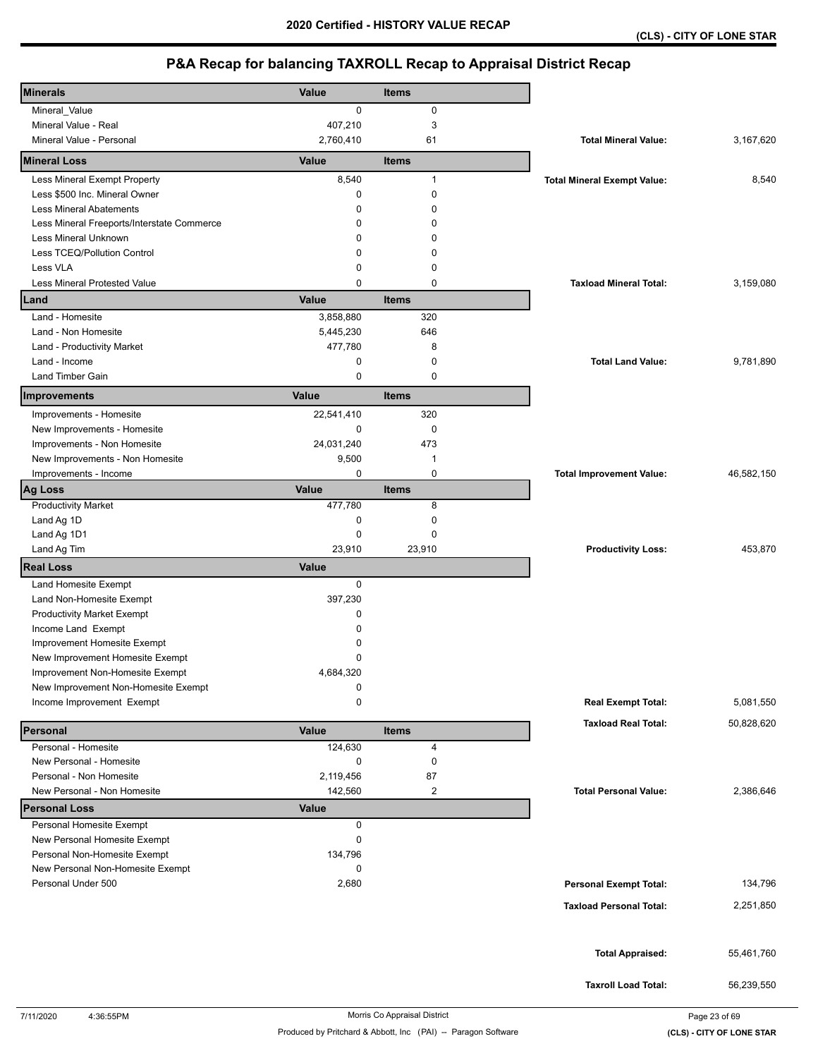| <b>Minerals</b>                            | <b>Value</b> | Items                   |                                    |            |
|--------------------------------------------|--------------|-------------------------|------------------------------------|------------|
| Mineral_Value                              | 0            | 0                       |                                    |            |
| Mineral Value - Real                       | 407,210      | $\sqrt{3}$              |                                    |            |
| Mineral Value - Personal                   | 2,760,410    | 61                      | <b>Total Mineral Value:</b>        | 3,167,620  |
| <b>Mineral Loss</b>                        | Value        | <b>Items</b>            |                                    |            |
| Less Mineral Exempt Property               | 8,540        | $\mathbf{1}$            | <b>Total Mineral Exempt Value:</b> | 8,540      |
| Less \$500 Inc. Mineral Owner              | 0            | $\mathbf 0$             |                                    |            |
| <b>Less Mineral Abatements</b>             | 0            | 0                       |                                    |            |
| Less Mineral Freeports/Interstate Commerce | 0            | 0                       |                                    |            |
| Less Mineral Unknown                       | 0            | 0                       |                                    |            |
| Less TCEQ/Pollution Control                | 0            | 0                       |                                    |            |
| Less VLA                                   | 0            | 0                       |                                    |            |
| Less Mineral Protested Value               | 0            | $\mathbf 0$             | <b>Taxload Mineral Total:</b>      | 3,159,080  |
| Land                                       | Value        | <b>Items</b>            |                                    |            |
| Land - Homesite                            | 3,858,880    | 320                     |                                    |            |
| Land - Non Homesite                        | 5,445,230    | 646                     |                                    |            |
| Land - Productivity Market                 | 477,780      | 8                       |                                    |            |
| Land - Income                              | 0            | 0                       | <b>Total Land Value:</b>           | 9,781,890  |
| Land Timber Gain                           | $\mathbf 0$  | $\mathbf 0$             |                                    |            |
| Improvements                               | Value        | <b>Items</b>            |                                    |            |
| Improvements - Homesite                    | 22,541,410   | 320                     |                                    |            |
| New Improvements - Homesite                | $\mathbf 0$  | 0                       |                                    |            |
| Improvements - Non Homesite                | 24,031,240   | 473                     |                                    |            |
| New Improvements - Non Homesite            | 9,500        | $\mathbf{1}$            |                                    |            |
| Improvements - Income                      | 0            | 0                       | <b>Total Improvement Value:</b>    | 46,582,150 |
| <b>Ag Loss</b>                             | Value        | <b>Items</b>            |                                    |            |
| <b>Productivity Market</b>                 | 477,780      | 8                       |                                    |            |
| Land Ag 1D                                 | 0            | $\mathbf 0$             |                                    |            |
| Land Ag 1D1                                | 0            | 0                       |                                    |            |
| Land Ag Tim                                | 23,910       | 23,910                  | <b>Productivity Loss:</b>          | 453,870    |
| <b>Real Loss</b>                           | <b>Value</b> |                         |                                    |            |
| Land Homesite Exempt                       | 0            |                         |                                    |            |
| Land Non-Homesite Exempt                   | 397,230      |                         |                                    |            |
| <b>Productivity Market Exempt</b>          | 0            |                         |                                    |            |
| Income Land Exempt                         | $\Omega$     |                         |                                    |            |
| Improvement Homesite Exempt                | 0            |                         |                                    |            |
| New Improvement Homesite Exempt            | 0            |                         |                                    |            |
| Improvement Non-Homesite Exempt            | 4,684,320    |                         |                                    |            |
| New Improvement Non-Homesite Exempt        | 0            |                         |                                    |            |
| Income Improvement Exempt                  | 0            |                         | <b>Real Exempt Total:</b>          | 5,081,550  |
| Personal                                   | Value        | <b>Items</b>            | <b>Taxload Real Total:</b>         | 50,828,620 |
| Personal - Homesite                        | 124,630      | 4                       |                                    |            |
| New Personal - Homesite                    | 0            | 0                       |                                    |            |
| Personal - Non Homesite                    | 2,119,456    | 87                      |                                    |            |
| New Personal - Non Homesite                | 142,560      | $\overline{\mathbf{c}}$ | <b>Total Personal Value:</b>       | 2,386,646  |
| <b>Personal Loss</b>                       | <b>Value</b> |                         |                                    |            |
| Personal Homesite Exempt                   | 0            |                         |                                    |            |
| New Personal Homesite Exempt               | 0            |                         |                                    |            |
| Personal Non-Homesite Exempt               | 134,796      |                         |                                    |            |
| New Personal Non-Homesite Exempt           | 0            |                         |                                    |            |
| Personal Under 500                         | 2,680        |                         | <b>Personal Exempt Total:</b>      | 134,796    |
|                                            |              |                         | <b>Taxload Personal Total:</b>     | 2,251,850  |
|                                            |              |                         |                                    |            |
|                                            |              |                         |                                    |            |
|                                            |              |                         | <b>Total Appraised:</b>            | 55,461,760 |
|                                            |              |                         |                                    |            |
|                                            |              |                         | <b>Taxroll Load Total:</b>         | 56,239,550 |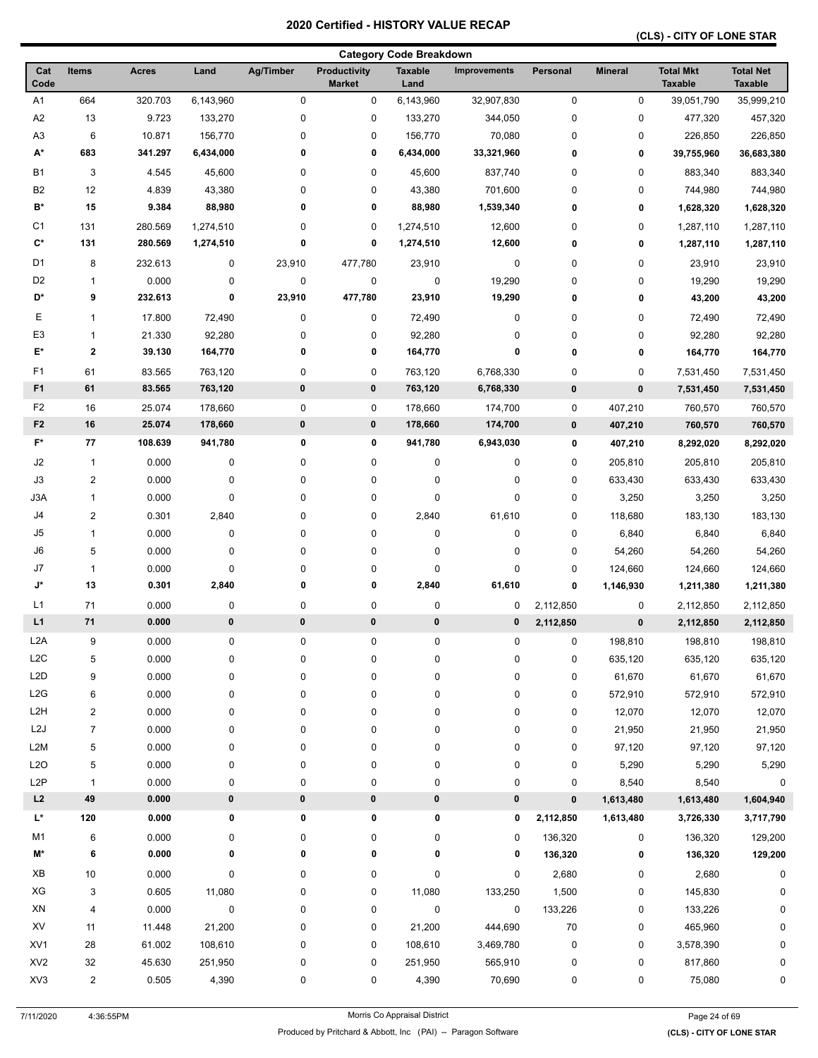## **(CLS) - CITY OF LONE STAR**

|                      |                         |              |           |           |                                      | <b>Category Code Breakdown</b> |                     |             |                |                                    |                                    |
|----------------------|-------------------------|--------------|-----------|-----------|--------------------------------------|--------------------------------|---------------------|-------------|----------------|------------------------------------|------------------------------------|
| Cat<br>Code          | <b>Items</b>            | <b>Acres</b> | Land      | Ag/Timber | <b>Productivity</b><br><b>Market</b> | <b>Taxable</b><br>Land         | <b>Improvements</b> | Personal    | <b>Mineral</b> | <b>Total Mkt</b><br><b>Taxable</b> | <b>Total Net</b><br><b>Taxable</b> |
| A1                   | 664                     | 320.703      | 6,143,960 | $\pmb{0}$ | 0                                    | 6,143,960                      | 32,907,830          | $\pmb{0}$   | 0              | 39,051,790                         | 35,999,210                         |
| A2                   | 13                      | 9.723        | 133,270   | $\pmb{0}$ | 0                                    | 133,270                        | 344,050             | 0           | 0              | 477,320                            | 457,320                            |
| A <sub>3</sub>       | 6                       | 10.871       | 156,770   | 0         | 0                                    | 156,770                        | 70,080              | 0           | 0              | 226,850                            | 226,850                            |
| A*                   | 683                     | 341.297      | 6,434,000 | 0         | 0                                    | 6,434,000                      | 33,321,960          | 0           | 0              | 39,755,960                         | 36,683,380                         |
| <b>B1</b>            | 3                       | 4.545        | 45,600    | 0         | 0                                    | 45,600                         | 837,740             | 0           | 0              | 883,340                            | 883,340                            |
| B <sub>2</sub>       | 12                      | 4.839        | 43,380    | 0         | 0                                    | 43,380                         | 701,600             | 0           | 0              | 744,980                            | 744,980                            |
| $\mathbf{B}^{\star}$ | 15                      | 9.384        | 88,980    | 0         | 0                                    | 88,980                         | 1,539,340           | 0           | 0              | 1,628,320                          | 1,628,320                          |
| C <sub>1</sub>       | 131                     | 280.569      | 1,274,510 | 0         | 0                                    | 1,274,510                      | 12,600              | 0           | 0              | 1,287,110                          | 1,287,110                          |
| $\mathbf{C}^*$       | 131                     | 280.569      | 1,274,510 | 0         | 0                                    | 1,274,510                      | 12,600              | 0           | 0              | 1,287,110                          | 1,287,110                          |
| D <sub>1</sub>       | 8                       | 232.613      | 0         | 23,910    | 477,780                              | 23,910                         | 0                   | 0           | 0              | 23,910                             | 23,910                             |
| D <sub>2</sub>       | $\mathbf{1}$            | 0.000        | 0         | $\pmb{0}$ | 0                                    | $\pmb{0}$                      | 19,290              | 0           | 0              | 19,290                             | 19,290                             |
| D*                   | 9                       | 232.613      | 0         | 23,910    | 477,780                              | 23,910                         | 19,290              | 0           | 0              | 43,200                             | 43,200                             |
| Е                    | $\mathbf{1}$            | 17.800       | 72,490    | 0         | 0                                    | 72,490                         | 0                   | 0           | 0              | 72,490                             | 72,490                             |
| E3                   | $\mathbf{1}$            | 21.330       | 92,280    | 0         | 0                                    | 92,280                         | 0                   | 0           | 0              | 92,280                             | 92,280                             |
| E*                   | $\mathbf 2$             | 39.130       | 164,770   | 0         | 0                                    | 164,770                        | 0                   | 0           | 0              |                                    | 164,770                            |
|                      |                         |              |           |           |                                      |                                |                     |             |                | 164,770                            |                                    |
| F1                   | 61                      | 83.565       | 763,120   | 0         | 0                                    | 763,120                        | 6,768,330           | 0           | 0              | 7,531,450                          | 7,531,450                          |
| F <sub>1</sub>       | 61                      | 83.565       | 763,120   | $\pmb{0}$ | 0                                    | 763,120                        | 6,768,330           | $\pmb{0}$   | $\pmb{0}$      | 7,531,450                          | 7,531,450                          |
| F <sub>2</sub>       | 16                      | 25.074       | 178,660   | $\pmb{0}$ | 0                                    | 178,660                        | 174,700             | 0           | 407,210        | 760,570                            | 760,570                            |
| F <sub>2</sub>       | 16                      | 25.074       | 178,660   | $\pmb{0}$ | 0                                    | 178,660                        | 174,700             | $\mathbf 0$ | 407,210        | 760,570                            | 760,570                            |
| F*                   | 77                      | 108.639      | 941,780   | 0         | 0                                    | 941,780                        | 6,943,030           | 0           | 407,210        | 8,292,020                          | 8,292,020                          |
| J2                   | $\mathbf{1}$            | 0.000        | $\pmb{0}$ | 0         | 0                                    | $\pmb{0}$                      | 0                   | 0           | 205,810        | 205,810                            | 205,810                            |
| J3                   | $\overline{2}$          | 0.000        | $\pmb{0}$ | $\pmb{0}$ | 0                                    | $\mathbf 0$                    | 0                   | 0           | 633,430        | 633,430                            | 633,430                            |
| J3A                  | $\mathbf{1}$            | 0.000        | $\pmb{0}$ | 0         | 0                                    | $\mathbf 0$                    | 0                   | 0           | 3,250          | 3,250                              | 3,250                              |
| J4                   | $\overline{c}$          | 0.301        | 2,840     | 0         | 0                                    | 2,840                          | 61,610              | 0           | 118,680        | 183,130                            | 183,130                            |
| J5                   | $\mathbf 1$             | 0.000        | 0         | 0         | 0                                    | 0                              | 0                   | 0           | 6,840          | 6,840                              | 6,840                              |
| J6                   | 5                       | 0.000        | 0         | 0         | 0                                    | 0                              | 0                   | 0           | 54,260         | 54,260                             | 54,260                             |
| J7                   | $\mathbf{1}$            | 0.000        | $\pmb{0}$ | 0         | 0                                    | $\mathbf 0$                    | 0                   | 0           | 124,660        | 124,660                            | 124,660                            |
| J*                   | 13                      | 0.301        | 2,840     | 0         | 0                                    | 2,840                          | 61,610              | 0           | 1,146,930      | 1,211,380                          | 1,211,380                          |
| L1                   | 71                      | 0.000        | 0         | 0         | 0                                    | 0                              | 0                   | 2,112,850   | 0              | 2,112,850                          | 2,112,850                          |
| L1                   | 71                      | 0.000        | $\pmb{0}$ | $\bf{0}$  | 0                                    | 0                              | 0                   | 2,112,850   | $\pmb{0}$      | 2,112,850                          | 2,112,850                          |
| L <sub>2</sub> A     | 9                       | 0.000        | 0         | 0         | 0                                    | $\pmb{0}$                      | 0                   | 0           | 198,810        | 198,810                            | 198,810                            |
| L <sub>2</sub> C     | $\sqrt{5}$              | 0.000        | 0         | 0         | 0                                    | $\pmb{0}$                      | 0                   | 0           | 635,120        | 635,120                            | 635,120                            |
| L <sub>2</sub> D     | 9                       | 0.000        | 0         | 0         | 0                                    | 0                              | 0                   | 0           | 61,670         | 61,670                             | 61,670                             |
| L2G                  | 6                       | 0.000        | 0         | 0         | 0                                    | 0                              | 0                   | 0           | 572,910        | 572,910                            | 572,910                            |
| L <sub>2</sub> H     | $\overline{\mathbf{c}}$ | 0.000        | 0         | 0         | 0                                    | 0                              | 0                   | 0           | 12,070         | 12,070                             | 12,070                             |
| L <sub>2</sub> J     | $\overline{7}$          | 0.000        | 0         | 0         | 0                                    | 0                              | 0                   | 0           | 21,950         | 21,950                             | 21,950                             |
| L <sub>2</sub> M     | $\,$ 5 $\,$             | 0.000        | 0         | 0         | 0                                    | 0                              | 0                   | 0           | 97,120         | 97,120                             | 97,120                             |
| L2O                  | 5                       | 0.000        | 0         | 0         | 0                                    | 0                              | 0                   | 0           | 5,290          | 5,290                              | 5,290                              |
| L <sub>2</sub> P     | $\mathbf{1}$            | 0.000        | 0         | $\pmb{0}$ | 0                                    | 0                              | 0                   | 0           | 8,540          | 8,540                              | $\pmb{0}$                          |
| $\mathsf{L2}$        | 49                      | 0.000        | $\pmb{0}$ | $\pmb{0}$ | 0                                    | 0                              | 0                   | $\bf{0}$    | 1,613,480      | 1,613,480                          | 1,604,940                          |
| L*                   | 120                     | 0.000        | 0         | 0         | 0                                    | 0                              | 0                   | 2,112,850   | 1,613,480      | 3,726,330                          | 3,717,790                          |
| M1                   | 6                       | 0.000        | 0         | 0         | 0                                    | 0                              | 0                   | 136,320     | 0              | 136,320                            | 129,200                            |
| M*                   | 6                       | 0.000        | 0         | 0         | 0                                    | 0                              | 0                   | 136,320     | 0              | 136,320                            | 129,200                            |
| XB                   | $10$                    | 0.000        | 0         | 0         | 0                                    | 0                              | 0                   | 2,680       | 0              | 2,680                              | 0                                  |
| XG                   | 3                       | 0.605        | 11,080    | 0         | 0                                    | 11,080                         | 133,250             | 1,500       | 0              | 145,830                            | 0                                  |
| XN                   | 4                       | 0.000        | $\pmb{0}$ | 0         | 0                                    | $\pmb{0}$                      | 0                   | 133,226     | 0              | 133,226                            | 0                                  |
| XV                   | 11                      | 11.448       | 21,200    | 0         | 0                                    | 21,200                         | 444,690             | $70\,$      | 0              | 465,960                            | 0                                  |
| XV <sub>1</sub>      |                         |              |           |           |                                      |                                |                     |             |                |                                    |                                    |
|                      | 28                      | 61.002       | 108,610   | 0         | 0                                    | 108,610                        | 3,469,780           | 0           | 0              | 3,578,390                          | 0                                  |
| XV <sub>2</sub>      | $32\,$                  | 45.630       | 251,950   | 0         | 0                                    | 251,950                        | 565,910             | 0           | 0              | 817,860                            | 0                                  |
| XV3                  | $\overline{\mathbf{c}}$ | 0.505        | 4,390     | 0         | 0                                    | 4,390                          | 70,690              | 0           | 0              | 75,080                             | 0                                  |

7/11/2020 4:36:55PM Morris Co Appraisal District Page 24 of 69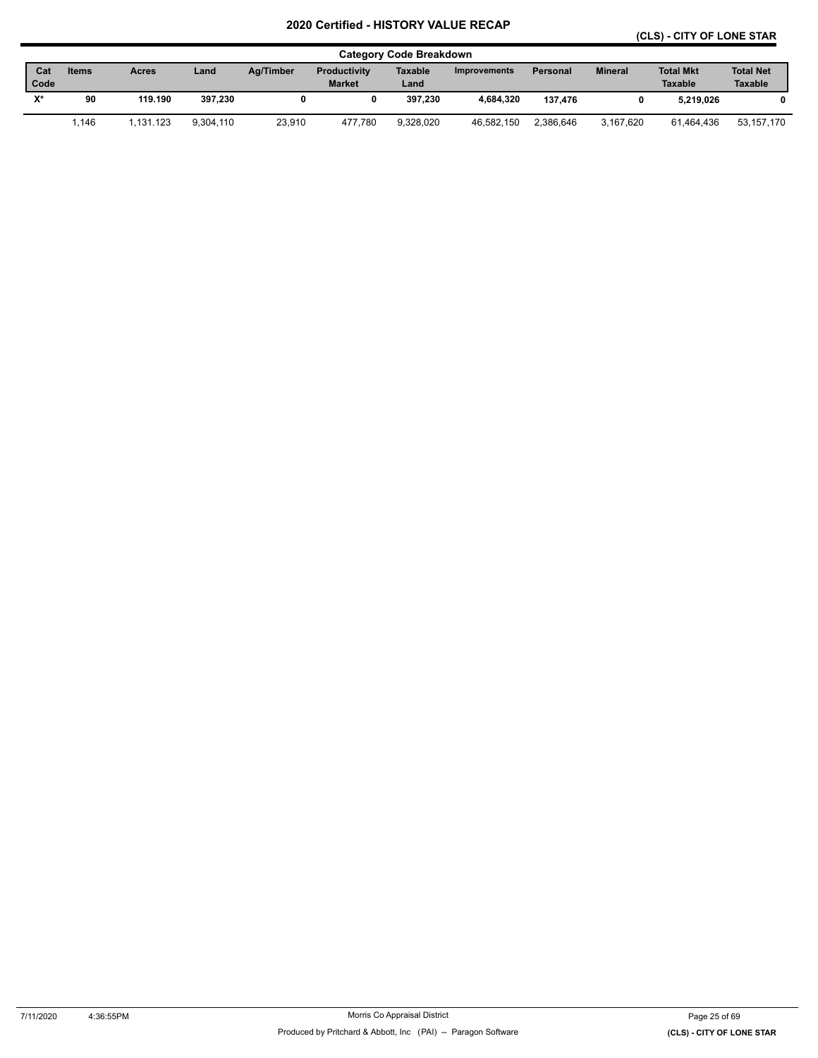## **(CLS) - CITY OF LONE STAR**

|                |       |              |           |           |                     | <b>Category Code Breakdown</b> |                     |           |                |                  |                  |
|----------------|-------|--------------|-----------|-----------|---------------------|--------------------------------|---------------------|-----------|----------------|------------------|------------------|
| Cat            | Items | <b>Acres</b> | Land      | Ag/Timber | <b>Productivity</b> | Taxable                        | <b>Improvements</b> | Personal  | <b>Mineral</b> | <b>Total Mkt</b> | <b>Total Net</b> |
| Code           |       |              |           |           | <b>Market</b>       | Land                           |                     |           |                | <b>Taxable</b>   | <b>Taxable</b>   |
| $\mathbf{v}$ * | 90    | 119.190      | 397.230   |           |                     | 397.230                        | 4.684.320           | 137.476   |                | 5.219.026        | 0                |
|                | 1.146 | 1.131.123    | 9.304.110 | 23,910    | 477.780             | 9.328.020                      | 46.582.150          | 2.386.646 | 3.167.620      | 61.464.436       | 53,157,170       |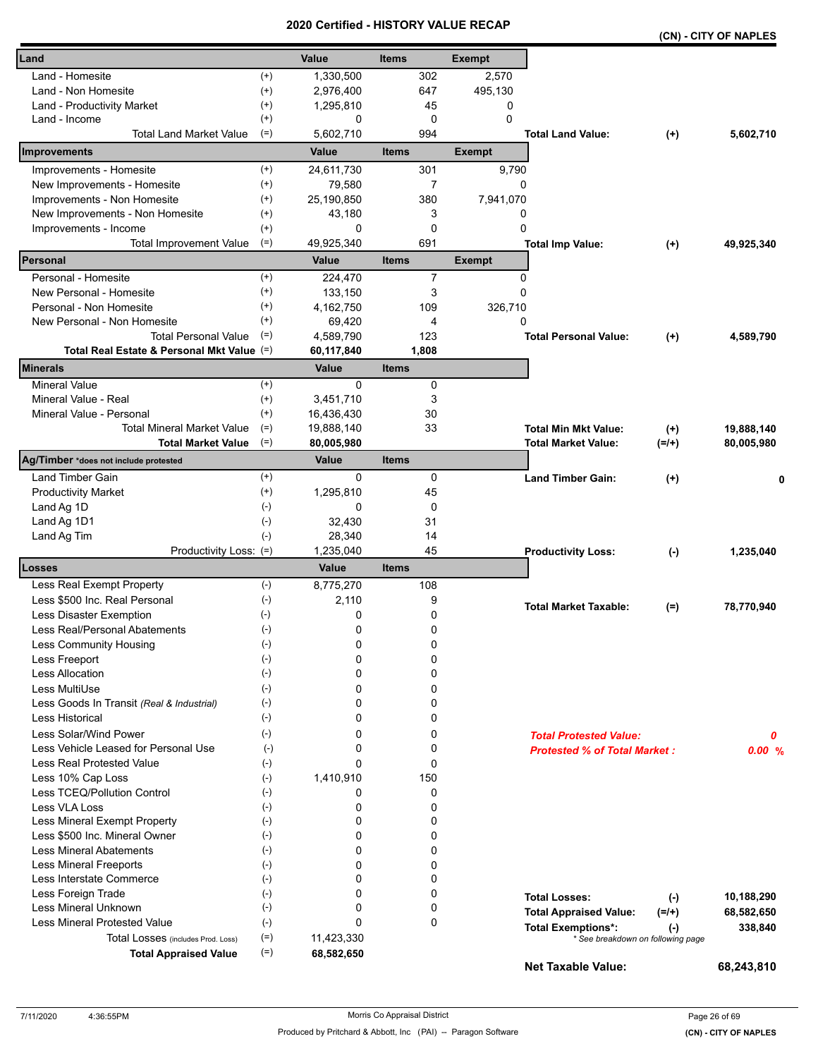|                                            |                             |                    | <b>CEILIIIEU - NIJI URI VALUE RECAP</b> |               |                                                                | (CN) - CITY OF NAPLES |            |
|--------------------------------------------|-----------------------------|--------------------|-----------------------------------------|---------------|----------------------------------------------------------------|-----------------------|------------|
| Land                                       |                             | Value              | <b>Items</b>                            | <b>Exempt</b> |                                                                |                       |            |
| Land - Homesite                            | $^{(+)}$                    | 1,330,500          | 302                                     | 2,570         |                                                                |                       |            |
| Land - Non Homesite                        | $^{(+)}$                    | 2,976,400          | 647                                     | 495,130       |                                                                |                       |            |
| Land - Productivity Market                 | $^{(+)}$                    | 1,295,810          | 45                                      | 0             |                                                                |                       |            |
| Land - Income                              | $^{(+)}$                    | 0                  | 0                                       | $\mathbf 0$   |                                                                |                       |            |
| <b>Total Land Market Value</b>             | $(=)$                       | 5,602,710          | 994                                     |               | <b>Total Land Value:</b>                                       | $(+)$                 | 5,602,710  |
| Improvements                               |                             | Value              | <b>Items</b>                            | <b>Exempt</b> |                                                                |                       |            |
| Improvements - Homesite                    | $^{(+)}$                    | 24,611,730         | 301                                     | 9,790         |                                                                |                       |            |
| New Improvements - Homesite                | $^{(+)}$                    | 79,580             | 7                                       |               | 0                                                              |                       |            |
| Improvements - Non Homesite                | $^{(+)}$                    | 25,190,850         | 380                                     | 7,941,070     |                                                                |                       |            |
| New Improvements - Non Homesite            | $^{(+)}$                    | 43,180             | 3                                       |               | 0                                                              |                       |            |
| Improvements - Income                      | $^{(+)}$                    | 0                  | 0                                       |               | 0                                                              |                       |            |
| <b>Total Improvement Value</b>             | $(=)$                       | 49,925,340         | 691                                     |               | <b>Total Imp Value:</b>                                        | $(+)$                 | 49,925,340 |
| Personal                                   |                             | <b>Value</b>       | <b>Items</b>                            | <b>Exempt</b> |                                                                |                       |            |
| Personal - Homesite                        | $^{(+)}$                    | 224,470            | $\overline{7}$                          |               | 0                                                              |                       |            |
| New Personal - Homesite                    | $^{(+)}$                    | 133,150            | 3                                       |               | 0                                                              |                       |            |
| Personal - Non Homesite                    | $^{(+)}$                    | 4,162,750          | 109                                     | 326,710       |                                                                |                       |            |
| New Personal - Non Homesite                | $^{(+)}$                    | 69,420             | 4                                       |               | 0                                                              |                       |            |
| <b>Total Personal Value</b>                | $(=)$                       | 4,589,790          | 123                                     |               | <b>Total Personal Value:</b>                                   | $(+)$                 | 4,589,790  |
| Total Real Estate & Personal Mkt Value (=) |                             | 60,117,840         | 1,808                                   |               |                                                                |                       |            |
| Minerals                                   |                             | Value              | <b>Items</b>                            |               |                                                                |                       |            |
| <b>Mineral Value</b>                       | $^{(+)}$                    | $\Omega$           | 0                                       |               |                                                                |                       |            |
| Mineral Value - Real                       | $^{(+)}$                    | 3,451,710          | 3                                       |               |                                                                |                       |            |
| Mineral Value - Personal                   | $^{(+)}$                    | 16,436,430         | 30                                      |               |                                                                |                       |            |
| <b>Total Mineral Market Value</b>          | $(=)$                       | 19,888,140         | 33                                      |               | <b>Total Min Mkt Value:</b>                                    | $(+)$                 | 19,888,140 |
| <b>Total Market Value</b>                  | $(=)$                       | 80,005,980         |                                         |               | <b>Total Market Value:</b>                                     | $(=/+)$               | 80,005,980 |
| Ag/Timber *does not include protested      |                             | Value              | <b>Items</b>                            |               |                                                                |                       |            |
| Land Timber Gain                           | $^{(+)}$                    | 0                  | 0                                       |               | <b>Land Timber Gain:</b>                                       | $(+)$                 | 0          |
| <b>Productivity Market</b>                 | $^{(+)}$                    | 1,295,810          | 45                                      |               |                                                                |                       |            |
| Land Ag 1D                                 | $(-)$                       | 0                  | 0                                       |               |                                                                |                       |            |
| Land Ag 1D1                                | $(-)$                       | 32,430             | 31                                      |               |                                                                |                       |            |
| Land Ag Tim                                | $(-)$                       | 28,340             | 14                                      |               |                                                                |                       |            |
| Productivity Loss: (=)<br>Losses           |                             | 1,235,040<br>Value | 45<br><b>Items</b>                      |               | <b>Productivity Loss:</b>                                      | $(-)$                 | 1,235,040  |
| Less Real Exempt Property                  | $(-)$                       | 8,775,270          | 108                                     |               |                                                                |                       |            |
| Less \$500 Inc. Real Personal              | $(\text{-})$                | 2,110              | 9                                       |               |                                                                |                       |            |
| Less Disaster Exemption                    |                             | 0                  | 0                                       |               | <b>Total Market Taxable:</b>                                   | $(=)$                 | 78,770,940 |
| Less Real/Personal Abatements              | $(-)$                       | 0                  | 0                                       |               |                                                                |                       |            |
| Less Community Housing                     | $(\textnormal{-})$<br>$(-)$ | 0                  | 0                                       |               |                                                                |                       |            |
| Less Freeport                              | $(-)$                       | 0                  | 0                                       |               |                                                                |                       |            |
| Less Allocation                            | $(-)$                       | 0                  | 0                                       |               |                                                                |                       |            |
| Less MultiUse                              | $(-)$                       | 0                  | 0                                       |               |                                                                |                       |            |
| Less Goods In Transit (Real & Industrial)  | $(-)$                       | 0                  | 0                                       |               |                                                                |                       |            |
| Less Historical                            | $(-)$                       | 0                  | 0                                       |               |                                                                |                       |            |
| Less Solar/Wind Power                      | $(-)$                       | 0                  | 0                                       |               |                                                                |                       |            |
| Less Vehicle Leased for Personal Use       | $(-)$                       | 0                  | 0                                       |               | <b>Total Protested Value:</b>                                  |                       | 0          |
| Less Real Protested Value                  | $(-)$                       | 0                  | 0                                       |               | <b>Protested % of Total Market:</b>                            |                       | 0.00%      |
| Less 10% Cap Loss                          | $(-)$                       | 1,410,910          | 150                                     |               |                                                                |                       |            |
| Less TCEQ/Pollution Control                | $(-)$                       | 0                  | 0                                       |               |                                                                |                       |            |
| Less VLA Loss                              | $(-)$                       | 0                  | 0                                       |               |                                                                |                       |            |
| Less Mineral Exempt Property               | $(-)$                       | 0                  | 0                                       |               |                                                                |                       |            |
| Less \$500 Inc. Mineral Owner              | $(-)$                       | 0                  | 0                                       |               |                                                                |                       |            |
| <b>Less Mineral Abatements</b>             | $(-)$                       | 0                  | 0                                       |               |                                                                |                       |            |
| <b>Less Mineral Freeports</b>              | $(-)$                       | 0                  | 0                                       |               |                                                                |                       |            |
| Less Interstate Commerce                   | $(\cdot)$                   | 0                  | 0                                       |               |                                                                |                       |            |
| Less Foreign Trade                         | $(-)$                       | 0                  | 0                                       |               |                                                                |                       |            |
| Less Mineral Unknown                       | $(-)$                       | 0                  | 0                                       |               | <b>Total Losses:</b>                                           | $(-)$                 | 10,188,290 |
| Less Mineral Protested Value               | $(-)$                       | $\Omega$           | 0                                       |               | <b>Total Appraised Value:</b>                                  | $(=/+)$               | 68,582,650 |
| Total Losses (includes Prod. Loss)         | $(=)$                       | 11,423,330         |                                         |               | <b>Total Exemptions*:</b><br>* See breakdown on following page | $(\cdot)$             | 338,840    |
| <b>Total Appraised Value</b>               | $(=)$                       | 68,582,650         |                                         |               |                                                                |                       |            |
|                                            |                             |                    |                                         |               | <b>Net Taxable Value:</b>                                      |                       | 68,243,810 |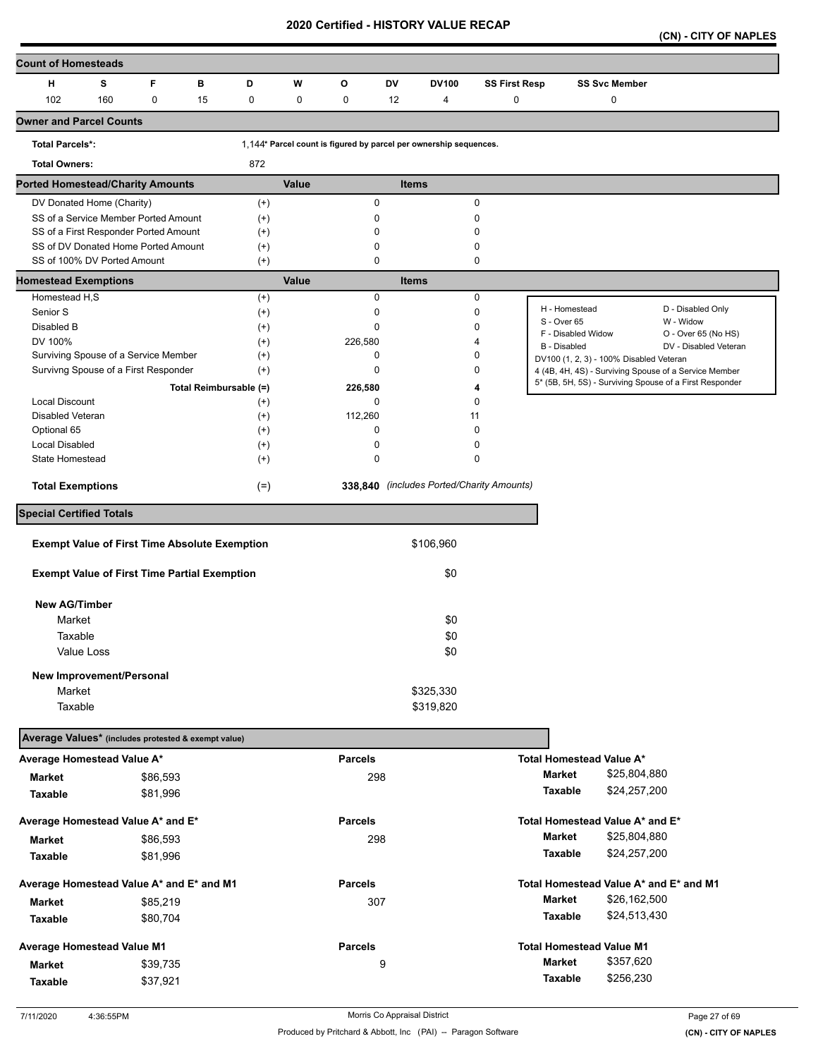**(CN) - CITY OF NAPLES** 

| <b>Count of Homesteads</b>                           |     |          |    |                        |              |                                                                   |              |              |                                           |                                         |                      |                                                                                                                  |
|------------------------------------------------------|-----|----------|----|------------------------|--------------|-------------------------------------------------------------------|--------------|--------------|-------------------------------------------|-----------------------------------------|----------------------|------------------------------------------------------------------------------------------------------------------|
| н                                                    | s   | F        | в  | D                      | W            | O                                                                 | <b>DV</b>    | <b>DV100</b> | <b>SS First Resp</b>                      |                                         | <b>SS Svc Member</b> |                                                                                                                  |
| 102                                                  | 160 | 0        | 15 | 0                      | $\mathbf 0$  | 0                                                                 | 12           | 4            | 0                                         |                                         | 0                    |                                                                                                                  |
| <b>Owner and Parcel Counts</b>                       |     |          |    |                        |              |                                                                   |              |              |                                           |                                         |                      |                                                                                                                  |
| <b>Total Parcels*:</b>                               |     |          |    |                        |              | 1,144* Parcel count is figured by parcel per ownership sequences. |              |              |                                           |                                         |                      |                                                                                                                  |
| <b>Total Owners:</b>                                 |     |          |    | 872                    |              |                                                                   |              |              |                                           |                                         |                      |                                                                                                                  |
| <b>Ported Homestead/Charity Amounts</b>              |     |          |    |                        | Value        |                                                                   | <b>Items</b> |              |                                           |                                         |                      |                                                                                                                  |
| DV Donated Home (Charity)                            |     |          |    | $^{(+)}$               |              | 0                                                                 |              |              | $\mathbf 0$                               |                                         |                      |                                                                                                                  |
| SS of a Service Member Ported Amount                 |     |          |    | $^{(+)}$               |              | 0                                                                 |              |              | $\mathbf 0$                               |                                         |                      |                                                                                                                  |
| SS of a First Responder Ported Amount                |     |          |    | $^{(+)}$               |              | 0                                                                 |              |              | 0                                         |                                         |                      |                                                                                                                  |
| SS of DV Donated Home Ported Amount                  |     |          |    | $^{(+)}$               |              | 0                                                                 |              |              | 0                                         |                                         |                      |                                                                                                                  |
| SS of 100% DV Ported Amount                          |     |          |    | $(+)$                  |              | 0                                                                 |              |              | 0                                         |                                         |                      |                                                                                                                  |
| <b>Homestead Exemptions</b>                          |     |          |    |                        | <b>Value</b> |                                                                   | <b>Items</b> |              |                                           |                                         |                      |                                                                                                                  |
| Homestead H,S<br>Senior S                            |     |          |    | $^{(+)}$               |              | 0<br>0                                                            |              |              | 0<br>$\mathbf 0$                          | H - Homestead                           |                      | D - Disabled Only                                                                                                |
|                                                      |     |          |    | $^{(+)}$               |              |                                                                   |              |              |                                           | S - Over 65                             |                      | W - Widow                                                                                                        |
| Disabled B                                           |     |          |    | $^{(+)}$               |              | 0                                                                 |              |              | 0                                         | F - Disabled Widow                      |                      | O - Over 65 (No HS)                                                                                              |
| DV 100%<br>Surviving Spouse of a Service Member      |     |          |    | $^{(+)}$<br>$^{(+)}$   |              | 226,580<br>0                                                      |              |              | 4<br>0                                    | <b>B</b> - Disabled                     |                      | DV - Disabled Veteran                                                                                            |
| Survivng Spouse of a First Responder                 |     |          |    |                        |              | 0                                                                 |              |              | 0                                         | DV100 (1, 2, 3) - 100% Disabled Veteran |                      |                                                                                                                  |
|                                                      |     |          |    | $^{(+)}$               |              |                                                                   |              |              |                                           |                                         |                      | 4 (4B, 4H, 4S) - Surviving Spouse of a Service Member<br>5* (5B, 5H, 5S) - Surviving Spouse of a First Responder |
|                                                      |     |          |    | Total Reimbursable (=) |              | 226,580                                                           |              |              | 4                                         |                                         |                      |                                                                                                                  |
| Local Discount<br>Disabled Veteran                   |     |          |    | $^{(+)}$               |              | 0                                                                 |              |              | 0                                         |                                         |                      |                                                                                                                  |
|                                                      |     |          |    | $^{(+)}$               |              | 112,260<br>0                                                      |              | 11           | 0                                         |                                         |                      |                                                                                                                  |
| Optional 65<br><b>Local Disabled</b>                 |     |          |    | $^{(+)}$               |              | 0                                                                 |              |              | 0                                         |                                         |                      |                                                                                                                  |
| State Homestead                                      |     |          |    | $^{(+)}$<br>$^{(+)}$   |              | 0                                                                 |              |              | $\mathbf 0$                               |                                         |                      |                                                                                                                  |
|                                                      |     |          |    |                        |              |                                                                   |              |              |                                           |                                         |                      |                                                                                                                  |
| <b>Total Exemptions</b>                              |     |          |    | $(=)$                  |              |                                                                   |              |              | 338,840 (includes Ported/Charity Amounts) |                                         |                      |                                                                                                                  |
| <b>Special Certified Totals</b>                      |     |          |    |                        |              |                                                                   |              |              |                                           |                                         |                      |                                                                                                                  |
| <b>Exempt Value of First Time Absolute Exemption</b> |     |          |    |                        |              |                                                                   |              | \$106,960    |                                           |                                         |                      |                                                                                                                  |
| <b>Exempt Value of First Time Partial Exemption</b>  |     |          |    |                        |              |                                                                   |              | \$0          |                                           |                                         |                      |                                                                                                                  |
|                                                      |     |          |    |                        |              |                                                                   |              |              |                                           |                                         |                      |                                                                                                                  |
| <b>New AG/Timber</b>                                 |     |          |    |                        |              |                                                                   |              |              |                                           |                                         |                      |                                                                                                                  |
| Market                                               |     |          |    |                        |              |                                                                   |              | \$0          |                                           |                                         |                      |                                                                                                                  |
| Taxable                                              |     |          |    |                        |              |                                                                   |              | \$0          |                                           |                                         |                      |                                                                                                                  |
| Value Loss                                           |     |          |    |                        |              |                                                                   |              | \$0          |                                           |                                         |                      |                                                                                                                  |
| New Improvement/Personal                             |     |          |    |                        |              |                                                                   |              |              |                                           |                                         |                      |                                                                                                                  |
| Market                                               |     |          |    |                        |              |                                                                   |              | \$325,330    |                                           |                                         |                      |                                                                                                                  |
| Taxable                                              |     |          |    |                        |              |                                                                   |              | \$319,820    |                                           |                                         |                      |                                                                                                                  |
| Average Values* (includes protested & exempt value)  |     |          |    |                        |              |                                                                   |              |              |                                           |                                         |                      |                                                                                                                  |
| Average Homestead Value A*                           |     |          |    |                        |              | <b>Parcels</b>                                                    |              |              |                                           | Total Homestead Value A*                |                      |                                                                                                                  |
|                                                      |     |          |    |                        |              |                                                                   |              |              |                                           | Market                                  | \$25,804,880         |                                                                                                                  |
| <b>Market</b>                                        |     | \$86,593 |    |                        |              | 298                                                               |              |              |                                           | Taxable                                 | \$24,257,200         |                                                                                                                  |
| Taxable                                              |     | \$81,996 |    |                        |              |                                                                   |              |              |                                           |                                         |                      |                                                                                                                  |
| Average Homestead Value A* and E*                    |     |          |    |                        |              | <b>Parcels</b>                                                    |              |              |                                           | Total Homestead Value A* and E*         |                      |                                                                                                                  |
| Market                                               |     | \$86,593 |    |                        |              | 298                                                               |              |              |                                           | <b>Market</b>                           | \$25,804,880         |                                                                                                                  |
| Taxable                                              |     | \$81,996 |    |                        |              |                                                                   |              |              |                                           | Taxable                                 | \$24,257,200         |                                                                                                                  |
| Average Homestead Value A* and E* and M1             |     |          |    |                        |              | <b>Parcels</b>                                                    |              |              |                                           |                                         |                      | Total Homestead Value A* and E* and M1                                                                           |
|                                                      |     |          |    |                        |              |                                                                   |              |              |                                           | <b>Market</b>                           | \$26,162,500         |                                                                                                                  |
| Market                                               |     | \$85,219 |    |                        |              | 307                                                               |              |              |                                           |                                         |                      |                                                                                                                  |
| Taxable                                              |     | \$80,704 |    |                        |              |                                                                   |              |              |                                           | Taxable                                 | \$24,513,430         |                                                                                                                  |
| <b>Average Homestead Value M1</b>                    |     |          |    |                        |              | <b>Parcels</b>                                                    |              |              |                                           | <b>Total Homestead Value M1</b>         |                      |                                                                                                                  |
| <b>Market</b>                                        |     | \$39,735 |    |                        |              |                                                                   | 9            |              |                                           | <b>Market</b>                           | \$357,620            |                                                                                                                  |
| Taxable                                              |     | \$37,921 |    |                        |              |                                                                   |              |              |                                           | Taxable                                 | \$256,230            |                                                                                                                  |
|                                                      |     |          |    |                        |              |                                                                   |              |              |                                           |                                         |                      |                                                                                                                  |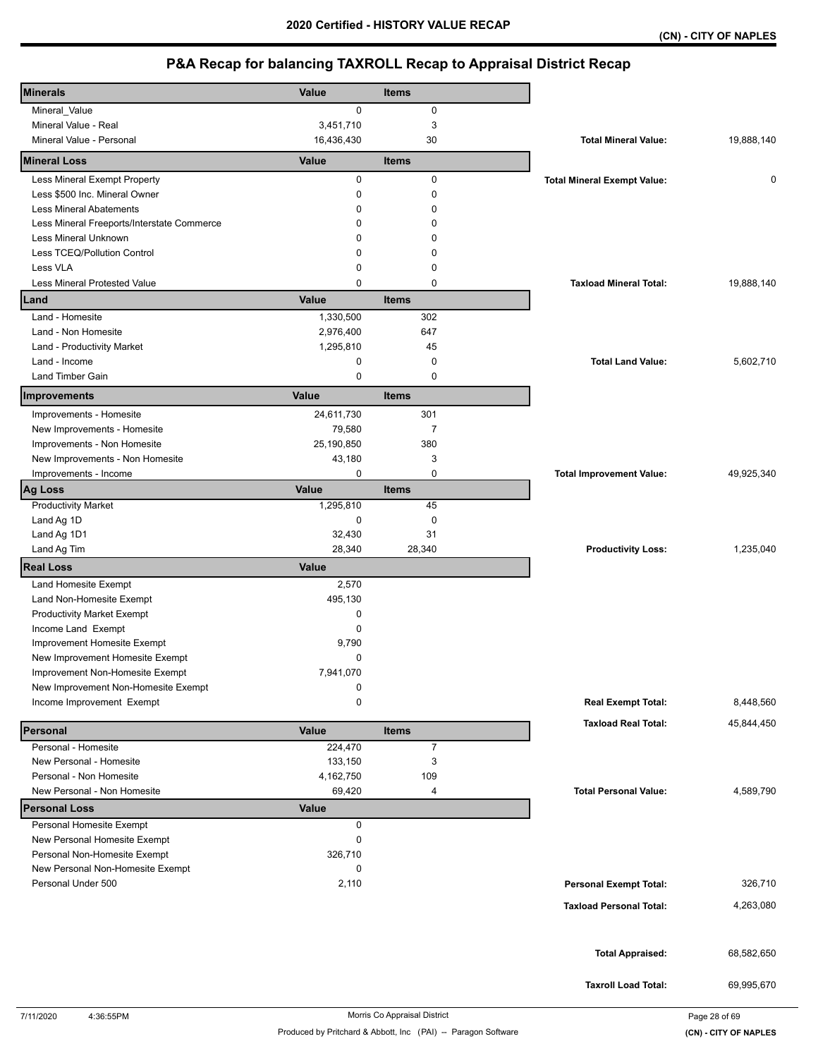| <b>Minerals</b>                                          | Value               | Items          |                                    |            |
|----------------------------------------------------------|---------------------|----------------|------------------------------------|------------|
| Mineral_Value                                            | $\mathbf 0$         | $\mathbf 0$    |                                    |            |
| Mineral Value - Real                                     | 3,451,710           | 3              |                                    |            |
| Mineral Value - Personal                                 | 16,436,430          | 30             | <b>Total Mineral Value:</b>        | 19,888,140 |
| <b>Mineral Loss</b>                                      | Value               | <b>Items</b>   |                                    |            |
| Less Mineral Exempt Property                             | 0                   | $\mathbf 0$    | <b>Total Mineral Exempt Value:</b> | 0          |
| Less \$500 Inc. Mineral Owner                            | 0                   | $\mathbf 0$    |                                    |            |
| <b>Less Mineral Abatements</b>                           | $\Omega$            | $\Omega$       |                                    |            |
| Less Mineral Freeports/Interstate Commerce               | 0                   | 0              |                                    |            |
| Less Mineral Unknown                                     | 0                   | 0              |                                    |            |
| Less TCEQ/Pollution Control                              | 0                   | 0              |                                    |            |
| Less VLA                                                 | 0                   | 0              |                                    |            |
| <b>Less Mineral Protested Value</b>                      | 0                   | 0              | <b>Taxload Mineral Total:</b>      | 19,888,140 |
| Land                                                     | Value               | <b>Items</b>   |                                    |            |
| Land - Homesite                                          | 1,330,500           | 302            |                                    |            |
| Land - Non Homesite                                      | 2,976,400           | 647            |                                    |            |
| Land - Productivity Market                               | 1,295,810           | 45             |                                    |            |
| Land - Income                                            | 0                   | $\mathbf 0$    | <b>Total Land Value:</b>           | 5,602,710  |
| Land Timber Gain                                         | 0                   | $\mathbf 0$    |                                    |            |
| Improvements                                             | Value               | <b>Items</b>   |                                    |            |
| Improvements - Homesite                                  | 24,611,730          | 301            |                                    |            |
| New Improvements - Homesite                              | 79,580              | $\overline{7}$ |                                    |            |
| Improvements - Non Homesite                              | 25,190,850          | 380            |                                    |            |
| New Improvements - Non Homesite                          | 43,180              | 3              |                                    |            |
| Improvements - Income                                    | 0                   | 0              | <b>Total Improvement Value:</b>    | 49,925,340 |
| <b>Ag Loss</b>                                           | Value               | <b>Items</b>   |                                    |            |
| <b>Productivity Market</b>                               | 1,295,810           | 45             |                                    |            |
| Land Ag 1D                                               | 0                   | 0              |                                    |            |
| Land Ag 1D1                                              | 32,430<br>28,340    | 31             |                                    |            |
| Land Ag Tim                                              |                     | 28,340         | <b>Productivity Loss:</b>          | 1,235,040  |
| <b>Real Loss</b>                                         | Value               |                |                                    |            |
| Land Homesite Exempt                                     | 2,570               |                |                                    |            |
| Land Non-Homesite Exempt                                 | 495,130             |                |                                    |            |
| <b>Productivity Market Exempt</b><br>Income Land Exempt  | 0<br>0              |                |                                    |            |
| Improvement Homesite Exempt                              | 9,790               |                |                                    |            |
| New Improvement Homesite Exempt                          | 0                   |                |                                    |            |
| Improvement Non-Homesite Exempt                          | 7,941,070           |                |                                    |            |
| New Improvement Non-Homesite Exempt                      | 0                   |                |                                    |            |
| Income Improvement Exempt                                | 0                   |                | <b>Real Exempt Total:</b>          | 8,448,560  |
|                                                          |                     |                | <b>Taxload Real Total:</b>         | 45,844,450 |
| Personal                                                 | Value               | <b>Items</b>   |                                    |            |
| Personal - Homesite                                      | 224,470             | $\overline{7}$ |                                    |            |
| New Personal - Homesite                                  | 133,150             | 3              |                                    |            |
| Personal - Non Homesite<br>New Personal - Non Homesite   | 4,162,750<br>69,420 | 109<br>4       | <b>Total Personal Value:</b>       | 4,589,790  |
|                                                          |                     |                |                                    |            |
| <b>Personal Loss</b>                                     | <b>Value</b>        |                |                                    |            |
| Personal Homesite Exempt<br>New Personal Homesite Exempt | 0<br>0              |                |                                    |            |
| Personal Non-Homesite Exempt                             | 326,710             |                |                                    |            |
| New Personal Non-Homesite Exempt                         | 0                   |                |                                    |            |
| Personal Under 500                                       | 2,110               |                | <b>Personal Exempt Total:</b>      | 326,710    |
|                                                          |                     |                |                                    |            |
|                                                          |                     |                | <b>Taxload Personal Total:</b>     | 4,263,080  |
|                                                          |                     |                |                                    |            |
|                                                          |                     |                | <b>Total Appraised:</b>            | 68,582,650 |
|                                                          |                     |                |                                    |            |
|                                                          |                     |                | <b>Taxroll Load Total:</b>         | 69,995,670 |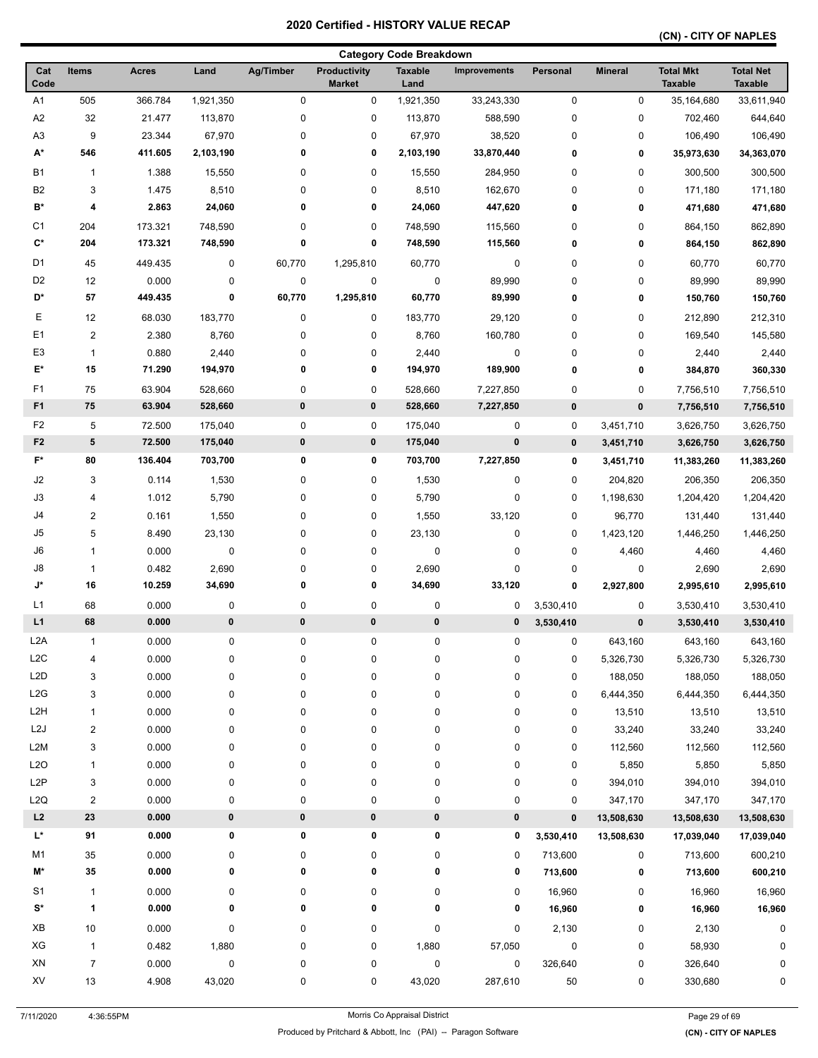### **(CN) - CITY OF NAPLES**

|                      |                         |              |           |           |                                      | <b>Category Code Breakdown</b> |                     |             |                |                                    |                                    |
|----------------------|-------------------------|--------------|-----------|-----------|--------------------------------------|--------------------------------|---------------------|-------------|----------------|------------------------------------|------------------------------------|
| Cat<br>Code          | <b>Items</b>            | <b>Acres</b> | Land      | Ag/Timber | <b>Productivity</b><br><b>Market</b> | <b>Taxable</b><br>Land         | <b>Improvements</b> | Personal    | <b>Mineral</b> | <b>Total Mkt</b><br><b>Taxable</b> | <b>Total Net</b><br><b>Taxable</b> |
| A1                   | 505                     | 366.784      | 1,921,350 | $\pmb{0}$ | 0                                    | 1,921,350                      | 33,243,330          | 0           | 0              | 35,164,680                         | 33,611,940                         |
| A2                   | 32                      | 21.477       | 113,870   | 0         | 0                                    | 113,870                        | 588,590             | $\pmb{0}$   | 0              | 702,460                            | 644,640                            |
| A <sub>3</sub>       | 9                       | 23.344       | 67,970    | 0         | 0                                    | 67,970                         | 38,520              | 0           | 0              | 106,490                            | 106,490                            |
| А*                   | 546                     | 411.605      | 2,103,190 | 0         | 0                                    | 2,103,190                      | 33,870,440          | 0           | 0              | 35,973,630                         | 34,363,070                         |
| <b>B1</b>            | $\mathbf{1}$            | 1.388        | 15,550    | 0         | 0                                    | 15,550                         | 284,950             | 0           | 0              | 300,500                            | 300,500                            |
| <b>B2</b>            | 3                       | 1.475        | 8,510     | 0         | 0                                    | 8,510                          | 162,670             | 0           | 0              | 171,180                            | 171,180                            |
| B*                   | 4                       | 2.863        | 24,060    | 0         | 0                                    | 24,060                         | 447,620             | 0           | 0              | 471,680                            | 471,680                            |
| C1                   | 204                     | 173.321      | 748,590   | 0         | 0                                    | 748,590                        | 115,560             | 0           | 0              | 864,150                            | 862,890                            |
| $\mathbf{C}^{\star}$ | 204                     | 173.321      | 748,590   | 0         | 0                                    | 748,590                        | 115,560             | 0           | 0              | 864,150                            | 862,890                            |
| D <sub>1</sub>       | 45                      | 449.435      | 0         | 60,770    | 1,295,810                            | 60,770                         | 0                   | 0           | 0              | 60,770                             | 60,770                             |
| D <sub>2</sub>       | 12                      | 0.000        | 0         | 0         | 0                                    | 0                              | 89,990              | 0           | 0              | 89,990                             | 89,990                             |
| D*                   | 57                      | 449.435      | 0         | 60,770    | 1,295,810                            | 60,770                         | 89,990              | 0           | 0              |                                    |                                    |
|                      |                         |              |           |           |                                      |                                |                     |             |                | 150,760                            | 150,760                            |
| Е                    | 12                      | 68.030       | 183,770   | 0         | 0                                    | 183,770                        | 29,120              | 0           | 0              | 212,890                            | 212,310                            |
| E1                   | $\overline{2}$          | 2.380        | 8,760     | 0         | 0                                    | 8,760                          | 160,780             | 0           | 0              | 169,540                            | 145,580                            |
| E3                   | $\mathbf{1}$            | 0.880        | 2,440     | 0         | 0                                    | 2,440                          | 0                   | 0           | 0              | 2,440                              | 2,440                              |
| E*                   | 15                      | 71.290       | 194,970   | 0         | 0                                    | 194,970                        | 189,900             | 0           | 0              | 384,870                            | 360,330                            |
| F1                   | 75                      | 63.904       | 528,660   | 0         | 0                                    | 528,660                        | 7,227,850           | 0           | 0              | 7,756,510                          | 7,756,510                          |
| F <sub>1</sub>       | 75                      | 63.904       | 528,660   | 0         | 0                                    | 528,660                        | 7,227,850           | $\pmb{0}$   | 0              | 7,756,510                          | 7,756,510                          |
| F <sub>2</sub>       | 5                       | 72.500       | 175,040   | 0         | 0                                    | 175,040                        | 0                   | 0           | 3,451,710      | 3,626,750                          | 3,626,750                          |
| F <sub>2</sub>       | ${\bf 5}$               | 72.500       | 175,040   | 0         | $\pmb{0}$                            | 175,040                        | $\pmb{0}$           | $\mathbf 0$ | 3,451,710      | 3,626,750                          | 3,626,750                          |
| F*                   | 80                      | 136.404      | 703,700   | 0         | 0                                    | 703,700                        | 7,227,850           | 0           | 3,451,710      | 11,383,260                         | 11,383,260                         |
| J2                   | 3                       | 0.114        | 1,530     | 0         | 0                                    | 1,530                          | 0                   | 0           | 204,820        | 206,350                            | 206,350                            |
| J3                   | 4                       | 1.012        | 5,790     | 0         | 0                                    | 5,790                          | 0                   | 0           | 1,198,630      | 1,204,420                          | 1,204,420                          |
| J4                   | 2                       | 0.161        | 1,550     | 0         | 0                                    | 1,550                          | 33,120              | 0           | 96,770         | 131,440                            | 131,440                            |
| J5                   | 5                       | 8.490        | 23,130    | 0         | 0                                    | 23,130                         | 0                   | 0           | 1,423,120      | 1,446,250                          | 1,446,250                          |
| J6                   | 1                       | 0.000        | 0         | 0         | 0                                    | 0                              | 0                   | $\pmb{0}$   | 4,460          | 4,460                              | 4,460                              |
| J8                   | 1                       | 0.482        | 2,690     | 0         | 0                                    | 2,690                          | 0                   | $\mathbf 0$ | 0              | 2,690                              | 2,690                              |
| J*                   | 16                      | 10.259       | 34,690    | 0         | 0                                    | 34,690                         | 33,120              | 0           | 2,927,800      | 2,995,610                          | 2,995,610                          |
| L1                   | 68                      | 0.000        | 0         | 0         | 0                                    | 0                              | 0                   | 3,530,410   | 0              | 3,530,410                          | 3,530,410                          |
| L1                   | 68                      | 0.000        | $\pmb{0}$ | $\bf{0}$  | 0                                    | 0                              | 0                   | 3,530,410   | 0              | 3,530,410                          | 3,530,410                          |
| L <sub>2</sub> A     | $\mathbf{1}$            | 0.000        | 0         | 0         | 0                                    | 0                              | 0                   | 0           | 643,160        | 643,160                            | 643,160                            |
| L2C                  | 4                       | 0.000        | 0         | 0         | 0                                    | 0                              | 0                   | 0           | 5,326,730      | 5,326,730                          | 5,326,730                          |
| L2D                  | 3                       | 0.000        | 0         | 0         | 0                                    | 0                              | 0                   | 0           | 188,050        | 188,050                            | 188,050                            |
| L2G                  | 3                       | 0.000        | 0         | 0         | 0                                    | 0                              | 0                   | 0           | 6,444,350      | 6,444,350                          | 6,444,350                          |
| L <sub>2</sub> H     | 1                       | 0.000        | 0         | 0         | 0                                    | 0                              | 0                   | 0           | 13,510         | 13,510                             | 13,510                             |
| L <sub>2</sub> J     | 2                       | 0.000        | 0         | 0         | 0                                    | 0                              | 0                   | 0           | 33,240         | 33,240                             | 33,240                             |
| L2M                  | 3                       | 0.000        | 0         | 0         | 0                                    | 0                              | 0                   | 0           | 112,560        | 112,560                            | 112,560                            |
| L2O                  | $\mathbf{1}$            | 0.000        | 0         | 0         | 0                                    | 0                              | 0                   | 0           | 5,850          | 5,850                              | 5,850                              |
| L <sub>2</sub> P     | 3                       | 0.000        | 0         | 0         | 0                                    | 0                              | 0                   | 0           | 394,010        | 394,010                            | 394,010                            |
| L <sub>2</sub> Q     | $\overline{\mathbf{c}}$ | 0.000        | $\pmb{0}$ | 0         | 0                                    | 0                              | $\pmb{0}$           | 0           | 347,170        | 347,170                            | 347,170                            |
| L2                   | 23                      | 0.000        | $\pmb{0}$ | 0         | 0                                    | $\pmb{0}$                      | $\pmb{0}$           | $\bf{0}$    | 13,508,630     | 13,508,630                         | 13,508,630                         |
| L*                   | 91                      | 0.000        | 0         | 0         | 0                                    | 0                              | 0                   |             | 13,508,630     | 17,039,040                         | 17,039,040                         |
|                      |                         |              |           |           |                                      |                                |                     | 3,530,410   |                |                                    |                                    |
| M1                   | 35                      | 0.000        | 0         | 0         | 0                                    | 0                              | 0                   | 713,600     | 0              | 713,600                            | 600,210                            |
| M*                   | 35                      | 0.000        | 0         | 0         | 0                                    | 0                              | 0                   | 713,600     | 0              | 713,600                            | 600,210                            |
| S1                   | $\mathbf{1}$            | 0.000        | 0         | 0         | 0                                    | 0                              | 0                   | 16,960      | 0              | 16,960                             | 16,960                             |
| S*                   | $\mathbf{1}$            | 0.000        | 0         | 0         | 0                                    | 0                              | 0                   | 16,960      | 0              | 16,960                             | 16,960                             |
| XB                   | $10$                    | 0.000        | 0         | 0         | 0                                    | 0                              | 0                   | 2,130       | 0              | 2,130                              | 0                                  |
| XG                   | $\mathbf{1}$            | 0.482        | 1,880     | 0         | 0                                    | 1,880                          | 57,050              | 0           | 0              | 58,930                             | 0                                  |
| ${\sf XN}$           | $\overline{7}$          | 0.000        | 0         | 0         | 0                                    | 0                              | 0                   | 326,640     | 0              | 326,640                            | 0                                  |
| XV                   | $13\,$                  | 4.908        | 43,020    | 0         | 0                                    | 43,020                         | 287,610             | 50          | 0              | 330,680                            | 0                                  |
|                      |                         |              |           |           |                                      |                                |                     |             |                |                                    |                                    |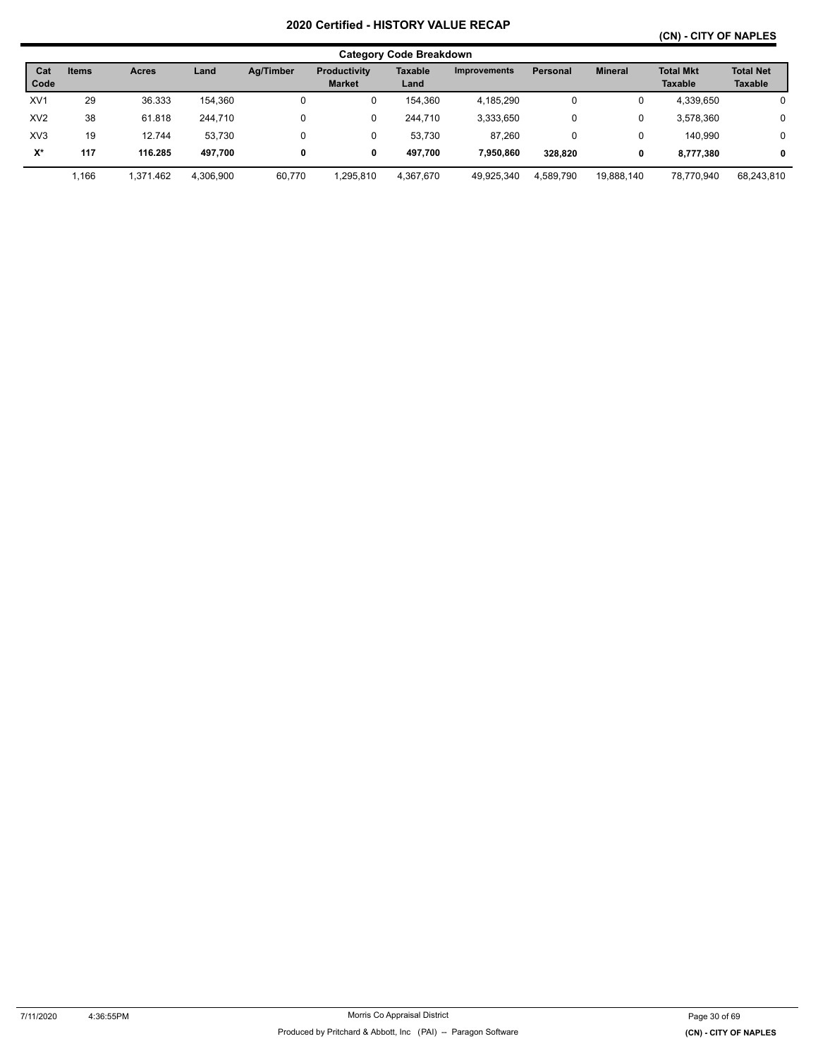## **(CN) - CITY OF NAPLES**

|                 |              |              |           |           |                                      | <b>Category Code Breakdown</b> |                     |           |                |                                    |                             |
|-----------------|--------------|--------------|-----------|-----------|--------------------------------------|--------------------------------|---------------------|-----------|----------------|------------------------------------|-----------------------------|
| Cat<br>Code     | <b>Items</b> | <b>Acres</b> | Land      | Ag/Timber | <b>Productivity</b><br><b>Market</b> | Taxable<br>Land                | <b>Improvements</b> | Personal  | <b>Mineral</b> | <b>Total Mkt</b><br><b>Taxable</b> | <b>Total Net</b><br>Taxable |
| XV <sub>1</sub> | 29           | 36.333       | 154.360   | 0         | 0                                    | 154,360                        | 4,185,290           | 0         | 0              | 4,339,650                          | 0                           |
| XV <sub>2</sub> | 38           | 61.818       | 244.710   | 0         | 0                                    | 244.710                        | 3,333,650           | 0         | 0              | 3,578,360                          | 0                           |
| XV <sub>3</sub> | 19           | 12.744       | 53.730    | 0         | 0                                    | 53.730                         | 87.260              | 0         | 0              | 140.990                            | 0                           |
| X*              | 117          | 116.285      | 497.700   | 0         | 0                                    | 497.700                        | 7,950,860           | 328.820   | 0              | 8.777.380                          | $\mathbf{0}$                |
|                 | 1,166        | 1,371.462    | 4,306,900 | 60,770    | .295,810                             | 4,367,670                      | 49,925,340          | 4,589,790 | 19,888,140     | 78,770,940                         | 68,243,810                  |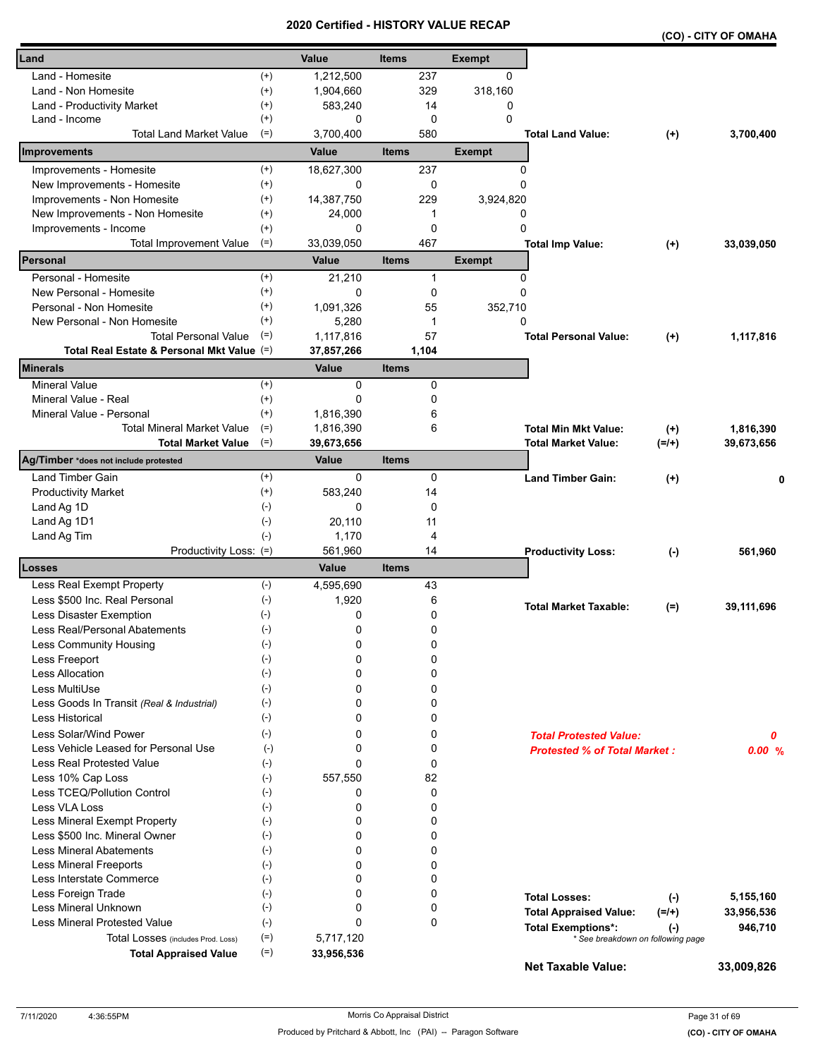|                                            |                    | <b>Certified</b> |              |       | <u>- NIJIURI VALUE REUAN</u> |                                     |          | (CO) - CITY OF OMAHA |
|--------------------------------------------|--------------------|------------------|--------------|-------|------------------------------|-------------------------------------|----------|----------------------|
| Land                                       |                    | Value            | <b>Items</b> |       | <b>Exempt</b>                |                                     |          |                      |
| Land - Homesite                            | $^{(+)}$           | 1,212,500        |              | 237   | 0                            |                                     |          |                      |
| Land - Non Homesite                        | $^{(+)}$           | 1,904,660        |              | 329   | 318,160                      |                                     |          |                      |
| Land - Productivity Market                 | $^{(+)}$           | 583,240          |              | 14    | 0                            |                                     |          |                      |
| Land - Income                              | $^{(+)}$           | 0                |              | 0     | $\Omega$                     |                                     |          |                      |
| <b>Total Land Market Value</b>             | $(=)$              | 3,700,400        |              | 580   |                              | <b>Total Land Value:</b>            | $^{(+)}$ | 3,700,400            |
| Improvements                               |                    | Value            | <b>Items</b> |       | <b>Exempt</b>                |                                     |          |                      |
| Improvements - Homesite                    | $^{(+)}$           | 18,627,300       |              | 237   | 0                            |                                     |          |                      |
| New Improvements - Homesite                | $^{(+)}$           | 0                |              | 0     | 0                            |                                     |          |                      |
| Improvements - Non Homesite                | $^{(+)}$           | 14,387,750       |              | 229   | 3,924,820                    |                                     |          |                      |
| New Improvements - Non Homesite            | $^{(+)}$           | 24,000           |              | 1     | 0                            |                                     |          |                      |
| Improvements - Income                      | $^{(+)}$           | 0                |              | 0     | 0                            |                                     |          |                      |
| <b>Total Improvement Value</b>             | $(=)$              | 33,039,050       |              | 467   |                              | <b>Total Imp Value:</b>             | $^{(+)}$ | 33,039,050           |
| Personal                                   |                    | <b>Value</b>     | <b>Items</b> |       | <b>Exempt</b>                |                                     |          |                      |
| Personal - Homesite                        | $^{(+)}$           | 21,210           |              | 1     | 0                            |                                     |          |                      |
| New Personal - Homesite                    | $^{(+)}$           | 0                |              | 0     | 0                            |                                     |          |                      |
| Personal - Non Homesite                    | $^{(+)}$           | 1,091,326        |              | 55    | 352,710                      |                                     |          |                      |
| New Personal - Non Homesite                | $^{(+)}$           | 5,280            |              | 1     | 0                            |                                     |          |                      |
| <b>Total Personal Value</b>                | $(=)$              | 1,117,816        |              | 57    |                              | <b>Total Personal Value:</b>        | $^{(+)}$ | 1,117,816            |
| Total Real Estate & Personal Mkt Value (=) |                    | 37,857,266       |              | 1,104 |                              |                                     |          |                      |
| <b>Minerals</b>                            |                    | Value            | <b>Items</b> |       |                              |                                     |          |                      |
| <b>Mineral Value</b>                       | $^{(+)}$           | 0                |              | 0     |                              |                                     |          |                      |
| Mineral Value - Real                       | $^{(+)}$           | 0                |              | 0     |                              |                                     |          |                      |
| Mineral Value - Personal                   | $^{(+)}$           | 1,816,390        |              | 6     |                              |                                     |          |                      |
| <b>Total Mineral Market Value</b>          | $(=)$              | 1,816,390        |              | 6     |                              | <b>Total Min Mkt Value:</b>         | $^{(+)}$ | 1,816,390            |
| <b>Total Market Value</b>                  | $(=)$              | 39,673,656       |              |       |                              | <b>Total Market Value:</b>          | $(=/+)$  | 39,673,656           |
| Ag/Timber *does not include protested      |                    | Value            | <b>Items</b> |       |                              |                                     |          |                      |
| <b>Land Timber Gain</b>                    | $^{(+)}$           | 0                |              | 0     |                              | <b>Land Timber Gain:</b>            | $(+)$    | 0                    |
| <b>Productivity Market</b>                 | $^{(+)}$           | 583,240          |              | 14    |                              |                                     |          |                      |
| Land Ag 1D                                 | $(-)$              | 0                |              | 0     |                              |                                     |          |                      |
| Land Ag 1D1                                | $(\text{-})$       | 20,110           |              | 11    |                              |                                     |          |                      |
| Land Ag Tim                                | $(-)$              | 1,170            |              | 4     |                              |                                     |          |                      |
| Productivity Loss: (=)                     |                    | 561,960          |              | 14    |                              | <b>Productivity Loss:</b>           | $(-)$    | 561,960              |
| Losses                                     |                    | Value            | <b>Items</b> |       |                              |                                     |          |                      |
| Less Real Exempt Property                  | $(-)$              | 4,595,690        |              | 43    |                              |                                     |          |                      |
| Less \$500 Inc. Real Personal              | $(-)$              | 1,920            |              | 6     |                              | <b>Total Market Taxable:</b>        | $(=)$    | 39,111,696           |
| Less Disaster Exemption                    | $(-)$              | 0                |              | 0     |                              |                                     |          |                      |
| Less Real/Personal Abatements              | $(\textnormal{-})$ | 0                |              | 0     |                              |                                     |          |                      |
| Less Community Housing                     | $(-)$              | 0                |              | 0     |                              |                                     |          |                      |
| Less Freeport                              | $(-)$              | 0                |              | 0     |                              |                                     |          |                      |
| Less Allocation                            | $(-)$              | 0                |              | 0     |                              |                                     |          |                      |
| Less MultiUse                              | $(-)$              | 0                |              | 0     |                              |                                     |          |                      |
| Less Goods In Transit (Real & Industrial)  | $(-)$              | 0                |              | 0     |                              |                                     |          |                      |
| <b>Less Historical</b>                     | $(-)$              | 0                |              | 0     |                              |                                     |          |                      |
| Less Solar/Wind Power                      | $(-)$              | 0                |              | 0     |                              | <b>Total Protested Value:</b>       |          | 0                    |
| Less Vehicle Leased for Personal Use       | $(-)$              | 0                |              | 0     |                              | <b>Protested % of Total Market:</b> |          | 0.00%                |
| <b>Less Real Protested Value</b>           | $(-)$              | 0                |              | 0     |                              |                                     |          |                      |
| Less 10% Cap Loss                          | $(-)$              | 557.550          |              | 82    |                              |                                     |          |                      |
| Less TCEQ/Pollution Control                | $(-)$              | 0                |              | 0     |                              |                                     |          |                      |
| Less VLA Loss                              | $(\cdot)$          | 0                |              | 0     |                              |                                     |          |                      |
| Less Mineral Exempt Property               | $(-)$              | 0                |              | 0     |                              |                                     |          |                      |
| Less \$500 Inc. Mineral Owner              | $(-)$              | 0                |              | 0     |                              |                                     |          |                      |
| <b>Less Mineral Abatements</b>             | $(-)$              | 0                |              | 0     |                              |                                     |          |                      |
| <b>Less Mineral Freeports</b>              | $(-)$              | 0                |              | 0     |                              |                                     |          |                      |
| Less Interstate Commerce                   | $(\cdot)$          | 0                |              | 0     |                              |                                     |          |                      |
| Less Foreign Trade                         | $(-)$              | 0                |              | 0     |                              | <b>Total Losses:</b>                | $(-)$    | 5,155,160            |
| Less Mineral Unknown                       | $(-)$              | 0                |              | 0     |                              | <b>Total Appraised Value:</b>       | $(=/+)$  | 33,956,536           |
| Less Mineral Protested Value               | $(-)$              | 0                |              | 0     |                              | <b>Total Exemptions*:</b>           | $(-)$    | 946,710              |
| Total Losses (includes Prod. Loss)         | $(=)$              | 5,717,120        |              |       |                              | * See breakdown on following page   |          |                      |
| <b>Total Appraised Value</b>               | $(=)$              | 33,956,536       |              |       |                              |                                     |          |                      |
|                                            |                    |                  |              |       |                              | <b>Net Taxable Value:</b>           |          | 33,009,826           |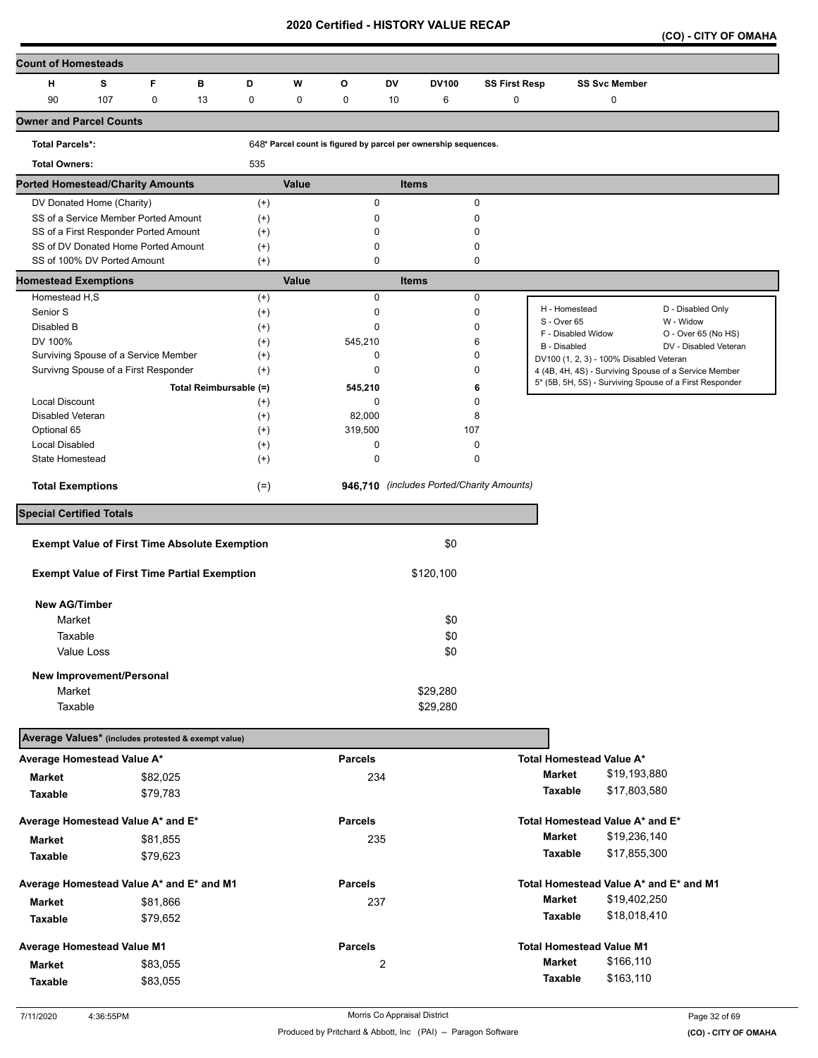**(CO) - CITY OF OMAHA** 

| <b>Count of Homesteads</b>                           |     |             |                        |                      |             |                                                                 |                |              |                                           |                    |                                         |                                                         |
|------------------------------------------------------|-----|-------------|------------------------|----------------------|-------------|-----------------------------------------------------------------|----------------|--------------|-------------------------------------------|--------------------|-----------------------------------------|---------------------------------------------------------|
| н                                                    | s   | F           | в                      | D                    | W           | o                                                               | <b>DV</b>      | <b>DV100</b> | <b>SS First Resp</b>                      |                    | <b>SS Svc Member</b>                    |                                                         |
| 90                                                   | 107 | $\mathbf 0$ | 13                     | 0                    | $\mathbf 0$ | 0                                                               | 10             | 6            | 0                                         |                    | 0                                       |                                                         |
| <b>Owner and Parcel Counts</b>                       |     |             |                        |                      |             |                                                                 |                |              |                                           |                    |                                         |                                                         |
| <b>Total Parcels*:</b>                               |     |             |                        |                      |             | 648* Parcel count is figured by parcel per ownership sequences. |                |              |                                           |                    |                                         |                                                         |
| <b>Total Owners:</b>                                 |     |             |                        | 535                  |             |                                                                 |                |              |                                           |                    |                                         |                                                         |
| <b>Ported Homestead/Charity Amounts</b>              |     |             |                        |                      | Value       |                                                                 | <b>Items</b>   |              |                                           |                    |                                         |                                                         |
| DV Donated Home (Charity)                            |     |             |                        | $^{(+)}$             |             | $\mathbf 0$                                                     |                |              | 0                                         |                    |                                         |                                                         |
| SS of a Service Member Ported Amount                 |     |             |                        | $^{(+)}$             |             | 0                                                               |                |              | 0                                         |                    |                                         |                                                         |
| SS of a First Responder Ported Amount                |     |             |                        | $^{(+)}$             |             | 0                                                               |                |              | 0                                         |                    |                                         |                                                         |
| SS of DV Donated Home Ported Amount                  |     |             |                        | $^{(+)}$             |             | 0                                                               |                |              | 0                                         |                    |                                         |                                                         |
| SS of 100% DV Ported Amount                          |     |             |                        | $(+)$                |             | $\mathbf 0$                                                     |                |              | 0                                         |                    |                                         |                                                         |
| <b>Homestead Exemptions</b>                          |     |             |                        |                      | Value       |                                                                 | <b>Items</b>   |              |                                           |                    |                                         |                                                         |
| Homestead H,S                                        |     |             |                        | $^{(+)}$             |             | $\mathbf 0$                                                     |                |              | 0                                         | H - Homestead      |                                         | D - Disabled Only                                       |
| Senior S                                             |     |             |                        | $^{(+)}$             |             | 0                                                               |                |              | 0                                         | S - Over 65        |                                         | W - Widow                                               |
| Disabled B<br>DV 100%                                |     |             |                        | $^{(+)}$             |             | $\mathbf 0$                                                     |                |              | 0<br>6                                    | F - Disabled Widow |                                         | O - Over 65 (No HS)                                     |
| Surviving Spouse of a Service Member                 |     |             |                        | $^{(+)}$<br>$^{(+)}$ |             | 545,210<br>$\mathbf 0$                                          |                |              | 0                                         | B - Disabled       |                                         | DV - Disabled Veteran                                   |
| Survivng Spouse of a First Responder                 |     |             |                        | $^{(+)}$             |             | $\mathbf 0$                                                     |                |              | 0                                         |                    | DV100 (1, 2, 3) - 100% Disabled Veteran | 4 (4B, 4H, 4S) - Surviving Spouse of a Service Member   |
|                                                      |     |             | Total Reimbursable (=) |                      |             | 545,210                                                         |                |              | 6                                         |                    |                                         | 5* (5B, 5H, 5S) - Surviving Spouse of a First Responder |
| <b>Local Discount</b>                                |     |             |                        | $^{(+)}$             |             | $\mathbf 0$                                                     |                |              | 0                                         |                    |                                         |                                                         |
| Disabled Veteran                                     |     |             |                        | $^{(+)}$             |             | 82,000                                                          |                |              | 8                                         |                    |                                         |                                                         |
| Optional 65                                          |     |             |                        | $^{(+)}$             |             | 319,500                                                         |                | 107          |                                           |                    |                                         |                                                         |
| <b>Local Disabled</b>                                |     |             |                        | $^{(+)}$             |             | 0                                                               |                |              | 0                                         |                    |                                         |                                                         |
| <b>State Homestead</b>                               |     |             |                        | $^{(+)}$             |             | $\pmb{0}$                                                       |                |              | 0                                         |                    |                                         |                                                         |
| <b>Total Exemptions</b>                              |     |             |                        | $(=)$                |             |                                                                 |                |              | 946,710 (includes Ported/Charity Amounts) |                    |                                         |                                                         |
| <b>Special Certified Totals</b>                      |     |             |                        |                      |             |                                                                 |                |              |                                           |                    |                                         |                                                         |
| <b>Exempt Value of First Time Absolute Exemption</b> |     |             |                        |                      |             |                                                                 |                | \$0          |                                           |                    |                                         |                                                         |
| <b>Exempt Value of First Time Partial Exemption</b>  |     |             |                        |                      |             |                                                                 |                | \$120,100    |                                           |                    |                                         |                                                         |
|                                                      |     |             |                        |                      |             |                                                                 |                |              |                                           |                    |                                         |                                                         |
| <b>New AG/Timber</b>                                 |     |             |                        |                      |             |                                                                 |                |              |                                           |                    |                                         |                                                         |
| Market                                               |     |             |                        |                      |             |                                                                 |                | \$0          |                                           |                    |                                         |                                                         |
| Taxable                                              |     |             |                        |                      |             |                                                                 |                | \$0          |                                           |                    |                                         |                                                         |
| Value Loss                                           |     |             |                        |                      |             |                                                                 |                | \$0          |                                           |                    |                                         |                                                         |
| New Improvement/Personal                             |     |             |                        |                      |             |                                                                 |                |              |                                           |                    |                                         |                                                         |
| Market                                               |     |             |                        |                      |             |                                                                 |                | \$29,280     |                                           |                    |                                         |                                                         |
| Taxable                                              |     |             |                        |                      |             |                                                                 |                | \$29,280     |                                           |                    |                                         |                                                         |
|                                                      |     |             |                        |                      |             |                                                                 |                |              |                                           |                    |                                         |                                                         |
| Average Values* (includes protested & exempt value)  |     |             |                        |                      |             |                                                                 |                |              |                                           |                    |                                         |                                                         |
| Average Homestead Value A*                           |     |             |                        |                      |             | <b>Parcels</b>                                                  |                |              |                                           |                    | <b>Total Homestead Value A*</b>         |                                                         |
| <b>Market</b>                                        |     | \$82,025    |                        |                      |             | 234                                                             |                |              |                                           | <b>Market</b>      | \$19,193,880                            |                                                         |
| Taxable                                              |     | \$79,783    |                        |                      |             |                                                                 |                |              |                                           | Taxable            | \$17,803,580                            |                                                         |
| Average Homestead Value A* and E*                    |     |             |                        |                      |             | <b>Parcels</b>                                                  |                |              |                                           |                    | Total Homestead Value A* and E*         |                                                         |
| <b>Market</b>                                        |     | \$81,855    |                        |                      |             | 235                                                             |                |              |                                           | <b>Market</b>      | \$19,236,140                            |                                                         |
| Taxable                                              |     | \$79,623    |                        |                      |             |                                                                 |                |              |                                           | Taxable            | \$17,855,300                            |                                                         |
| Average Homestead Value A* and E* and M1             |     |             |                        |                      |             | <b>Parcels</b>                                                  |                |              |                                           |                    | Total Homestead Value A* and E* and M1  |                                                         |
| <b>Market</b>                                        |     | \$81,866    |                        |                      |             | 237                                                             |                |              |                                           | <b>Market</b>      | \$19,402,250                            |                                                         |
| Taxable                                              |     | \$79,652    |                        |                      |             |                                                                 |                |              |                                           | Taxable            | \$18,018,410                            |                                                         |
|                                                      |     |             |                        |                      |             |                                                                 |                |              |                                           |                    |                                         |                                                         |
| Average Homestead Value M1                           |     |             |                        |                      |             | <b>Parcels</b>                                                  |                |              |                                           |                    | <b>Total Homestead Value M1</b>         |                                                         |
| <b>Market</b>                                        |     | \$83,055    |                        |                      |             |                                                                 | $\overline{c}$ |              |                                           | Market             | \$166,110                               |                                                         |
| Taxable                                              |     | \$83,055    |                        |                      |             |                                                                 |                |              |                                           | <b>Taxable</b>     | \$163,110                               |                                                         |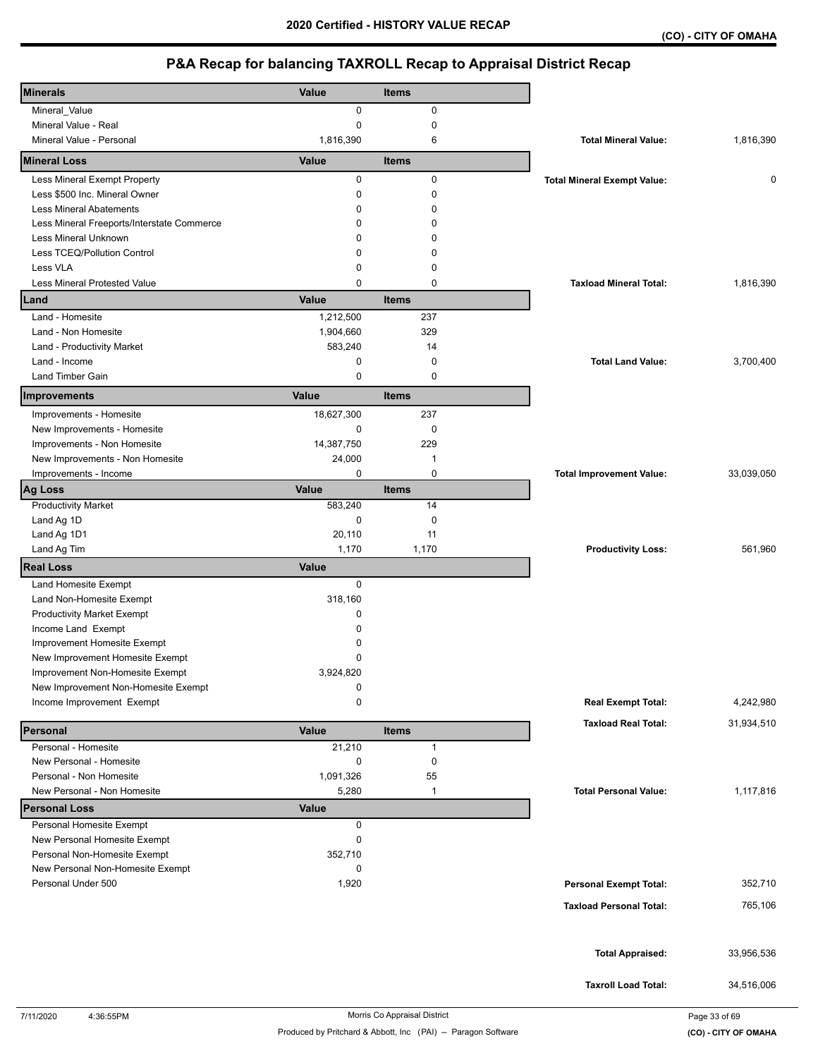| <b>Minerals</b>                                  | Value                     | <b>Items</b> |                                    |            |
|--------------------------------------------------|---------------------------|--------------|------------------------------------|------------|
| Mineral_Value                                    | 0                         | 0            |                                    |            |
| Mineral Value - Real                             | 0                         | 0            |                                    |            |
| Mineral Value - Personal                         | 1,816,390                 | 6            | <b>Total Mineral Value:</b>        | 1,816,390  |
| <b>Mineral Loss</b>                              | Value                     | <b>Items</b> |                                    |            |
| Less Mineral Exempt Property                     | 0                         | 0            | <b>Total Mineral Exempt Value:</b> | 0          |
| Less \$500 Inc. Mineral Owner                    | 0                         | 0            |                                    |            |
| <b>Less Mineral Abatements</b>                   | 0                         | $\mathbf 0$  |                                    |            |
| Less Mineral Freeports/Interstate Commerce       | 0                         | $\mathbf 0$  |                                    |            |
| Less Mineral Unknown                             | 0                         | $\Omega$     |                                    |            |
| Less TCEQ/Pollution Control                      | 0                         | $\mathbf 0$  |                                    |            |
| Less VLA                                         | 0                         | $\mathbf 0$  |                                    |            |
| Less Mineral Protested Value                     | 0                         | $\mathbf 0$  | <b>Taxload Mineral Total:</b>      | 1,816,390  |
| Land                                             | Value                     | <b>Items</b> |                                    |            |
| Land - Homesite                                  | 1,212,500                 | 237          |                                    |            |
| Land - Non Homesite                              | 1,904,660                 | 329          |                                    |            |
| Land - Productivity Market                       | 583,240                   | 14           |                                    |            |
| Land - Income                                    | 0                         | 0            | <b>Total Land Value:</b>           | 3,700,400  |
| <b>Land Timber Gain</b>                          | 0                         | $\mathbf 0$  |                                    |            |
|                                                  |                           |              |                                    |            |
| Improvements                                     | Value                     | <b>Items</b> |                                    |            |
| Improvements - Homesite                          | 18,627,300                | 237          |                                    |            |
| New Improvements - Homesite                      | 0                         | 0            |                                    |            |
| Improvements - Non Homesite                      | 14,387,750                | 229          |                                    |            |
| New Improvements - Non Homesite                  | 24,000                    | $\mathbf 1$  |                                    |            |
| Improvements - Income                            | 0                         | 0            | <b>Total Improvement Value:</b>    | 33,039,050 |
| <b>Ag Loss</b>                                   | Value                     | <b>Items</b> |                                    |            |
| <b>Productivity Market</b>                       | 583,240                   | 14           |                                    |            |
| Land Ag 1D                                       | 0                         | $\mathbf 0$  |                                    |            |
| Land Ag 1D1                                      | 20,110                    | 11           |                                    |            |
| Land Ag Tim                                      | 1,170                     | 1,170        | <b>Productivity Loss:</b>          | 561,960    |
| <b>Real Loss</b>                                 | Value                     |              |                                    |            |
| Land Homesite Exempt                             | 0                         |              |                                    |            |
| Land Non-Homesite Exempt                         | 318,160                   |              |                                    |            |
| <b>Productivity Market Exempt</b>                | 0                         |              |                                    |            |
| Income Land Exempt                               | 0                         |              |                                    |            |
| Improvement Homesite Exempt                      | 0                         |              |                                    |            |
| New Improvement Homesite Exempt                  | 0                         |              |                                    |            |
| Improvement Non-Homesite Exempt                  | 3,924,820                 |              |                                    |            |
| New Improvement Non-Homesite Exempt              | 0                         |              |                                    |            |
| Income Improvement Exempt                        | 0                         |              | <b>Real Exempt Total:</b>          | 4,242,980  |
|                                                  |                           |              | <b>Taxload Real Total:</b>         | 31,934,510 |
| Personal                                         | Value                     | <b>Items</b> |                                    |            |
| Personal - Homesite                              | 21,210                    | $\mathbf{1}$ |                                    |            |
| New Personal - Homesite                          | 0                         | $\pmb{0}$    |                                    |            |
| Personal - Non Homesite                          | 1,091,326                 | 55           |                                    |            |
| New Personal - Non Homesite                      | 5,280                     | $\mathbf 1$  | <b>Total Personal Value:</b>       | 1,117,816  |
| <b>Personal Loss</b><br>Personal Homesite Exempt | <b>Value</b><br>$\pmb{0}$ |              |                                    |            |
| New Personal Homesite Exempt                     | 0                         |              |                                    |            |
| Personal Non-Homesite Exempt                     | 352,710                   |              |                                    |            |
| New Personal Non-Homesite Exempt                 | 0                         |              |                                    |            |
| Personal Under 500                               | 1,920                     |              | <b>Personal Exempt Total:</b>      | 352,710    |
|                                                  |                           |              |                                    |            |
|                                                  |                           |              | <b>Taxload Personal Total:</b>     | 765,106    |
|                                                  |                           |              |                                    |            |
|                                                  |                           |              |                                    |            |
|                                                  |                           |              | <b>Total Appraised:</b>            | 33,956,536 |
|                                                  |                           |              |                                    |            |
|                                                  |                           |              | <b>Taxroll Load Total:</b>         | 34,516,006 |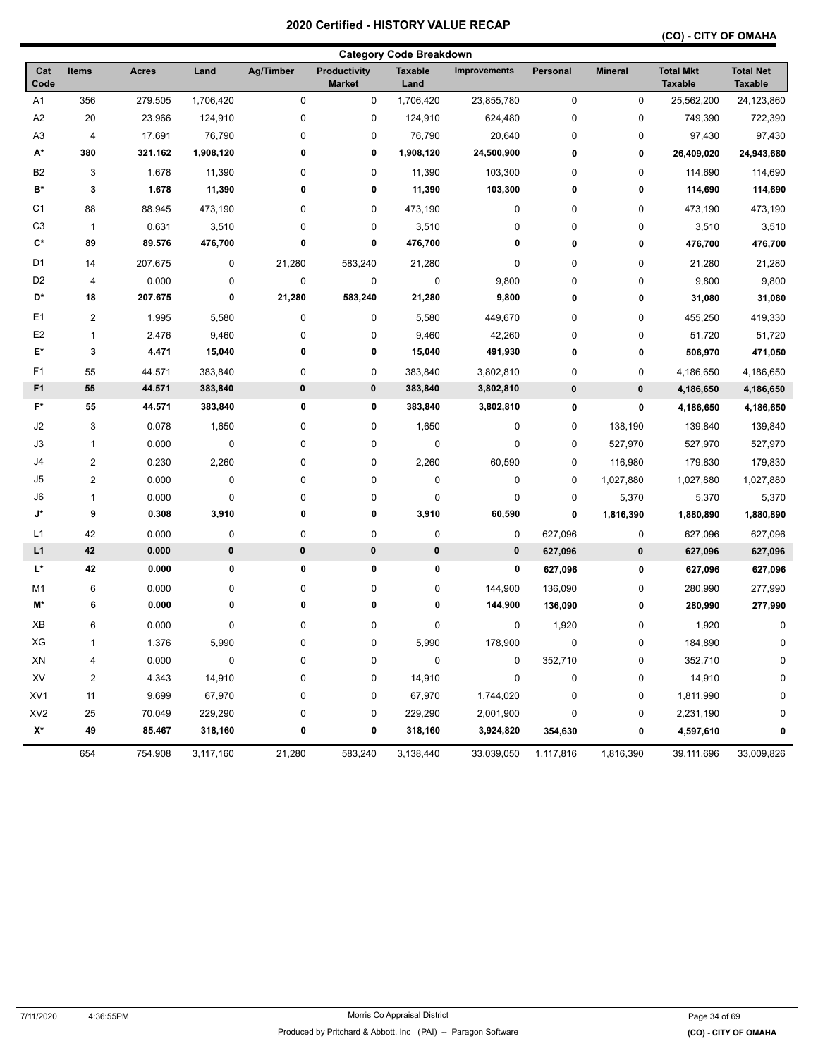| <b>Category Code Breakdown</b> |                         |              |           |                  |                               |                        |                     |             |                |                                    |                                    |
|--------------------------------|-------------------------|--------------|-----------|------------------|-------------------------------|------------------------|---------------------|-------------|----------------|------------------------------------|------------------------------------|
| Cat<br>Code                    | Items                   | <b>Acres</b> | Land      | <b>Ag/Timber</b> | Productivity<br><b>Market</b> | <b>Taxable</b><br>Land | <b>Improvements</b> | Personal    | <b>Mineral</b> | <b>Total Mkt</b><br><b>Taxable</b> | <b>Total Net</b><br><b>Taxable</b> |
| A <sub>1</sub>                 | 356                     | 279.505      | 1,706,420 | $\pmb{0}$        | 0                             | 1,706,420              | 23,855,780          | $\pmb{0}$   | 0              | 25,562,200                         | 24,123,860                         |
| A <sub>2</sub>                 | 20                      | 23.966       | 124,910   | $\pmb{0}$        | 0                             | 124,910                | 624,480             | 0           | 0              | 749,390                            | 722,390                            |
| A <sub>3</sub>                 | 4                       | 17.691       | 76,790    | 0                | 0                             | 76,790                 | 20,640              | 0           | 0              | 97,430                             | 97,430                             |
| A*                             | 380                     | 321.162      | 1,908,120 | 0                | 0                             | 1,908,120              | 24,500,900          | 0           | 0              | 26,409,020                         | 24,943,680                         |
| B <sub>2</sub>                 | 3                       | 1.678        | 11,390    | 0                | 0                             | 11,390                 | 103,300             | 0           | 0              | 114,690                            | 114,690                            |
| B*                             | 3                       | 1.678        | 11,390    | 0                | 0                             | 11,390                 | 103,300             | 0           | 0              | 114,690                            | 114,690                            |
| C <sub>1</sub>                 | 88                      | 88.945       | 473,190   | 0                | 0                             | 473,190                | 0                   | 0           | 0              | 473,190                            | 473,190                            |
| C <sub>3</sub>                 | $\mathbf{1}$            | 0.631        | 3,510     | 0                | 0                             | 3,510                  | 0                   | 0           | 0              | 3,510                              | 3,510                              |
| $\mathbf{C}^*$                 | 89                      | 89.576       | 476,700   | 0                | 0                             | 476,700                | 0                   | 0           | 0              | 476,700                            | 476,700                            |
| D <sub>1</sub>                 | 14                      | 207.675      | $\pmb{0}$ | 21,280           | 583,240                       | 21,280                 | 0                   | $\mathbf 0$ | 0              | 21,280                             | 21,280                             |
| D <sub>2</sub>                 | 4                       | 0.000        | 0         | $\pmb{0}$        | 0                             | 0                      | 9,800               | 0           | 0              | 9,800                              | 9,800                              |
| D*                             | 18                      | 207.675      | 0         | 21,280           | 583,240                       | 21,280                 | 9,800               | 0           | 0              | 31,080                             | 31,080                             |
| E <sub>1</sub>                 | 2                       | 1.995        | 5,580     | $\pmb{0}$        | 0                             | 5,580                  | 449,670             | 0           | 0              | 455,250                            | 419,330                            |
| E <sub>2</sub>                 | $\mathbf{1}$            | 2.476        | 9,460     | 0                | 0                             | 9,460                  | 42,260              | 0           | 0              | 51,720                             | 51,720                             |
| E*                             | 3                       | 4.471        | 15,040    | 0                | 0                             | 15,040                 | 491,930             | 0           | 0              | 506,970                            | 471,050                            |
| F <sub>1</sub>                 | 55                      | 44.571       | 383,840   | 0                | 0                             | 383,840                | 3,802,810           | $\pmb{0}$   | 0              | 4,186,650                          | 4,186,650                          |
| F <sub>1</sub>                 | 55                      | 44.571       | 383,840   | 0                | 0                             | 383,840                | 3,802,810           | $\pmb{0}$   | $\pmb{0}$      | 4,186,650                          | 4,186,650                          |
| F*                             | 55                      | 44.571       | 383,840   | 0                | 0                             | 383,840                | 3,802,810           | 0           | 0              | 4,186,650                          | 4,186,650                          |
| J2                             | 3                       | 0.078        | 1,650     | 0                | 0                             | 1,650                  | 0                   | $\mathbf 0$ | 138,190        | 139,840                            | 139,840                            |
| J3                             | 1                       | 0.000        | $\pmb{0}$ | 0                | 0                             | 0                      | 0                   | $\mathbf 0$ | 527,970        | 527,970                            | 527,970                            |
| J4                             | 2                       | 0.230        | 2,260     | 0                | 0                             | 2,260                  | 60,590              | $\pmb{0}$   | 116,980        | 179,830                            | 179,830                            |
| J5                             | $\overline{\mathbf{c}}$ | 0.000        | $\pmb{0}$ | $\pmb{0}$        | 0                             | $\pmb{0}$              | 0                   | $\pmb{0}$   | 1,027,880      | 1,027,880                          | 1,027,880                          |
| J6                             | 1                       | 0.000        | 0         | 0                | 0                             | 0                      | 0                   | 0           | 5,370          | 5,370                              | 5,370                              |
| J*                             | 9                       | 0.308        | 3,910     | 0                | 0                             | 3,910                  | 60,590              | 0           | 1,816,390      | 1,880,890                          | 1,880,890                          |
| L <sub>1</sub>                 | 42                      | 0.000        | $\pmb{0}$ | $\pmb{0}$        | 0                             | $\pmb{0}$              | 0                   | 627,096     | 0              | 627,096                            | 627,096                            |
| L1                             | 42                      | 0.000        | $\pmb{0}$ | $\pmb{0}$        | 0                             | $\pmb{0}$              | 0                   | 627,096     | $\pmb{0}$      | 627,096                            | 627,096                            |
| L*                             | 42                      | 0.000        | 0         | 0                | 0                             | 0                      | 0                   | 627,096     | 0              | 627,096                            | 627,096                            |
| M1                             | 6                       | 0.000        | 0         | 0                | 0                             | 0                      | 144,900             | 136,090     | 0              | 280,990                            | 277,990                            |
| M*                             | 6                       | 0.000        | 0         | 0                | 0                             | 0                      | 144,900             | 136,090     | 0              | 280,990                            | 277,990                            |
| XB                             | 6                       | 0.000        | 0         | 0                | 0                             | 0                      | 0                   | 1,920       | 0              | 1,920                              | 0                                  |
| ХG                             | 1                       | 1.376        | 5,990     | 0                | 0                             | 5,990                  | 178,900             | 0           | 0              | 184,890                            | 0                                  |
| XN                             | 4                       | 0.000        | $\pmb{0}$ | 0                | 0                             | $\pmb{0}$              | 0                   | 352,710     | 0              | 352,710                            | 0                                  |
| XV                             | $\overline{\mathbf{c}}$ | 4.343        | 14,910    | 0                | 0                             | 14,910                 | 0                   | 0           | 0              | 14,910                             | 0                                  |
| XV <sub>1</sub>                | 11                      | 9.699        | 67,970    | 0                | 0                             | 67,970                 | 1,744,020           | 0           | 0              | 1,811,990                          | 0                                  |
| XV <sub>2</sub>                | 25                      | 70.049       | 229,290   | 0                | 0                             | 229,290                | 2,001,900           | 0           | 0              | 2,231,190                          | 0                                  |
| $\mathsf{X}^\star$             | 49                      | 85.467       | 318,160   | 0                | 0                             | 318,160                | 3,924,820           | 354,630     | 0              | 4,597,610                          | 0                                  |
|                                | 654                     | 754.908      | 3,117,160 | 21,280           | 583,240                       | 3,138,440              | 33,039,050          | 1,117,816   | 1,816,390      | 39,111,696                         | 33,009,826                         |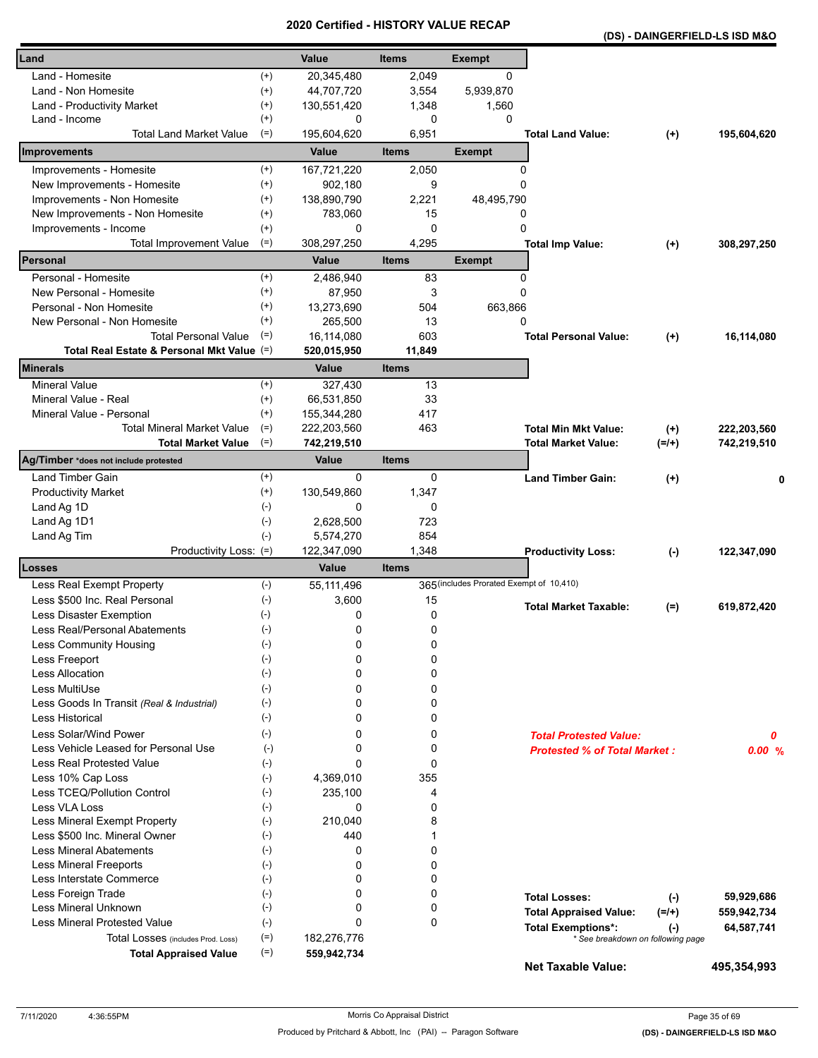| (DS) - DAINGERFIELD-LS ISD M&O |
|--------------------------------|
|--------------------------------|

| Land                                                          |                      | Value                    | <b>Items</b>   | <b>Exempt</b>                            |                                                                |                      |             |
|---------------------------------------------------------------|----------------------|--------------------------|----------------|------------------------------------------|----------------------------------------------------------------|----------------------|-------------|
| Land - Homesite                                               |                      |                          |                | 0                                        |                                                                |                      |             |
|                                                               | $^{(+)}$<br>$^{(+)}$ | 20,345,480<br>44,707,720 | 2,049          |                                          |                                                                |                      |             |
| Land - Non Homesite                                           | $^{(+)}$             | 130,551,420              | 3,554<br>1,348 | 5,939,870<br>1,560                       |                                                                |                      |             |
| Land - Productivity Market<br>Land - Income                   | $^{(+)}$             | 0                        | 0              | 0                                        |                                                                |                      |             |
| <b>Total Land Market Value</b>                                | $(=)$                | 195,604,620              | 6,951          |                                          | <b>Total Land Value:</b>                                       | $(+)$                | 195,604,620 |
| <b>Improvements</b>                                           |                      | Value                    | <b>Items</b>   | <b>Exempt</b>                            |                                                                |                      |             |
| Improvements - Homesite                                       | $^{(+)}$             | 167,721,220              | 2,050          | 0                                        |                                                                |                      |             |
| New Improvements - Homesite                                   | $^{(+)}$             | 902.180                  | 9              | 0                                        |                                                                |                      |             |
| Improvements - Non Homesite                                   | $^{(+)}$             | 138,890,790              | 2,221          | 48,495,790                               |                                                                |                      |             |
| New Improvements - Non Homesite                               | $^{(+)}$             | 783,060                  | 15             | 0                                        |                                                                |                      |             |
| Improvements - Income                                         | $^{(+)}$             | 0                        | 0              | 0                                        |                                                                |                      |             |
| Total Improvement Value                                       | $(=)$                | 308,297,250              | 4,295          |                                          | <b>Total Imp Value:</b>                                        | $^{(+)}$             | 308,297,250 |
| Personal                                                      |                      | Value                    | <b>Items</b>   | <b>Exempt</b>                            |                                                                |                      |             |
| Personal - Homesite                                           | $^{(+)}$             | 2,486,940                | 83             | 0                                        |                                                                |                      |             |
| New Personal - Homesite                                       | $^{(+)}$             | 87,950                   | 3              | 0                                        |                                                                |                      |             |
| Personal - Non Homesite                                       | $^{(+)}$             | 13,273,690               | 504            | 663,866                                  |                                                                |                      |             |
| New Personal - Non Homesite                                   | $^{(+)}$             | 265,500                  | 13             | 0                                        |                                                                |                      |             |
| <b>Total Personal Value</b>                                   | $(=)$                | 16,114,080               | 603            |                                          | <b>Total Personal Value:</b>                                   | $(+)$                | 16,114,080  |
| Total Real Estate & Personal Mkt Value (=)                    |                      | 520,015,950              | 11,849         |                                          |                                                                |                      |             |
| <b>Minerals</b>                                               |                      | Value                    | <b>Items</b>   |                                          |                                                                |                      |             |
| <b>Mineral Value</b>                                          | $^{(+)}$             | 327,430                  | 13             |                                          |                                                                |                      |             |
| Mineral Value - Real                                          | $^{(+)}$             | 66,531,850               | 33             |                                          |                                                                |                      |             |
| Mineral Value - Personal                                      | $(+)$                | 155,344,280              | 417            |                                          |                                                                |                      |             |
| <b>Total Mineral Market Value</b>                             | $(=)$                | 222,203,560              | 463            |                                          | <b>Total Min Mkt Value:</b>                                    | $(+)$                | 222,203,560 |
| <b>Total Market Value</b>                                     | $(=)$                | 742,219,510              |                |                                          | <b>Total Market Value:</b>                                     | $(=/+)$              | 742,219,510 |
| Ag/Timber *does not include protested                         |                      | Value                    | <b>Items</b>   |                                          |                                                                |                      |             |
| Land Timber Gain                                              | $^{(+)}$             | $\mathbf{0}$             | 0              |                                          | <b>Land Timber Gain:</b>                                       | $^{(+)}$             |             |
| <b>Productivity Market</b>                                    | $^{(+)}$             | 130,549,860              | 1,347          |                                          |                                                                |                      |             |
| Land Ag 1D                                                    | $(-)$                | 0                        | 0              |                                          |                                                                |                      |             |
| Land Ag 1D1                                                   | $(-)$                | 2,628,500                | 723            |                                          |                                                                |                      |             |
| Land Ag Tim                                                   | $(-)$                | 5,574,270                | 854            |                                          |                                                                |                      |             |
| Productivity Loss: (=)                                        |                      | 122,347,090              | 1,348          |                                          | <b>Productivity Loss:</b>                                      | $(-)$                | 122,347,090 |
| <b>Losses</b>                                                 |                      | Value                    | Items          |                                          |                                                                |                      |             |
| Less Real Exempt Property                                     | $(-)$                | 55, 111, 496             |                | 365 (includes Prorated Exempt of 10,410) |                                                                |                      |             |
| Less \$500 Inc. Real Personal                                 | $(-)$                | 3,600                    | 15             |                                          | <b>Total Market Taxable:</b>                                   | $(=)$                | 619,872,420 |
| Less Disaster Exemption                                       | $(\cdot)$            | 0                        | 0              |                                          |                                                                |                      |             |
| Less Real/Personal Abatements                                 | $(\text{-})$         | 0                        | 0              |                                          |                                                                |                      |             |
| Less Community Housing                                        | $(-)$                | 0                        | 0              |                                          |                                                                |                      |             |
| Less Freeport                                                 | $(-)$                | 0                        | 0              |                                          |                                                                |                      |             |
| <b>Less Allocation</b>                                        | $(-)$                | 0                        | 0              |                                          |                                                                |                      |             |
| Less MultiUse                                                 | $(-)$                | 0                        | 0              |                                          |                                                                |                      |             |
| Less Goods In Transit (Real & Industrial)                     | $(-)$                | 0                        | 0              |                                          |                                                                |                      |             |
| <b>Less Historical</b>                                        | $(-)$                | 0                        | 0              |                                          |                                                                |                      |             |
| Less Solar/Wind Power<br>Less Vehicle Leased for Personal Use | $(-)$                | 0                        | 0              |                                          | <b>Total Protested Value:</b>                                  |                      | 0           |
|                                                               | $(-)$                | 0<br>$\Omega$            | 0              |                                          | <b>Protested % of Total Market:</b>                            |                      | 0.00%       |
| Less Real Protested Value<br>Less 10% Cap Loss                | $(-)$<br>$(-)$       | 4,369,010                | 0<br>355       |                                          |                                                                |                      |             |
| Less TCEQ/Pollution Control                                   | $(-)$                | 235,100                  | 4              |                                          |                                                                |                      |             |
| Less VLA Loss                                                 | $(-)$                | 0                        | 0              |                                          |                                                                |                      |             |
| Less Mineral Exempt Property                                  | $(-)$                | 210,040                  | 8              |                                          |                                                                |                      |             |
| Less \$500 Inc. Mineral Owner                                 | $(-)$                | 440                      | 1              |                                          |                                                                |                      |             |
| <b>Less Mineral Abatements</b>                                | $(-)$                | 0                        | 0              |                                          |                                                                |                      |             |
| <b>Less Mineral Freeports</b>                                 | $(-)$                | 0                        | 0              |                                          |                                                                |                      |             |
| Less Interstate Commerce                                      | $(-)$                | 0                        | 0              |                                          |                                                                |                      |             |
| Less Foreign Trade                                            | $(-)$                | 0                        | 0              |                                          | <b>Total Losses:</b>                                           |                      | 59,929,686  |
| Less Mineral Unknown                                          | $(-)$                | 0                        | 0              |                                          | <b>Total Appraised Value:</b>                                  | $(\cdot)$<br>$(=/+)$ | 559,942,734 |
| <b>Less Mineral Protested Value</b>                           | $(-)$                | $\Omega$                 | 0              |                                          |                                                                |                      |             |
| Total Losses (includes Prod. Loss)                            | $(=)$                | 182,276,776              |                |                                          | <b>Total Exemptions*:</b><br>* See breakdown on following page | $(\cdot)$            | 64,587,741  |
| <b>Total Appraised Value</b>                                  | $(=)$                | 559,942,734              |                |                                          |                                                                |                      |             |
|                                                               |                      |                          |                |                                          | <b>Net Taxable Value:</b>                                      |                      | 495,354,993 |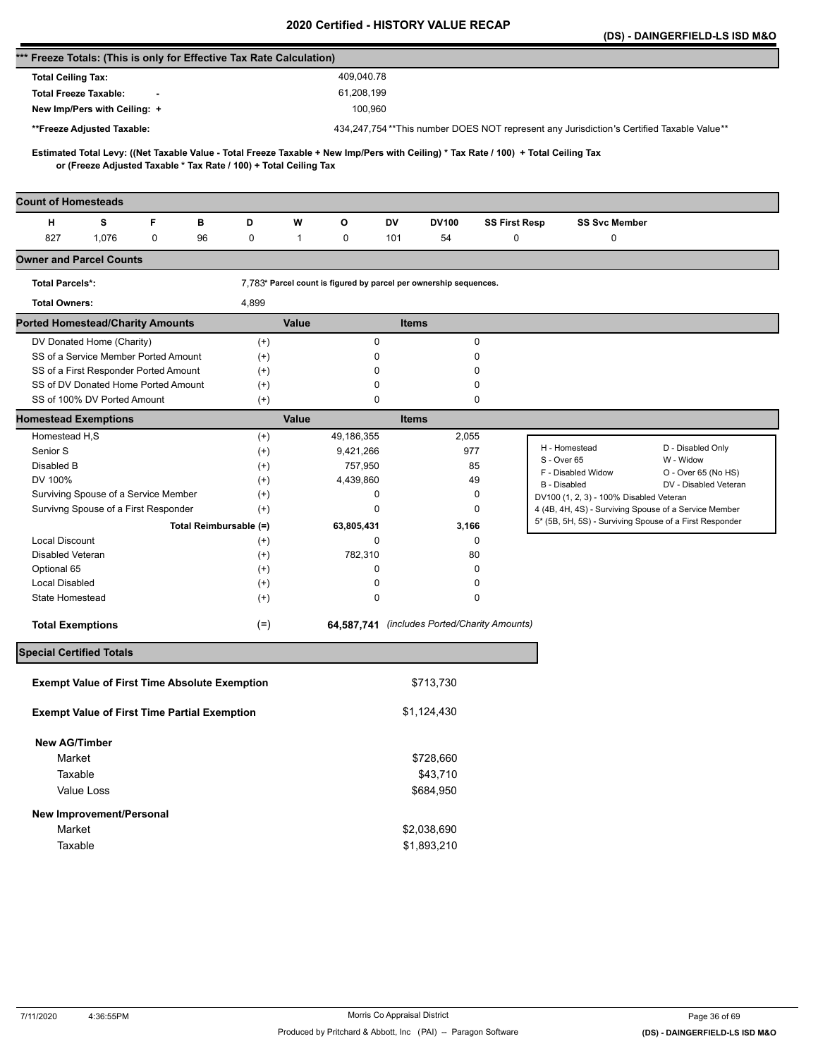|                                                                      |                                                                   |        |                        |                                                                                          |                   |                                                                   |              |                    |                                              |                                                                                                                                     | (DS) - DAINGERFIELD-LS ISD M&O |
|----------------------------------------------------------------------|-------------------------------------------------------------------|--------|------------------------|------------------------------------------------------------------------------------------|-------------------|-------------------------------------------------------------------|--------------|--------------------|----------------------------------------------|-------------------------------------------------------------------------------------------------------------------------------------|--------------------------------|
| *** Freeze Totals: (This is only for Effective Tax Rate Calculation) |                                                                   |        |                        |                                                                                          |                   |                                                                   |              |                    |                                              |                                                                                                                                     |                                |
| <b>Total Ceiling Tax:</b>                                            |                                                                   |        |                        |                                                                                          |                   | 409,040.78                                                        |              |                    |                                              |                                                                                                                                     |                                |
|                                                                      | <b>Total Freeze Taxable:</b>                                      |        |                        |                                                                                          |                   | 61,208,199                                                        |              |                    |                                              |                                                                                                                                     |                                |
|                                                                      | New Imp/Pers with Ceiling: +                                      |        |                        |                                                                                          |                   | 100,960                                                           |              |                    |                                              |                                                                                                                                     |                                |
|                                                                      | **Freeze Adjusted Taxable:                                        |        |                        | 434,247,754**This number DOES NOT represent any Jurisdiction's Certified Taxable Value** |                   |                                                                   |              |                    |                                              |                                                                                                                                     |                                |
|                                                                      |                                                                   |        |                        |                                                                                          |                   |                                                                   |              |                    |                                              |                                                                                                                                     |                                |
|                                                                      | or (Freeze Adjusted Taxable * Tax Rate / 100) + Total Ceiling Tax |        |                        |                                                                                          |                   |                                                                   |              |                    |                                              | Estimated Total Levy: ((Net Taxable Value - Total Freeze Taxable + New Imp/Pers with Ceiling) * Tax Rate / 100) + Total Ceiling Tax |                                |
|                                                                      |                                                                   |        |                        |                                                                                          |                   |                                                                   |              |                    |                                              |                                                                                                                                     |                                |
| <b>Count of Homesteads</b>                                           |                                                                   |        |                        |                                                                                          |                   |                                                                   |              |                    |                                              |                                                                                                                                     |                                |
| н<br>827                                                             | s<br>1,076                                                        | F<br>0 | в<br>96                | D<br>0                                                                                   | W<br>$\mathbf{1}$ | o<br>0                                                            | DV<br>101    | <b>DV100</b><br>54 | <b>SS First Resp</b><br>0                    | <b>SS Svc Member</b><br>0                                                                                                           |                                |
| <b>Owner and Parcel Counts</b>                                       |                                                                   |        |                        |                                                                                          |                   |                                                                   |              |                    |                                              |                                                                                                                                     |                                |
| <b>Total Parcels*:</b>                                               |                                                                   |        |                        |                                                                                          |                   | 7,783* Parcel count is figured by parcel per ownership sequences. |              |                    |                                              |                                                                                                                                     |                                |
| <b>Total Owners:</b>                                                 |                                                                   |        |                        | 4,899                                                                                    |                   |                                                                   |              |                    |                                              |                                                                                                                                     |                                |
| <b>Ported Homestead/Charity Amounts</b>                              |                                                                   |        |                        |                                                                                          | <b>Value</b>      |                                                                   | <b>Items</b> |                    |                                              |                                                                                                                                     |                                |
|                                                                      | DV Donated Home (Charity)                                         |        |                        | $^{(+)}$                                                                                 |                   | 0                                                                 |              |                    | 0                                            |                                                                                                                                     |                                |
|                                                                      | SS of a Service Member Ported Amount                              |        |                        | $^{(+)}$                                                                                 |                   | 0                                                                 |              |                    | 0                                            |                                                                                                                                     |                                |
|                                                                      | SS of a First Responder Ported Amount                             |        |                        | $^{(+)}$                                                                                 |                   | 0                                                                 |              |                    | $\Omega$                                     |                                                                                                                                     |                                |
|                                                                      | SS of DV Donated Home Ported Amount                               |        |                        | $^{(+)}$                                                                                 |                   | 0                                                                 |              |                    | 0                                            |                                                                                                                                     |                                |
|                                                                      | SS of 100% DV Ported Amount                                       |        |                        | $^{(+)}$                                                                                 |                   | $\mathbf 0$                                                       |              |                    | 0                                            |                                                                                                                                     |                                |
| <b>Homestead Exemptions</b>                                          |                                                                   |        |                        |                                                                                          | Value             |                                                                   | <b>Items</b> |                    |                                              |                                                                                                                                     |                                |
| Homestead H,S                                                        |                                                                   |        |                        | $^{(+)}$                                                                                 |                   | 49,186,355                                                        |              | 2,055              |                                              |                                                                                                                                     |                                |
| Senior S                                                             |                                                                   |        |                        | $^{(+)}$                                                                                 |                   | 9,421,266                                                         |              | 977                |                                              | H - Homestead<br>S - Over 65                                                                                                        | D - Disabled Only<br>W - Widow |
| Disabled B                                                           |                                                                   |        |                        | $^{(+)}$                                                                                 |                   | 757,950                                                           |              |                    | 85                                           | F - Disabled Widow                                                                                                                  | O - Over 65 (No HS)            |
| DV 100%                                                              |                                                                   |        |                        | $^{(+)}$                                                                                 |                   | 4,439,860                                                         |              |                    | 49                                           | <b>B</b> - Disabled                                                                                                                 | DV - Disabled Veteran          |
|                                                                      | Surviving Spouse of a Service Member                              |        |                        | $^{(+)}$                                                                                 |                   | 0<br>0                                                            |              |                    | 0<br>0                                       | DV100 (1, 2, 3) - 100% Disabled Veteran                                                                                             |                                |
|                                                                      | Survivng Spouse of a First Responder                              |        |                        | $^{(+)}$                                                                                 |                   |                                                                   |              |                    |                                              | 4 (4B, 4H, 4S) - Surviving Spouse of a Service Member<br>5* (5B, 5H, 5S) - Surviving Spouse of a First Responder                    |                                |
| <b>Local Discount</b>                                                |                                                                   |        | Total Reimbursable (=) | $^{(+)}$                                                                                 |                   | 63,805,431<br>0                                                   |              | 3,166              | 0                                            |                                                                                                                                     |                                |
| Disabled Veteran                                                     |                                                                   |        |                        | $^{(+)}$                                                                                 |                   | 782,310                                                           |              |                    | 80                                           |                                                                                                                                     |                                |
| Optional 65                                                          |                                                                   |        |                        | $^{(+)}$                                                                                 |                   | 0                                                                 |              |                    | 0                                            |                                                                                                                                     |                                |
| <b>Local Disabled</b>                                                |                                                                   |        |                        | $^{(+)}$                                                                                 |                   | 0                                                                 |              |                    | 0                                            |                                                                                                                                     |                                |
| State Homestead                                                      |                                                                   |        |                        | $^{(+)}$                                                                                 |                   | 0                                                                 |              |                    | 0                                            |                                                                                                                                     |                                |
| <b>Total Exemptions</b>                                              |                                                                   |        |                        | $(=)$                                                                                    |                   |                                                                   |              |                    | 64,587,741 (includes Ported/Charity Amounts) |                                                                                                                                     |                                |
| <b>Special Certified Totals</b>                                      |                                                                   |        |                        |                                                                                          |                   |                                                                   |              |                    |                                              |                                                                                                                                     |                                |
|                                                                      |                                                                   |        |                        |                                                                                          |                   |                                                                   |              |                    |                                              |                                                                                                                                     |                                |
|                                                                      | <b>Exempt Value of First Time Absolute Exemption</b>              |        |                        |                                                                                          |                   |                                                                   |              | \$713,730          |                                              |                                                                                                                                     |                                |
|                                                                      | <b>Exempt Value of First Time Partial Exemption</b>               |        |                        |                                                                                          |                   |                                                                   |              | \$1,124,430        |                                              |                                                                                                                                     |                                |
| <b>New AG/Timber</b>                                                 |                                                                   |        |                        |                                                                                          |                   |                                                                   |              |                    |                                              |                                                                                                                                     |                                |
| Market                                                               |                                                                   |        |                        |                                                                                          |                   |                                                                   |              | \$728,660          |                                              |                                                                                                                                     |                                |
| Taxable                                                              |                                                                   |        |                        |                                                                                          |                   |                                                                   |              | \$43,710           |                                              |                                                                                                                                     |                                |
|                                                                      | Value Loss                                                        |        |                        |                                                                                          |                   |                                                                   |              | \$684,950          |                                              |                                                                                                                                     |                                |
|                                                                      | New Improvement/Personal                                          |        |                        |                                                                                          |                   |                                                                   |              |                    |                                              |                                                                                                                                     |                                |
| Market                                                               |                                                                   |        |                        |                                                                                          |                   |                                                                   |              | \$2,038,690        |                                              |                                                                                                                                     |                                |
| Taxable                                                              |                                                                   |        |                        |                                                                                          |                   |                                                                   |              | \$1,893,210        |                                              |                                                                                                                                     |                                |
|                                                                      |                                                                   |        |                        |                                                                                          |                   |                                                                   |              |                    |                                              |                                                                                                                                     |                                |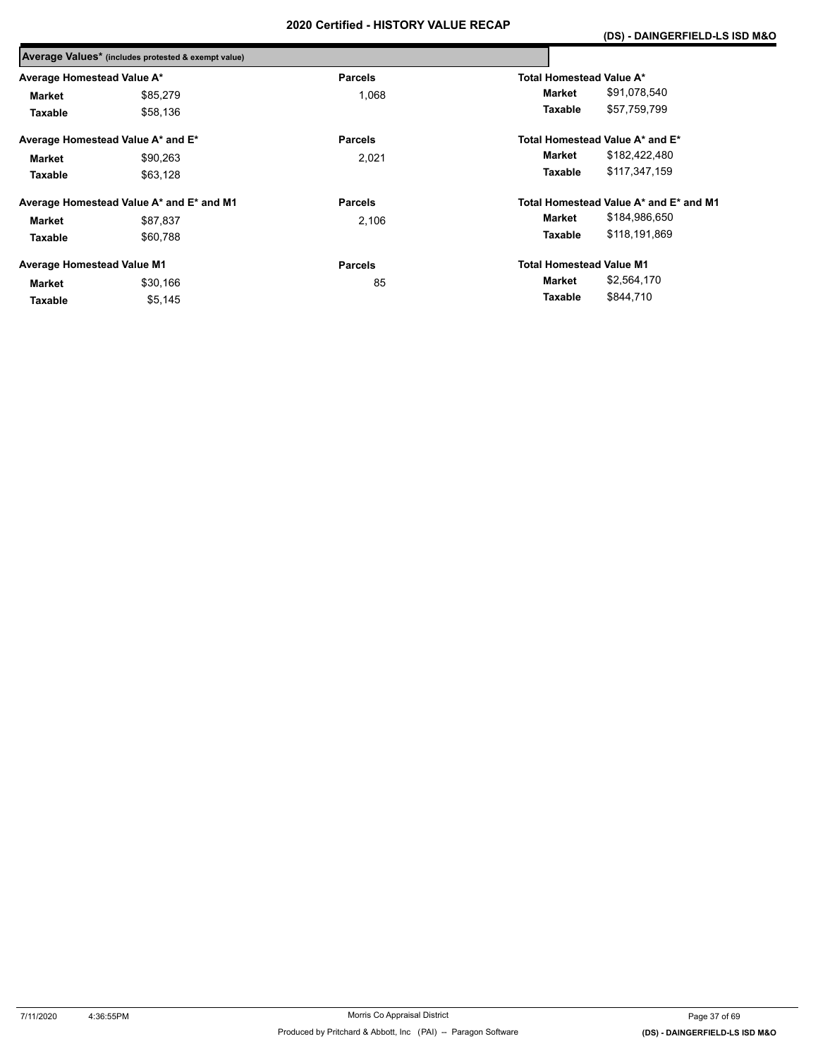|                                   | Average Values* (includes protested & exempt value) |                |                                 |                                        |
|-----------------------------------|-----------------------------------------------------|----------------|---------------------------------|----------------------------------------|
| Average Homestead Value A*        |                                                     | <b>Parcels</b> | Total Homestead Value A*        |                                        |
| <b>Market</b>                     | \$85.279                                            | 1.068          | Market                          | \$91,078,540                           |
| Taxable                           | \$58,136                                            |                | Taxable                         | \$57,759,799                           |
|                                   | Average Homestead Value A* and E*                   | <b>Parcels</b> |                                 | Total Homestead Value A* and E*        |
| Market                            | \$90,263                                            | 2,021          | Market                          | \$182,422,480                          |
| Taxable                           | \$63,128                                            |                | Taxable                         | \$117,347,159                          |
|                                   | Average Homestead Value A* and E* and M1            | <b>Parcels</b> |                                 | Total Homestead Value A* and E* and M1 |
| Market                            | \$87.837                                            | 2.106          | Market                          | \$184,986,650                          |
| Taxable                           | \$60.788                                            |                | <b>Taxable</b>                  | \$118,191,869                          |
| <b>Average Homestead Value M1</b> |                                                     | <b>Parcels</b> | <b>Total Homestead Value M1</b> |                                        |
| <b>Market</b>                     | \$30.166                                            | 85             | Market                          | \$2,564,170                            |
| Taxable                           | \$5,145                                             |                | Taxable                         | \$844,710                              |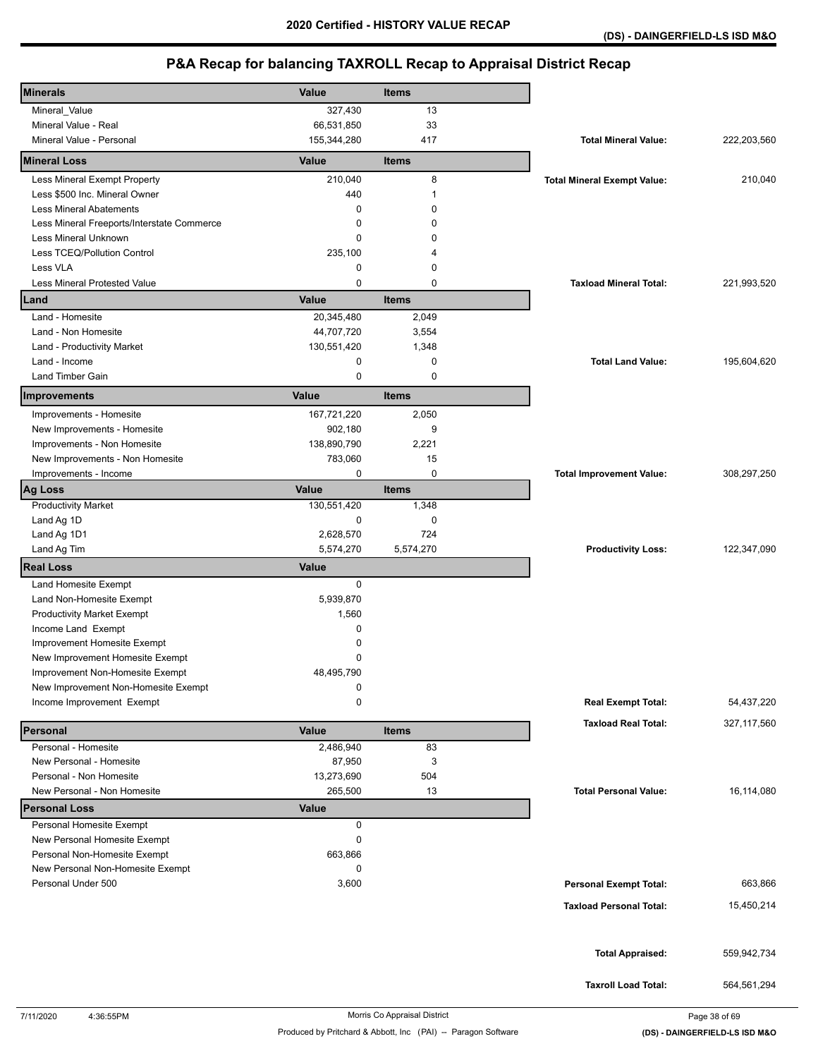| <b>Minerals</b>                            | Value        | Items        |                                    |               |
|--------------------------------------------|--------------|--------------|------------------------------------|---------------|
| Mineral_Value                              | 327,430      | 13           |                                    |               |
| Mineral Value - Real                       | 66,531,850   | 33           |                                    |               |
| Mineral Value - Personal                   | 155,344,280  | 417          | <b>Total Mineral Value:</b>        | 222,203,560   |
| <b>Mineral Loss</b>                        | Value        | <b>Items</b> |                                    |               |
| Less Mineral Exempt Property               | 210,040      | 8            | <b>Total Mineral Exempt Value:</b> | 210,040       |
| Less \$500 Inc. Mineral Owner              | 440          | 1            |                                    |               |
| <b>Less Mineral Abatements</b>             | 0            | $\Omega$     |                                    |               |
| Less Mineral Freeports/Interstate Commerce | 0            | $\Omega$     |                                    |               |
| Less Mineral Unknown                       | 0            | 0            |                                    |               |
| Less TCEQ/Pollution Control                | 235,100      | 4            |                                    |               |
| Less VLA                                   | 0            | 0            |                                    |               |
| <b>Less Mineral Protested Value</b>        | 0            | $\mathbf 0$  | <b>Taxload Mineral Total:</b>      | 221,993,520   |
| Land                                       | Value        | <b>Items</b> |                                    |               |
| Land - Homesite                            | 20,345,480   | 2,049        |                                    |               |
| Land - Non Homesite                        | 44,707,720   | 3,554        |                                    |               |
| Land - Productivity Market                 | 130,551,420  | 1,348        |                                    |               |
| Land - Income                              | 0            | 0            | <b>Total Land Value:</b>           | 195,604,620   |
| <b>Land Timber Gain</b>                    | 0            | $\mathbf 0$  |                                    |               |
| Improvements                               | Value        | <b>Items</b> |                                    |               |
| Improvements - Homesite                    | 167,721,220  | 2,050        |                                    |               |
| New Improvements - Homesite                | 902,180      | 9            |                                    |               |
| Improvements - Non Homesite                | 138,890,790  | 2,221        |                                    |               |
| New Improvements - Non Homesite            | 783,060      | 15           |                                    |               |
| Improvements - Income                      | 0            | 0            | <b>Total Improvement Value:</b>    | 308,297,250   |
| <b>Ag Loss</b>                             | Value        | <b>Items</b> |                                    |               |
| <b>Productivity Market</b>                 | 130,551,420  | 1,348        |                                    |               |
| Land Ag 1D                                 | 0            | 0            |                                    |               |
| Land Ag 1D1                                | 2,628,570    | 724          |                                    |               |
| Land Ag Tim                                | 5,574,270    | 5,574,270    | <b>Productivity Loss:</b>          | 122,347,090   |
| <b>Real Loss</b>                           | <b>Value</b> |              |                                    |               |
| Land Homesite Exempt                       | 0            |              |                                    |               |
| Land Non-Homesite Exempt                   | 5,939,870    |              |                                    |               |
| <b>Productivity Market Exempt</b>          | 1,560        |              |                                    |               |
| Income Land Exempt                         | 0            |              |                                    |               |
| Improvement Homesite Exempt                | 0            |              |                                    |               |
| New Improvement Homesite Exempt            | 0            |              |                                    |               |
| Improvement Non-Homesite Exempt            | 48,495,790   |              |                                    |               |
| New Improvement Non-Homesite Exempt        | 0            |              |                                    |               |
| Income Improvement Exempt                  | 0            |              | <b>Real Exempt Total:</b>          | 54,437,220    |
| Personal                                   | Value        | <b>Items</b> | <b>Taxload Real Total:</b>         | 327, 117, 560 |
| Personal - Homesite                        | 2,486,940    | 83           |                                    |               |
| New Personal - Homesite                    | 87,950       | 3            |                                    |               |
| Personal - Non Homesite                    | 13,273,690   | 504          |                                    |               |
| New Personal - Non Homesite                | 265,500      | 13           | <b>Total Personal Value:</b>       | 16,114,080    |
| <b>Personal Loss</b>                       | <b>Value</b> |              |                                    |               |
| Personal Homesite Exempt                   | 0            |              |                                    |               |
| New Personal Homesite Exempt               | 0            |              |                                    |               |
| Personal Non-Homesite Exempt               | 663,866      |              |                                    |               |
| New Personal Non-Homesite Exempt           | 0            |              |                                    |               |
| Personal Under 500                         | 3,600        |              | <b>Personal Exempt Total:</b>      | 663,866       |
|                                            |              |              | <b>Taxload Personal Total:</b>     | 15,450,214    |
|                                            |              |              |                                    |               |
|                                            |              |              |                                    |               |
|                                            |              |              | <b>Total Appraised:</b>            | 559,942,734   |
|                                            |              |              |                                    |               |
|                                            |              |              | <b>Taxroll Load Total:</b>         | 564,561,294   |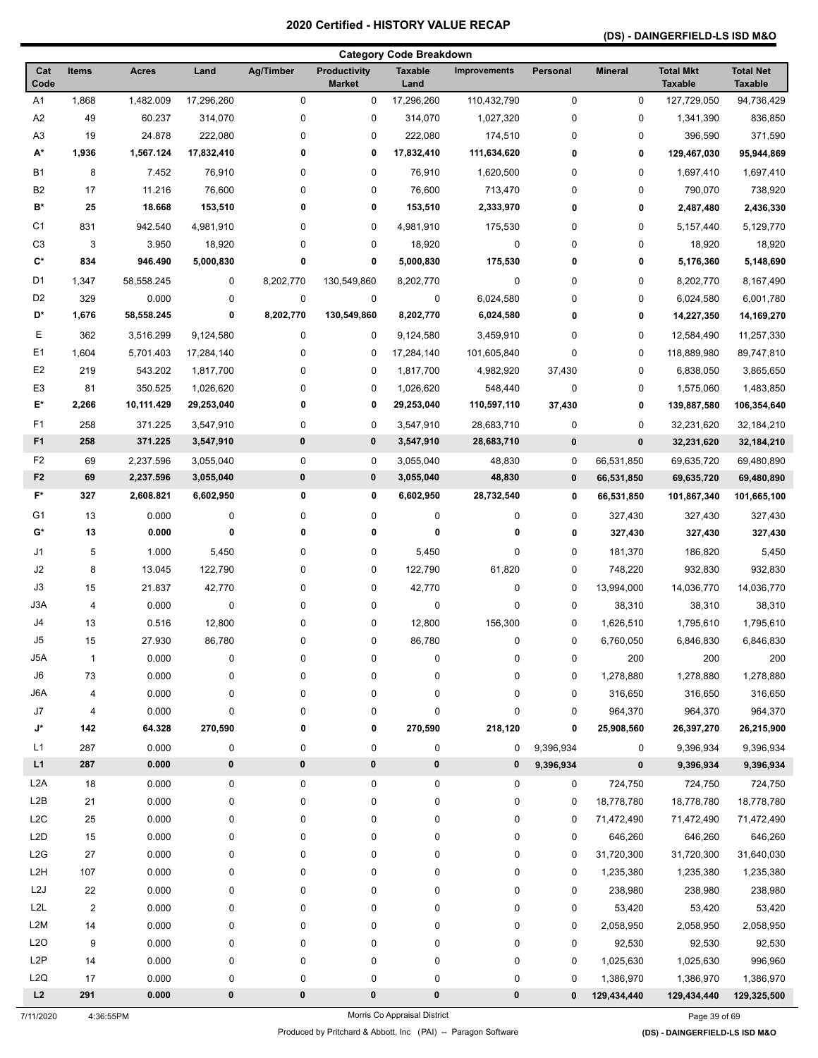## **(DS) - DAINGERFIELD-LS ISD M&O**

|                  |                |              |            |                  |                                      | <b>Category Code Breakdown</b> |                     |             |                |                                    |                                    |
|------------------|----------------|--------------|------------|------------------|--------------------------------------|--------------------------------|---------------------|-------------|----------------|------------------------------------|------------------------------------|
| Cat<br>Code      | <b>Items</b>   | <b>Acres</b> | Land       | <b>Ag/Timber</b> | <b>Productivity</b><br><b>Market</b> | <b>Taxable</b><br>Land         | <b>Improvements</b> | Personal    | <b>Mineral</b> | <b>Total Mkt</b><br><b>Taxable</b> | <b>Total Net</b><br><b>Taxable</b> |
| A1               | 1,868          | 1,482.009    | 17,296,260 | $\pmb{0}$        | 0                                    | 17,296,260                     | 110,432,790         | $\mathbf 0$ | $\pmb{0}$      | 127,729,050                        | 94,736,429                         |
| A <sub>2</sub>   | 49             | 60.237       | 314,070    | 0                | 0                                    | 314,070                        | 1,027,320           | 0           | 0              | 1,341,390                          | 836,850                            |
| A <sub>3</sub>   | 19             | 24.878       | 222,080    | 0                | 0                                    | 222,080                        | 174,510             | 0           | 0              | 396,590                            | 371,590                            |
| А*               | 1,936          | 1,567.124    | 17,832,410 | 0                | 0                                    | 17,832,410                     | 111,634,620         | 0           | 0              | 129,467,030                        | 95,944,869                         |
| <b>B1</b>        | 8              | 7.452        | 76,910     | 0                | 0                                    | 76,910                         | 1,620,500           | 0           | 0              | 1,697,410                          | 1,697,410                          |
| B <sub>2</sub>   | 17             | 11.216       | 76,600     | 0                | 0                                    | 76,600                         | 713,470             | 0           | 0              | 790,070                            | 738,920                            |
| B*               | 25             | 18.668       | 153,510    | 0                | 0                                    | 153,510                        | 2,333,970           | 0           | 0              | 2,487,480                          | 2,436,330                          |
| C <sub>1</sub>   | 831            | 942.540      | 4,981,910  | 0                | 0                                    | 4,981,910                      | 175,530             | 0           | 0              | 5, 157, 440                        | 5,129,770                          |
| C <sub>3</sub>   | 3              | 3.950        | 18,920     | 0                | 0                                    | 18,920                         | 0                   | 0           | 0              | 18,920                             | 18,920                             |
| C*               | 834            | 946.490      | 5,000,830  | 0                | 0                                    | 5,000,830                      | 175,530             | 0           | 0              | 5,176,360                          | 5,148,690                          |
| D1               | 1,347          | 58,558.245   | 0          | 8,202,770        | 130,549,860                          | 8,202,770                      | 0                   | 0           | 0              | 8,202,770                          | 8,167,490                          |
| D <sub>2</sub>   | 329            | 0.000        | 0          | $\pmb{0}$        | 0                                    | $\pmb{0}$                      | 6,024,580           | 0           | 0              | 6,024,580                          | 6,001,780                          |
| D*               | 1,676          | 58,558.245   | 0          | 8,202,770        | 130,549,860                          | 8,202,770                      | 6,024,580           | 0           | 0              | 14,227,350                         | 14,169,270                         |
| Е                | 362            | 3,516.299    | 9,124,580  | 0                | 0                                    | 9,124,580                      | 3,459,910           | 0           | 0              | 12,584,490                         | 11,257,330                         |
| E <sub>1</sub>   | 1,604          | 5,701.403    | 17,284,140 | 0                | 0                                    | 17,284,140                     | 101,605,840         | 0           | 0              | 118,889,980                        | 89,747,810                         |
| E <sub>2</sub>   | 219            | 543.202      | 1,817,700  | 0                | 0                                    | 1,817,700                      | 4,982,920           | 37,430      | 0              | 6,838,050                          | 3,865,650                          |
| E <sub>3</sub>   | 81             | 350.525      | 1,026,620  | 0                | 0                                    | 1,026,620                      | 548,440             | 0           | 0              | 1,575,060                          | 1,483,850                          |
| E*               | 2,266          | 10,111.429   | 29,253,040 | 0                | 0                                    | 29,253,040                     | 110,597,110         | 37,430      | 0              | 139,887,580                        | 106,354,640                        |
| F1               | 258            | 371.225      | 3,547,910  | 0                | 0                                    | 3,547,910                      | 28,683,710          | $\pmb{0}$   | 0              | 32,231,620                         | 32,184,210                         |
| F <sub>1</sub>   | 258            | 371.225      | 3,547,910  | 0                | 0                                    | 3,547,910                      | 28,683,710          | $\pmb{0}$   | 0              | 32,231,620                         | 32,184,210                         |
| F <sub>2</sub>   | 69             | 2,237.596    | 3,055,040  | 0                | 0                                    | 3,055,040                      | 48,830              | 0           | 66,531,850     | 69,635,720                         | 69,480,890                         |
| F <sub>2</sub>   | 69             | 2,237.596    | 3,055,040  | 0                | 0                                    | 3,055,040                      | 48,830              | $\mathbf 0$ | 66,531,850     | 69,635,720                         | 69,480,890                         |
| $F^*$            | 327            | 2,608.821    | 6,602,950  | 0                | 0                                    | 6,602,950                      | 28,732,540          | $\mathbf 0$ | 66,531,850     | 101,867,340                        | 101,665,100                        |
| G1               | 13             | 0.000        | 0          | 0                | 0                                    | 0                              | 0                   | 0           | 327,430        | 327,430                            | 327,430                            |
| G*               | 13             | 0.000        | 0          | 0                | 0                                    | 0                              | 0                   | 0           | 327,430        | 327,430                            | 327,430                            |
| J1               | 5              | 1.000        | 5,450      | 0                | 0                                    | 5,450                          | 0                   | 0           | 181,370        | 186,820                            | 5,450                              |
| J2               | 8              | 13.045       | 122,790    | 0                | 0                                    | 122,790                        | 61,820              | 0           | 748,220        | 932,830                            | 932,830                            |
| J3               | 15             | 21.837       | 42,770     | 0                | 0                                    | 42,770                         | 0                   | $\mathbf 0$ | 13,994,000     | 14,036,770                         | 14,036,770                         |
| J3A              | 4              | 0.000        | 0          | 0                | 0                                    | 0                              | 0                   | 0           | 38,310         | 38,310                             | 38,310                             |
| J4               | 13             | 0.516        | 12,800     | 0                | 0                                    | 12,800                         | 156,300             | 0           | 1,626,510      | 1,795,610                          | 1,795,610                          |
| J5               | 15             | 27.930       | 86,780     | 0                | 0                                    | 86,780                         | 0                   | 0           | 6,760,050      | 6,846,830                          | 6,846,830                          |
| J5A              | $\mathbf{1}$   | 0.000        | 0          | 0                | 0                                    | 0                              | 0                   | 0           | 200            | 200                                | 200                                |
| J6               | 73             | 0.000        | 0          | 0                | 0                                    | 0                              | 0                   | 0           | 1,278,880      | 1,278,880                          | 1,278,880                          |
| J6A              | 4              | 0.000        | 0          | 0                | 0                                    | 0                              | 0                   | 0           | 316,650        | 316,650                            | 316,650                            |
| J7               | 4              | 0.000        | 0          | 0                | 0                                    | 0                              | 0                   | 0           | 964,370        | 964,370                            | 964,370                            |
| J*               | 142            | 64.328       | 270,590    | 0                | 0                                    | 270,590                        | 218,120             | 0           | 25,908,560     | 26,397,270                         | 26,215,900                         |
| L1               | 287            | 0.000        | 0          | 0                | 0                                    | 0                              | 0                   | 9,396,934   | 0              | 9,396,934                          | 9,396,934                          |
| L1               | 287            | 0.000        | 0          | $\pmb{0}$        | 0                                    | 0                              | 0                   | 9,396,934   | $\bf{0}$       | 9,396,934                          | 9,396,934                          |
| L <sub>2</sub> A | 18             | 0.000        | 0          | 0                | 0                                    | 0                              | 0                   | 0           | 724,750        | 724,750                            | 724,750                            |
| L2B              | 21             | 0.000        | 0          | 0                | 0                                    | 0                              | 0                   | 0           | 18,778,780     | 18,778,780                         | 18,778,780                         |
| L <sub>2</sub> C | 25             | 0.000        | 0          | 0                | 0                                    | 0                              | 0                   | 0           | 71,472,490     | 71,472,490                         | 71,472,490                         |
| L <sub>2</sub> D | 15             | 0.000        | 0          | 0                | 0                                    | 0                              | 0                   | 0           | 646,260        | 646,260                            | 646,260                            |
| L2G              | 27             | 0.000        | 0          | 0                | 0                                    | 0                              | 0                   | 0           | 31,720,300     | 31,720,300                         | 31,640,030                         |
| L <sub>2</sub> H | 107            | 0.000        | 0          | 0                | 0                                    | 0                              | 0                   | 0           | 1,235,380      | 1,235,380                          | 1,235,380                          |
| L2J              | 22             | 0.000        | 0          | 0                | 0                                    | 0                              | 0                   | 0           | 238,980        | 238,980                            | 238,980                            |
| L <sub>2</sub> L | $\overline{2}$ | 0.000        | 0          | 0                | 0                                    | 0                              | 0                   | 0           | 53,420         | 53,420                             | 53,420                             |
| L <sub>2</sub> M | 14             | 0.000        | 0          | 0                | 0                                    | 0                              | 0                   | $\mathbf 0$ | 2,058,950      | 2,058,950                          | 2,058,950                          |
| L2O              | 9              | 0.000        | 0          | 0                | 0                                    | 0                              | 0                   | 0           | 92,530         | 92,530                             | 92,530                             |
| L <sub>2</sub> P | 14             | 0.000        | 0          | 0                | 0                                    | 0                              | 0                   | 0           | 1,025,630      | 1,025,630                          | 996,960                            |
| L <sub>2</sub> Q | 17             | 0.000        | 0          | 0                | 0                                    | 0                              | 0                   | 0           | 1,386,970      | 1,386,970                          | 1,386,970                          |
| L2               | 291            | 0.000        | 0          | 0                | 0                                    | 0                              | 0                   | $\mathbf 0$ | 129,434,440    | 129,434,440                        | 129,325,500                        |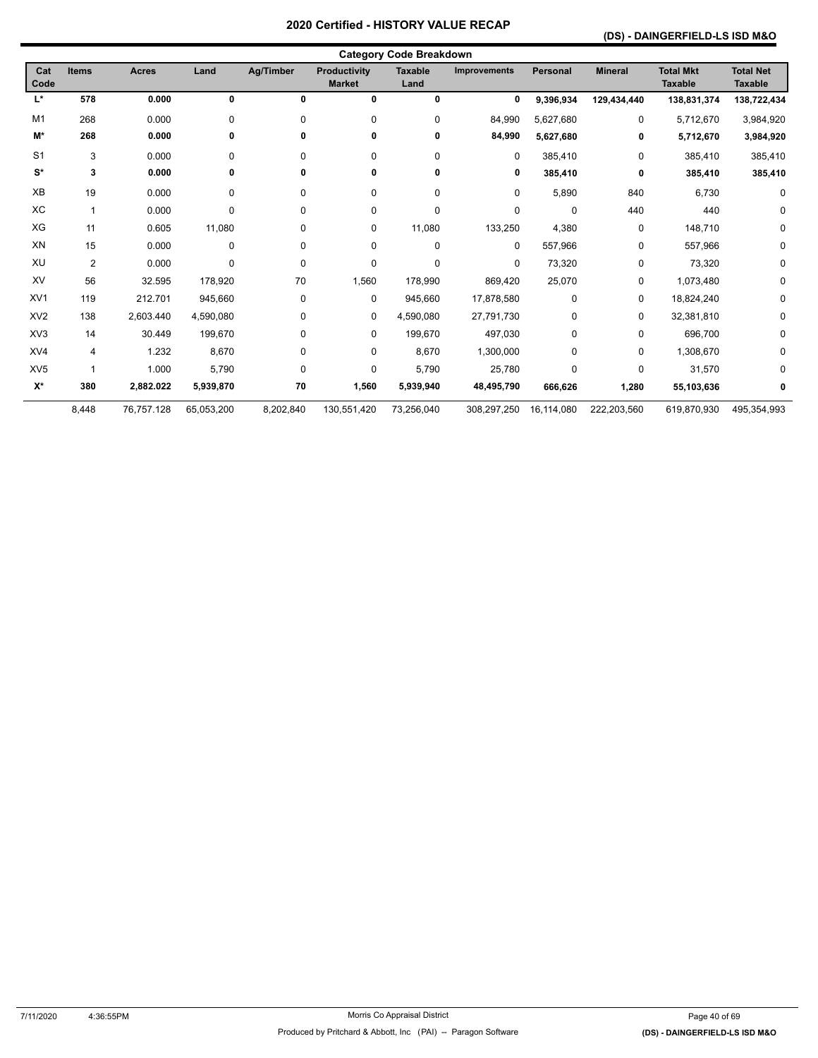### **(DS) - DAINGERFIELD-LS ISD M&O**

| <b>Category Code Breakdown</b> |                |              |            |                  |                                      |                        |                     |             |                |                                    |                                    |
|--------------------------------|----------------|--------------|------------|------------------|--------------------------------------|------------------------|---------------------|-------------|----------------|------------------------------------|------------------------------------|
| Cat<br>Code                    | <b>Items</b>   | <b>Acres</b> | Land       | <b>Ag/Timber</b> | <b>Productivity</b><br><b>Market</b> | <b>Taxable</b><br>Land | <b>Improvements</b> | Personal    | <b>Mineral</b> | <b>Total Mkt</b><br><b>Taxable</b> | <b>Total Net</b><br><b>Taxable</b> |
| L*                             | 578            | 0.000        | 0          | 0                | 0                                    | $\mathbf 0$            | 0                   | 9,396,934   | 129,434,440    | 138,831,374                        | 138,722,434                        |
| M1                             | 268            | 0.000        | 0          | 0                | 0                                    | 0                      | 84,990              | 5,627,680   | 0              | 5,712,670                          | 3,984,920                          |
| M*                             | 268            | 0.000        | 0          | 0                | 0                                    | 0                      | 84,990              | 5,627,680   | 0              | 5,712,670                          | 3,984,920                          |
| S <sub>1</sub>                 | 3              | 0.000        | 0          | 0                | 0                                    | 0                      | 0                   | 385,410     | 0              | 385,410                            | 385,410                            |
| $\mathbf{S}^*$                 | 3              | 0.000        | 0          | 0                | 0                                    | 0                      | 0                   | 385,410     | 0              | 385,410                            | 385,410                            |
| XB                             | 19             | 0.000        | 0          | 0                | 0                                    | 0                      | 0                   | 5,890       | 840            | 6,730                              | 0                                  |
| XC                             | $\mathbf{1}$   | 0.000        | 0          | 0                | 0                                    | 0                      | 0                   | $\mathbf 0$ | 440            | 440                                | 0                                  |
| XG                             | 11             | 0.605        | 11,080     | 0                | 0                                    | 11,080                 | 133,250             | 4,380       | 0              | 148,710                            | 0                                  |
| XN                             | 15             | 0.000        | 0          | 0                | 0                                    | 0                      | 0                   | 557,966     | 0              | 557,966                            | 0                                  |
| XU                             | $\overline{2}$ | 0.000        | 0          | 0                | 0                                    | 0                      | 0                   | 73,320      | 0              | 73,320                             | 0                                  |
| XV                             | 56             | 32.595       | 178,920    | 70               | 1,560                                | 178,990                | 869,420             | 25,070      | 0              | 1,073,480                          | 0                                  |
| XV <sub>1</sub>                | 119            | 212.701      | 945,660    | 0                | 0                                    | 945,660                | 17,878,580          | $\mathbf 0$ | 0              | 18,824,240                         | 0                                  |
| XV <sub>2</sub>                | 138            | 2.603.440    | 4,590,080  | 0                | 0                                    | 4,590,080              | 27,791,730          | $\mathbf 0$ | 0              | 32,381,810                         | 0                                  |
| XV3                            | 14             | 30.449       | 199,670    | 0                | 0                                    | 199,670                | 497,030             | $\mathbf 0$ | 0              | 696,700                            | 0                                  |
| XV4                            | 4              | 1.232        | 8,670      | 0                | 0                                    | 8,670                  | 1,300,000           | $\Omega$    | 0              | 1,308,670                          | 0                                  |
| XV <sub>5</sub>                | 1              | 1.000        | 5,790      | 0                | 0                                    | 5,790                  | 25,780              | $\Omega$    | 0              | 31,570                             | 0                                  |
| $\mathsf{X}^\star$             | 380            | 2,882.022    | 5,939,870  | 70               | 1,560                                | 5,939,940              | 48,495,790          | 666,626     | 1,280          | 55,103,636                         | 0                                  |
|                                | 8,448          | 76,757.128   | 65,053,200 | 8,202,840        | 130,551,420                          | 73,256,040             | 308,297,250         | 16,114,080  | 222,203,560    | 619,870,930                        | 495,354,993                        |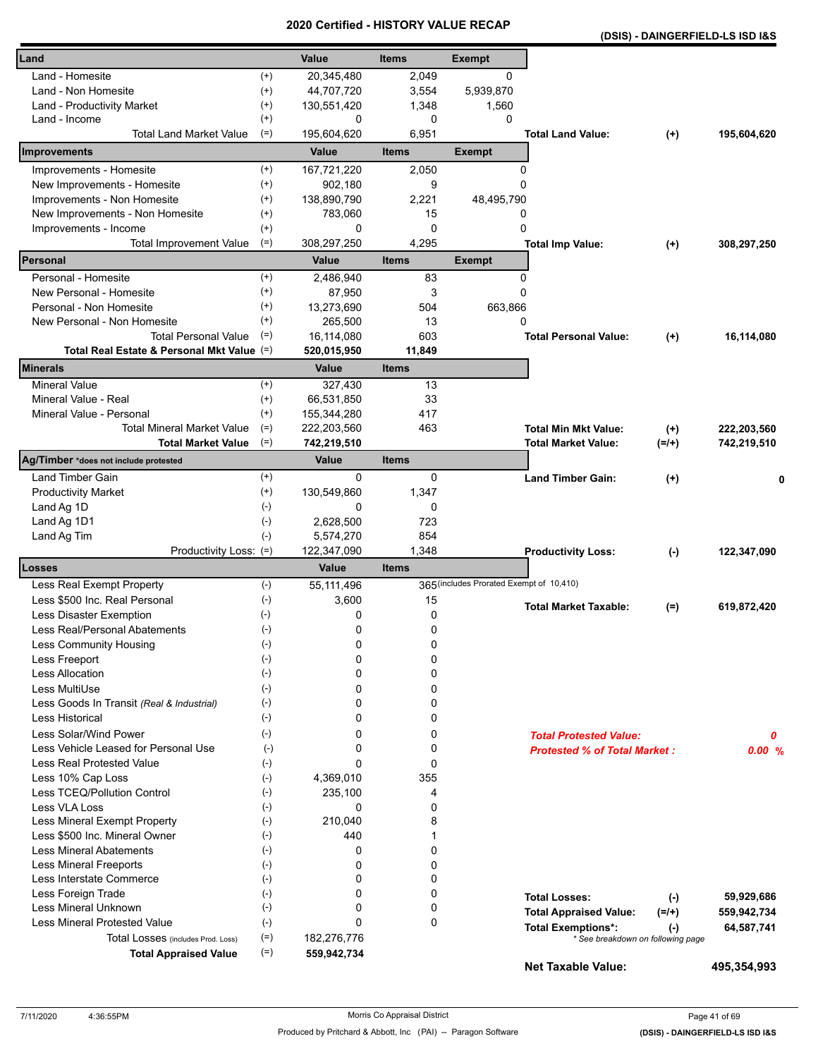| Land                                       |                       | Value       | <b>Items</b>     | <b>Exempt</b>                            |                                                                |                  |             |
|--------------------------------------------|-----------------------|-------------|------------------|------------------------------------------|----------------------------------------------------------------|------------------|-------------|
| Land - Homesite                            | $^{(+)}$              | 20,345,480  | 2,049            | $\Omega$                                 |                                                                |                  |             |
| Land - Non Homesite                        | $^{(+)}$              | 44,707,720  | 3,554            | 5,939,870                                |                                                                |                  |             |
| Land - Productivity Market                 | $^{(+)}$              | 130,551,420 | 1,348            | 1,560                                    |                                                                |                  |             |
| Land - Income                              | $^{(+)}$              | 0           | 0                | 0                                        |                                                                |                  |             |
| <b>Total Land Market Value</b>             | $(=)$                 | 195,604,620 | 6,951            |                                          | <b>Total Land Value:</b>                                       | $^{(+)}$         | 195,604,620 |
| Improvements                               |                       | Value       | <b>Items</b>     | Exempt                                   |                                                                |                  |             |
| Improvements - Homesite                    | $^{(+)}$              | 167,721,220 | 2,050            | 0                                        |                                                                |                  |             |
| New Improvements - Homesite                | $^{(+)}$              | 902,180     | 9                | 0                                        |                                                                |                  |             |
| Improvements - Non Homesite                | $^{(+)}$              | 138,890,790 | 2,221            | 48,495,790                               |                                                                |                  |             |
| New Improvements - Non Homesite            | $^{(+)}$              | 783,060     | 15               | 0                                        |                                                                |                  |             |
| Improvements - Income                      | $^{(+)}$              | 0           | $\mathbf 0$      | 0                                        |                                                                |                  |             |
| <b>Total Improvement Value</b>             | $(=)$                 | 308,297,250 | 4,295            |                                          | <b>Total Imp Value:</b>                                        | $^{(+)}$         | 308,297,250 |
| Personal                                   |                       | Value       | <b>Items</b>     | <b>Exempt</b>                            |                                                                |                  |             |
| Personal - Homesite                        | $^{(+)}$              | 2,486,940   | 83               | 0                                        |                                                                |                  |             |
| New Personal - Homesite                    | $^{(+)}$              | 87,950      | 3                | 0                                        |                                                                |                  |             |
| Personal - Non Homesite                    | $^{(+)}$              | 13,273,690  | 504              | 663,866                                  |                                                                |                  |             |
| New Personal - Non Homesite                | $^{(+)}$              | 265,500     | 13               | 0                                        |                                                                |                  |             |
| <b>Total Personal Value</b>                | $(=)$                 | 16,114,080  | 603              |                                          | <b>Total Personal Value:</b>                                   | $(+)$            | 16,114,080  |
| Total Real Estate & Personal Mkt Value (=) |                       | 520,015,950 | 11,849           |                                          |                                                                |                  |             |
| <b>Minerals</b>                            |                       | Value       | <b>Items</b>     |                                          |                                                                |                  |             |
| <b>Mineral Value</b>                       | $^{(+)}$              | 327,430     | 13               |                                          |                                                                |                  |             |
| Mineral Value - Real                       | $^{(+)}$              | 66,531,850  | 33               |                                          |                                                                |                  |             |
| Mineral Value - Personal                   | $^{(+)}$              | 155,344,280 | 417              |                                          |                                                                |                  |             |
| Total Mineral Market Value                 | $(=)$                 | 222,203,560 | 463              |                                          | <b>Total Min Mkt Value:</b>                                    | $^{(+)}$         | 222,203,560 |
| <b>Total Market Value</b>                  | $(=)$                 | 742,219,510 |                  |                                          | <b>Total Market Value:</b>                                     | $(=/+)$          | 742,219,510 |
| Ag/Timber *does not include protested      |                       | Value       | <b>Items</b>     |                                          |                                                                |                  |             |
| Land Timber Gain                           | $^{(+)}$              | 0           | 0                |                                          | <b>Land Timber Gain:</b>                                       | $(+)$            |             |
| <b>Productivity Market</b>                 | $^{(+)}$              | 130,549,860 | 1,347            |                                          |                                                                |                  |             |
| Land Ag 1D                                 | $(-)$                 | 0           | 0                |                                          |                                                                |                  |             |
| Land Ag 1D1                                | $(\cdot)$             | 2,628,500   | 723              |                                          |                                                                |                  |             |
| Land Ag Tim                                | $(-)$                 | 5,574,270   | 854              |                                          |                                                                |                  |             |
| Productivity Loss: (=)                     |                       | 122,347,090 | 1,348            |                                          | <b>Productivity Loss:</b>                                      | $(-)$            | 122,347,090 |
| Losses                                     |                       | Value       | <b>Items</b>     | 365 (includes Prorated Exempt of 10,410) |                                                                |                  |             |
| Less Real Exempt Property                  | $(-)$                 | 55,111,496  |                  |                                          |                                                                |                  |             |
| Less \$500 Inc. Real Personal              | $(-)$                 | 3,600       | 15               |                                          | <b>Total Market Taxable:</b>                                   | $(=)$            | 619,872,420 |
| Less Disaster Exemption                    | $(-)$                 | 0           | 0                |                                          |                                                                |                  |             |
| Less Real/Personal Abatements              | $(\cdot)$             | 0           | 0                |                                          |                                                                |                  |             |
| Less Community Housing                     | $(-)$                 | 0           | 0                |                                          |                                                                |                  |             |
| Less Freeport<br><b>Less Allocation</b>    | $(\text{-})$<br>$(-)$ | 0<br>0      | 0<br>$\mathbf 0$ |                                          |                                                                |                  |             |
| Less MultiUse                              |                       | 0           | 0                |                                          |                                                                |                  |             |
| Less Goods In Transit (Real & Industrial)  | $(-)$<br>$(-)$        | 0           | $\mathbf 0$      |                                          |                                                                |                  |             |
| <b>Less Historical</b>                     | $(-)$                 | 0           | 0                |                                          |                                                                |                  |             |
| Less Solar/Wind Power                      |                       |             |                  |                                          |                                                                |                  |             |
| Less Vehicle Leased for Personal Use       | $(-)$<br>$(-)$        | 0<br>0      | 0<br>0           |                                          | <b>Total Protested Value:</b>                                  |                  | 0           |
| Less Real Protested Value                  | $(-)$                 | 0           | $\mathbf 0$      |                                          | <b>Protested % of Total Market:</b>                            |                  | 0.00%       |
| Less 10% Cap Loss                          | $(-)$                 | 4,369,010   | 355              |                                          |                                                                |                  |             |
| Less TCEQ/Pollution Control                | $(-)$                 | 235,100     | 4                |                                          |                                                                |                  |             |
| Less VLA Loss                              | $(-)$                 | 0           | 0                |                                          |                                                                |                  |             |
| Less Mineral Exempt Property               | $(-)$                 | 210,040     | 8                |                                          |                                                                |                  |             |
| Less \$500 Inc. Mineral Owner              | $(-)$                 | 440         | 1                |                                          |                                                                |                  |             |
| <b>Less Mineral Abatements</b>             | $(-)$                 | 0           | $\mathbf 0$      |                                          |                                                                |                  |             |
| <b>Less Mineral Freeports</b>              | $(-)$                 | 0           | 0                |                                          |                                                                |                  |             |
| Less Interstate Commerce                   | $(-)$                 | 0           | 0                |                                          |                                                                |                  |             |
| Less Foreign Trade                         | $(-)$                 | 0           | 0                |                                          | <b>Total Losses:</b>                                           |                  | 59,929,686  |
| Less Mineral Unknown                       | $(-)$                 | 0           | $\mathbf 0$      |                                          |                                                                | $(-)$<br>$(=/+)$ |             |
| <b>Less Mineral Protested Value</b>        |                       | 0           | $\mathbf 0$      |                                          | <b>Total Appraised Value:</b>                                  |                  | 559,942,734 |
| Total Losses (includes Prod. Loss)         | $(-)$<br>$(=)$        | 182,276,776 |                  |                                          | <b>Total Exemptions*:</b><br>* See breakdown on following page | $(-)$            | 64,587,741  |
| <b>Total Appraised Value</b>               | $(=)$                 | 559,942,734 |                  |                                          |                                                                |                  |             |
|                                            |                       |             |                  |                                          | Net Taxable Value:                                             |                  | 495,354,993 |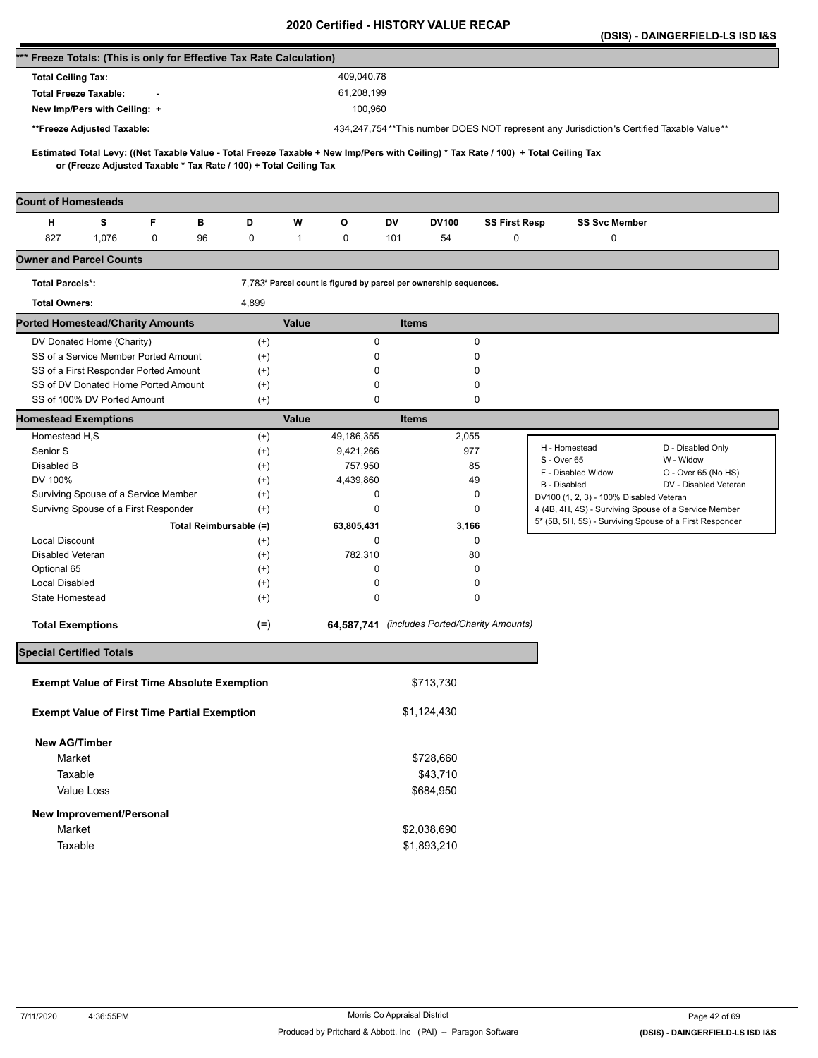|                                                                                                                                                                                                          |                        |                                                                   |         |                                                                                          |                                              |                                                                                                  | (DSIS) - DAINGERFIELD-LS ISD I&S |
|----------------------------------------------------------------------------------------------------------------------------------------------------------------------------------------------------------|------------------------|-------------------------------------------------------------------|---------|------------------------------------------------------------------------------------------|----------------------------------------------|--------------------------------------------------------------------------------------------------|----------------------------------|
| *** Freeze Totals: (This is only for Effective Tax Rate Calculation)                                                                                                                                     |                        |                                                                   |         |                                                                                          |                                              |                                                                                                  |                                  |
| <b>Total Ceiling Tax:</b>                                                                                                                                                                                |                        | 409,040.78                                                        |         |                                                                                          |                                              |                                                                                                  |                                  |
| <b>Total Freeze Taxable:</b>                                                                                                                                                                             |                        | 61,208,199                                                        |         |                                                                                          |                                              |                                                                                                  |                                  |
| New Imp/Pers with Ceiling: +                                                                                                                                                                             |                        |                                                                   | 100,960 |                                                                                          |                                              |                                                                                                  |                                  |
| **Freeze Adjusted Taxable:                                                                                                                                                                               |                        |                                                                   |         | 434,247,754**This number DOES NOT represent any Jurisdiction's Certified Taxable Value** |                                              |                                                                                                  |                                  |
|                                                                                                                                                                                                          |                        |                                                                   |         |                                                                                          |                                              |                                                                                                  |                                  |
| Estimated Total Levy: ((Net Taxable Value - Total Freeze Taxable + New Imp/Pers with Ceiling) * Tax Rate / 100) + Total Ceiling Tax<br>or (Freeze Adjusted Taxable * Tax Rate / 100) + Total Ceiling Tax |                        |                                                                   |         |                                                                                          |                                              |                                                                                                  |                                  |
| <b>Count of Homesteads</b>                                                                                                                                                                               |                        |                                                                   |         |                                                                                          |                                              |                                                                                                  |                                  |
| s<br>F<br>н<br>в                                                                                                                                                                                         | D                      | O<br>W                                                            | DV      | <b>DV100</b>                                                                             | <b>SS First Resp</b>                         | <b>SS Svc Member</b>                                                                             |                                  |
| 827<br>1,076<br>$\mathbf 0$<br>96                                                                                                                                                                        | 0                      | 0<br>1                                                            | 101     | 54                                                                                       | 0                                            | 0                                                                                                |                                  |
| <b>Owner and Parcel Counts</b>                                                                                                                                                                           |                        |                                                                   |         |                                                                                          |                                              |                                                                                                  |                                  |
| <b>Total Parcels*:</b>                                                                                                                                                                                   |                        | 7,783* Parcel count is figured by parcel per ownership sequences. |         |                                                                                          |                                              |                                                                                                  |                                  |
| <b>Total Owners:</b>                                                                                                                                                                                     | 4,899                  |                                                                   |         |                                                                                          |                                              |                                                                                                  |                                  |
| <b>Ported Homestead/Charity Amounts</b>                                                                                                                                                                  |                        | Value                                                             |         | <b>Items</b>                                                                             |                                              |                                                                                                  |                                  |
| DV Donated Home (Charity)                                                                                                                                                                                | $^{(+)}$               |                                                                   | 0       |                                                                                          | 0                                            |                                                                                                  |                                  |
| SS of a Service Member Ported Amount                                                                                                                                                                     | $^{(+)}$               |                                                                   | 0       |                                                                                          | $\Omega$                                     |                                                                                                  |                                  |
| SS of a First Responder Ported Amount                                                                                                                                                                    | $^{(+)}$               |                                                                   | 0       |                                                                                          | $\Omega$                                     |                                                                                                  |                                  |
| SS of DV Donated Home Ported Amount                                                                                                                                                                      | $^{(+)}$               |                                                                   | 0       |                                                                                          | 0                                            |                                                                                                  |                                  |
| SS of 100% DV Ported Amount                                                                                                                                                                              | $^{(+)}$               |                                                                   | 0       |                                                                                          | 0                                            |                                                                                                  |                                  |
| <b>Homestead Exemptions</b>                                                                                                                                                                              |                        | Value                                                             |         | <b>Items</b>                                                                             |                                              |                                                                                                  |                                  |
| Homestead H,S<br>Senior S                                                                                                                                                                                | $^{(+)}$               | 49,186,355<br>9,421,266                                           |         | 2,055                                                                                    | 977                                          | H - Homestead                                                                                    | D - Disabled Only                |
| Disabled B                                                                                                                                                                                               | $^{(+)}$<br>$^{(+)}$   | 757,950                                                           |         |                                                                                          | 85                                           | S - Over 65                                                                                      | W - Widow                        |
| DV 100%                                                                                                                                                                                                  | $^{(+)}$               | 4,439,860                                                         |         |                                                                                          | 49                                           | F - Disabled Widow                                                                               | O - Over 65 (No HS)              |
| Surviving Spouse of a Service Member                                                                                                                                                                     | $^{(+)}$               |                                                                   | 0       |                                                                                          | 0                                            | B - Disabled                                                                                     | DV - Disabled Veteran            |
| Survivng Spouse of a First Responder                                                                                                                                                                     | $^{(+)}$               |                                                                   | 0       |                                                                                          | 0                                            | DV100 (1, 2, 3) - 100% Disabled Veteran<br>4 (4B, 4H, 4S) - Surviving Spouse of a Service Member |                                  |
|                                                                                                                                                                                                          | Total Reimbursable (=) | 63,805,431                                                        |         | 3,166                                                                                    |                                              | 5* (5B, 5H, 5S) - Surviving Spouse of a First Responder                                          |                                  |
| <b>Local Discount</b>                                                                                                                                                                                    | $^{(+)}$               |                                                                   | 0       |                                                                                          | 0                                            |                                                                                                  |                                  |
| Disabled Veteran                                                                                                                                                                                         | $^{(+)}$               | 782,310                                                           |         |                                                                                          | 80                                           |                                                                                                  |                                  |
| Optional 65                                                                                                                                                                                              | $^{(+)}$               |                                                                   | 0       |                                                                                          | 0                                            |                                                                                                  |                                  |
| <b>Local Disabled</b>                                                                                                                                                                                    | $^{(+)}$               |                                                                   | 0       |                                                                                          | 0                                            |                                                                                                  |                                  |
| State Homestead                                                                                                                                                                                          | $^{(+)}$               |                                                                   | 0       |                                                                                          | 0                                            |                                                                                                  |                                  |
| <b>Total Exemptions</b>                                                                                                                                                                                  | $(=)$                  |                                                                   |         |                                                                                          | 64.587.741 (includes Ported/Charity Amounts) |                                                                                                  |                                  |
| <b>Special Certified Totals</b>                                                                                                                                                                          |                        |                                                                   |         |                                                                                          |                                              |                                                                                                  |                                  |
| <b>Exempt Value of First Time Absolute Exemption</b>                                                                                                                                                     |                        |                                                                   |         | \$713,730                                                                                |                                              |                                                                                                  |                                  |
|                                                                                                                                                                                                          |                        |                                                                   |         |                                                                                          |                                              |                                                                                                  |                                  |
| <b>Exempt Value of First Time Partial Exemption</b>                                                                                                                                                      |                        |                                                                   |         | \$1,124,430                                                                              |                                              |                                                                                                  |                                  |
| <b>New AG/Timber</b>                                                                                                                                                                                     |                        |                                                                   |         |                                                                                          |                                              |                                                                                                  |                                  |
| Market                                                                                                                                                                                                   |                        |                                                                   |         | \$728,660                                                                                |                                              |                                                                                                  |                                  |
| Taxable                                                                                                                                                                                                  |                        |                                                                   |         | \$43,710                                                                                 |                                              |                                                                                                  |                                  |
| Value Loss                                                                                                                                                                                               |                        |                                                                   |         | \$684,950                                                                                |                                              |                                                                                                  |                                  |
| New Improvement/Personal                                                                                                                                                                                 |                        |                                                                   |         |                                                                                          |                                              |                                                                                                  |                                  |
| Market                                                                                                                                                                                                   |                        |                                                                   |         | \$2,038,690                                                                              |                                              |                                                                                                  |                                  |
| Taxable                                                                                                                                                                                                  |                        |                                                                   |         | \$1,893,210                                                                              |                                              |                                                                                                  |                                  |
|                                                                                                                                                                                                          |                        |                                                                   |         |                                                                                          |                                              |                                                                                                  |                                  |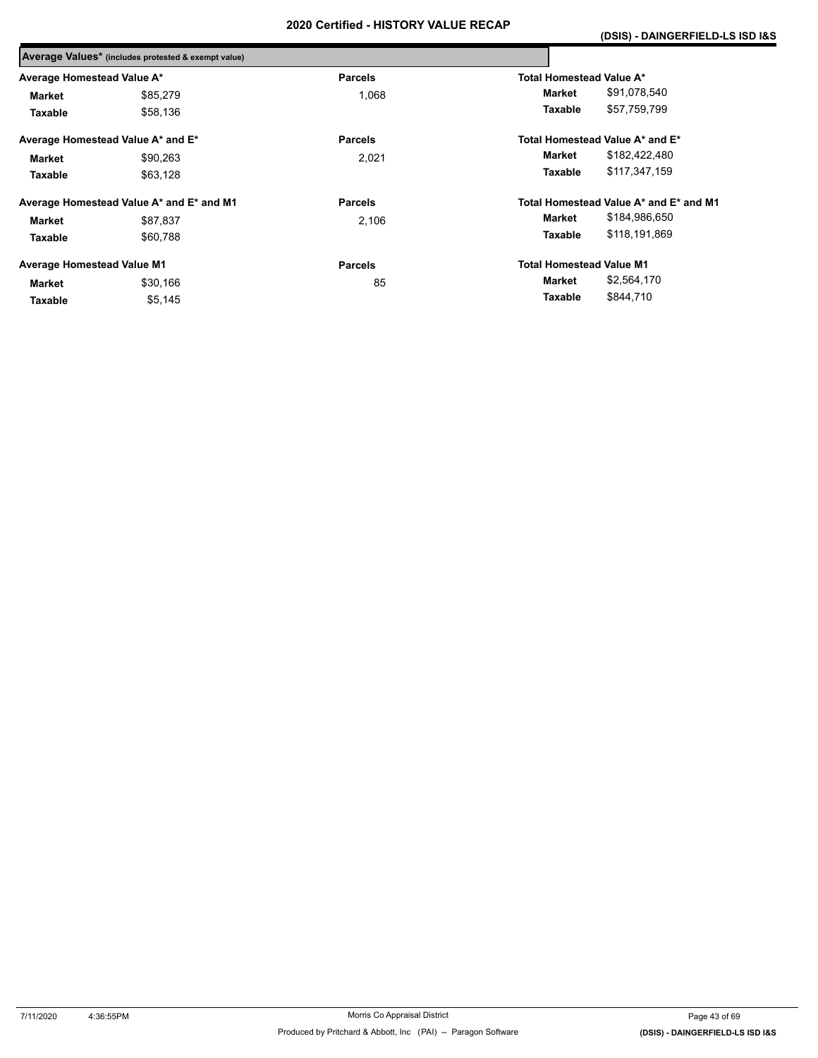|                                   | Average Values* (includes protested & exempt value) |                |                                 |                                        |
|-----------------------------------|-----------------------------------------------------|----------------|---------------------------------|----------------------------------------|
| Average Homestead Value A*        |                                                     | <b>Parcels</b> | Total Homestead Value A*        |                                        |
| <b>Market</b>                     | \$85,279                                            | 1.068          | Market                          | \$91,078,540                           |
| Taxable                           | \$58,136                                            |                | Taxable                         | \$57,759,799                           |
|                                   | Average Homestead Value A* and E*                   | <b>Parcels</b> |                                 | Total Homestead Value A* and E*        |
| <b>Market</b>                     | \$90.263                                            | 2,021          | Market                          | \$182,422,480                          |
| Taxable                           | \$63,128                                            |                | Taxable                         | \$117,347,159                          |
|                                   | Average Homestead Value A* and E* and M1            | <b>Parcels</b> |                                 | Total Homestead Value A* and E* and M1 |
| <b>Market</b>                     | \$87,837                                            | 2,106          | Market                          | \$184,986,650                          |
| Taxable                           | \$60.788                                            |                | Taxable                         | \$118,191,869                          |
| <b>Average Homestead Value M1</b> |                                                     | <b>Parcels</b> | <b>Total Homestead Value M1</b> |                                        |
| Market                            | \$30,166                                            | 85             | Market                          | \$2,564,170                            |
| Taxable                           | \$5,145                                             |                | Taxable                         | \$844,710                              |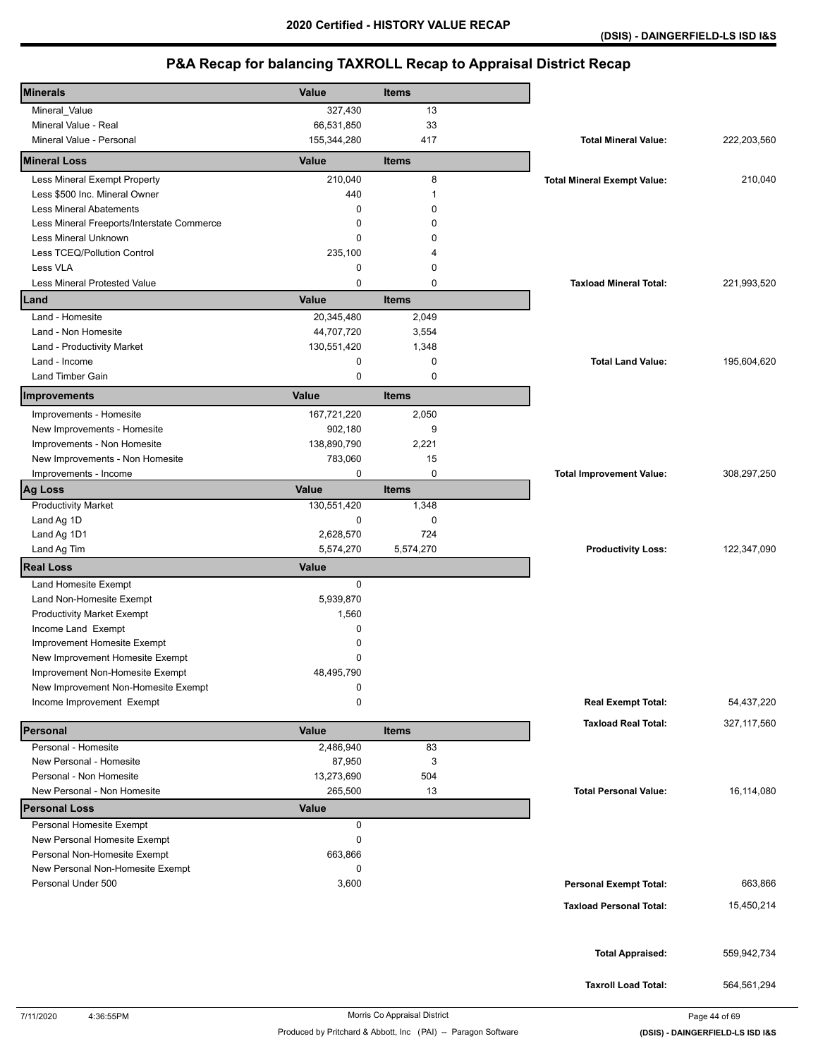| <b>Minerals</b>                            | Value        | Items        |                                    |               |
|--------------------------------------------|--------------|--------------|------------------------------------|---------------|
| Mineral_Value                              | 327,430      | 13           |                                    |               |
| Mineral Value - Real                       | 66,531,850   | 33           |                                    |               |
| Mineral Value - Personal                   | 155,344,280  | 417          | <b>Total Mineral Value:</b>        | 222,203,560   |
| <b>Mineral Loss</b>                        | Value        | <b>Items</b> |                                    |               |
| Less Mineral Exempt Property               | 210,040      | 8            | <b>Total Mineral Exempt Value:</b> | 210,040       |
| Less \$500 Inc. Mineral Owner              | 440          | 1            |                                    |               |
| <b>Less Mineral Abatements</b>             | 0            | $\Omega$     |                                    |               |
| Less Mineral Freeports/Interstate Commerce | 0            | $\Omega$     |                                    |               |
| Less Mineral Unknown                       | 0            | 0            |                                    |               |
| Less TCEQ/Pollution Control                | 235,100      | 4            |                                    |               |
| Less VLA                                   | 0            | 0            |                                    |               |
| <b>Less Mineral Protested Value</b>        | 0            | $\mathbf 0$  | <b>Taxload Mineral Total:</b>      | 221,993,520   |
| Land                                       | Value        | <b>Items</b> |                                    |               |
| Land - Homesite                            | 20,345,480   | 2,049        |                                    |               |
| Land - Non Homesite                        | 44,707,720   | 3,554        |                                    |               |
| Land - Productivity Market                 | 130,551,420  | 1,348        |                                    |               |
| Land - Income                              | 0            | 0            | <b>Total Land Value:</b>           | 195,604,620   |
| <b>Land Timber Gain</b>                    | 0            | $\mathbf 0$  |                                    |               |
| Improvements                               | Value        | <b>Items</b> |                                    |               |
| Improvements - Homesite                    | 167,721,220  | 2,050        |                                    |               |
| New Improvements - Homesite                | 902,180      | 9            |                                    |               |
| Improvements - Non Homesite                | 138,890,790  | 2,221        |                                    |               |
| New Improvements - Non Homesite            | 783,060      | 15           |                                    |               |
| Improvements - Income                      | 0            | 0            | <b>Total Improvement Value:</b>    | 308,297,250   |
| <b>Ag Loss</b>                             | Value        | <b>Items</b> |                                    |               |
| <b>Productivity Market</b>                 | 130,551,420  | 1,348        |                                    |               |
| Land Ag 1D                                 | 0            | 0            |                                    |               |
| Land Ag 1D1                                | 2,628,570    | 724          |                                    |               |
| Land Ag Tim                                | 5,574,270    | 5,574,270    | <b>Productivity Loss:</b>          | 122,347,090   |
| <b>Real Loss</b>                           | <b>Value</b> |              |                                    |               |
| Land Homesite Exempt                       | 0            |              |                                    |               |
| Land Non-Homesite Exempt                   | 5,939,870    |              |                                    |               |
| <b>Productivity Market Exempt</b>          | 1,560        |              |                                    |               |
| Income Land Exempt                         | 0            |              |                                    |               |
| Improvement Homesite Exempt                | 0            |              |                                    |               |
| New Improvement Homesite Exempt            | 0            |              |                                    |               |
| Improvement Non-Homesite Exempt            | 48,495,790   |              |                                    |               |
| New Improvement Non-Homesite Exempt        | 0            |              |                                    |               |
| Income Improvement Exempt                  | 0            |              | <b>Real Exempt Total:</b>          | 54,437,220    |
| Personal                                   | Value        | <b>Items</b> | <b>Taxload Real Total:</b>         | 327, 117, 560 |
| Personal - Homesite                        | 2,486,940    | 83           |                                    |               |
| New Personal - Homesite                    | 87,950       | 3            |                                    |               |
| Personal - Non Homesite                    | 13,273,690   | 504          |                                    |               |
| New Personal - Non Homesite                | 265,500      | 13           | <b>Total Personal Value:</b>       | 16,114,080    |
| <b>Personal Loss</b>                       | <b>Value</b> |              |                                    |               |
| Personal Homesite Exempt                   | 0            |              |                                    |               |
| New Personal Homesite Exempt               | 0            |              |                                    |               |
| Personal Non-Homesite Exempt               | 663,866      |              |                                    |               |
| New Personal Non-Homesite Exempt           | 0            |              |                                    |               |
| Personal Under 500                         | 3,600        |              | <b>Personal Exempt Total:</b>      | 663,866       |
|                                            |              |              | <b>Taxload Personal Total:</b>     | 15,450,214    |
|                                            |              |              |                                    |               |
|                                            |              |              |                                    |               |
|                                            |              |              | <b>Total Appraised:</b>            | 559,942,734   |
|                                            |              |              |                                    |               |
|                                            |              |              | <b>Taxroll Load Total:</b>         | 564,561,294   |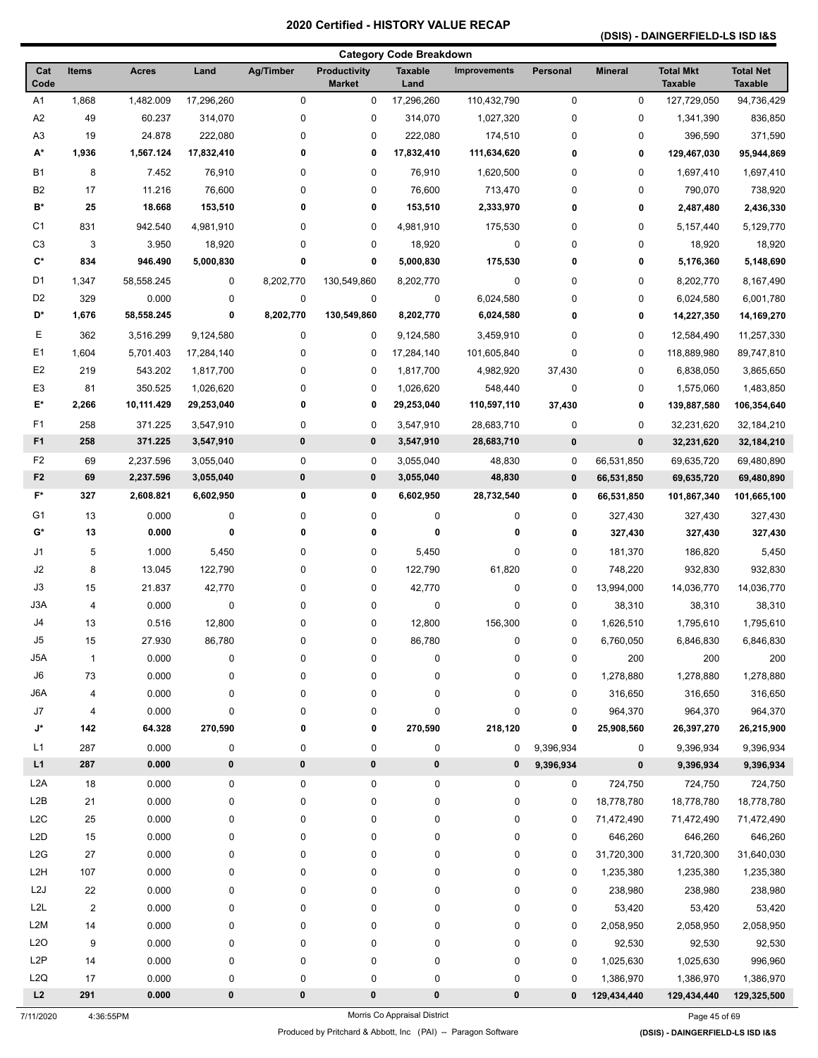### **(DSIS) - DAINGERFIELD-LS ISD I&S**

|                      |                |              |            |                  |                                      | <b>Category Code Breakdown</b> |                     |             |                |                                    |                                    |
|----------------------|----------------|--------------|------------|------------------|--------------------------------------|--------------------------------|---------------------|-------------|----------------|------------------------------------|------------------------------------|
| Cat<br>Code          | Items          | <b>Acres</b> | Land       | <b>Ag/Timber</b> | <b>Productivity</b><br><b>Market</b> | <b>Taxable</b><br>Land         | <b>Improvements</b> | Personal    | <b>Mineral</b> | <b>Total Mkt</b><br><b>Taxable</b> | <b>Total Net</b><br><b>Taxable</b> |
| A1                   | 1,868          | 1,482.009    | 17,296,260 | $\pmb{0}$        | 0                                    | 17,296,260                     | 110,432,790         | $\mathbf 0$ | $\pmb{0}$      | 127,729,050                        | 94,736,429                         |
| A <sub>2</sub>       | 49             | 60.237       | 314,070    | 0                | 0                                    | 314,070                        | 1,027,320           | $\pmb{0}$   | 0              | 1,341,390                          | 836,850                            |
| A <sub>3</sub>       | 19             | 24.878       | 222,080    | 0                | 0                                    | 222,080                        | 174,510             | 0           | 0              | 396,590                            | 371,590                            |
| А*                   | 1,936          | 1,567.124    | 17,832,410 | 0                | 0                                    | 17,832,410                     | 111,634,620         | 0           | 0              | 129,467,030                        | 95,944,869                         |
| <b>B1</b>            | 8              | 7.452        | 76,910     | 0                | 0                                    | 76,910                         | 1,620,500           | 0           | 0              | 1,697,410                          | 1,697,410                          |
| B <sub>2</sub>       | 17             | 11.216       | 76,600     | 0                | 0                                    | 76,600                         | 713,470             | 0           | 0              | 790,070                            | 738,920                            |
| B*                   | 25             | 18.668       | 153,510    | 0                | 0                                    | 153,510                        | 2,333,970           | 0           | 0              | 2,487,480                          | 2,436,330                          |
| C <sub>1</sub>       | 831            | 942.540      | 4,981,910  | 0                | 0                                    | 4,981,910                      | 175,530             | 0           | 0              | 5,157,440                          | 5,129,770                          |
| C <sub>3</sub>       | 3              | 3.950        | 18,920     | 0                | 0                                    | 18,920                         | 0                   | 0           | 0              | 18,920                             | 18,920                             |
| $\mathbf{C}^{\star}$ | 834            | 946.490      | 5,000,830  | 0                | 0                                    | 5,000,830                      | 175,530             | 0           | 0              | 5,176,360                          | 5,148,690                          |
| D <sub>1</sub>       | 1,347          | 58,558.245   | 0          | 8,202,770        | 130,549,860                          | 8,202,770                      | 0                   | 0           | 0              | 8,202,770                          | 8,167,490                          |
| D <sub>2</sub>       | 329            | 0.000        | 0          | $\pmb{0}$        | 0                                    | 0                              | 6,024,580           | 0           | 0              | 6,024,580                          | 6,001,780                          |
| D*                   | 1,676          | 58,558.245   | 0          | 8,202,770        | 130,549,860                          | 8,202,770                      | 6,024,580           | 0           | 0              | 14,227,350                         | 14,169,270                         |
| Е                    | 362            | 3,516.299    | 9,124,580  | 0                | 0                                    | 9,124,580                      | 3,459,910           | 0           | 0              | 12,584,490                         | 11,257,330                         |
| E <sub>1</sub>       | 1,604          | 5,701.403    | 17,284,140 | 0                | 0                                    | 17,284,140                     | 101,605,840         | 0           | 0              | 118,889,980                        | 89,747,810                         |
| E <sub>2</sub>       | 219            | 543.202      | 1,817,700  | 0                | 0                                    | 1,817,700                      | 4,982,920           | 37,430      | 0              | 6,838,050                          | 3,865,650                          |
| E <sub>3</sub>       | 81             | 350.525      | 1,026,620  | 0                | 0                                    | 1,026,620                      | 548,440             | 0           | 0              | 1,575,060                          | 1,483,850                          |
| E*                   | 2,266          | 10,111.429   | 29,253,040 | 0                | 0                                    | 29,253,040                     | 110,597,110         | 37,430      | 0              | 139,887,580                        | 106,354,640                        |
| F1                   | 258            | 371.225      | 3,547,910  | 0                | 0                                    | 3,547,910                      | 28,683,710          | $\pmb{0}$   | 0              | 32,231,620                         | 32,184,210                         |
| F <sub>1</sub>       | 258            | 371.225      | 3,547,910  | 0                | 0                                    | 3,547,910                      | 28,683,710          | $\mathbf 0$ | 0              | 32,231,620                         | 32,184,210                         |
| F <sub>2</sub>       | 69             | 2,237.596    | 3,055,040  | 0                | 0                                    | 3,055,040                      | 48,830              | 0           | 66,531,850     | 69,635,720                         | 69,480,890                         |
| F <sub>2</sub>       | 69             | 2,237.596    | 3,055,040  | 0                | 0                                    | 3,055,040                      | 48,830              | $\mathbf 0$ | 66,531,850     | 69,635,720                         | 69,480,890                         |
| $F^*$                | 327            | 2,608.821    | 6,602,950  | 0                | 0                                    | 6,602,950                      | 28,732,540          | $\mathbf 0$ | 66,531,850     | 101,867,340                        | 101,665,100                        |
| G1                   | 13             | 0.000        | 0          | 0                | 0                                    | 0                              | 0                   | 0           | 327,430        | 327,430                            | 327,430                            |
| G*                   | 13             | 0.000        | 0          | 0                | 0                                    | 0                              | 0                   | $\mathbf 0$ | 327,430        | 327,430                            | 327,430                            |
| J1                   | 5              | 1.000        | 5,450      | 0                | 0                                    | 5,450                          | 0                   | 0           | 181,370        | 186,820                            | 5,450                              |
| J2                   | 8              | 13.045       | 122,790    | 0                | 0                                    | 122,790                        | 61,820              | 0           | 748,220        | 932,830                            | 932,830                            |
| J3                   | 15             | 21.837       | 42,770     | 0                | 0                                    | 42,770                         | 0                   | 0           | 13,994,000     | 14,036,770                         | 14,036,770                         |
| J3A                  | 4              | 0.000        | 0          | 0                | 0                                    | 0                              | 0                   | 0           | 38,310         | 38,310                             | 38,310                             |
| J4                   | 13             | 0.516        | 12,800     | 0                | 0                                    | 12,800                         | 156,300             | $\mathbf 0$ | 1,626,510      | 1,795,610                          | 1,795,610                          |
| J5                   | 15             | 27.930       | 86,780     | 0                | 0                                    | 86,780                         | 0                   | 0           | 6,760,050      | 6,846,830                          | 6,846,830                          |
| J5A                  | $\mathbf{1}$   | 0.000        | 0          | 0                | 0                                    | 0                              | 0                   | 0           | 200            | 200                                | 200                                |
| J6                   | 73             | 0.000        | 0          | 0                | 0                                    | 0                              | 0                   | 0           | 1,278,880      | 1,278,880                          | 1,278,880                          |
| J6A                  | 4              | 0.000        | 0          | 0                | 0                                    | 0                              | 0                   | 0           | 316,650        | 316,650                            | 316,650                            |
| J7                   | 4              | 0.000        | 0          | 0                | 0                                    | 0                              | 0                   | 0           | 964,370        | 964,370                            | 964,370                            |
| J*                   | 142            | 64.328       | 270,590    | 0                | 0                                    | 270,590                        | 218,120             | 0           | 25,908,560     | 26,397,270                         | 26,215,900                         |
| L1                   | 287            | 0.000        | 0          | 0                | 0                                    | 0                              | 0                   | 9,396,934   | 0              | 9,396,934                          | 9,396,934                          |
| L1                   | 287            | 0.000        | $\pmb{0}$  | $\pmb{0}$        | 0                                    | 0                              | 0                   | 9,396,934   | $\bf{0}$       | 9,396,934                          | 9,396,934                          |
| L <sub>2</sub> A     | 18             | 0.000        | 0          | 0                | 0                                    | $\pmb{0}$                      | 0                   | 0           | 724,750        | 724,750                            | 724,750                            |
| L <sub>2</sub> B     | 21             | 0.000        | 0          | 0                | 0                                    | 0                              | 0                   | $\mathbf 0$ | 18,778,780     | 18,778,780                         | 18,778,780                         |
| L <sub>2</sub> C     | 25             | 0.000        | 0          | 0                | 0                                    | 0                              | 0                   | 0           | 71,472,490     | 71,472,490                         | 71,472,490                         |
| L <sub>2</sub> D     | 15             | 0.000        | 0          | 0                | 0                                    | 0                              | 0                   | 0           | 646,260        | 646,260                            | 646,260                            |
| L2G                  | 27             | 0.000        | 0          | 0                | 0                                    | 0                              | 0                   | 0           | 31,720,300     | 31,720,300                         | 31,640,030                         |
| L2H                  | 107            | 0.000        | 0          | 0                | 0                                    | 0                              | 0                   | 0           | 1,235,380      | 1,235,380                          | 1,235,380                          |
| L2J                  | 22             | 0.000        | 0          | 0                | 0                                    | 0                              | 0                   | $\mathbf 0$ | 238,980        | 238,980                            | 238,980                            |
| L <sub>2</sub> L     | $\overline{2}$ | 0.000        | 0          | 0                | 0                                    | 0                              | 0                   | 0           | 53,420         | 53,420                             | 53,420                             |
| L <sub>2</sub> M     | 14             | 0.000        | 0          | 0                | 0                                    | 0                              | 0                   | 0           | 2,058,950      | 2,058,950                          | 2,058,950                          |
| L2O                  | 9              | 0.000        | 0          | 0                | 0                                    | 0                              | 0                   | 0           | 92,530         | 92,530                             | 92,530                             |
| L <sub>2</sub> P     | 14             | 0.000        | 0          | 0                | 0                                    | 0                              | 0                   | 0           | 1,025,630      | 1,025,630                          | 996,960                            |
| L <sub>2</sub> Q     | 17             | 0.000        | 0          | 0                | 0                                    | 0                              | 0                   | 0           | 1,386,970      | 1,386,970                          | 1,386,970                          |
| L2                   | 291            | 0.000        | 0          | 0                | 0                                    | 0                              | 0                   | $\mathbf 0$ | 129,434,440    | 129,434,440                        | 129,325,500                        |

7/11/2020 4:36:55PM Morris Co Appraisal District Page 45 of 69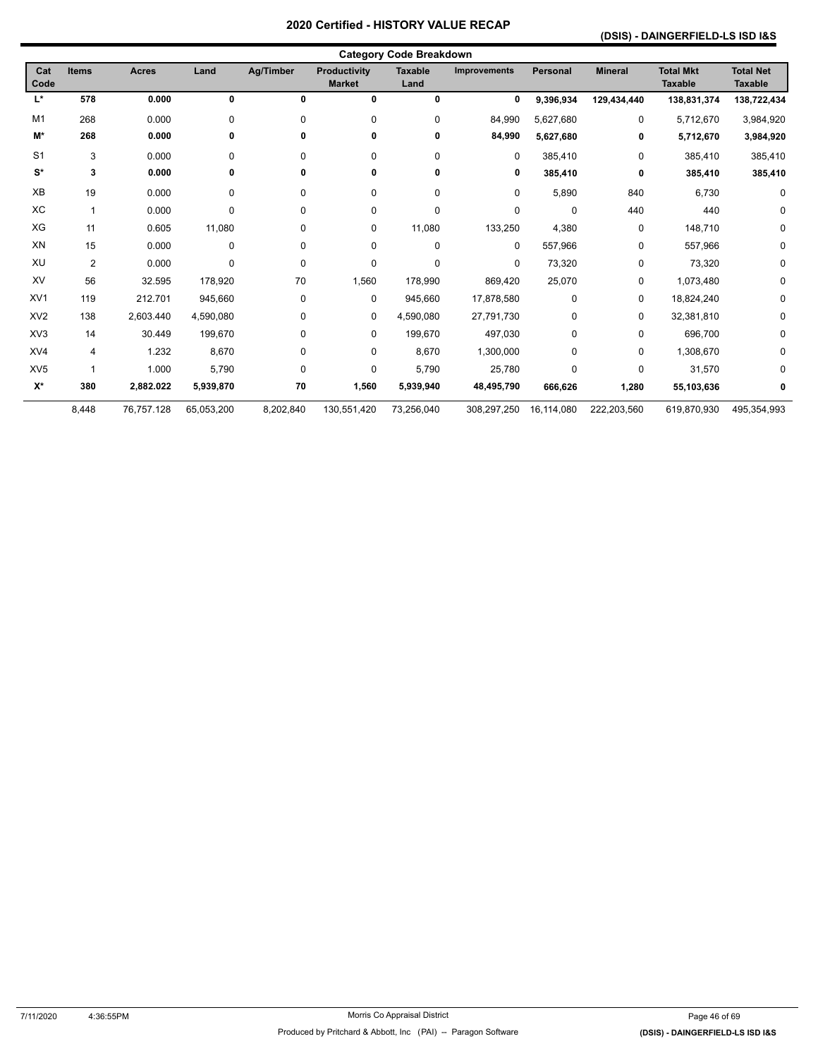### **(DSIS) - DAINGERFIELD-LS ISD I&S**

| <b>Category Code Breakdown</b> |                |              |            |                  |                               |                        |                     |                 |                |                                    |                                    |
|--------------------------------|----------------|--------------|------------|------------------|-------------------------------|------------------------|---------------------|-----------------|----------------|------------------------------------|------------------------------------|
| Cat<br>Code                    | <b>Items</b>   | <b>Acres</b> | Land       | <b>Ag/Timber</b> | Productivity<br><b>Market</b> | <b>Taxable</b><br>Land | <b>Improvements</b> | <b>Personal</b> | <b>Mineral</b> | <b>Total Mkt</b><br><b>Taxable</b> | <b>Total Net</b><br><b>Taxable</b> |
| L*                             | 578            | 0.000        | 0          | 0                | 0                             | $\mathbf 0$            | 0                   | 9,396,934       | 129,434,440    | 138,831,374                        | 138,722,434                        |
| M1                             | 268            | 0.000        | 0          | 0                | 0                             | 0                      | 84,990              | 5,627,680       | 0              | 5,712,670                          | 3,984,920                          |
| M*                             | 268            | 0.000        | 0          | 0                | 0                             | 0                      | 84,990              | 5,627,680       | 0              | 5,712,670                          | 3,984,920                          |
| S <sub>1</sub>                 | 3              | 0.000        | 0          | 0                | 0                             | 0                      | 0                   | 385,410         | $\mathbf 0$    | 385,410                            | 385,410                            |
| $S^*$                          | 3              | 0.000        | 0          | 0                | 0                             | 0                      | 0                   | 385,410         | 0              | 385,410                            | 385,410                            |
| XB                             | 19             | 0.000        | 0          | 0                | 0                             | 0                      | 0                   | 5,890           | 840            | 6,730                              | 0                                  |
| XC                             | $\mathbf{1}$   | 0.000        | 0          | 0                | 0                             | 0                      | 0                   | $\mathbf 0$     | 440            | 440                                | 0                                  |
| XG                             | 11             | 0.605        | 11,080     | 0                | 0                             | 11,080                 | 133,250             | 4,380           | 0              | 148,710                            | 0                                  |
| XN                             | 15             | 0.000        | 0          | 0                | 0                             | 0                      | 0                   | 557,966         | 0              | 557,966                            | 0                                  |
| XU                             | $\overline{2}$ | 0.000        | 0          | 0                | 0                             | 0                      | 0                   | 73,320          | 0              | 73,320                             | 0                                  |
| XV                             | 56             | 32.595       | 178,920    | 70               | 1,560                         | 178,990                | 869,420             | 25,070          | 0              | 1,073,480                          | 0                                  |
| XV <sub>1</sub>                | 119            | 212.701      | 945,660    | 0                | 0                             | 945,660                | 17,878,580          | $\mathbf 0$     | 0              | 18,824,240                         | 0                                  |
| XV <sub>2</sub>                | 138            | 2,603.440    | 4,590,080  | 0                | 0                             | 4,590,080              | 27,791,730          | $\Omega$        | 0              | 32,381,810                         | 0                                  |
| XV <sub>3</sub>                | 14             | 30.449       | 199,670    | 0                | 0                             | 199,670                | 497,030             | $\mathbf 0$     | 0              | 696,700                            | 0                                  |
| XV4                            | 4              | 1.232        | 8,670      | 0                | 0                             | 8,670                  | 1,300,000           | $\Omega$        | 0              | 1,308,670                          | 0                                  |
| XV <sub>5</sub>                | 1              | 1.000        | 5,790      | 0                | 0                             | 5,790                  | 25,780              | $\Omega$        | 0              | 31,570                             | 0                                  |
| $\mathsf{X}^\star$             | 380            | 2,882.022    | 5,939,870  | 70               | 1,560                         | 5,939,940              | 48,495,790          | 666,626         | 1,280          | 55,103,636                         | 0                                  |
|                                | 8,448          | 76,757.128   | 65,053,200 | 8,202,840        | 130,551,420                   | 73,256,040             | 308,297,250         | 16,114,080      | 222,203,560    | 619,870,930                        | 495,354,993                        |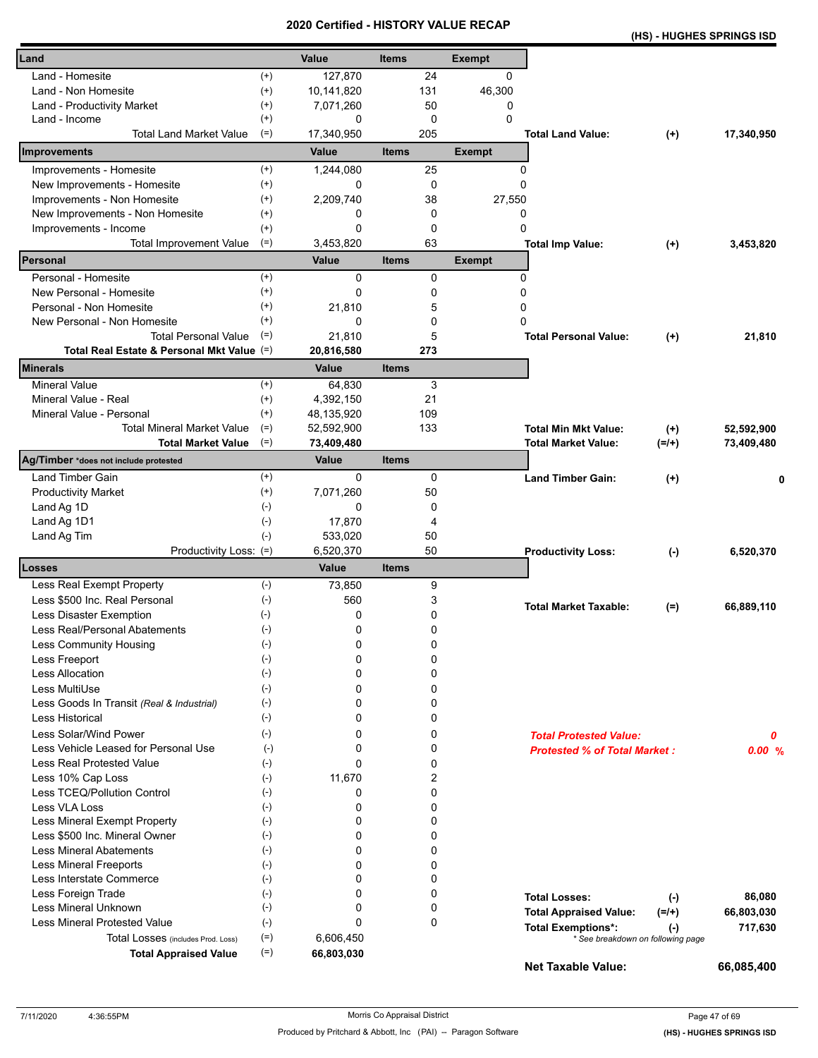|                                                     |                    |              |             | Geruned - HISTORT VALUE REGAR |                                     | (HS) - HUGHES SPRINGS ISD                  |            |
|-----------------------------------------------------|--------------------|--------------|-------------|-------------------------------|-------------------------------------|--------------------------------------------|------------|
| Land                                                | Value              | <b>Items</b> |             | <b>Exempt</b>                 |                                     |                                            |            |
| Land - Homesite<br>$^{(+)}$                         | 127,870            |              | 24          | 0                             |                                     |                                            |            |
| $^{(+)}$<br>Land - Non Homesite                     | 10,141,820         |              | 131         | 46,300                        |                                     |                                            |            |
| $^{(+)}$<br>Land - Productivity Market              | 7,071,260          |              | 50          | 0                             |                                     |                                            |            |
| $^{(+)}$<br>Land - Income                           | 0                  |              | $\mathbf 0$ | $\Omega$                      |                                     |                                            |            |
| <b>Total Land Market Value</b><br>$(=)$             | 17,340,950         |              | 205         |                               | <b>Total Land Value:</b>            | $^{(+)}$                                   | 17,340,950 |
| Improvements                                        | Value              | <b>Items</b> |             | <b>Exempt</b>                 |                                     |                                            |            |
| Improvements - Homesite<br>$^{(+)}$                 | 1,244,080          |              | 25          | 0                             |                                     |                                            |            |
| New Improvements - Homesite<br>$(+)$                | 0                  |              | 0           | $\mathbf 0$                   |                                     |                                            |            |
| Improvements - Non Homesite<br>$^{(+)}$             | 2,209,740          |              | 38          | 27,550                        |                                     |                                            |            |
| New Improvements - Non Homesite<br>$^{(+)}$         | 0                  |              | $\mathbf 0$ | 0                             |                                     |                                            |            |
| Improvements - Income<br>$^{(+)}$                   | 0                  |              | 0           | 0                             |                                     |                                            |            |
| $(=)$<br><b>Total Improvement Value</b>             | 3,453,820          |              | 63          |                               | <b>Total Imp Value:</b>             | $^{(+)}$                                   | 3,453,820  |
| Personal                                            | <b>Value</b>       | <b>Items</b> |             | <b>Exempt</b>                 |                                     |                                            |            |
| $^{(+)}$<br>Personal - Homesite                     | $\mathbf 0$        |              | 0           | 0                             |                                     |                                            |            |
| $(+)$<br>New Personal - Homesite                    | 0                  |              | 0           | 0                             |                                     |                                            |            |
| $^{(+)}$<br>Personal - Non Homesite                 | 21,810             |              | 5           | 0                             |                                     |                                            |            |
| $^{(+)}$<br>New Personal - Non Homesite             | 0                  |              | 0           | 0                             |                                     |                                            |            |
| $(=)$<br><b>Total Personal Value</b>                | 21,810             |              | 5           |                               | <b>Total Personal Value:</b>        | $^{(+)}$                                   | 21,810     |
| Total Real Estate & Personal Mkt Value (=)          | 20,816,580         |              | 273         |                               |                                     |                                            |            |
| Minerals                                            | Value              | <b>Items</b> |             |                               |                                     |                                            |            |
| <b>Mineral Value</b><br>$^{(+)}$                    | 64,830             |              | 3           |                               |                                     |                                            |            |
| Mineral Value - Real<br>$^{(+)}$                    | 4,392,150          |              | 21          |                               |                                     |                                            |            |
| Mineral Value - Personal<br>$^{(+)}$                | 48,135,920         |              | 109         |                               |                                     |                                            |            |
| <b>Total Mineral Market Value</b><br>$(=)$          | 52,592,900         |              | 133         |                               | <b>Total Min Mkt Value:</b>         | $^{(+)}$                                   | 52,592,900 |
| $(=)$<br><b>Total Market Value</b>                  | 73,409,480         |              |             |                               | Total Market Value:                 | $(=/+)$                                    | 73,409,480 |
| Ag/Timber *does not include protested               | Value              | <b>Items</b> |             |                               |                                     |                                            |            |
| Land Timber Gain<br>$^{(+)}$                        | 0                  |              | 0           |                               | <b>Land Timber Gain:</b>            | $^{(+)}$                                   | 0          |
| <b>Productivity Market</b><br>$^{(+)}$              | 7,071,260          |              | 50          |                               |                                     |                                            |            |
| $(-)$<br>Land Ag 1D                                 | 0                  |              | 0           |                               |                                     |                                            |            |
| Land Ag 1D1<br>$(-)$                                | 17,870             |              | 4           |                               |                                     |                                            |            |
| $(-)$<br>Land Ag Tim                                | 533,020            |              | 50          |                               |                                     |                                            |            |
| Productivity Loss: (=)<br>Losses                    | 6,520,370<br>Value | <b>Items</b> | 50          |                               | <b>Productivity Loss:</b>           | $(-)$                                      | 6,520,370  |
| $(-)$<br>Less Real Exempt Property                  | 73,850             |              | 9           |                               |                                     |                                            |            |
| $(-)$<br>Less \$500 Inc. Real Personal              | 560                |              | 3           |                               |                                     |                                            |            |
| Less Disaster Exemption<br>$(-)$                    | 0                  |              | 0           |                               | <b>Total Market Taxable:</b>        | $(=)$                                      | 66,889,110 |
| Less Real/Personal Abatements<br>$(\textnormal{-})$ | 0                  |              | 0           |                               |                                     |                                            |            |
| $(-)$<br>Less Community Housing                     | 0                  |              | 0           |                               |                                     |                                            |            |
| $(-)$<br>Less Freeport                              | 0                  |              | 0           |                               |                                     |                                            |            |
| $(-)$<br><b>Less Allocation</b>                     | 0                  |              | 0           |                               |                                     |                                            |            |
| Less MultiUse<br>$(-)$                              | 0                  |              | 0           |                               |                                     |                                            |            |
| $(-)$<br>Less Goods In Transit (Real & Industrial)  | 0                  |              | 0           |                               |                                     |                                            |            |
| <b>Less Historical</b><br>$(-)$                     | 0                  |              | 0           |                               |                                     |                                            |            |
| Less Solar/Wind Power<br>$(-)$                      | 0                  |              | 0           |                               | <b>Total Protested Value:</b>       |                                            | 0          |
| Less Vehicle Leased for Personal Use<br>$(-)$       | 0                  |              | 0           |                               | <b>Protested % of Total Market:</b> |                                            | 0.00%      |
| Less Real Protested Value<br>$(-)$                  | 0                  |              | 0           |                               |                                     |                                            |            |
| Less 10% Cap Loss<br>$(-)$                          | 11,670             |              | 2           |                               |                                     |                                            |            |
| Less TCEQ/Pollution Control<br>$(-)$                | 0                  |              | 0           |                               |                                     |                                            |            |
| Less VLA Loss<br>$(-)$                              | 0                  |              | 0           |                               |                                     |                                            |            |
| Less Mineral Exempt Property<br>$(-)$               | 0                  |              | 0           |                               |                                     |                                            |            |
| Less \$500 Inc. Mineral Owner<br>$(-)$              | 0                  |              | 0           |                               |                                     |                                            |            |
| <b>Less Mineral Abatements</b><br>$(-)$             | 0                  |              | 0           |                               |                                     |                                            |            |
| $(-)$<br><b>Less Mineral Freeports</b>              | 0                  |              | 0           |                               |                                     |                                            |            |
| Less Interstate Commerce<br>$(\cdot)$               | 0                  |              | 0           |                               |                                     |                                            |            |
| Less Foreign Trade<br>$(-)$                         | 0                  |              | 0           |                               | <b>Total Losses:</b>                | $(\cdot)$                                  | 86,080     |
| Less Mineral Unknown<br>$(-)$                       | 0                  |              | 0           |                               | <b>Total Appraised Value:</b>       | $(=/+)$                                    | 66,803,030 |
| Less Mineral Protested Value<br>$(-)$               | 0                  |              | 0           |                               | <b>Total Exemptions*:</b>           |                                            | 717,630    |
| $(=)$<br>Total Losses (includes Prod. Loss)         | 6,606,450          |              |             |                               |                                     | $(-)$<br>* See breakdown on following page |            |
| $(=)$<br><b>Total Appraised Value</b>               | 66,803,030         |              |             |                               | <b>Net Taxable Value:</b>           |                                            | 66,085,400 |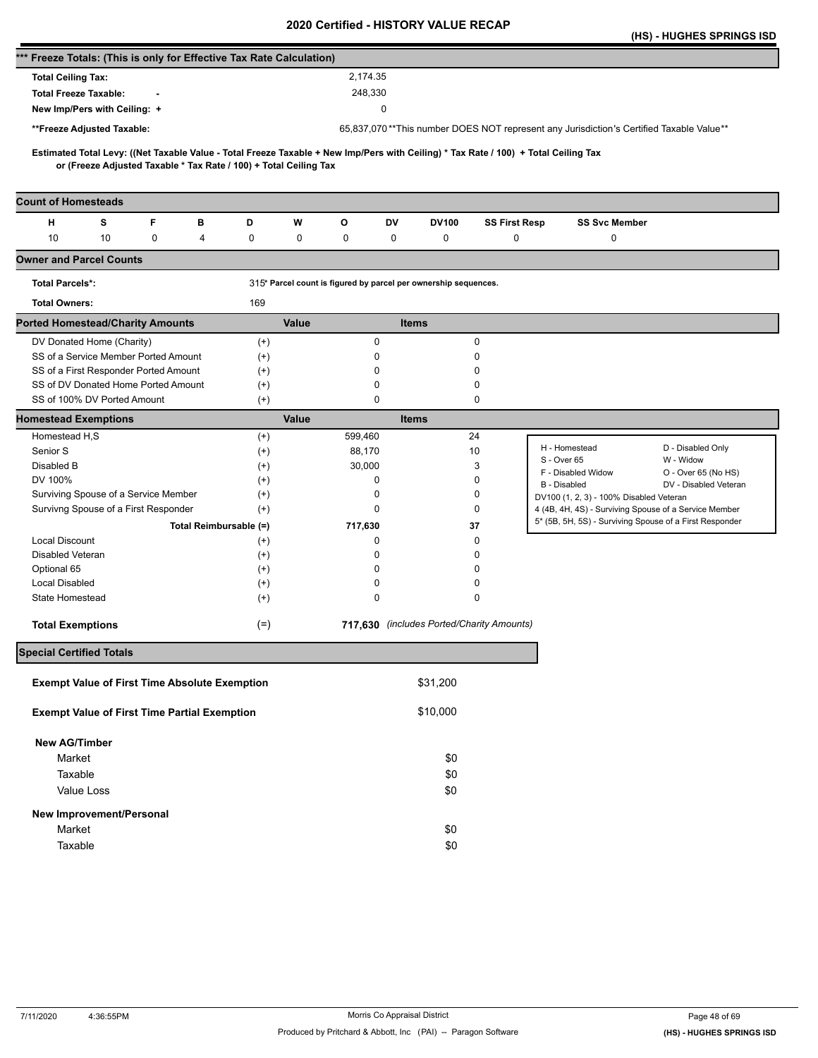|                                                                      |            |   |                        |                                                                   |       |          |              |                                                                 |                                           |                                                                                                                                     | (HS) - HUGHES SPRINGS ISD                               |
|----------------------------------------------------------------------|------------|---|------------------------|-------------------------------------------------------------------|-------|----------|--------------|-----------------------------------------------------------------|-------------------------------------------|-------------------------------------------------------------------------------------------------------------------------------------|---------------------------------------------------------|
| *** Freeze Totals: (This is only for Effective Tax Rate Calculation) |            |   |                        |                                                                   |       |          |              |                                                                 |                                           |                                                                                                                                     |                                                         |
| <b>Total Ceiling Tax:</b>                                            |            |   |                        |                                                                   |       | 2,174.35 |              |                                                                 |                                           |                                                                                                                                     |                                                         |
| <b>Total Freeze Taxable:</b>                                         |            |   |                        |                                                                   |       | 248,330  |              |                                                                 |                                           |                                                                                                                                     |                                                         |
| New Imp/Pers with Ceiling: +                                         |            |   |                        |                                                                   |       |          | $\mathbf 0$  |                                                                 |                                           |                                                                                                                                     |                                                         |
|                                                                      |            |   |                        |                                                                   |       |          |              |                                                                 |                                           |                                                                                                                                     |                                                         |
| **Freeze Adjusted Taxable:                                           |            |   |                        |                                                                   |       |          |              |                                                                 |                                           | 65,837,070**This number DOES NOT represent any Jurisdiction's Certified Taxable Value**                                             |                                                         |
|                                                                      |            |   |                        | or (Freeze Adjusted Taxable * Tax Rate / 100) + Total Ceiling Tax |       |          |              |                                                                 |                                           | Estimated Total Levy: ((Net Taxable Value - Total Freeze Taxable + New Imp/Pers with Ceiling) * Tax Rate / 100) + Total Ceiling Tax |                                                         |
| <b>Count of Homesteads</b>                                           |            |   |                        |                                                                   |       |          |              |                                                                 |                                           |                                                                                                                                     |                                                         |
| н                                                                    | s          | F | в                      | D                                                                 | W     | o        | DV           | <b>DV100</b>                                                    | <b>SS First Resp</b>                      | <b>SS Svc Member</b>                                                                                                                |                                                         |
| 10                                                                   | 10         | 0 | 4                      | 0                                                                 | 0     | 0        | 0            | 0                                                               | $\mathbf 0$                               | 0                                                                                                                                   |                                                         |
| <b>Owner and Parcel Counts</b>                                       |            |   |                        |                                                                   |       |          |              |                                                                 |                                           |                                                                                                                                     |                                                         |
| <b>Total Parcels*:</b>                                               |            |   |                        |                                                                   |       |          |              | 315* Parcel count is figured by parcel per ownership sequences. |                                           |                                                                                                                                     |                                                         |
| <b>Total Owners:</b>                                                 |            |   |                        | 169                                                               |       |          |              |                                                                 |                                           |                                                                                                                                     |                                                         |
| <b>Ported Homestead/Charity Amounts</b>                              |            |   |                        |                                                                   | Value |          | <b>Items</b> |                                                                 |                                           |                                                                                                                                     |                                                         |
| DV Donated Home (Charity)                                            |            |   |                        | $^{(+)}$                                                          |       | 0        |              |                                                                 | 0                                         |                                                                                                                                     |                                                         |
| SS of a Service Member Ported Amount                                 |            |   |                        | $^{(+)}$                                                          |       | 0        |              |                                                                 | 0                                         |                                                                                                                                     |                                                         |
| SS of a First Responder Ported Amount                                |            |   |                        | $^{(+)}$                                                          |       | 0        |              |                                                                 | 0                                         |                                                                                                                                     |                                                         |
| SS of DV Donated Home Ported Amount                                  |            |   |                        | $^{(+)}$                                                          |       | 0        |              |                                                                 | 0                                         |                                                                                                                                     |                                                         |
| SS of 100% DV Ported Amount                                          |            |   |                        | $^{(+)}$                                                          |       | 0        |              |                                                                 | 0                                         |                                                                                                                                     |                                                         |
| <b>Homestead Exemptions</b>                                          |            |   |                        |                                                                   | Value |          | <b>Items</b> |                                                                 |                                           |                                                                                                                                     |                                                         |
| Homestead H,S                                                        |            |   |                        | $^{(+)}$                                                          |       | 599,460  |              |                                                                 | 24                                        |                                                                                                                                     |                                                         |
| Senior S                                                             |            |   |                        | $^{(+)}$                                                          |       | 88,170   |              |                                                                 | 10                                        | H - Homestead                                                                                                                       | D - Disabled Only                                       |
| Disabled B                                                           |            |   |                        | $^{(+)}$                                                          |       | 30,000   |              |                                                                 | 3                                         | S - Over 65                                                                                                                         | W - Widow                                               |
| DV 100%                                                              |            |   |                        | $^{(+)}$                                                          |       | 0        |              |                                                                 | 0                                         | F - Disabled Widow<br>B - Disabled                                                                                                  | O - Over 65 (No HS)<br>DV - Disabled Veteran            |
| Surviving Spouse of a Service Member                                 |            |   |                        | $^{(+)}$                                                          |       | 0        |              |                                                                 | 0                                         | DV100 (1, 2, 3) - 100% Disabled Veteran                                                                                             |                                                         |
| Survivng Spouse of a First Responder                                 |            |   |                        | $^{(+)}$                                                          |       | 0        |              |                                                                 | 0                                         |                                                                                                                                     | 4 (4B, 4H, 4S) - Surviving Spouse of a Service Member   |
|                                                                      |            |   | Total Reimbursable (=) |                                                                   |       | 717,630  |              |                                                                 | 37                                        |                                                                                                                                     | 5* (5B, 5H, 5S) - Surviving Spouse of a First Responder |
| <b>Local Discount</b>                                                |            |   |                        | $^{(+)}$                                                          |       | 0        |              |                                                                 | 0                                         |                                                                                                                                     |                                                         |
| Disabled Veteran                                                     |            |   |                        | $^{(+)}$                                                          |       | 0        |              |                                                                 | 0                                         |                                                                                                                                     |                                                         |
| Optional 65                                                          |            |   |                        | $^{(+)}$                                                          |       | 0        |              |                                                                 | 0                                         |                                                                                                                                     |                                                         |
| <b>Local Disabled</b>                                                |            |   |                        | $^{(+)}$                                                          |       | 0        |              |                                                                 | 0                                         |                                                                                                                                     |                                                         |
| State Homestead                                                      |            |   |                        | $^{(+)}$                                                          |       | 0        |              |                                                                 | 0                                         |                                                                                                                                     |                                                         |
| <b>Total Exemptions</b>                                              |            |   |                        | $(=)$                                                             |       |          |              |                                                                 | 717,630 (includes Ported/Charity Amounts) |                                                                                                                                     |                                                         |
| <b>Special Certified Totals</b>                                      |            |   |                        |                                                                   |       |          |              |                                                                 |                                           |                                                                                                                                     |                                                         |
| <b>Exempt Value of First Time Absolute Exemption</b>                 |            |   |                        |                                                                   |       |          |              | \$31,200                                                        |                                           |                                                                                                                                     |                                                         |
| <b>Exempt Value of First Time Partial Exemption</b>                  |            |   |                        |                                                                   |       |          |              | \$10,000                                                        |                                           |                                                                                                                                     |                                                         |
| <b>New AG/Timber</b>                                                 |            |   |                        |                                                                   |       |          |              |                                                                 |                                           |                                                                                                                                     |                                                         |
| Market                                                               |            |   |                        |                                                                   |       |          |              | \$0                                                             |                                           |                                                                                                                                     |                                                         |
| Taxable                                                              |            |   |                        |                                                                   |       |          |              | \$0                                                             |                                           |                                                                                                                                     |                                                         |
|                                                                      | Value Loss |   |                        |                                                                   |       |          |              | \$0                                                             |                                           |                                                                                                                                     |                                                         |
|                                                                      |            |   |                        |                                                                   |       |          |              |                                                                 |                                           |                                                                                                                                     |                                                         |
| New Improvement/Personal                                             |            |   |                        |                                                                   |       |          |              |                                                                 |                                           |                                                                                                                                     |                                                         |
| Market                                                               |            |   |                        |                                                                   |       |          |              | \$0                                                             |                                           |                                                                                                                                     |                                                         |
| Taxable                                                              |            |   |                        |                                                                   |       |          |              | \$0                                                             |                                           |                                                                                                                                     |                                                         |
|                                                                      |            |   |                        |                                                                   |       |          |              |                                                                 |                                           |                                                                                                                                     |                                                         |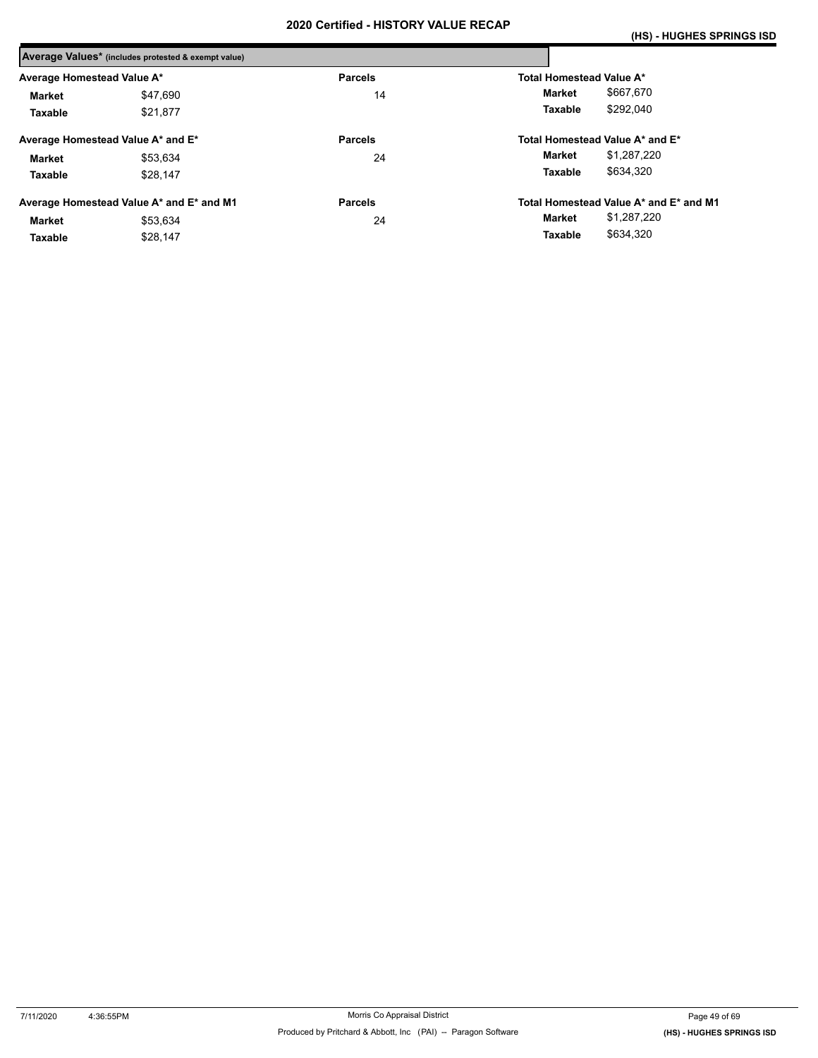|                            | Average Values* (includes protested & exempt value) |                |                                        |
|----------------------------|-----------------------------------------------------|----------------|----------------------------------------|
| Average Homestead Value A* |                                                     | <b>Parcels</b> | Total Homestead Value A*               |
| Market                     | \$47.690                                            | 14             | \$667.670<br>Market                    |
| Taxable                    | \$21.877                                            |                | \$292.040<br>Taxable                   |
|                            | Average Homestead Value A* and E*                   | <b>Parcels</b> | Total Homestead Value A* and E*        |
| Market                     | \$53.634                                            | 24             | \$1,287,220<br>Market                  |
| Taxable                    | \$28.147                                            |                | \$634.320<br>Taxable                   |
|                            | Average Homestead Value A* and E* and M1            | <b>Parcels</b> | Total Homestead Value A* and E* and M1 |
| Market                     | \$53,634                                            | 24             | \$1,287,220<br>Market                  |
| Taxable                    | \$28.147                                            |                | \$634,320<br>Taxable                   |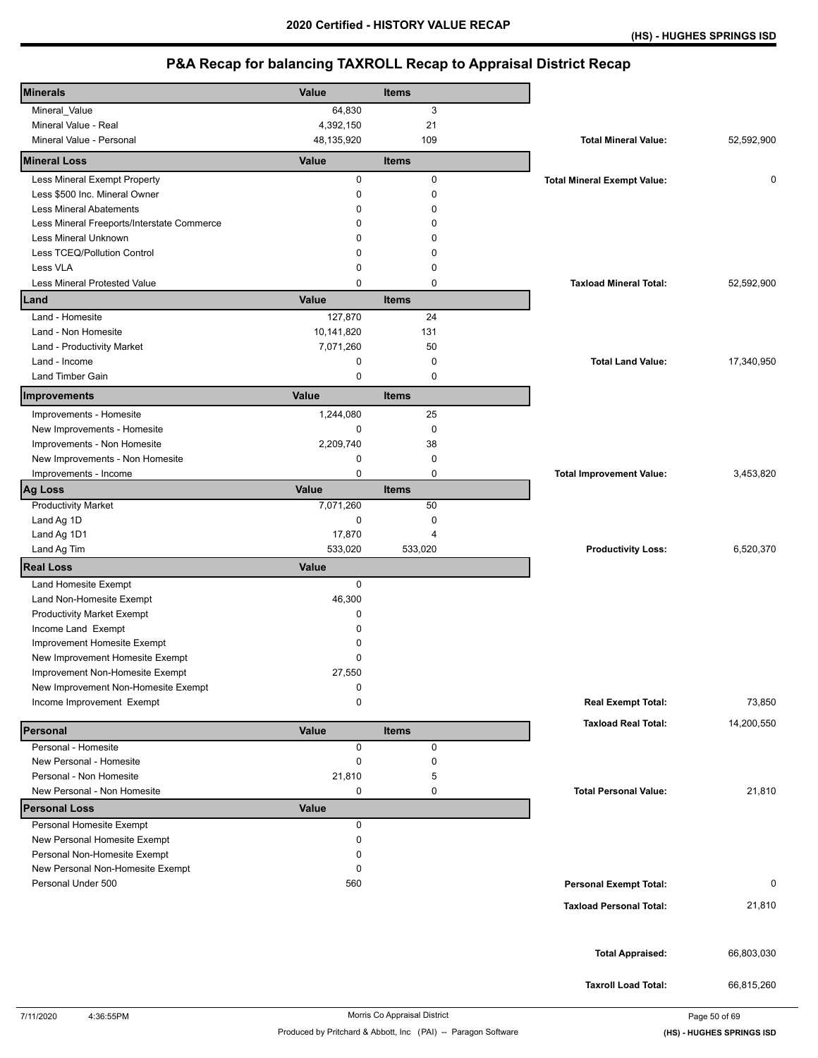| <b>Minerals</b>                                                        | Value        | Items        |                                    |            |
|------------------------------------------------------------------------|--------------|--------------|------------------------------------|------------|
| Mineral_Value                                                          | 64,830       | 3            |                                    |            |
| Mineral Value - Real                                                   | 4,392,150    | 21           |                                    |            |
| Mineral Value - Personal                                               | 48,135,920   | 109          | <b>Total Mineral Value:</b>        | 52,592,900 |
| <b>Mineral Loss</b>                                                    | Value        | <b>Items</b> |                                    |            |
| Less Mineral Exempt Property                                           | 0            | $\pmb{0}$    | <b>Total Mineral Exempt Value:</b> | 0          |
| Less \$500 Inc. Mineral Owner                                          | 0            | $\mathbf 0$  |                                    |            |
| <b>Less Mineral Abatements</b>                                         | 0            | 0            |                                    |            |
| Less Mineral Freeports/Interstate Commerce                             | 0            | 0            |                                    |            |
| Less Mineral Unknown                                                   | $\Omega$     | 0            |                                    |            |
| Less TCEQ/Pollution Control                                            | 0            | 0            |                                    |            |
| Less VLA                                                               | 0            | 0            |                                    |            |
| Less Mineral Protested Value                                           | 0            | $\mathbf 0$  | <b>Taxload Mineral Total:</b>      | 52,592,900 |
| Land                                                                   | Value        | <b>Items</b> |                                    |            |
| Land - Homesite                                                        | 127,870      | 24           |                                    |            |
| Land - Non Homesite                                                    | 10,141,820   | 131          |                                    |            |
| Land - Productivity Market                                             | 7,071,260    | 50           |                                    |            |
| Land - Income                                                          | 0            | 0            | <b>Total Land Value:</b>           | 17,340,950 |
| Land Timber Gain                                                       | $\mathbf 0$  | $\mathbf 0$  |                                    |            |
| Improvements                                                           | Value        | <b>Items</b> |                                    |            |
| Improvements - Homesite                                                | 1,244,080    | 25           |                                    |            |
| New Improvements - Homesite                                            | 0            | 0            |                                    |            |
| Improvements - Non Homesite                                            | 2,209,740    | 38           |                                    |            |
| New Improvements - Non Homesite                                        | 0            | 0            |                                    |            |
| Improvements - Income                                                  | $\mathbf 0$  | $\mathbf 0$  | <b>Total Improvement Value:</b>    | 3,453,820  |
| <b>Ag Loss</b>                                                         | Value        | <b>Items</b> |                                    |            |
| <b>Productivity Market</b>                                             | 7,071,260    | 50           |                                    |            |
| Land Ag 1D                                                             | 0            | 0            |                                    |            |
| Land Ag 1D1                                                            | 17,870       | 4            |                                    |            |
| Land Ag Tim                                                            | 533,020      | 533,020      | <b>Productivity Loss:</b>          | 6,520,370  |
| <b>Real Loss</b>                                                       | <b>Value</b> |              |                                    |            |
| Land Homesite Exempt                                                   | 0            |              |                                    |            |
| Land Non-Homesite Exempt                                               | 46,300       |              |                                    |            |
| <b>Productivity Market Exempt</b>                                      | 0            |              |                                    |            |
| Income Land Exempt                                                     | $\Omega$     |              |                                    |            |
| Improvement Homesite Exempt                                            | 0            |              |                                    |            |
| New Improvement Homesite Exempt                                        | 0            |              |                                    |            |
| Improvement Non-Homesite Exempt<br>New Improvement Non-Homesite Exempt | 27,550       |              |                                    |            |
| Income Improvement Exempt                                              | 0<br>0       |              | <b>Real Exempt Total:</b>          | 73,850     |
|                                                                        |              |              |                                    |            |
| Personal                                                               | Value        | <b>Items</b> | <b>Taxload Real Total:</b>         | 14,200,550 |
| Personal - Homesite                                                    | 0            | 0            |                                    |            |
| New Personal - Homesite                                                | 0            | 0            |                                    |            |
| Personal - Non Homesite                                                | 21,810       | 5            |                                    |            |
| New Personal - Non Homesite                                            | 0            | 0            | <b>Total Personal Value:</b>       | 21,810     |
| <b>Personal Loss</b>                                                   | <b>Value</b> |              |                                    |            |
| Personal Homesite Exempt<br>New Personal Homesite Exempt               | 0<br>0       |              |                                    |            |
| Personal Non-Homesite Exempt                                           | 0            |              |                                    |            |
| New Personal Non-Homesite Exempt                                       | 0            |              |                                    |            |
| Personal Under 500                                                     | 560          |              | <b>Personal Exempt Total:</b>      | 0          |
|                                                                        |              |              |                                    |            |
|                                                                        |              |              | <b>Taxload Personal Total:</b>     | 21,810     |
|                                                                        |              |              |                                    |            |
|                                                                        |              |              | <b>Total Appraised:</b>            | 66,803,030 |
|                                                                        |              |              | <b>Taxroll Load Total:</b>         | 66,815,260 |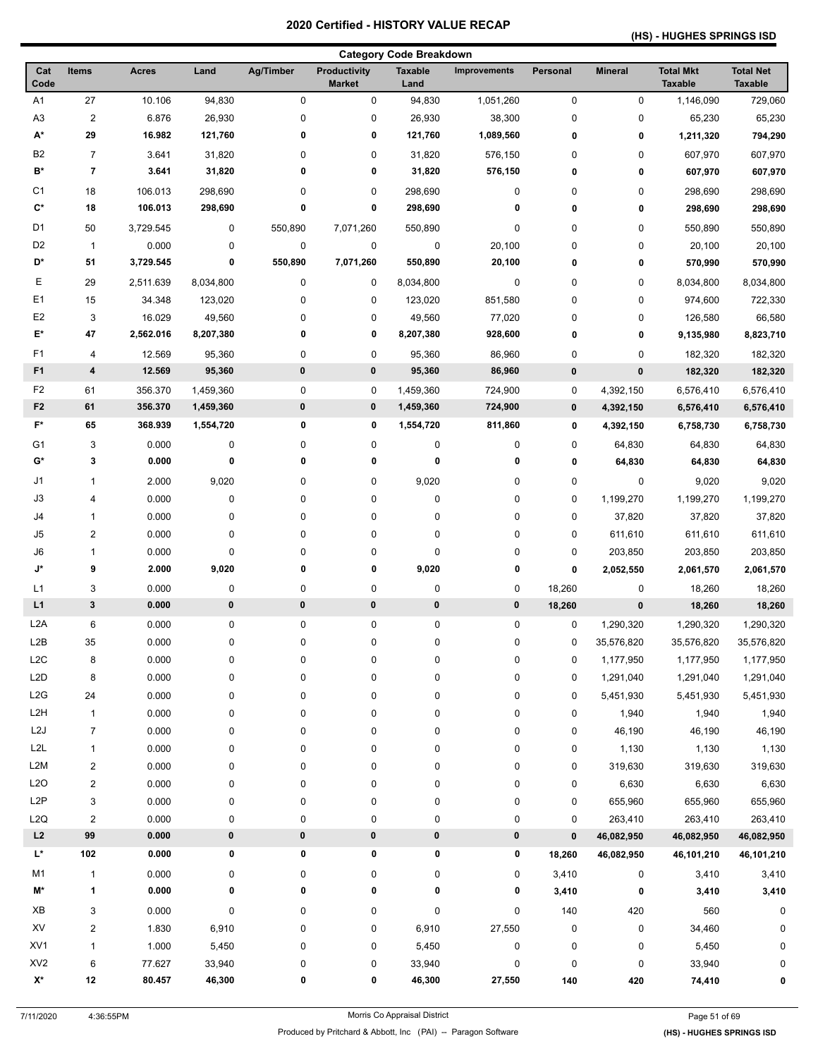## **(HS) - HUGHES SPRINGS ISD**

| <b>Category Code Breakdown</b> |                          |              |           |           |                                      |                        |              |           |                |                                    |                                    |
|--------------------------------|--------------------------|--------------|-----------|-----------|--------------------------------------|------------------------|--------------|-----------|----------------|------------------------------------|------------------------------------|
| Cat<br>Code                    | <b>Items</b>             | <b>Acres</b> | Land      | Ag/Timber | <b>Productivity</b><br><b>Market</b> | <b>Taxable</b><br>Land | Improvements | Personal  | <b>Mineral</b> | <b>Total Mkt</b><br><b>Taxable</b> | <b>Total Net</b><br><b>Taxable</b> |
| A <sub>1</sub>                 | 27                       | 10.106       | 94,830    | 0         | 0                                    | 94,830                 | 1,051,260    | $\pmb{0}$ | 0              | 1,146,090                          | 729,060                            |
| A <sub>3</sub>                 | $\overline{2}$           | 6.876        | 26,930    | 0         | 0                                    | 26,930                 | 38,300       | 0         | 0              | 65,230                             | 65,230                             |
| A*                             | 29                       | 16.982       | 121,760   | 0         | 0                                    | 121,760                | 1,089,560    | 0         | 0              | 1,211,320                          | 794,290                            |
| B <sub>2</sub>                 | $\overline{7}$           | 3.641        | 31,820    | 0         | 0                                    | 31,820                 | 576,150      | 0         | 0              | 607,970                            | 607,970                            |
| B*                             | $\overline{\phantom{a}}$ | 3.641        | 31,820    | 0         | 0                                    | 31,820                 | 576,150      | 0         | 0              | 607,970                            | 607,970                            |
| C <sub>1</sub>                 | 18                       | 106.013      | 298,690   | 0         | 0                                    | 298,690                | 0            | 0         | 0              | 298,690                            | 298,690                            |
| C*                             | 18                       | 106.013      | 298,690   | 0         | 0                                    | 298,690                | 0            | 0         | 0              | 298,690                            | 298,690                            |
| D1                             | 50                       | 3,729.545    | 0         | 550,890   | 7,071,260                            | 550,890                | 0            | 0         | 0              | 550,890                            | 550,890                            |
| D <sub>2</sub>                 | $\mathbf{1}$             | 0.000        | 0         | 0         | 0                                    | $\pmb{0}$              | 20,100       | 0         | 0              | 20,100                             | 20,100                             |
| D*                             | 51                       | 3,729.545    | 0         | 550,890   | 7,071,260                            | 550,890                | 20,100       | 0         | 0              | 570,990                            | 570,990                            |
| Ε                              | 29                       | 2,511.639    | 8,034,800 | 0         | 0                                    | 8,034,800              | 0            | 0         | 0              | 8,034,800                          | 8,034,800                          |
| E1                             | 15                       | 34.348       | 123,020   | 0         | 0                                    | 123,020                | 851,580      | 0         | 0              | 974,600                            | 722,330                            |
| E <sub>2</sub>                 | 3                        | 16.029       | 49,560    | 0         | 0                                    | 49,560                 | 77,020       | 0         | 0              | 126,580                            | 66,580                             |
| E*                             | 47                       | 2,562.016    | 8,207,380 | 0         | 0                                    | 8,207,380              | 928,600      | 0         | 0              | 9,135,980                          | 8,823,710                          |
| F <sub>1</sub>                 | 4                        | 12.569       | 95,360    | 0         | 0                                    | 95,360                 | 86,960       | 0         | 0              | 182,320                            | 182,320                            |
| F <sub>1</sub>                 | 4                        | 12.569       | 95,360    | 0         | 0                                    | 95,360                 | 86,960       | $\pmb{0}$ | 0              | 182,320                            | 182,320                            |
| F <sub>2</sub>                 | 61                       | 356.370      | 1,459,360 | 0         | 0                                    | 1,459,360              | 724,900      | 0         | 4,392,150      | 6,576,410                          | 6,576,410                          |
| F <sub>2</sub>                 | 61                       | 356.370      | 1,459,360 | 0         | $\pmb{0}$                            | 1,459,360              | 724,900      | $\pmb{0}$ | 4,392,150      | 6,576,410                          | 6,576,410                          |
| $F^*$                          | 65                       | 368.939      | 1,554,720 | 0         | 0                                    | 1,554,720              | 811,860      | 0         | 4,392,150      | 6,758,730                          | 6,758,730                          |
| G1                             | 3                        | 0.000        | 0         | 0         | 0                                    | $\pmb{0}$              | 0            | 0         | 64,830         | 64,830                             | 64,830                             |
| G*                             | 3                        | 0.000        | 0         | 0         | 0                                    | 0                      | 0            | 0         | 64,830         | 64,830                             | 64,830                             |
| J1                             | 1                        | 2.000        | 9,020     | 0         | 0                                    | 9,020                  | 0            | $\pmb{0}$ | 0              | 9,020                              | 9,020                              |
| J3                             | 4                        | 0.000        | 0         | 0         | 0                                    | 0                      | 0            | 0         | 1,199,270      | 1,199,270                          | 1,199,270                          |
| J4                             | 1                        | 0.000        | 0         | 0         | 0                                    | 0                      | 0            | $\pmb{0}$ | 37,820         | 37,820                             | 37,820                             |
| J5                             | $\overline{\mathbf{c}}$  | 0.000        | 0         | 0         | 0                                    | 0                      | 0            | 0         | 611,610        | 611,610                            | 611,610                            |
| $\mathsf{J6}$                  | 1                        | 0.000        | 0         | 0         | 0                                    | 0                      | 0            | 0         | 203,850        | 203,850                            | 203,850                            |
| J*                             | 9                        | 2.000        | 9,020     | 0         | 0                                    | 9,020                  | 0            | 0         | 2,052,550      | 2,061,570                          | 2,061,570                          |
| L1                             | 3                        | 0.000        | 0         | 0         | 0                                    | 0                      | 0            | 18,260    | 0              | 18,260                             | 18,260                             |
| L1                             | 3                        | 0.000        | $\pmb{0}$ | 0         | 0                                    | $\pmb{0}$              | 0            | 18,260    | $\pmb{0}$      | 18,260                             | 18,260                             |
| L <sub>2</sub> A               | 6                        | 0.000        | 0         | 0         | 0                                    | 0                      | 0            | 0         | 1,290,320      | 1,290,320                          | 1,290,320                          |
| L <sub>2</sub> B               | 35                       | 0.000        | 0         | 0         | 0                                    | 0                      | 0            | 0         | 35,576,820     | 35,576,820                         | 35,576,820                         |
| L <sub>2</sub> C               | 8                        | 0.000        | 0         | 0         | 0                                    | 0                      | 0            | 0         | 1,177,950      | 1,177,950                          | 1,177,950                          |
| L <sub>2</sub> D               | 8                        | 0.000        | 0         | 0         | 0                                    | 0                      | 0            | $\pmb{0}$ | 1,291,040      | 1,291,040                          | 1,291,040                          |
| L2G                            | 24                       | 0.000        | 0         | 0         | 0                                    | 0                      | 0            | 0         | 5,451,930      | 5,451,930                          | 5,451,930                          |
| L <sub>2</sub> H               | $\mathbf{1}$             | 0.000        | 0         | 0         | 0                                    | 0                      | 0            | 0         | 1,940          | 1,940                              | 1,940                              |
| L2J                            | $\overline{7}$           | 0.000        | 0         | 0         | 0                                    | 0                      | 0            | 0         | 46,190         | 46,190                             | 46,190                             |
| L <sub>2</sub> L               | 1                        | 0.000        | 0         | 0         | 0                                    | 0                      | 0            | 0         | 1,130          | 1,130                              | 1,130                              |
| L2M                            | $\overline{\mathbf{c}}$  | 0.000        | 0         | 0         | 0                                    | 0                      | 0            | $\pmb{0}$ | 319,630        | 319,630                            | 319,630                            |
| L2O                            | $\overline{\mathbf{c}}$  | 0.000        | 0         | 0         | 0                                    | 0                      | 0            | $\pmb{0}$ | 6,630          | 6,630                              | 6,630                              |
| L <sub>2</sub> P               | 3                        | 0.000        | 0         | 0         | 0                                    | 0                      | 0            | 0         | 655,960        | 655,960                            | 655,960                            |
| L2Q                            | $\overline{2}$           | 0.000        | 0         | 0         | 0                                    | 0                      | 0            | 0         | 263,410        | 263,410                            | 263,410                            |
| L2                             | 99                       | 0.000        | 0         | 0         | 0                                    | $\pmb{0}$              | 0            | $\pmb{0}$ | 46,082,950     | 46,082,950                         | 46,082,950                         |
| L*                             | 102                      | 0.000        | 0         | 0         | 0                                    | 0                      | 0            | 18,260    | 46,082,950     | 46,101,210                         | 46,101,210                         |
| M1                             | $\mathbf{1}$             | 0.000        | 0         | 0         | 0                                    | 0                      | 0            | 3,410     | 0              | 3,410                              | 3,410                              |
| M*                             | 1                        | 0.000        | 0         | 0         | 0                                    | 0                      | 0            | 3,410     | 0              | 3,410                              | 3,410                              |
| XB                             | 3                        | 0.000        | 0         | 0         | 0                                    | 0                      | 0            | 140       | 420            | 560                                | 0                                  |
| XV                             | $\overline{\mathbf{c}}$  | 1.830        | 6,910     | 0         | 0                                    | 6,910                  | 27,550       | 0         | 0              | 34,460                             | 0                                  |
| XV1                            | 1                        | 1.000        | 5,450     | 0         | 0                                    | 5,450                  | 0            | 0         | 0              | 5,450                              | 0                                  |
| XV <sub>2</sub>                | 6                        | 77.627       | 33,940    | 0         | 0                                    | 33,940                 | 0            | 0         | 0              | 33,940                             |                                    |
| $\mathsf{X}^\star$             | 12                       | 80.457       | 46,300    | 0         | 0                                    | 46,300                 | 27,550       | 140       | 420            | 74,410                             | 0                                  |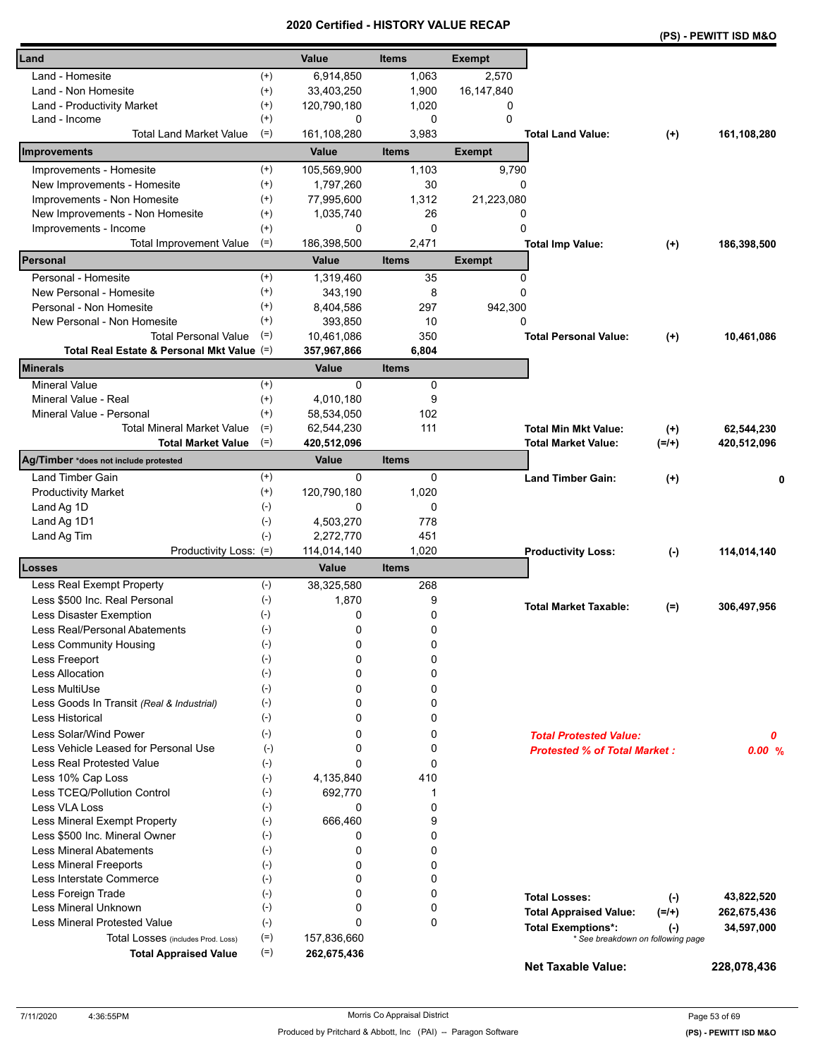|                                            |                    | erunea      | ו טווי<br>UNI VALU |               |                                     |          | (PS) - PEWITT ISD M&O |
|--------------------------------------------|--------------------|-------------|--------------------|---------------|-------------------------------------|----------|-----------------------|
| Land                                       |                    | Value       | <b>Items</b>       | <b>Exempt</b> |                                     |          |                       |
| Land - Homesite                            | $^{(+)}$           | 6,914,850   | 1,063              | 2,570         |                                     |          |                       |
| Land - Non Homesite                        | $^{(+)}$           | 33,403,250  | 1,900              | 16,147,840    |                                     |          |                       |
| Land - Productivity Market                 | $^{(+)}$           | 120,790,180 | 1,020              | 0             |                                     |          |                       |
| Land - Income                              | $^{(+)}$           | 0           | 0                  | $\Omega$      |                                     |          |                       |
| <b>Total Land Market Value</b>             | $(=)$              | 161,108,280 | 3,983              |               | <b>Total Land Value:</b>            | $(+)$    | 161,108,280           |
| Improvements                               |                    | Value       | <b>Items</b>       | <b>Exempt</b> |                                     |          |                       |
| Improvements - Homesite                    | $^{(+)}$           | 105,569,900 | 1,103              | 9,790         |                                     |          |                       |
| New Improvements - Homesite                | $^{(+)}$           | 1,797,260   | 30                 | 0             |                                     |          |                       |
| Improvements - Non Homesite                | $^{(+)}$           | 77,995,600  | 1,312              | 21,223,080    |                                     |          |                       |
| New Improvements - Non Homesite            | $^{(+)}$           | 1,035,740   | 26                 | 0             |                                     |          |                       |
| Improvements - Income                      | $^{(+)}$           | 0           | $\mathbf 0$        | 0             |                                     |          |                       |
| <b>Total Improvement Value</b>             | $(=)$              | 186,398,500 | 2,471              |               | <b>Total Imp Value:</b>             | $^{(+)}$ | 186,398,500           |
| Personal                                   |                    | Value       | <b>Items</b>       | <b>Exempt</b> |                                     |          |                       |
| Personal - Homesite                        | $^{(+)}$           | 1,319,460   | 35                 | 0             |                                     |          |                       |
| New Personal - Homesite                    | $^{(+)}$           | 343,190     | 8                  | 0             |                                     |          |                       |
| Personal - Non Homesite                    | $^{(+)}$           | 8,404,586   | 297                | 942,300       |                                     |          |                       |
| New Personal - Non Homesite                | $^{(+)}$           | 393,850     | 10                 | 0             |                                     |          |                       |
| <b>Total Personal Value</b>                | $(=)$              | 10,461,086  | 350                |               | <b>Total Personal Value:</b>        | $(+)$    | 10,461,086            |
| Total Real Estate & Personal Mkt Value (=) |                    | 357,967,866 | 6,804              |               |                                     |          |                       |
| <b>Minerals</b>                            |                    | Value       | <b>Items</b>       |               |                                     |          |                       |
| <b>Mineral Value</b>                       | $^{(+)}$           | 0           | 0                  |               |                                     |          |                       |
| Mineral Value - Real                       | $^{(+)}$           | 4,010,180   | 9                  |               |                                     |          |                       |
| Mineral Value - Personal                   | $^{(+)}$           | 58,534,050  | 102                |               |                                     |          |                       |
| <b>Total Mineral Market Value</b>          | $(=)$              | 62,544,230  | 111                |               | <b>Total Min Mkt Value:</b>         | $(+)$    | 62,544,230            |
| <b>Total Market Value</b>                  | $(=)$              | 420,512,096 |                    |               | <b>Total Market Value:</b>          | $(=/+)$  | 420,512,096           |
| Ag/Timber *does not include protested      |                    | Value       | <b>Items</b>       |               |                                     |          |                       |
| Land Timber Gain                           | $^{(+)}$           | 0           | 0                  |               | <b>Land Timber Gain:</b>            | $(+)$    | 0                     |
| <b>Productivity Market</b>                 | $^{(+)}$           | 120,790,180 | 1,020              |               |                                     |          |                       |
| Land Ag 1D                                 | $(-)$              | 0           | 0                  |               |                                     |          |                       |
| Land Ag 1D1                                | $(-)$              | 4,503,270   | 778                |               |                                     |          |                       |
| Land Ag Tim                                | $(-)$              | 2,272,770   | 451                |               |                                     |          |                       |
| Productivity Loss: (=)                     |                    | 114,014,140 | 1,020              |               | <b>Productivity Loss:</b>           | $(-)$    | 114,014,140           |
| Losses                                     |                    | Value       | <b>Items</b>       |               |                                     |          |                       |
| Less Real Exempt Property                  | $(-)$              | 38,325,580  | 268                |               |                                     |          |                       |
| Less \$500 Inc. Real Personal              | $(-)$              | 1,870       | 9                  |               | <b>Total Market Taxable:</b>        | $(=)$    | 306,497,956           |
| Less Disaster Exemption<br>$(-)$           |                    | 0           | 0                  |               |                                     |          |                       |
| Less Real/Personal Abatements              | $(\textnormal{-})$ | 0           | 0                  |               |                                     |          |                       |
| Less Community Housing                     | $(\text{-})$       | 0           | 0                  |               |                                     |          |                       |
| Less Freeport                              | $(-)$              | 0           | 0                  |               |                                     |          |                       |
| Less Allocation                            | $(-)$              | 0           | 0                  |               |                                     |          |                       |
| Less MultiUse                              | $(-)$              | 0           | 0                  |               |                                     |          |                       |
| Less Goods In Transit (Real & Industrial)  | $(-)$              | 0           | 0                  |               |                                     |          |                       |
| <b>Less Historical</b>                     | $(-)$              | 0           | 0                  |               |                                     |          |                       |
| Less Solar/Wind Power                      | $(-)$              | 0           | 0                  |               | <b>Total Protested Value:</b>       |          | 0                     |
| Less Vehicle Leased for Personal Use       | $(-)$              | 0           | 0                  |               | <b>Protested % of Total Market:</b> |          | 0.00%                 |
| Less Real Protested Value                  | $(-)$              | 0           | 0                  |               |                                     |          |                       |
| Less 10% Cap Loss                          | $(-)$              | 4,135,840   | 410                |               |                                     |          |                       |
| Less TCEQ/Pollution Control                | $(\text{-})$       | 692,770     | 1                  |               |                                     |          |                       |
| Less VLA Loss                              | $(-)$              | 0           | 0                  |               |                                     |          |                       |
| Less Mineral Exempt Property               | $(-)$              | 666,460     | 9                  |               |                                     |          |                       |
| Less \$500 Inc. Mineral Owner              | $(-)$              | 0           | 0                  |               |                                     |          |                       |
| <b>Less Mineral Abatements</b>             | $(-)$              | 0           | 0                  |               |                                     |          |                       |
| <b>Less Mineral Freeports</b>              | $(-)$              | 0           | 0                  |               |                                     |          |                       |
| Less Interstate Commerce                   | $(\cdot)$          | 0           | 0                  |               |                                     |          |                       |
| Less Foreign Trade                         | $(-)$<br>$(-)$     | 0           | 0                  |               | <b>Total Losses:</b>                | $(-)$    | 43,822,520            |
| Less Mineral Unknown                       |                    | 0           | 0                  |               | <b>Total Appraised Value:</b>       | $(=/+)$  | 262,675,436           |
| <b>Less Mineral Protested Value</b>        | $(-)$              | 0           | 0                  |               | <b>Total Exemptions*:</b>           | $(-)$    | 34,597,000            |
| Total Losses (includes Prod. Loss)         | $(=)$              | 157,836,660 |                    |               | * See breakdown on following page   |          |                       |
| <b>Total Appraised Value</b>               | $(=)$              | 262,675,436 |                    |               | <b>Net Taxable Value:</b>           |          | 228,078,436           |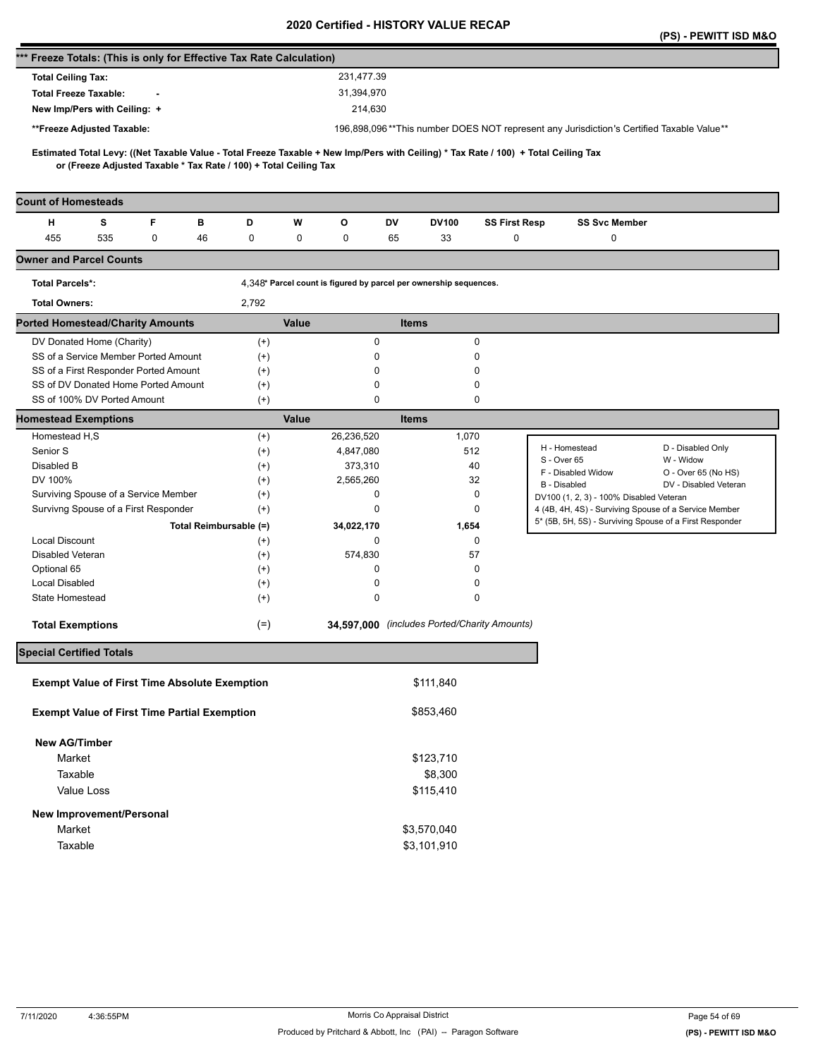| 196,898,096**This number DOES NOT represent any Jurisdiction's Certified Taxable Value**                                            |
|-------------------------------------------------------------------------------------------------------------------------------------|
|                                                                                                                                     |
| Estimated Total Levy: ((Net Taxable Value - Total Freeze Taxable + New Imp/Pers with Ceiling) * Tax Rate / 100) + Total Ceiling Tax |
|                                                                                                                                     |
| <b>SS Svc Member</b><br>SS First Resp                                                                                               |
| 0<br>0                                                                                                                              |
|                                                                                                                                     |
|                                                                                                                                     |
|                                                                                                                                     |
|                                                                                                                                     |
|                                                                                                                                     |
|                                                                                                                                     |
|                                                                                                                                     |
|                                                                                                                                     |
|                                                                                                                                     |
|                                                                                                                                     |
| D - Disabled Only<br>H - Homestead                                                                                                  |
| W - Widow<br>S - Over 65                                                                                                            |
| F - Disabled Widow<br>O - Over 65 (No HS)                                                                                           |
| B - Disabled<br>DV - Disabled Veteran                                                                                               |
| DV100 (1, 2, 3) - 100% Disabled Veteran<br>4 (4B, 4H, 4S) - Surviving Spouse of a Service Member                                    |
| 5* (5B, 5H, 5S) - Surviving Spouse of a First Responder                                                                             |
|                                                                                                                                     |
|                                                                                                                                     |
|                                                                                                                                     |
|                                                                                                                                     |
|                                                                                                                                     |
| 34,597,000 (includes Ported/Charity Amounts)                                                                                        |
|                                                                                                                                     |
|                                                                                                                                     |
|                                                                                                                                     |
|                                                                                                                                     |
|                                                                                                                                     |
|                                                                                                                                     |
|                                                                                                                                     |
|                                                                                                                                     |
|                                                                                                                                     |
|                                                                                                                                     |
|                                                                                                                                     |
|                                                                                                                                     |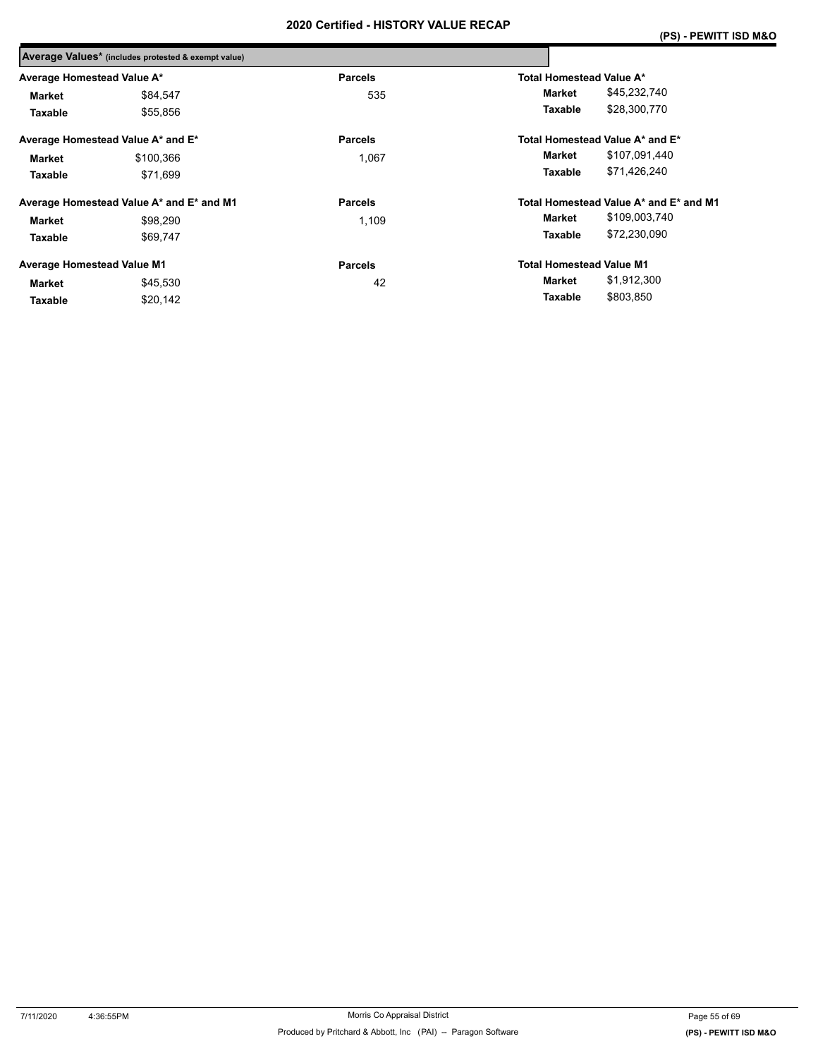|                                   | Average Values* (includes protested & exempt value) |                |                                        |
|-----------------------------------|-----------------------------------------------------|----------------|----------------------------------------|
| Average Homestead Value A*        |                                                     | <b>Parcels</b> | Total Homestead Value A*               |
| <b>Market</b>                     | \$84,547                                            | 535            | \$45,232,740<br>Market                 |
| Taxable                           | \$55.856                                            |                | \$28,300,770<br>Taxable                |
|                                   | Average Homestead Value A* and E*                   | <b>Parcels</b> | Total Homestead Value A* and E*        |
| Market                            | \$100,366                                           | 1,067          | \$107,091,440<br>Market                |
| Taxable                           | \$71.699                                            |                | \$71,426,240<br>Taxable                |
|                                   | Average Homestead Value A* and E* and M1            | <b>Parcels</b> | Total Homestead Value A* and E* and M1 |
| <b>Market</b>                     | \$98.290                                            | 1,109          | \$109,003,740<br>Market                |
| Taxable                           | \$69.747                                            |                | \$72,230,090<br>Taxable                |
| <b>Average Homestead Value M1</b> |                                                     | <b>Parcels</b> | <b>Total Homestead Value M1</b>        |
| <b>Market</b>                     | \$45,530                                            | 42             | \$1,912,300<br>Market                  |
| Taxable                           | \$20,142                                            |                | \$803,850<br>Taxable                   |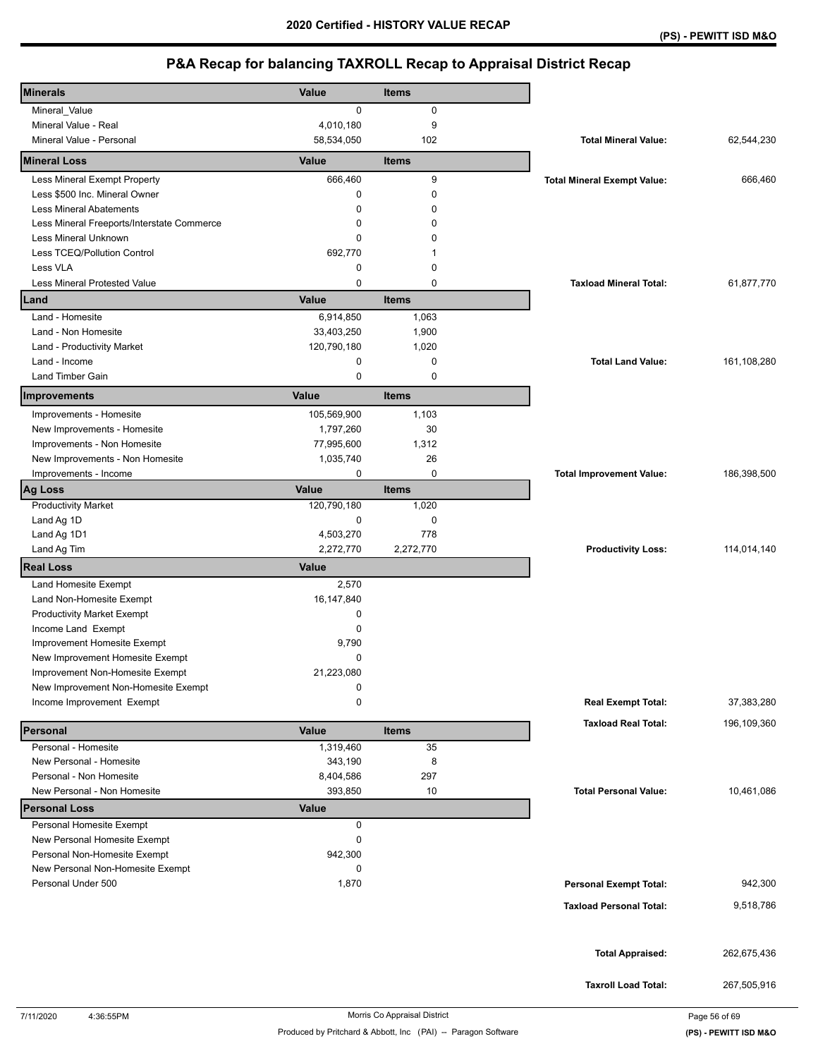| <b>Minerals</b>                            | <b>Value</b> | Items        |                                    |             |
|--------------------------------------------|--------------|--------------|------------------------------------|-------------|
| Mineral_Value                              | 0            | 0            |                                    |             |
| Mineral Value - Real                       | 4,010,180    | 9            |                                    |             |
| Mineral Value - Personal                   | 58,534,050   | 102          | <b>Total Mineral Value:</b>        | 62,544,230  |
| <b>Mineral Loss</b>                        | Value        | <b>Items</b> |                                    |             |
| Less Mineral Exempt Property               | 666,460      | 9            | <b>Total Mineral Exempt Value:</b> | 666,460     |
| Less \$500 Inc. Mineral Owner              | 0            | $\mathbf 0$  |                                    |             |
| <b>Less Mineral Abatements</b>             | 0            | 0            |                                    |             |
| Less Mineral Freeports/Interstate Commerce | 0            | 0            |                                    |             |
| Less Mineral Unknown                       | 0            | 0            |                                    |             |
| Less TCEQ/Pollution Control                | 692,770      | 1            |                                    |             |
| Less VLA                                   | 0            | $\mathbf 0$  |                                    |             |
| Less Mineral Protested Value               | 0            | $\mathbf 0$  | <b>Taxload Mineral Total:</b>      | 61,877,770  |
| Land                                       | Value        | <b>Items</b> |                                    |             |
| Land - Homesite                            | 6,914,850    | 1,063        |                                    |             |
| Land - Non Homesite                        | 33,403,250   | 1,900        |                                    |             |
| Land - Productivity Market                 | 120,790,180  | 1,020        |                                    |             |
| Land - Income                              | 0            | 0            | <b>Total Land Value:</b>           | 161,108,280 |
| Land Timber Gain                           | $\mathbf 0$  | $\mathbf 0$  |                                    |             |
|                                            |              |              |                                    |             |
| Improvements                               | Value        | <b>Items</b> |                                    |             |
| Improvements - Homesite                    | 105,569,900  | 1,103        |                                    |             |
| New Improvements - Homesite                | 1,797,260    | 30           |                                    |             |
| Improvements - Non Homesite                | 77,995,600   | 1,312        |                                    |             |
| New Improvements - Non Homesite            | 1,035,740    | 26           |                                    |             |
| Improvements - Income                      | 0            | 0            | <b>Total Improvement Value:</b>    | 186,398,500 |
| <b>Ag Loss</b>                             | Value        | <b>Items</b> |                                    |             |
| <b>Productivity Market</b>                 | 120,790,180  | 1,020        |                                    |             |
| Land Ag 1D                                 | 0            | $\mathbf 0$  |                                    |             |
| Land Ag 1D1                                | 4,503,270    | 778          |                                    |             |
| Land Ag Tim                                | 2,272,770    | 2,272,770    | <b>Productivity Loss:</b>          | 114,014,140 |
| <b>Real Loss</b>                           | <b>Value</b> |              |                                    |             |
| Land Homesite Exempt                       | 2,570        |              |                                    |             |
| Land Non-Homesite Exempt                   | 16,147,840   |              |                                    |             |
| <b>Productivity Market Exempt</b>          | 0            |              |                                    |             |
| Income Land Exempt                         | $\mathbf 0$  |              |                                    |             |
| Improvement Homesite Exempt                | 9,790        |              |                                    |             |
| New Improvement Homesite Exempt            | 0            |              |                                    |             |
| Improvement Non-Homesite Exempt            | 21,223,080   |              |                                    |             |
| New Improvement Non-Homesite Exempt        | 0            |              |                                    |             |
| Income Improvement Exempt                  | 0            |              | <b>Real Exempt Total:</b>          | 37,383,280  |
|                                            |              |              |                                    |             |
| Personal                                   | Value        | <b>Items</b> | <b>Taxload Real Total:</b>         | 196,109,360 |
| Personal - Homesite                        | 1,319,460    | 35           |                                    |             |
| New Personal - Homesite                    | 343,190      | 8            |                                    |             |
| Personal - Non Homesite                    | 8,404,586    | 297          |                                    |             |
| New Personal - Non Homesite                | 393,850      | 10           | <b>Total Personal Value:</b>       | 10,461,086  |
| <b>Personal Loss</b>                       | <b>Value</b> |              |                                    |             |
| Personal Homesite Exempt                   | 0            |              |                                    |             |
| New Personal Homesite Exempt               | 0            |              |                                    |             |
| Personal Non-Homesite Exempt               | 942,300      |              |                                    |             |
| New Personal Non-Homesite Exempt           | 0            |              |                                    |             |
| Personal Under 500                         | 1,870        |              | <b>Personal Exempt Total:</b>      | 942,300     |
|                                            |              |              | <b>Taxload Personal Total:</b>     | 9,518,786   |
|                                            |              |              |                                    |             |
|                                            |              |              |                                    |             |
|                                            |              |              | <b>Total Appraised:</b>            | 262,675,436 |
|                                            |              |              |                                    |             |
|                                            |              |              |                                    |             |
|                                            |              |              | <b>Taxroll Load Total:</b>         | 267,505,916 |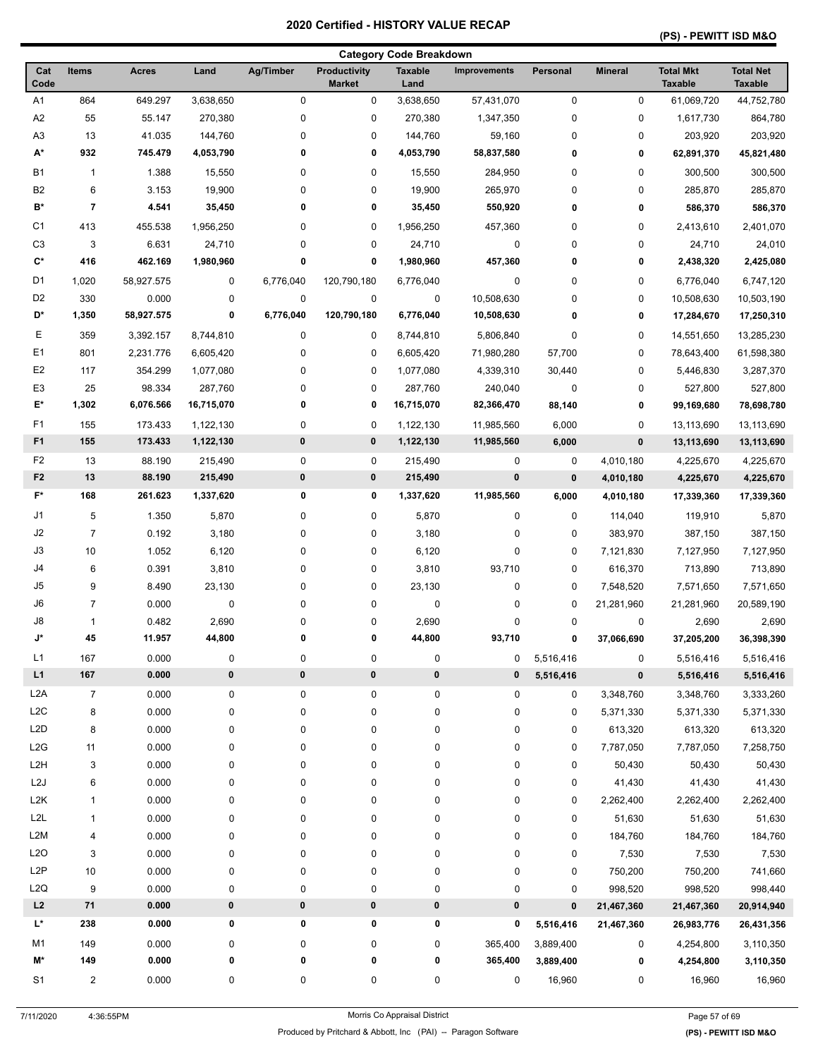### **(PS) - PEWITT ISD M&O**

| <b>Category Code Breakdown</b> |                |              |                  |                  |                                      |                        |              |             |                |                                    |                                    |
|--------------------------------|----------------|--------------|------------------|------------------|--------------------------------------|------------------------|--------------|-------------|----------------|------------------------------------|------------------------------------|
| Cat<br>Code                    | <b>Items</b>   | <b>Acres</b> | Land             | <b>Ag/Timber</b> | <b>Productivity</b><br><b>Market</b> | <b>Taxable</b><br>Land | Improvements | Personal    | <b>Mineral</b> | <b>Total Mkt</b><br><b>Taxable</b> | <b>Total Net</b><br><b>Taxable</b> |
| A <sub>1</sub>                 | 864            | 649.297      | 3,638,650        | $\mathbf 0$      | 0                                    | 3,638,650              | 57,431,070   | $\mathbf 0$ | 0              | 61,069,720                         | 44,752,780                         |
| A <sub>2</sub>                 | 55             | 55.147       | 270,380          | $\pmb{0}$        | 0                                    | 270,380                | 1,347,350    | 0           | 0              | 1,617,730                          | 864,780                            |
| A <sub>3</sub>                 | 13             | 41.035       | 144,760          | 0                | 0                                    | 144,760                | 59,160       | $\pmb{0}$   | 0              | 203,920                            | 203,920                            |
| A*                             | 932            | 745.479      | 4,053,790        | 0                | 0                                    | 4,053,790              | 58,837,580   | 0           | 0              | 62,891,370                         | 45,821,480                         |
| <b>B1</b>                      | $\mathbf{1}$   | 1.388        | 15,550           | 0                | 0                                    | 15,550                 | 284,950      | 0           | 0              | 300,500                            | 300,500                            |
| B <sub>2</sub>                 | 6              | 3.153        | 19,900           | 0                | 0                                    | 19,900                 | 265,970      | 0           | 0              | 285,870                            | 285,870                            |
| B*                             | 7              | 4.541        | 35,450           | 0                | 0                                    | 35,450                 | 550,920      | 0           | 0              | 586,370                            | 586,370                            |
| C <sub>1</sub>                 | 413            | 455.538      | 1,956,250        | 0                | 0                                    | 1,956,250              | 457,360      | 0           | 0              | 2,413,610                          | 2,401,070                          |
| C <sub>3</sub>                 | 3              | 6.631        | 24,710           | 0                | 0                                    | 24,710                 | 0            | 0           | 0              | 24,710                             | 24,010                             |
| C*                             | 416            | 462.169      | 1,980,960        | 0                | 0                                    | 1,980,960              | 457,360      | 0           | 0              | 2,438,320                          | 2,425,080                          |
| D <sub>1</sub>                 | 1,020          | 58,927.575   | $\mathbf 0$      | 6,776,040        | 120,790,180                          | 6,776,040              | 0            | 0           | 0              | 6,776,040                          | 6,747,120                          |
| D <sub>2</sub>                 | 330            | 0.000        | $\mathbf 0$      | $\pmb{0}$        | $\pmb{0}$                            | 0                      | 10,508,630   | 0           | 0              | 10,508,630                         | 10,503,190                         |
| D*                             | 1,350          | 58,927.575   | 0                | 6,776,040        | 120,790,180                          | 6,776,040              | 10,508,630   | 0           | 0              | 17,284,670                         | 17,250,310                         |
| Е                              | 359            | 3,392.157    | 8,744,810        | 0                | 0                                    | 8,744,810              | 5,806,840    | 0           | 0              | 14,551,650                         | 13,285,230                         |
| E <sub>1</sub>                 | 801            | 2,231.776    | 6,605,420        | 0                | 0                                    | 6,605,420              | 71,980,280   | 57,700      | 0              | 78,643,400                         | 61,598,380                         |
| E <sub>2</sub>                 | 117            | 354.299      | 1,077,080        | 0                | 0                                    | 1,077,080              | 4,339,310    | 30,440      | 0              | 5,446,830                          | 3,287,370                          |
| E <sub>3</sub>                 | 25             | 98.334       | 287,760          | 0                | 0                                    | 287,760                | 240,040      | 0           | 0              | 527,800                            | 527,800                            |
| E*                             | 1,302          | 6,076.566    | 16,715,070       | 0                | 0                                    | 16,715,070             | 82,366,470   | 88,140      | 0              | 99,169,680                         | 78,698,780                         |
| F1                             | 155            | 173.433      | 1,122,130        | $\pmb{0}$        | 0                                    | 1,122,130              | 11,985,560   | 6,000       | 0              | 13,113,690                         | 13,113,690                         |
| F <sub>1</sub>                 | 155            | 173.433      | 1,122,130        | 0                | 0                                    | 1,122,130              | 11,985,560   | 6,000       | $\pmb{0}$      | 13,113,690                         | 13,113,690                         |
| F <sub>2</sub>                 | 13             | 88.190       | 215,490          | 0                | 0                                    | 215,490                | 0            | 0           | 4,010,180      | 4,225,670                          | 4,225,670                          |
| F <sub>2</sub>                 | 13             | 88.190       | 215,490          | $\bf{0}$         | 0                                    | 215,490                | 0            | $\mathbf 0$ | 4,010,180      | 4,225,670                          | 4,225,670                          |
| $F^*$                          | 168            | 261.623      | 1,337,620        | 0                | 0                                    | 1,337,620              | 11,985,560   | 6,000       | 4,010,180      | 17,339,360                         | 17,339,360                         |
| J1                             | 5              | 1.350        | 5,870            | 0                | 0                                    | 5,870                  | 0            | 0           | 114,040        | 119,910                            | 5,870                              |
| J2                             | $\overline{7}$ | 0.192        | 3,180            | 0                | 0                                    | 3,180                  | 0            | 0           | 383,970        | 387,150                            | 387,150                            |
| J3                             | 10             | 1.052        | 6,120            | 0                | 0                                    | 6,120                  | 0            | 0           | 7,121,830      | 7,127,950                          | 7,127,950                          |
| J4                             | 6              | 0.391        | 3,810            | 0                | 0                                    | 3,810                  | 93,710       | 0           | 616,370        | 713,890                            | 713,890                            |
| J <sub>5</sub>                 | 9              | 8.490        | 23,130           | 0                | 0                                    | 23,130                 | 0            | 0           | 7,548,520      | 7,571,650                          | 7,571,650                          |
| J6                             | 7              | 0.000        | 0                | 0                | 0                                    | 0                      | 0            | $\mathbf 0$ | 21,281,960     | 21,281,960                         | 20,589,190                         |
| J8                             | 1              | 0.482        | 2,690            | 0                | 0                                    | 2,690                  | 0            | 0           | 0              | 2,690                              | 2,690                              |
| J*                             | 45             | 11.957       | 44,800           | 0                | 0                                    | 44,800                 | 93,710       | 0           | 37,066,690     | 37,205,200                         | 36,398,390                         |
| L1                             | 167            | 0.000        | $\pmb{0}$        | $\pmb{0}$        | 0                                    | 0                      | 0            | 5,516,416   | 0              | 5,516,416                          | 5,516,416                          |
| L1                             | ${\bf 167}$    | 0.000        | $\pmb{0}$        | $\pmb{0}$        | $\pmb{0}$                            | $\pmb{0}$              | 0            | 5,516,416   | $\pmb{0}$      | 5,516,416                          | 5,516,416                          |
| L <sub>2</sub> A               | $\overline{7}$ | 0.000        | $\pmb{0}$        | $\mathbf 0$      | 0                                    | 0                      | 0            | 0           | 3,348,760      | 3,348,760                          | 3,333,260                          |
| L2C                            | 8              | 0.000        | $\boldsymbol{0}$ | 0                | 0                                    | 0                      | 0            | 0           | 5,371,330      | 5,371,330                          | 5,371,330                          |
| L <sub>2</sub> D               | 8              | 0.000        | $\boldsymbol{0}$ | 0                | 0                                    | 0                      | 0            | 0           | 613,320        | 613,320                            | 613,320                            |
| L <sub>2</sub> G               | 11             | 0.000        | 0                | 0                | 0                                    | 0                      | 0            | 0           | 7,787,050      | 7,787,050                          | 7,258,750                          |
| L <sub>2</sub> H               | 3              | 0.000        | $\boldsymbol{0}$ | $\mathbf 0$      | 0                                    | 0                      | 0            | 0           | 50,430         | 50,430                             | 50,430                             |
| L <sub>2</sub> J               | 6              | 0.000        | $\boldsymbol{0}$ | $\mathbf 0$      | 0                                    | 0                      | 0            | 0           | 41,430         | 41,430                             | 41,430                             |
| L <sub>2</sub> K               | 1              | 0.000        | $\boldsymbol{0}$ | 0                | 0                                    | 0                      | 0            | 0           | 2,262,400      | 2,262,400                          | 2,262,400                          |
| L2L                            | 1              | 0.000        | 0                | 0                | 0                                    | 0                      | 0            | 0           | 51,630         | 51,630                             | 51,630                             |
| L2M                            | 4              | 0.000        | 0                | 0                | 0                                    | 0                      | 0            | 0           | 184,760        | 184,760                            | 184,760                            |
| L2O                            | 3              | 0.000        | 0                | 0                | 0                                    | 0                      | 0            | 0           | 7,530          | 7,530                              | 7,530                              |
| L <sub>2</sub> P               | 10             | 0.000        | $\boldsymbol{0}$ | $\mathbf 0$      | 0                                    | 0                      | 0            | 0           | 750,200        | 750,200                            | 741,660                            |
| L2Q                            | 9              | 0.000        | $\boldsymbol{0}$ | $\mathbf 0$      | 0                                    | 0                      | 0            | 0           | 998,520        | 998,520                            | 998,440                            |
| L2                             | 71             | 0.000        | $\pmb{0}$        | $\pmb{0}$        | 0                                    | $\pmb{0}$              | 0            | $\pmb{0}$   | 21,467,360     | 21,467,360                         | 20,914,940                         |
| L*                             | 238            | 0.000        | 0                | 0                | 0                                    | 0                      | 0            | 5,516,416   | 21,467,360     | 26,983,776                         | 26,431,356                         |
| M1                             | 149            | 0.000        | $\pmb{0}$        | $\mathbf 0$      | 0                                    | 0                      | 365,400      | 3,889,400   | 0              | 4,254,800                          | 3,110,350                          |
| M*                             | 149            | 0.000        | 0                | 0                | 0                                    | 0                      | 365,400      | 3,889,400   | 0              | 4,254,800                          | 3,110,350                          |
| S1                             | 2              | 0.000        | 0                | 0                | 0                                    | 0                      | 0            | 16,960      | 0              | 16,960                             | 16,960                             |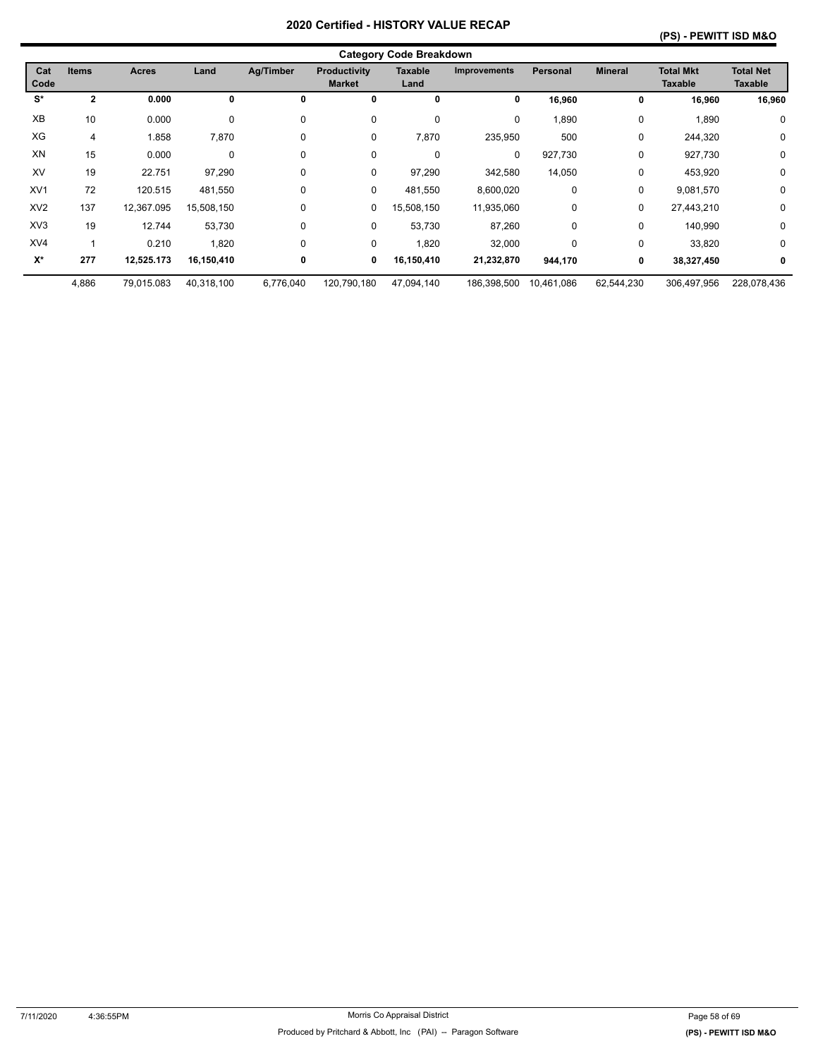|                 |              |              |             |           |                                      | <b>Category Code Breakdown</b> |                     |            |                |                                    |                                    |
|-----------------|--------------|--------------|-------------|-----------|--------------------------------------|--------------------------------|---------------------|------------|----------------|------------------------------------|------------------------------------|
| Cat<br>Code     | <b>Items</b> | <b>Acres</b> | Land        | Ag/Timber | <b>Productivity</b><br><b>Market</b> | <b>Taxable</b><br>Land         | <b>Improvements</b> | Personal   | <b>Mineral</b> | <b>Total Mkt</b><br><b>Taxable</b> | <b>Total Net</b><br><b>Taxable</b> |
| S*              | $\mathbf{2}$ | 0.000        | 0           | 0         | 0                                    | 0                              | 0                   | 16,960     | 0              | 16,960                             | 16,960                             |
| XB              | 10           | 0.000        | 0           | 0         | 0                                    | 0                              | 0                   | 1,890      | 0              | 1,890                              | 0                                  |
| XG              | 4            | 1.858        | 7,870       | 0         | 0                                    | 7,870                          | 235,950             | 500        | 0              | 244,320                            | 0                                  |
| XN              | 15           | 0.000        | $\mathbf 0$ | 0         | $\mathbf 0$                          | $\mathbf 0$                    | 0                   | 927,730    | $\mathbf 0$    | 927,730                            | $\mathbf 0$                        |
| XV              | 19           | 22.751       | 97,290      | 0         | 0                                    | 97,290                         | 342,580             | 14,050     | 0              | 453,920                            | 0                                  |
| XV <sub>1</sub> | 72           | 120.515      | 481,550     | 0         | 0                                    | 481,550                        | 8,600,020           | 0          | 0              | 9,081,570                          | $\mathbf 0$                        |
| XV <sub>2</sub> | 137          | 12,367.095   | 15,508,150  | 0         | 0                                    | 15,508,150                     | 11,935,060          | 0          | 0              | 27,443,210                         | 0                                  |
| XV <sub>3</sub> | 19           | 12.744       | 53,730      | 0         | 0                                    | 53,730                         | 87,260              | 0          | $\mathbf 0$    | 140,990                            | 0                                  |
| XV4             |              | 0.210        | 1,820       | 0         | 0                                    | 1,820                          | 32,000              | 0          | 0              | 33,820                             | 0                                  |
| $X^*$           | 277          | 12,525.173   | 16,150,410  | 0         | 0                                    | 16,150,410                     | 21,232,870          | 944,170    | 0              | 38,327,450                         | 0                                  |
|                 | 4,886        | 79,015.083   | 40,318,100  | 6,776,040 | 120,790,180                          | 47,094,140                     | 186,398,500         | 10,461,086 | 62,544,230     | 306,497,956                        | 228,078,436                        |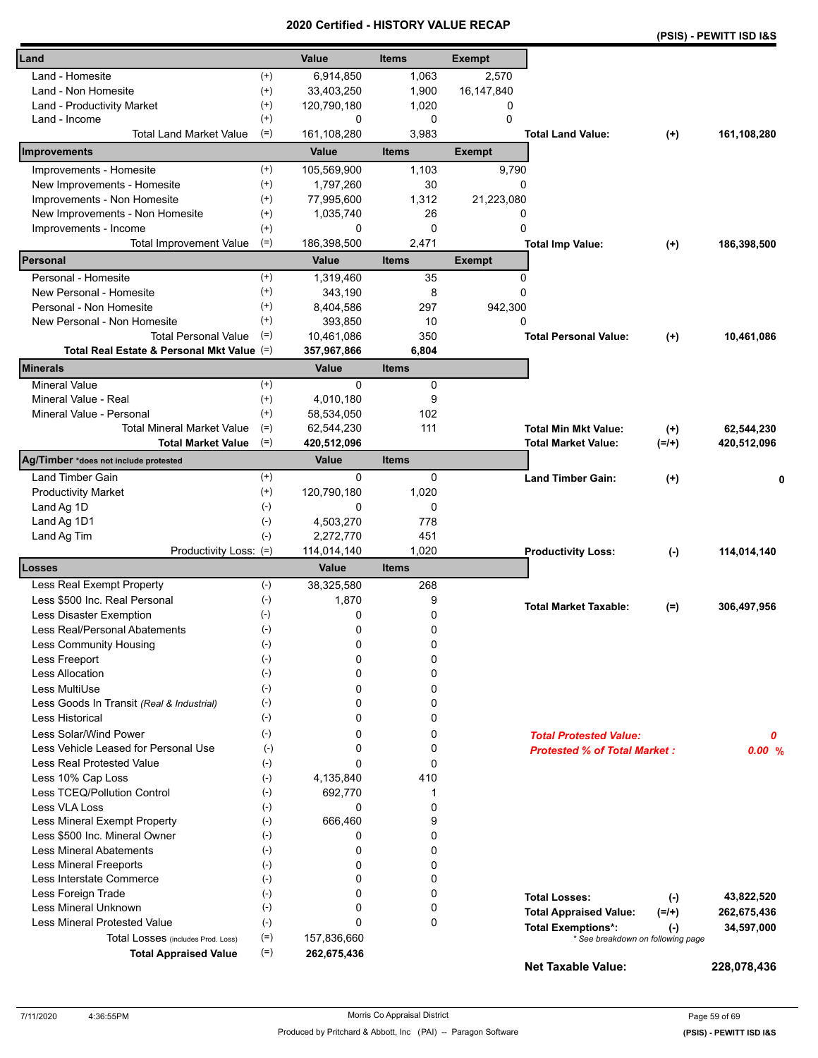|                                            |                    |             | Certilled - HISTORT VALUE RECAP |               |                                     |          | (PSIS) - PEWITT ISD I&S |
|--------------------------------------------|--------------------|-------------|---------------------------------|---------------|-------------------------------------|----------|-------------------------|
| Land                                       |                    | Value       | <b>Items</b>                    | <b>Exempt</b> |                                     |          |                         |
| Land - Homesite                            | $^{(+)}$           | 6,914,850   | 1,063                           | 2,570         |                                     |          |                         |
| Land - Non Homesite                        | $(+)$              | 33,403,250  | 1,900                           | 16,147,840    |                                     |          |                         |
| Land - Productivity Market                 | $^{(+)}$           | 120,790,180 | 1,020                           | 0             |                                     |          |                         |
| Land - Income                              | $^{(+)}$           | 0           | 0                               | $\Omega$      |                                     |          |                         |
| <b>Total Land Market Value</b>             | $(=)$              | 161,108,280 | 3,983                           |               | <b>Total Land Value:</b>            | $^{(+)}$ | 161,108,280             |
| Improvements                               |                    | Value       | <b>Items</b>                    | <b>Exempt</b> |                                     |          |                         |
| Improvements - Homesite                    | $^{(+)}$           | 105,569,900 | 1,103                           | 9,790         |                                     |          |                         |
| New Improvements - Homesite                | $^{(+)}$           | 1,797,260   | 30                              | 0             |                                     |          |                         |
| Improvements - Non Homesite                | $^{(+)}$           | 77,995,600  | 1,312                           | 21,223,080    |                                     |          |                         |
| New Improvements - Non Homesite            | $^{(+)}$           | 1,035,740   | 26                              | 0             |                                     |          |                         |
| Improvements - Income                      | $^{(+)}$           | 0           | 0                               | 0             |                                     |          |                         |
| <b>Total Improvement Value</b>             | $(=)$              | 186,398,500 | 2,471                           |               | <b>Total Imp Value:</b>             | $^{(+)}$ | 186,398,500             |
| Personal                                   |                    | Value       | <b>Items</b>                    | <b>Exempt</b> |                                     |          |                         |
| Personal - Homesite                        | $^{(+)}$           | 1,319,460   | 35                              | 0             |                                     |          |                         |
| New Personal - Homesite                    | $^{(+)}$           | 343,190     | 8                               | 0             |                                     |          |                         |
| Personal - Non Homesite                    | $^{(+)}$           | 8,404,586   | 297                             | 942,300       |                                     |          |                         |
| New Personal - Non Homesite                | $^{(+)}$           | 393.850     | 10                              | 0             |                                     |          |                         |
| <b>Total Personal Value</b>                | $(=)$              | 10,461,086  | 350                             |               | <b>Total Personal Value:</b>        | $^{(+)}$ | 10,461,086              |
| Total Real Estate & Personal Mkt Value (=) |                    | 357,967,866 | 6,804                           |               |                                     |          |                         |
| <b>Minerals</b>                            |                    | Value       | <b>Items</b>                    |               |                                     |          |                         |
| <b>Mineral Value</b>                       | $^{(+)}$           | $\Omega$    | 0                               |               |                                     |          |                         |
| Mineral Value - Real                       | $^{(+)}$           | 4,010,180   | 9                               |               |                                     |          |                         |
| Mineral Value - Personal                   | $^{(+)}$           | 58,534,050  | 102                             |               |                                     |          |                         |
| <b>Total Mineral Market Value</b>          | $(=)$              | 62,544,230  | 111                             |               | <b>Total Min Mkt Value:</b>         | $^{(+)}$ | 62,544,230              |
| <b>Total Market Value</b>                  | $(=)$              | 420,512,096 |                                 |               | <b>Total Market Value:</b>          | $(=/+)$  | 420,512,096             |
| Ag/Timber *does not include protested      |                    | Value       | <b>Items</b>                    |               |                                     |          |                         |
| <b>Land Timber Gain</b>                    | $^{(+)}$           | 0           | 0                               |               | <b>Land Timber Gain:</b>            | $(+)$    | 0                       |
| <b>Productivity Market</b>                 | $^{(+)}$           | 120,790,180 | 1,020                           |               |                                     |          |                         |
| Land Ag 1D                                 | $(-)$              | 0           | 0                               |               |                                     |          |                         |
| Land Ag 1D1                                | $(-)$              | 4,503,270   | 778                             |               |                                     |          |                         |
| Land Ag Tim                                | $(-)$              | 2,272,770   | 451                             |               |                                     |          |                         |
| Productivity Loss: (=)                     |                    | 114,014,140 | 1,020                           |               | <b>Productivity Loss:</b>           | $(-)$    | 114,014,140             |
| Losses                                     |                    | Value       | <b>Items</b>                    |               |                                     |          |                         |
| Less Real Exempt Property                  | $(-)$              | 38,325,580  | 268                             |               |                                     |          |                         |
| Less \$500 Inc. Real Personal              | $(\text{-})$       | 1,870       | 9                               |               | <b>Total Market Taxable:</b>        | $(=)$    | 306,497,956             |
| Less Disaster Exemption                    | $(-)$              | 0           | 0                               |               |                                     |          |                         |
| Less Real/Personal Abatements              | $(\textnormal{-})$ | 0           | 0                               |               |                                     |          |                         |
| Less Community Housing                     | $(-)$              | 0           | 0                               |               |                                     |          |                         |
| Less Freeport                              | $(-)$              | 0           | 0                               |               |                                     |          |                         |
| <b>Less Allocation</b>                     | $(-)$              | 0           | 0                               |               |                                     |          |                         |
| Less MultiUse                              | $(-)$              | 0           | 0                               |               |                                     |          |                         |
| Less Goods In Transit (Real & Industrial)  | $(-)$              | 0           | 0                               |               |                                     |          |                         |
| <b>Less Historical</b>                     | $(-)$              | 0           | 0                               |               |                                     |          |                         |
| Less Solar/Wind Power                      | $(-)$              | 0           | 0                               |               | <b>Total Protested Value:</b>       |          | 0                       |
| Less Vehicle Leased for Personal Use       | $(-)$              | 0           | 0                               |               | <b>Protested % of Total Market:</b> |          | 0.00%                   |
| Less Real Protested Value                  | $(-)$              | 0           | 0                               |               |                                     |          |                         |
| Less 10% Cap Loss                          | $(-)$              | 4,135,840   | 410                             |               |                                     |          |                         |
| Less TCEQ/Pollution Control                | $(-)$              | 692,770     | 1                               |               |                                     |          |                         |
| Less VLA Loss                              | $(\cdot)$          | 0           | 0                               |               |                                     |          |                         |
| Less Mineral Exempt Property               | $(-)$              | 666,460     | 9                               |               |                                     |          |                         |
| Less \$500 Inc. Mineral Owner              | $(-)$              | 0           | 0                               |               |                                     |          |                         |
| <b>Less Mineral Abatements</b>             | $(-)$              | 0           | 0                               |               |                                     |          |                         |
| <b>Less Mineral Freeports</b>              | $(-)$              | 0           | 0                               |               |                                     |          |                         |
| Less Interstate Commerce                   | $(\cdot)$          | 0           | 0                               |               |                                     |          |                         |
| Less Foreign Trade                         | $(-)$              | 0           | 0                               |               | <b>Total Losses:</b>                | $(-)$    | 43,822,520              |
| Less Mineral Unknown<br>$(-)$              |                    | 0           | 0                               |               | <b>Total Appraised Value:</b>       | $(=/+)$  | 262,675,436             |
| Less Mineral Protested Value               | $(-)$              | 0           | 0                               |               | <b>Total Exemptions*:</b>           | $(-)$    | 34,597,000              |
| Total Losses (includes Prod. Loss)         | $(=)$              | 157,836,660 |                                 |               | * See breakdown on following page   |          |                         |
| <b>Total Appraised Value</b>               | $(=)$              | 262,675,436 |                                 |               |                                     |          |                         |
|                                            |                    |             |                                 |               | <b>Net Taxable Value:</b>           |          | 228,078,436             |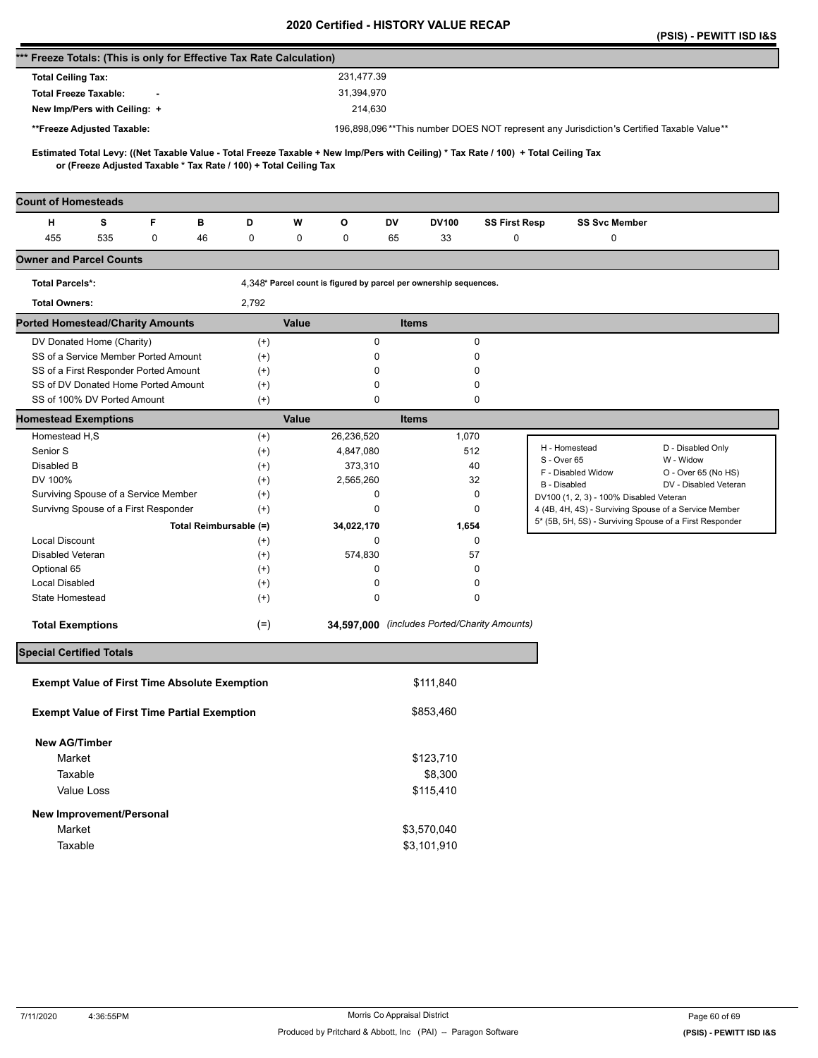|                                                                      |            |   |                        |                                                                   |       |                                                                   |              |              |                                              |                                                                                                                                     | (PSIS) - PEWITT ISD I&S |
|----------------------------------------------------------------------|------------|---|------------------------|-------------------------------------------------------------------|-------|-------------------------------------------------------------------|--------------|--------------|----------------------------------------------|-------------------------------------------------------------------------------------------------------------------------------------|-------------------------|
| *** Freeze Totals: (This is only for Effective Tax Rate Calculation) |            |   |                        |                                                                   |       |                                                                   |              |              |                                              |                                                                                                                                     |                         |
| <b>Total Ceiling Tax:</b>                                            |            |   |                        |                                                                   |       | 231,477.39                                                        |              |              |                                              |                                                                                                                                     |                         |
| <b>Total Freeze Taxable:</b>                                         |            |   |                        |                                                                   |       | 31,394,970                                                        |              |              |                                              |                                                                                                                                     |                         |
| New Imp/Pers with Ceiling: +                                         |            |   |                        |                                                                   |       | 214,630                                                           |              |              |                                              |                                                                                                                                     |                         |
| **Freeze Adjusted Taxable:                                           |            |   |                        |                                                                   |       |                                                                   |              |              |                                              | 196,898,096**This number DOES NOT represent any Jurisdiction's Certified Taxable Value**                                            |                         |
|                                                                      |            |   |                        |                                                                   |       |                                                                   |              |              |                                              | Estimated Total Levy: ((Net Taxable Value - Total Freeze Taxable + New Imp/Pers with Ceiling) * Tax Rate / 100) + Total Ceiling Tax |                         |
|                                                                      |            |   |                        | or (Freeze Adjusted Taxable * Tax Rate / 100) + Total Ceiling Tax |       |                                                                   |              |              |                                              |                                                                                                                                     |                         |
| <b>Count of Homesteads</b>                                           |            |   |                        |                                                                   |       |                                                                   |              |              |                                              |                                                                                                                                     |                         |
| н                                                                    | s          | F | в                      | D                                                                 | W     | O                                                                 | DV           | <b>DV100</b> | <b>SS First Resp</b>                         | <b>SS Svc Member</b>                                                                                                                |                         |
| 455                                                                  | 535        | 0 | 46                     | 0                                                                 | 0     | 0                                                                 | 65           | 33           | 0                                            | 0                                                                                                                                   |                         |
| <b>Owner and Parcel Counts</b>                                       |            |   |                        |                                                                   |       |                                                                   |              |              |                                              |                                                                                                                                     |                         |
| <b>Total Parcels*:</b>                                               |            |   |                        |                                                                   |       | 4,348* Parcel count is figured by parcel per ownership sequences. |              |              |                                              |                                                                                                                                     |                         |
| <b>Total Owners:</b>                                                 |            |   |                        | 2,792                                                             |       |                                                                   |              |              |                                              |                                                                                                                                     |                         |
| <b>Ported Homestead/Charity Amounts</b>                              |            |   |                        |                                                                   | Value |                                                                   | <b>Items</b> |              |                                              |                                                                                                                                     |                         |
| DV Donated Home (Charity)                                            |            |   |                        | $^{(+)}$                                                          |       | 0                                                                 |              |              | $\mathbf 0$                                  |                                                                                                                                     |                         |
| SS of a Service Member Ported Amount                                 |            |   |                        | $(+)$                                                             |       | 0                                                                 |              |              | 0                                            |                                                                                                                                     |                         |
| SS of a First Responder Ported Amount                                |            |   |                        | $^{(+)}$                                                          |       | 0                                                                 |              |              | 0                                            |                                                                                                                                     |                         |
| SS of DV Donated Home Ported Amount                                  |            |   |                        | $^{(+)}$                                                          |       | 0                                                                 |              |              | 0                                            |                                                                                                                                     |                         |
| SS of 100% DV Ported Amount                                          |            |   |                        | $^{(+)}$                                                          |       | 0                                                                 |              |              | 0                                            |                                                                                                                                     |                         |
| <b>Homestead Exemptions</b>                                          |            |   |                        |                                                                   | Value |                                                                   | <b>Items</b> |              |                                              |                                                                                                                                     |                         |
| Homestead H,S                                                        |            |   |                        | $^{(+)}$                                                          |       | 26,236,520                                                        |              | 1,070        |                                              | H - Homestead                                                                                                                       | D - Disabled Only       |
| Senior S                                                             |            |   |                        | $^{(+)}$                                                          |       | 4,847,080                                                         |              | 512          |                                              | S - Over 65                                                                                                                         | W - Widow               |
| Disabled B                                                           |            |   |                        | $^{(+)}$                                                          |       | 373,310                                                           |              | 40           |                                              | F - Disabled Widow                                                                                                                  | O - Over 65 (No HS)     |
| DV 100%                                                              |            |   |                        | $^{(+)}$                                                          |       | 2,565,260                                                         |              | 32           |                                              | B - Disabled                                                                                                                        | DV - Disabled Veteran   |
| Surviving Spouse of a Service Member                                 |            |   |                        | $^{(+)}$                                                          |       | 0                                                                 |              |              | 0                                            | DV100 (1, 2, 3) - 100% Disabled Veteran                                                                                             |                         |
| Survivng Spouse of a First Responder                                 |            |   |                        | $^{(+)}$                                                          |       | 0                                                                 |              |              | 0                                            | 4 (4B, 4H, 4S) - Surviving Spouse of a Service Member<br>5* (5B, 5H, 5S) - Surviving Spouse of a First Responder                    |                         |
|                                                                      |            |   | Total Reimbursable (=) |                                                                   |       | 34,022,170                                                        |              | 1,654        |                                              |                                                                                                                                     |                         |
| <b>Local Discount</b>                                                |            |   |                        | $^{(+)}$                                                          |       | 0                                                                 |              |              | 0                                            |                                                                                                                                     |                         |
| Disabled Veteran                                                     |            |   |                        | $^{(+)}$                                                          |       | 574,830                                                           |              | 57           |                                              |                                                                                                                                     |                         |
| Optional 65                                                          |            |   |                        | $^{(+)}$                                                          |       | 0                                                                 |              |              | 0                                            |                                                                                                                                     |                         |
| <b>Local Disabled</b>                                                |            |   |                        | $^{(+)}$                                                          |       | 0                                                                 |              |              | 0                                            |                                                                                                                                     |                         |
| State Homestead                                                      |            |   |                        | $^{(+)}$                                                          |       | 0                                                                 |              |              | 0                                            |                                                                                                                                     |                         |
| <b>Total Exemptions</b>                                              |            |   |                        | $(=)$                                                             |       |                                                                   |              |              | 34,597,000 (includes Ported/Charity Amounts) |                                                                                                                                     |                         |
| <b>Special Certified Totals</b>                                      |            |   |                        |                                                                   |       |                                                                   |              |              |                                              |                                                                                                                                     |                         |
| <b>Exempt Value of First Time Absolute Exemption</b>                 |            |   |                        |                                                                   |       |                                                                   |              | \$111,840    |                                              |                                                                                                                                     |                         |
| <b>Exempt Value of First Time Partial Exemption</b>                  |            |   |                        |                                                                   |       |                                                                   |              | \$853,460    |                                              |                                                                                                                                     |                         |
|                                                                      |            |   |                        |                                                                   |       |                                                                   |              |              |                                              |                                                                                                                                     |                         |
| <b>New AG/Timber</b>                                                 |            |   |                        |                                                                   |       |                                                                   |              | \$123,710    |                                              |                                                                                                                                     |                         |
| Market                                                               |            |   |                        |                                                                   |       |                                                                   |              |              |                                              |                                                                                                                                     |                         |
| Taxable                                                              |            |   |                        |                                                                   |       |                                                                   |              | \$8,300      |                                              |                                                                                                                                     |                         |
|                                                                      | Value Loss |   |                        |                                                                   |       |                                                                   |              | \$115,410    |                                              |                                                                                                                                     |                         |
| New Improvement/Personal                                             |            |   |                        |                                                                   |       |                                                                   |              |              |                                              |                                                                                                                                     |                         |
| Market                                                               |            |   |                        |                                                                   |       |                                                                   |              | \$3,570,040  |                                              |                                                                                                                                     |                         |
| Taxable                                                              |            |   |                        |                                                                   |       |                                                                   |              | \$3,101,910  |                                              |                                                                                                                                     |                         |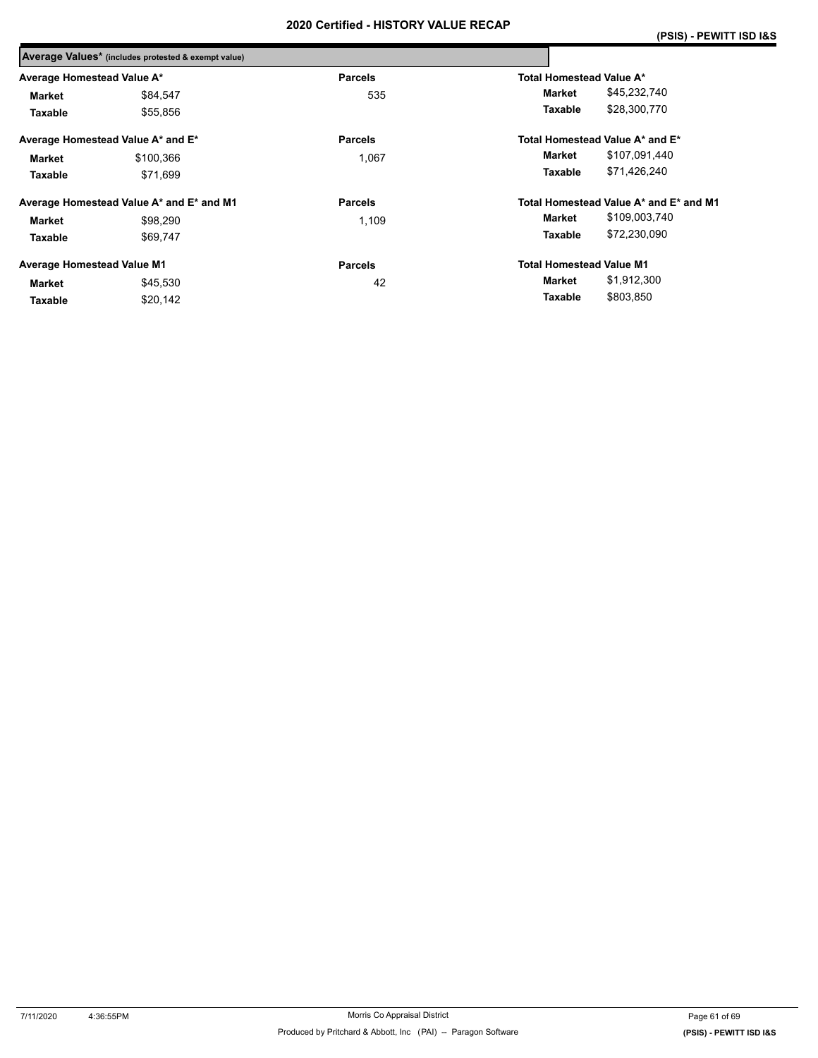|                                   | Average Values* (includes protested & exempt value) |                |                                 |                                        |
|-----------------------------------|-----------------------------------------------------|----------------|---------------------------------|----------------------------------------|
| Average Homestead Value A*        |                                                     | <b>Parcels</b> | Total Homestead Value A*        |                                        |
| Market                            | \$84,547                                            | 535            | Market                          | \$45,232,740                           |
| Taxable                           | \$55,856                                            |                | Taxable                         | \$28,300,770                           |
|                                   | Average Homestead Value A* and E*                   | <b>Parcels</b> |                                 | Total Homestead Value A* and E*        |
| Market                            | \$100,366                                           | 1,067          | Market                          | \$107,091,440                          |
| Taxable                           | \$71.699                                            |                | Taxable                         | \$71,426,240                           |
|                                   | Average Homestead Value A* and E* and M1            | <b>Parcels</b> |                                 | Total Homestead Value A* and E* and M1 |
| Market                            | \$98.290                                            | 1.109          | Market                          | \$109,003,740                          |
| Taxable                           | \$69.747                                            |                | Taxable                         | \$72,230,090                           |
| <b>Average Homestead Value M1</b> |                                                     | <b>Parcels</b> | <b>Total Homestead Value M1</b> |                                        |
| Market                            | \$45,530                                            | 42             | Market                          | \$1,912,300                            |
| Taxable                           | \$20,142                                            |                | Taxable                         | \$803,850                              |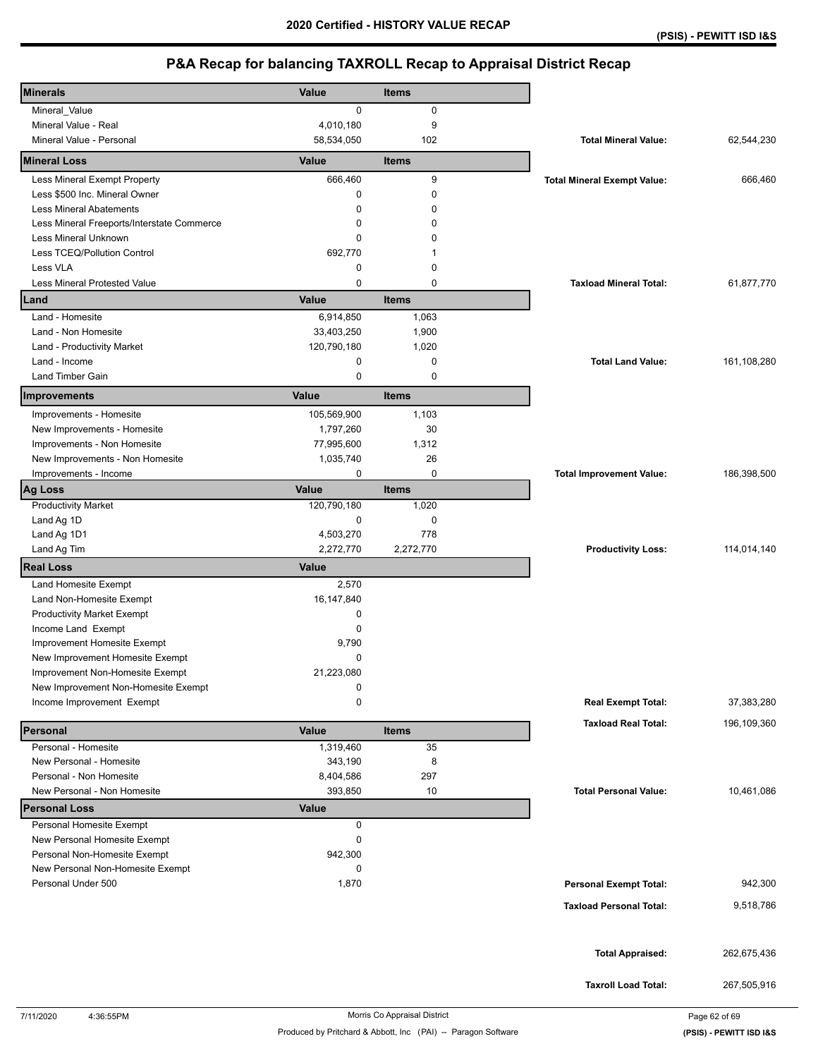| <b>Minerals</b>                                          | Value        | <b>Items</b> |                                    |             |
|----------------------------------------------------------|--------------|--------------|------------------------------------|-------------|
| Mineral_Value                                            | $\mathbf 0$  | 0            |                                    |             |
| Mineral Value - Real                                     | 4,010,180    | 9            |                                    |             |
| Mineral Value - Personal                                 | 58,534,050   | 102          | <b>Total Mineral Value:</b>        | 62,544,230  |
| <b>Mineral Loss</b>                                      | Value        | <b>Items</b> |                                    |             |
| Less Mineral Exempt Property                             | 666,460      | 9            | <b>Total Mineral Exempt Value:</b> | 666,460     |
| Less \$500 Inc. Mineral Owner                            | $\mathbf 0$  | $\mathbf 0$  |                                    |             |
| <b>Less Mineral Abatements</b>                           | $\Omega$     | $\Omega$     |                                    |             |
| Less Mineral Freeports/Interstate Commerce               | 0            | 0            |                                    |             |
| Less Mineral Unknown                                     | $\mathbf 0$  | 0            |                                    |             |
| Less TCEQ/Pollution Control                              | 692,770      | 1            |                                    |             |
| Less VLA                                                 | 0            | $\mathbf 0$  |                                    |             |
| <b>Less Mineral Protested Value</b>                      | $\mathbf 0$  | $\mathbf 0$  | <b>Taxload Mineral Total:</b>      | 61,877,770  |
| Land                                                     | Value        | <b>Items</b> |                                    |             |
| Land - Homesite                                          | 6,914,850    | 1,063        |                                    |             |
| Land - Non Homesite                                      | 33,403,250   | 1,900        |                                    |             |
| Land - Productivity Market                               | 120,790,180  | 1,020        |                                    |             |
| Land - Income                                            | 0            | $\mathbf 0$  | <b>Total Land Value:</b>           | 161,108,280 |
| Land Timber Gain                                         | 0            | $\mathbf 0$  |                                    |             |
| Improvements                                             | Value        | <b>Items</b> |                                    |             |
| Improvements - Homesite                                  | 105,569,900  | 1,103        |                                    |             |
| New Improvements - Homesite                              | 1,797,260    | 30           |                                    |             |
| Improvements - Non Homesite                              | 77,995,600   | 1,312        |                                    |             |
| New Improvements - Non Homesite                          | 1,035,740    | 26           |                                    |             |
| Improvements - Income                                    | 0            | $\pmb{0}$    | <b>Total Improvement Value:</b>    | 186,398,500 |
| <b>Ag Loss</b>                                           | Value        | <b>Items</b> |                                    |             |
| <b>Productivity Market</b>                               | 120,790,180  | 1,020        |                                    |             |
| Land Ag 1D                                               | 0            | $\mathbf 0$  |                                    |             |
| Land Ag 1D1                                              | 4,503,270    | 778          |                                    |             |
| Land Ag Tim                                              | 2,272,770    | 2,272,770    | <b>Productivity Loss:</b>          | 114,014,140 |
| <b>Real Loss</b>                                         | Value        |              |                                    |             |
| Land Homesite Exempt                                     | 2,570        |              |                                    |             |
| Land Non-Homesite Exempt                                 | 16, 147, 840 |              |                                    |             |
| <b>Productivity Market Exempt</b>                        | 0            |              |                                    |             |
| Income Land Exempt                                       | $\mathbf 0$  |              |                                    |             |
| Improvement Homesite Exempt                              | 9,790        |              |                                    |             |
| New Improvement Homesite Exempt                          | 0            |              |                                    |             |
| Improvement Non-Homesite Exempt                          | 21,223,080   |              |                                    |             |
| New Improvement Non-Homesite Exempt                      | 0            |              |                                    |             |
| Income Improvement Exempt                                | $\mathbf 0$  |              | <b>Real Exempt Total:</b>          | 37,383,280  |
|                                                          |              |              |                                    |             |
| Personal                                                 | Value        | <b>Items</b> | <b>Taxload Real Total:</b>         | 196,109,360 |
| Personal - Homesite                                      | 1,319,460    | 35           |                                    |             |
| New Personal - Homesite                                  | 343,190      | 8            |                                    |             |
| Personal - Non Homesite                                  | 8,404,586    | 297          |                                    |             |
| New Personal - Non Homesite                              | 393,850      | 10           | <b>Total Personal Value:</b>       | 10,461,086  |
| <b>Personal Loss</b>                                     | <b>Value</b> |              |                                    |             |
| Personal Homesite Exempt<br>New Personal Homesite Exempt | 0            |              |                                    |             |
|                                                          | 0            |              |                                    |             |
| Personal Non-Homesite Exempt                             | 942,300      |              |                                    |             |
| New Personal Non-Homesite Exempt<br>Personal Under 500   | 0<br>1,870   |              |                                    | 942,300     |
|                                                          |              |              | <b>Personal Exempt Total:</b>      |             |
|                                                          |              |              | <b>Taxload Personal Total:</b>     | 9,518,786   |
|                                                          |              |              |                                    |             |
|                                                          |              |              | <b>Total Appraised:</b>            | 262,675,436 |
|                                                          |              |              |                                    |             |
|                                                          |              |              | <b>Taxroll Load Total:</b>         | 267,505,916 |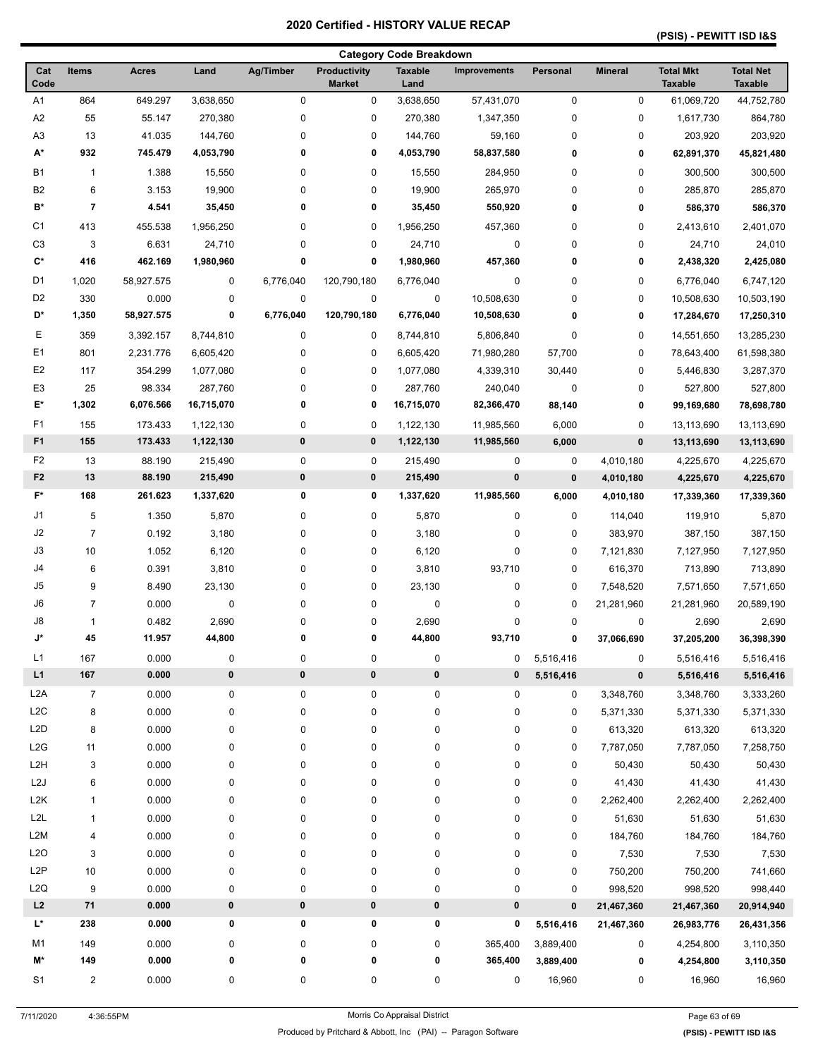## **(PSIS) - PEWITT ISD I&S**

|                  |                |              |                  |           |                               | <b>Category Code Breakdown</b> |                     |           |                    |                                    |                                    |
|------------------|----------------|--------------|------------------|-----------|-------------------------------|--------------------------------|---------------------|-----------|--------------------|------------------------------------|------------------------------------|
| Cat<br>Code      | Items          | <b>Acres</b> | Land             | Ag/Timber | Productivity<br><b>Market</b> | <b>Taxable</b><br>Land         | <b>Improvements</b> | Personal  | <b>Mineral</b>     | <b>Total Mkt</b><br><b>Taxable</b> | <b>Total Net</b><br><b>Taxable</b> |
| A <sub>1</sub>   | 864            | 649.297      | 3,638,650        | 0         | 0                             | 3,638,650                      | 57,431,070          | 0         | 0                  | 61,069,720                         | 44,752,780                         |
| A <sub>2</sub>   | 55             | 55.147       | 270,380          | $\pmb{0}$ | 0                             | 270,380                        | 1,347,350           | 0         | 0                  | 1,617,730                          | 864,780                            |
| A <sub>3</sub>   | 13             | 41.035       | 144,760          | 0         | 0                             | 144,760                        | 59,160              | 0         | 0                  | 203,920                            | 203,920                            |
| A*               | 932            | 745.479      | 4,053,790        | 0         | 0                             | 4,053,790                      | 58,837,580          | 0         | 0                  | 62,891,370                         | 45,821,480                         |
| <b>B1</b>        | $\mathbf{1}$   | 1.388        | 15,550           | 0         | 0                             | 15,550                         | 284,950             | 0         | 0                  | 300,500                            | 300,500                            |
| B <sub>2</sub>   | 6              | 3.153        | 19,900           | 0         | 0                             | 19,900                         | 265,970             | 0         | 0                  | 285,870                            | 285,870                            |
| B*               | 7              | 4.541        | 35,450           | 0         | 0                             | 35,450                         | 550,920             | 0         | 0                  | 586,370                            | 586,370                            |
| C <sub>1</sub>   | 413            | 455.538      | 1,956,250        | 0         | 0                             | 1,956,250                      | 457,360             | 0         | 0                  | 2,413,610                          | 2,401,070                          |
| C <sub>3</sub>   | 3              | 6.631        | 24,710           | 0         | 0                             | 24,710                         | 0                   | 0         | 0                  | 24,710                             | 24,010                             |
| C*               | 416            | 462.169      | 1,980,960        | 0         | 0                             | 1,980,960                      | 457,360             | 0         | 0                  | 2,438,320                          | 2,425,080                          |
| D <sub>1</sub>   | 1,020          | 58,927.575   | 0                | 6,776,040 | 120,790,180                   | 6,776,040                      | $\pmb{0}$           | 0         | 0                  | 6,776,040                          | 6,747,120                          |
| D <sub>2</sub>   | 330            | 0.000        | 0                | 0         | 0                             | $\pmb{0}$                      | 10,508,630          | 0         | 0                  | 10,508,630                         | 10,503,190                         |
| D*               | 1,350          | 58,927.575   | 0                | 6,776,040 | 120,790,180                   | 6,776,040                      | 10,508,630          | 0         | 0                  | 17,284,670                         | 17,250,310                         |
| Е                | 359            | 3,392.157    | 8,744,810        | 0         | 0                             | 8,744,810                      | 5,806,840           | 0         | 0                  | 14,551,650                         | 13,285,230                         |
| E <sub>1</sub>   | 801            | 2,231.776    | 6,605,420        | 0         | 0                             | 6,605,420                      | 71,980,280          | 57,700    | 0                  | 78,643,400                         | 61,598,380                         |
| E <sub>2</sub>   | 117            | 354.299      | 1,077,080        | 0         | 0                             | 1,077,080                      | 4,339,310           | 30,440    | 0                  | 5,446,830                          | 3,287,370                          |
| E <sub>3</sub>   | 25             | 98.334       | 287,760          | 0         | 0                             | 287,760                        | 240,040             | 0         | 0                  | 527,800                            | 527,800                            |
| E*               | 1,302          | 6,076.566    | 16,715,070       | 0         | 0                             | 16,715,070                     | 82,366,470          | 88,140    | 0                  | 99,169,680                         | 78,698,780                         |
| F1               | 155            | 173.433      | 1,122,130        | $\pmb{0}$ | 0                             | 1,122,130                      | 11,985,560          | 6,000     | 0                  | 13,113,690                         | 13,113,690                         |
| F <sub>1</sub>   | 155            | 173.433      | 1,122,130        | 0         | 0                             | 1,122,130                      | 11,985,560          | 6,000     | 0                  | 13,113,690                         | 13,113,690                         |
| F <sub>2</sub>   | 13             | 88.190       | 215,490          | 0         | 0                             | 215,490                        | 0                   | 0         | 4,010,180          | 4,225,670                          | 4,225,670                          |
| F <sub>2</sub>   | 13             | 88.190       | 215,490          | $\bf{0}$  | 0                             | 215,490                        | $\pmb{0}$           | $\pmb{0}$ | 4,010,180          | 4,225,670                          | 4,225,670                          |
| $F^*$            | 168            | 261.623      | 1,337,620        | 0         | 0                             | 1,337,620                      | 11,985,560          | 6,000     | 4,010,180          | 17,339,360                         | 17,339,360                         |
| J1               | 5              | 1.350        | 5,870            | 0         | 0                             | 5,870                          | 0                   | 0         |                    | 119,910                            | 5,870                              |
| J2               | $\overline{7}$ | 0.192        | 3,180            | 0         | 0                             | 3,180                          | 0                   | 0         | 114,040<br>383,970 | 387,150                            | 387,150                            |
| J3               | 10             | 1.052        | 6,120            | 0         | 0                             | 6,120                          | $\pmb{0}$           | 0         | 7,121,830          |                                    | 7,127,950                          |
| J4               | 6              | 0.391        | 3,810            | 0         | 0                             | 3,810                          | 93,710              | 0         | 616,370            | 7,127,950<br>713,890               | 713,890                            |
| J <sub>5</sub>   | 9              | 8.490        | 23,130           | 0         | 0                             | 23,130                         | 0                   | 0         | 7,548,520          | 7,571,650                          | 7,571,650                          |
| J6               | 7              | 0.000        | 0                | 0         | 0                             | 0                              | 0                   | 0         | 21,281,960         | 21,281,960                         | 20,589,190                         |
| J8               | 1              | 0.482        | 2,690            | 0         | 0                             | 2,690                          | 0                   | 0         | 0                  | 2,690                              | 2,690                              |
| J*               | 45             | 11.957       | 44,800           | 0         | 0                             | 44,800                         | 93,710              | 0         | 37,066,690         | 37,205,200                         | 36,398,390                         |
| L1               | 167            | 0.000        | 0                | 0         | 0                             | $\pmb{0}$                      | 0                   | 5,516,416 | 0                  | 5,516,416                          | 5,516,416                          |
| L1               | 167            | 0.000        | $\pmb{0}$        | $\pmb{0}$ | 0                             | 0                              | 0                   | 5,516,416 | $\pmb{0}$          | 5,516,416                          | 5,516,416                          |
| L <sub>2</sub> A | $\overline{7}$ | 0.000        | 0                | 0         | 0                             | 0                              | 0                   | 0         | 3,348,760          | 3,348,760                          | 3,333,260                          |
| L2C              | 8              | 0.000        | 0                | 0         | 0                             | 0                              | $\pmb{0}$           | 0         | 5,371,330          | 5,371,330                          | 5,371,330                          |
| L <sub>2</sub> D | 8              | 0.000        | 0                | 0         | 0                             | 0                              | $\pmb{0}$           | 0         | 613,320            | 613,320                            | 613,320                            |
| L <sub>2</sub> G | 11             | 0.000        | 0                | 0         | 0                             | 0                              | $\pmb{0}$           | 0         | 7,787,050          | 7,787,050                          | 7,258,750                          |
| L <sub>2</sub> H | 3              | 0.000        | 0                | 0         | 0                             | 0                              | 0                   | 0         | 50,430             | 50,430                             | 50,430                             |
| L <sub>2</sub> J | 6              | 0.000        | 0                | 0         | 0                             | 0                              | 0                   | 0         | 41,430             | 41,430                             | 41,430                             |
| L <sub>2</sub> K | 1              | 0.000        | 0                | 0         | 0                             | 0                              | $\pmb{0}$           | 0         | 2,262,400          | 2,262,400                          | 2,262,400                          |
| L2L              | 1              | 0.000        | 0                | 0         | 0                             | 0                              | $\pmb{0}$           | 0         | 51,630             | 51,630                             | 51,630                             |
| L <sub>2</sub> M | 4              | 0.000        | 0                | 0         | 0                             | 0                              | 0                   | 0         | 184,760            | 184,760                            | 184,760                            |
| L2O              | 3              | 0.000        | 0                | 0         | 0                             | 0                              | 0                   | 0         | 7,530              | 7,530                              | 7,530                              |
| L <sub>2</sub> P | 10             | 0.000        | 0                | 0         | 0                             | 0                              | 0                   | 0         | 750,200            | 750,200                            | 741,660                            |
| L2Q              | 9              | 0.000        | $\boldsymbol{0}$ | 0         | 0                             | 0                              | $\pmb{0}$           | 0         | 998,520            | 998,520                            | 998,440                            |
| L2               | 71             | 0.000        | $\pmb{0}$        | $\pmb{0}$ | 0                             | 0                              | 0                   | $\pmb{0}$ | 21,467,360         | 21,467,360                         | 20,914,940                         |
| L*               | 238            | 0.000        | 0                | 0         | 0                             | 0                              | 0                   | 5,516,416 | 21,467,360         | 26,983,776                         | 26,431,356                         |
| M1               | 149            | 0.000        | 0                | 0         | 0                             | 0                              | 365,400             | 3,889,400 | 0                  | 4,254,800                          | 3,110,350                          |
| M*               | 149            | 0.000        | 0                | 0         | 0                             | 0                              | 365,400             | 3,889,400 | 0                  | 4,254,800                          | 3,110,350                          |
| S <sub>1</sub>   | 2              | 0.000        | 0                | 0         | 0                             | 0                              | 0                   | 16,960    | 0                  | 16,960                             | 16,960                             |
|                  |                |              |                  |           |                               |                                |                     |           |                    |                                    |                                    |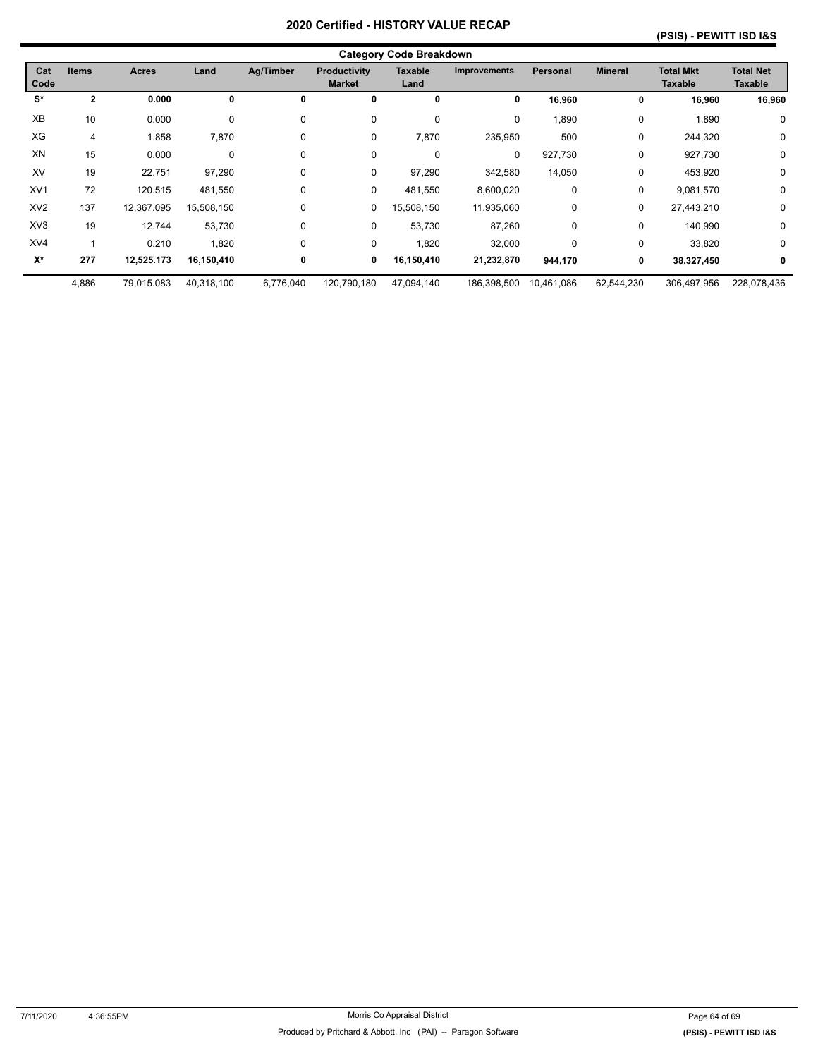|                 | <b>Category Code Breakdown</b> |              |             |             |                                      |                        |                     |                 |                |                                    |                                    |  |  |
|-----------------|--------------------------------|--------------|-------------|-------------|--------------------------------------|------------------------|---------------------|-----------------|----------------|------------------------------------|------------------------------------|--|--|
| Cat<br>Code     | <b>Items</b>                   | <b>Acres</b> | Land        | Ag/Timber   | <b>Productivity</b><br><b>Market</b> | <b>Taxable</b><br>Land | <b>Improvements</b> | <b>Personal</b> | <b>Mineral</b> | <b>Total Mkt</b><br><b>Taxable</b> | <b>Total Net</b><br><b>Taxable</b> |  |  |
| S*              | $\mathbf{2}$                   | 0.000        | 0           | 0           | 0                                    | 0                      | 0                   | 16,960          | 0              | 16,960                             | 16,960                             |  |  |
| XB              | 10                             | 0.000        | 0           | $\mathbf 0$ | 0                                    | 0                      | 0                   | 1,890           | 0              | 1,890                              | 0                                  |  |  |
| XG              | 4                              | 1.858        | 7,870       | $\mathbf 0$ | 0                                    | 7,870                  | 235,950             | 500             | 0              | 244,320                            | 0                                  |  |  |
| XN              | 15                             | 0.000        | $\mathbf 0$ | $\Omega$    | 0                                    | 0                      | $\mathbf 0$         | 927,730         | $\mathbf 0$    | 927,730                            | 0                                  |  |  |
| XV              | 19                             | 22.751       | 97,290      | 0           | 0                                    | 97,290                 | 342,580             | 14,050          | 0              | 453,920                            | 0                                  |  |  |
| XV <sub>1</sub> | 72                             | 120.515      | 481,550     | $\Omega$    | 0                                    | 481,550                | 8,600,020           | 0               | 0              | 9,081,570                          | 0                                  |  |  |
| XV <sub>2</sub> | 137                            | 12,367.095   | 15,508,150  | $\Omega$    | 0                                    | 15,508,150             | 11,935,060          | 0               | 0              | 27,443,210                         | 0                                  |  |  |
| XV <sub>3</sub> | 19                             | 12.744       | 53,730      | $\mathbf 0$ | 0                                    | 53,730                 | 87,260              | $\mathbf 0$     | $\mathbf 0$    | 140,990                            | 0                                  |  |  |
| XV4             |                                | 0.210        | 1,820       | $\Omega$    | 0                                    | 1,820                  | 32,000              | 0               | 0              | 33,820                             | 0                                  |  |  |
| $X^*$           | 277                            | 12,525.173   | 16,150,410  | 0           | 0                                    | 16,150,410             | 21,232,870          | 944,170         | 0              | 38,327,450                         | 0                                  |  |  |
|                 | 4,886                          | 79,015.083   | 40,318,100  | 6,776,040   | 120,790,180                          | 47,094,140             | 186,398,500         | 10,461,086      | 62,544,230     | 306,497,956                        | 228,078,436                        |  |  |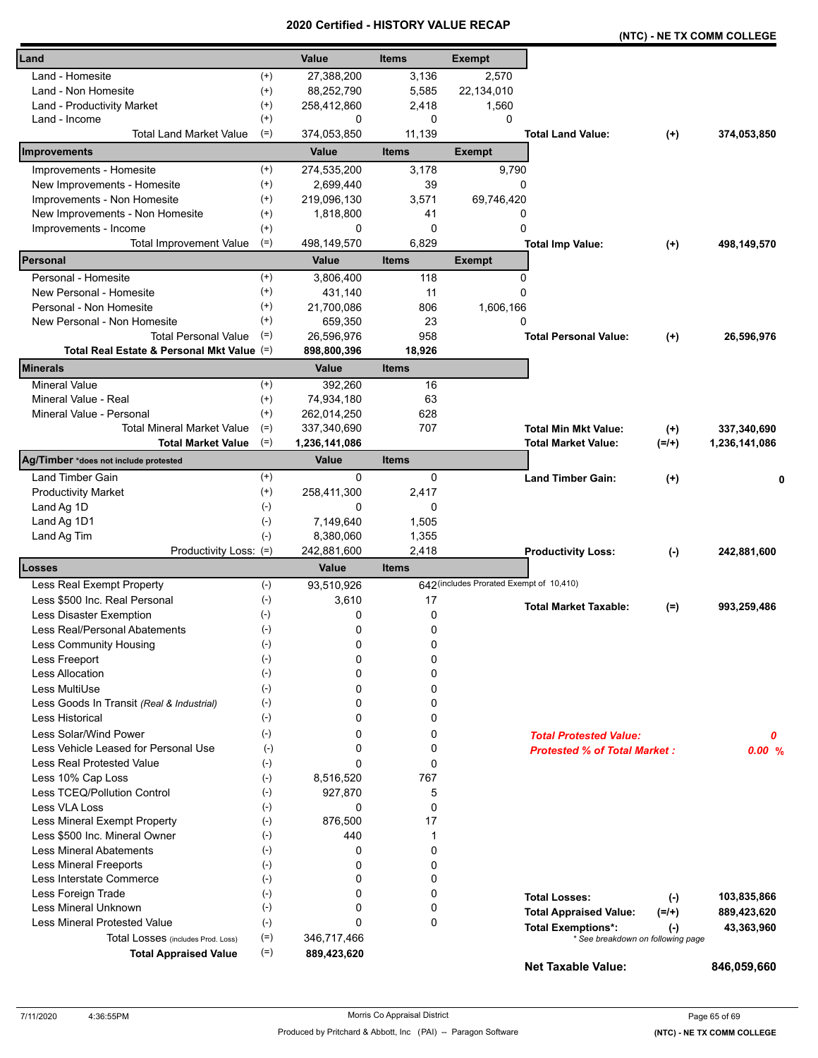|                                                                             |                            |              |                                          |                                     | (NTC) - NE TX COMM COLLEGE        |               |
|-----------------------------------------------------------------------------|----------------------------|--------------|------------------------------------------|-------------------------------------|-----------------------------------|---------------|
| Land                                                                        | Value                      | <b>Items</b> | <b>Exempt</b>                            |                                     |                                   |               |
| Land - Homesite<br>$^{(+)}$                                                 | 27,388,200                 | 3,136        | 2,570                                    |                                     |                                   |               |
| $^{(+)}$<br>Land - Non Homesite                                             | 88,252,790                 | 5,585        | 22,134,010                               |                                     |                                   |               |
| $^{(+)}$<br>Land - Productivity Market                                      | 258,412,860                | 2,418        | 1,560                                    |                                     |                                   |               |
| $^{(+)}$<br>Land - Income                                                   | 0                          | 0            | 0                                        |                                     |                                   |               |
| <b>Total Land Market Value</b><br>$(=)$                                     | 374,053,850                | 11,139       |                                          | <b>Total Land Value:</b>            | $^{(+)}$                          | 374,053,850   |
| Improvements                                                                | Value                      | <b>Items</b> | <b>Exempt</b>                            |                                     |                                   |               |
| Improvements - Homesite<br>$^{(+)}$                                         | 274,535,200                | 3,178        | 9,790                                    |                                     |                                   |               |
| New Improvements - Homesite<br>$^{(+)}$                                     | 2,699,440                  | 39           | 0                                        |                                     |                                   |               |
| Improvements - Non Homesite<br>$^{(+)}$                                     | 219,096,130                | 3,571        | 69,746,420                               |                                     |                                   |               |
| New Improvements - Non Homesite<br>$^{(+)}$                                 | 1,818,800                  | 41           | 0                                        |                                     |                                   |               |
| $^{(+)}$<br>Improvements - Income                                           | 0                          | 0            | $\mathbf 0$                              |                                     |                                   |               |
| $(=)$<br><b>Total Improvement Value</b>                                     | 498,149,570                | 6,829        |                                          | <b>Total Imp Value:</b>             | $^{(+)}$                          | 498,149,570   |
| Personal                                                                    | Value                      | <b>Items</b> | <b>Exempt</b>                            |                                     |                                   |               |
| $^{(+)}$<br>Personal - Homesite                                             | 3,806,400                  | 118          | 0                                        |                                     |                                   |               |
| $^{(+)}$<br>New Personal - Homesite                                         | 431,140                    | 11           | 0                                        |                                     |                                   |               |
| $^{(+)}$<br>Personal - Non Homesite                                         | 21,700,086                 | 806          | 1,606,166                                |                                     |                                   |               |
| $^{(+)}$<br>New Personal - Non Homesite                                     | 659,350                    | 23           | 0                                        |                                     |                                   |               |
| $(=)$<br><b>Total Personal Value</b>                                        | 26,596,976                 | 958          |                                          | <b>Total Personal Value:</b>        | $(+)$                             | 26,596,976    |
| Total Real Estate & Personal Mkt Value (=)                                  | 898,800,396                | 18,926       |                                          |                                     |                                   |               |
| Minerals                                                                    | <b>Value</b>               | <b>Items</b> |                                          |                                     |                                   |               |
| <b>Mineral Value</b><br>$^{(+)}$                                            | 392.260                    | 16           |                                          |                                     |                                   |               |
| Mineral Value - Real<br>$^{(+)}$                                            | 74,934,180                 | 63           |                                          |                                     |                                   |               |
| Mineral Value - Personal<br>$^{(+)}$                                        | 262,014,250                | 628          |                                          |                                     |                                   |               |
| <b>Total Mineral Market Value</b><br>$(=)$                                  | 337,340,690                | 707          |                                          | <b>Total Min Mkt Value:</b>         | $^{(+)}$                          | 337,340,690   |
| $(=)$<br><b>Total Market Value</b><br>Ag/Timber *does not include protested | 1,236,141,086              |              |                                          | <b>Total Market Value:</b>          | $(=/+)$                           | 1,236,141,086 |
|                                                                             | Value                      | <b>Items</b> |                                          |                                     |                                   |               |
| Land Timber Gain<br>$^{(+)}$                                                | 0                          | 0            |                                          | <b>Land Timber Gain:</b>            | $^{(+)}$                          |               |
| <b>Productivity Market</b><br>$^{(+)}$<br>$(-)$                             | 258,411,300                | 2,417        |                                          |                                     |                                   |               |
| Land Ag 1D<br>$(-)$                                                         | 0<br>7,149,640             | 0<br>1,505   |                                          |                                     |                                   |               |
| Land Ag 1D1<br>Land Ag Tim<br>$(-)$                                         | 8,380,060                  | 1,355        |                                          |                                     |                                   |               |
| Productivity Loss: (=)                                                      | 242,881,600                | 2,418        |                                          | <b>Productivity Loss:</b>           | $(-)$                             | 242,881,600   |
| Losses                                                                      | Value                      | <b>Items</b> |                                          |                                     |                                   |               |
| $(-)$<br>Less Real Exempt Property                                          | 93,510,926                 |              | 642 (includes Prorated Exempt of 10,410) |                                     |                                   |               |
| $(-)$<br>Less \$500 Inc. Real Personal                                      | 3,610                      | 17           |                                          |                                     |                                   |               |
| Less Disaster Exemption<br>$(-)$                                            | 0                          | 0            |                                          | <b>Total Market Taxable:</b>        | $(=)$                             | 993,259,486   |
| Less Real/Personal Abatements<br>$(-)$                                      | 0                          | 0            |                                          |                                     |                                   |               |
| Less Community Housing<br>$(-)$                                             | 0                          | 0            |                                          |                                     |                                   |               |
| $(-)$<br>Less Freeport                                                      | 0                          | 0            |                                          |                                     |                                   |               |
| <b>Less Allocation</b><br>$(-)$                                             | 0                          | 0            |                                          |                                     |                                   |               |
| Less MultiUse<br>$(-)$                                                      | 0                          | 0            |                                          |                                     |                                   |               |
| $(-)$<br>Less Goods In Transit (Real & Industrial)                          | 0                          | 0            |                                          |                                     |                                   |               |
| Less Historical<br>$(-)$                                                    | 0                          | 0            |                                          |                                     |                                   |               |
| Less Solar/Wind Power<br>$(-)$                                              | 0                          | 0            |                                          | <b>Total Protested Value:</b>       |                                   | 0             |
| Less Vehicle Leased for Personal Use<br>$(-)$                               | 0                          | 0            |                                          | <b>Protested % of Total Market:</b> |                                   | 0.00%         |
| <b>Less Real Protested Value</b><br>$(-)$                                   | 0                          | $\mathbf 0$  |                                          |                                     |                                   |               |
| Less 10% Cap Loss<br>$(-)$                                                  | 8,516,520                  | 767          |                                          |                                     |                                   |               |
| Less TCEQ/Pollution Control<br>$(-)$                                        | 927,870                    | 5            |                                          |                                     |                                   |               |
| Less VLA Loss<br>$(-)$                                                      | 0                          | 0            |                                          |                                     |                                   |               |
| Less Mineral Exempt Property<br>$(-)$                                       | 876,500                    | 17           |                                          |                                     |                                   |               |
| Less \$500 Inc. Mineral Owner<br>$(-)$                                      | 440                        | 1            |                                          |                                     |                                   |               |
| <b>Less Mineral Abatements</b><br>$(-)$                                     | 0                          | 0            |                                          |                                     |                                   |               |
| $(-)$<br><b>Less Mineral Freeports</b>                                      | 0                          | 0            |                                          |                                     |                                   |               |
| $(-)$<br>Less Interstate Commerce                                           | 0                          | 0            |                                          |                                     |                                   |               |
| Less Foreign Trade<br>$(-)$                                                 | 0                          | 0            |                                          | <b>Total Losses:</b>                | $(-)$                             | 103,835,866   |
| Less Mineral Unknown<br>$(-)$                                               | 0                          | 0            |                                          | <b>Total Appraised Value:</b>       | $(=/+)$                           | 889,423,620   |
| <b>Less Mineral Protested Value</b><br>$(-)$<br>$(=)$                       | 0                          | 0            |                                          | <b>Total Exemptions*:</b>           | $(-)$                             | 43,363,960    |
| Total Losses (includes Prod. Loss)<br>$(=)$<br><b>Total Appraised Value</b> | 346,717,466<br>889,423,620 |              |                                          |                                     | * See breakdown on following page |               |
|                                                                             |                            |              |                                          | <b>Net Taxable Value:</b>           |                                   | 846,059,660   |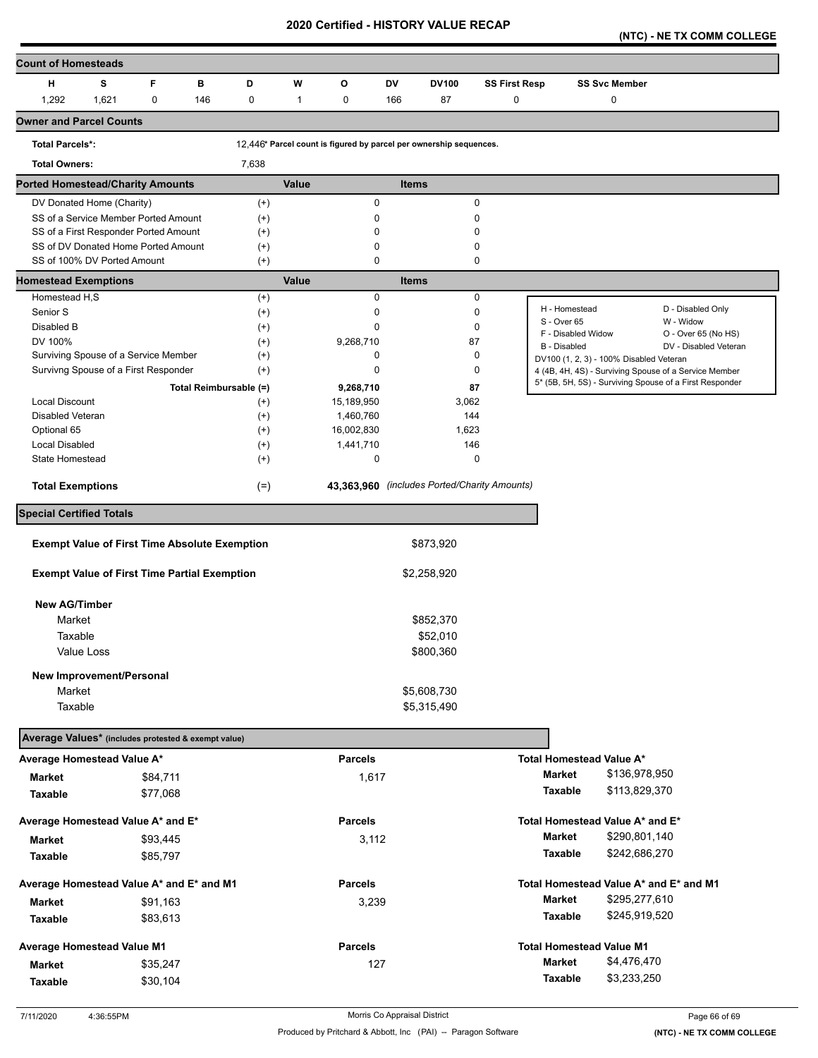**(NTC) - NE TX COMM COLLEGE** 

| <b>Count of Homesteads</b>                          |                                                      |             |     |                        |              |                |     |                                                                    |                      |                              |                                         |                                                         |
|-----------------------------------------------------|------------------------------------------------------|-------------|-----|------------------------|--------------|----------------|-----|--------------------------------------------------------------------|----------------------|------------------------------|-----------------------------------------|---------------------------------------------------------|
| н                                                   | s                                                    | F           | в   | D                      | W            | O              | DV  | <b>DV100</b>                                                       | <b>SS First Resp</b> |                              | <b>SS Svc Member</b>                    |                                                         |
| 1,292                                               | 1,621                                                | $\mathbf 0$ | 146 | 0                      | $\mathbf{1}$ | 0              | 166 | 87                                                                 | 0                    |                              | 0                                       |                                                         |
| <b>Owner and Parcel Counts</b>                      |                                                      |             |     |                        |              |                |     |                                                                    |                      |                              |                                         |                                                         |
| <b>Total Parcels*:</b>                              |                                                      |             |     |                        |              |                |     | 12,446* Parcel count is figured by parcel per ownership sequences. |                      |                              |                                         |                                                         |
| <b>Total Owners:</b>                                |                                                      |             |     | 7,638                  |              |                |     |                                                                    |                      |                              |                                         |                                                         |
| <b>Ported Homestead/Charity Amounts</b>             |                                                      |             |     |                        | <b>Value</b> |                |     | <b>Items</b>                                                       |                      |                              |                                         |                                                         |
|                                                     | DV Donated Home (Charity)                            |             |     | $^{(+)}$               |              | 0              |     | $\pmb{0}$                                                          |                      |                              |                                         |                                                         |
|                                                     | SS of a Service Member Ported Amount                 |             |     | $^{(+)}$               |              | 0              |     | $\mathbf 0$                                                        |                      |                              |                                         |                                                         |
|                                                     | SS of a First Responder Ported Amount                |             |     | $^{(+)}$               |              | 0              |     | 0                                                                  |                      |                              |                                         |                                                         |
|                                                     | SS of DV Donated Home Ported Amount                  |             |     | $^{(+)}$               |              | 0              |     | 0                                                                  |                      |                              |                                         |                                                         |
|                                                     | SS of 100% DV Ported Amount                          |             |     | $^{(+)}$               |              | $\mathbf 0$    |     | 0                                                                  |                      |                              |                                         |                                                         |
| <b>Homestead Exemptions</b>                         |                                                      |             |     |                        | Value        |                |     | <b>Items</b>                                                       |                      |                              |                                         |                                                         |
| Homestead H,S                                       |                                                      |             |     | $^{(+)}$               |              | $\mathbf 0$    |     | 0                                                                  |                      |                              |                                         |                                                         |
| Senior S                                            |                                                      |             |     | $^{(+)}$               |              | 0              |     | $\mathbf 0$                                                        |                      | H - Homestead<br>S - Over 65 |                                         | D - Disabled Only<br>W - Widow                          |
| Disabled B                                          |                                                      |             |     | $^{(+)}$               |              | $\mathbf 0$    |     | 0                                                                  |                      | F - Disabled Widow           |                                         | O - Over 65 (No HS)                                     |
| DV 100%                                             |                                                      |             |     | $^{(+)}$               |              | 9,268,710      |     | 87                                                                 |                      | B - Disabled                 |                                         | DV - Disabled Veteran                                   |
|                                                     | Surviving Spouse of a Service Member                 |             |     | $^{(+)}$               |              | 0              |     | 0                                                                  |                      |                              | DV100 (1, 2, 3) - 100% Disabled Veteran |                                                         |
|                                                     | Survivng Spouse of a First Responder                 |             |     | $^{(+)}$               |              | 0              |     | 0                                                                  |                      |                              |                                         | 4 (4B, 4H, 4S) - Surviving Spouse of a Service Member   |
|                                                     |                                                      |             |     | Total Reimbursable (=) |              | 9,268,710      |     | 87                                                                 |                      |                              |                                         | 5* (5B, 5H, 5S) - Surviving Spouse of a First Responder |
| Local Discount                                      |                                                      |             |     | $^{(+)}$               |              | 15,189,950     |     | 3,062                                                              |                      |                              |                                         |                                                         |
| <b>Disabled Veteran</b>                             |                                                      |             |     | $^{(+)}$               |              | 1,460,760      |     | 144                                                                |                      |                              |                                         |                                                         |
| Optional 65                                         |                                                      |             |     | $^{(+)}$               |              | 16,002,830     |     | 1,623                                                              |                      |                              |                                         |                                                         |
| <b>Local Disabled</b>                               |                                                      |             |     | $^{(+)}$               |              | 1,441,710      |     | 146                                                                |                      |                              |                                         |                                                         |
| State Homestead                                     |                                                      |             |     | $^{(+)}$               |              | 0              |     | $\pmb{0}$                                                          |                      |                              |                                         |                                                         |
| <b>Total Exemptions</b>                             |                                                      |             |     | $(=)$                  |              |                |     | 43,363,960 (includes Ported/Charity Amounts)                       |                      |                              |                                         |                                                         |
| <b>Special Certified Totals</b>                     |                                                      |             |     |                        |              |                |     |                                                                    |                      |                              |                                         |                                                         |
|                                                     | <b>Exempt Value of First Time Absolute Exemption</b> |             |     |                        |              |                |     | \$873,920                                                          |                      |                              |                                         |                                                         |
|                                                     |                                                      |             |     |                        |              |                |     |                                                                    |                      |                              |                                         |                                                         |
|                                                     | <b>Exempt Value of First Time Partial Exemption</b>  |             |     |                        |              |                |     | \$2,258,920                                                        |                      |                              |                                         |                                                         |
| <b>New AG/Timber</b>                                |                                                      |             |     |                        |              |                |     |                                                                    |                      |                              |                                         |                                                         |
| Market                                              |                                                      |             |     |                        |              |                |     | \$852,370                                                          |                      |                              |                                         |                                                         |
| Taxable                                             |                                                      |             |     |                        |              |                |     | \$52,010                                                           |                      |                              |                                         |                                                         |
| Value Loss                                          |                                                      |             |     |                        |              |                |     | \$800,360                                                          |                      |                              |                                         |                                                         |
|                                                     |                                                      |             |     |                        |              |                |     |                                                                    |                      |                              |                                         |                                                         |
| Market                                              | New Improvement/Personal                             |             |     |                        |              |                |     | \$5,608,730                                                        |                      |                              |                                         |                                                         |
| Taxable                                             |                                                      |             |     |                        |              |                |     | \$5,315,490                                                        |                      |                              |                                         |                                                         |
|                                                     |                                                      |             |     |                        |              |                |     |                                                                    |                      |                              |                                         |                                                         |
| Average Values* (includes protested & exempt value) |                                                      |             |     |                        |              |                |     |                                                                    |                      |                              |                                         |                                                         |
| Average Homestead Value A*                          |                                                      |             |     |                        |              | <b>Parcels</b> |     |                                                                    |                      |                              | Total Homestead Value A*                |                                                         |
| <b>Market</b>                                       |                                                      | \$84,711    |     |                        |              | 1,617          |     |                                                                    |                      | Market                       | \$136,978,950                           |                                                         |
| Taxable                                             |                                                      | \$77,068    |     |                        |              |                |     |                                                                    |                      | Taxable                      | \$113,829,370                           |                                                         |
| Average Homestead Value A* and E*                   |                                                      |             |     |                        |              | <b>Parcels</b> |     |                                                                    |                      |                              | Total Homestead Value A* and E*         |                                                         |
| Market                                              |                                                      | \$93,445    |     |                        |              | 3,112          |     |                                                                    |                      | <b>Market</b>                | \$290,801,140                           |                                                         |
|                                                     |                                                      |             |     |                        |              |                |     |                                                                    |                      | Taxable                      | \$242,686,270                           |                                                         |
| Taxable                                             |                                                      | \$85,797    |     |                        |              |                |     |                                                                    |                      |                              |                                         |                                                         |
| Average Homestead Value A* and E* and M1            |                                                      |             |     |                        |              | <b>Parcels</b> |     |                                                                    |                      |                              |                                         | Total Homestead Value A* and E* and M1                  |
| Market                                              |                                                      | \$91,163    |     |                        |              | 3,239          |     |                                                                    |                      | <b>Market</b>                | \$295,277,610                           |                                                         |
| Taxable                                             |                                                      | \$83,613    |     |                        |              |                |     |                                                                    |                      | Taxable                      | \$245,919,520                           |                                                         |
| Average Homestead Value M1                          |                                                      |             |     |                        |              | <b>Parcels</b> |     |                                                                    |                      |                              | <b>Total Homestead Value M1</b>         |                                                         |
|                                                     |                                                      |             |     |                        |              | 127            |     |                                                                    |                      | <b>Market</b>                | \$4,476,470                             |                                                         |
| <b>Market</b>                                       |                                                      | \$35,247    |     |                        |              |                |     |                                                                    |                      | Taxable                      | \$3,233,250                             |                                                         |
| Taxable                                             |                                                      | \$30,104    |     |                        |              |                |     |                                                                    |                      |                              |                                         |                                                         |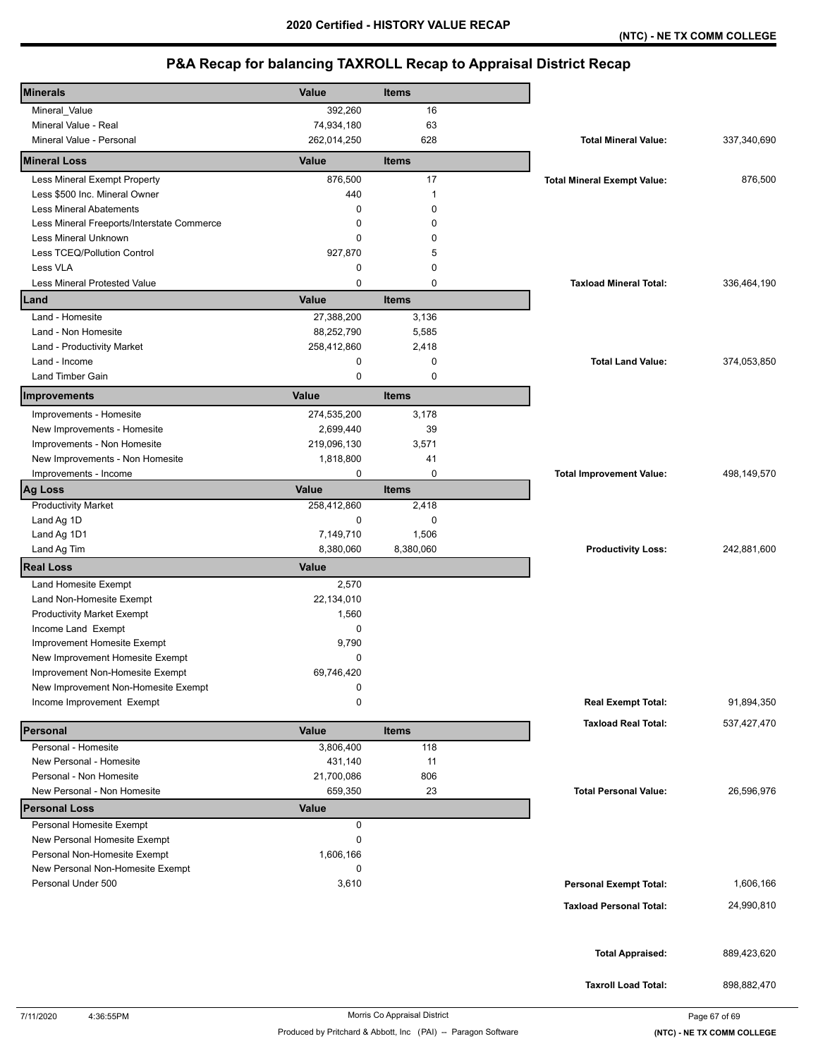| <b>Minerals</b>                            | Value        | <b>Items</b> |                                    |             |
|--------------------------------------------|--------------|--------------|------------------------------------|-------------|
| Mineral_Value                              | 392,260      | 16           |                                    |             |
| Mineral Value - Real                       | 74,934,180   | 63           |                                    |             |
| Mineral Value - Personal                   | 262,014,250  | 628          | <b>Total Mineral Value:</b>        | 337,340,690 |
| <b>Mineral Loss</b>                        | Value        | <b>Items</b> |                                    |             |
| Less Mineral Exempt Property               | 876,500      | 17           | <b>Total Mineral Exempt Value:</b> | 876,500     |
| Less \$500 Inc. Mineral Owner              | 440          | $\mathbf{1}$ |                                    |             |
| <b>Less Mineral Abatements</b>             | 0            | 0            |                                    |             |
| Less Mineral Freeports/Interstate Commerce | 0            | 0            |                                    |             |
| Less Mineral Unknown                       | 0            | 0            |                                    |             |
| Less TCEQ/Pollution Control                | 927,870      | 5            |                                    |             |
| Less VLA                                   | 0            | $\mathbf 0$  |                                    |             |
| <b>Less Mineral Protested Value</b>        | 0            | $\mathbf 0$  | <b>Taxload Mineral Total:</b>      | 336,464,190 |
| Land                                       | Value        | <b>Items</b> |                                    |             |
| Land - Homesite                            | 27,388,200   | 3,136        |                                    |             |
| Land - Non Homesite                        | 88,252,790   | 5,585        |                                    |             |
| Land - Productivity Market                 | 258,412,860  | 2,418        |                                    |             |
| Land - Income                              | 0            | 0            | <b>Total Land Value:</b>           | 374,053,850 |
| <b>Land Timber Gain</b>                    | $\mathbf 0$  | $\mathbf 0$  |                                    |             |
| <b>Improvements</b>                        | Value        | <b>Items</b> |                                    |             |
| Improvements - Homesite                    | 274,535,200  | 3,178        |                                    |             |
| New Improvements - Homesite                | 2,699,440    | 39           |                                    |             |
| Improvements - Non Homesite                | 219,096,130  | 3,571        |                                    |             |
| New Improvements - Non Homesite            | 1,818,800    | 41           |                                    |             |
| Improvements - Income                      | 0            | 0            | <b>Total Improvement Value:</b>    | 498,149,570 |
| <b>Ag Loss</b>                             | Value        | <b>Items</b> |                                    |             |
| <b>Productivity Market</b>                 | 258,412,860  | 2,418        |                                    |             |
| Land Ag 1D                                 | $\mathbf 0$  | $\mathbf 0$  |                                    |             |
| Land Ag 1D1                                | 7,149,710    | 1,506        |                                    |             |
| Land Ag Tim                                | 8,380,060    | 8,380,060    | <b>Productivity Loss:</b>          | 242,881,600 |
| <b>Real Loss</b>                           | Value        |              |                                    |             |
| Land Homesite Exempt                       | 2,570        |              |                                    |             |
| Land Non-Homesite Exempt                   | 22,134,010   |              |                                    |             |
| <b>Productivity Market Exempt</b>          | 1,560        |              |                                    |             |
| Income Land Exempt                         | 0            |              |                                    |             |
| Improvement Homesite Exempt                |              |              |                                    |             |
|                                            | 9,790        |              |                                    |             |
| New Improvement Homesite Exempt            | 0            |              |                                    |             |
| Improvement Non-Homesite Exempt            | 69,746,420   |              |                                    |             |
| New Improvement Non-Homesite Exempt        | 0            |              |                                    |             |
| Income Improvement Exempt                  | 0            |              | <b>Real Exempt Total:</b>          | 91,894,350  |
| Personal                                   | Value        | <b>Items</b> | <b>Taxload Real Total:</b>         | 537,427,470 |
| Personal - Homesite                        | 3,806,400    | 118          |                                    |             |
| New Personal - Homesite                    | 431,140      | 11           |                                    |             |
| Personal - Non Homesite                    | 21,700,086   | 806          |                                    |             |
| New Personal - Non Homesite                | 659,350      | 23           | <b>Total Personal Value:</b>       | 26,596,976  |
| <b>Personal Loss</b>                       | <b>Value</b> |              |                                    |             |
| Personal Homesite Exempt                   | 0            |              |                                    |             |
| New Personal Homesite Exempt               | 0            |              |                                    |             |
| Personal Non-Homesite Exempt               | 1,606,166    |              |                                    |             |
| New Personal Non-Homesite Exempt           | 0            |              |                                    |             |
| Personal Under 500                         | 3,610        |              | <b>Personal Exempt Total:</b>      | 1,606,166   |
|                                            |              |              | <b>Taxload Personal Total:</b>     | 24,990,810  |
|                                            |              |              |                                    |             |
|                                            |              |              |                                    |             |
|                                            |              |              | <b>Total Appraised:</b>            | 889,423,620 |
|                                            |              |              | <b>Taxroll Load Total:</b>         | 898,882,470 |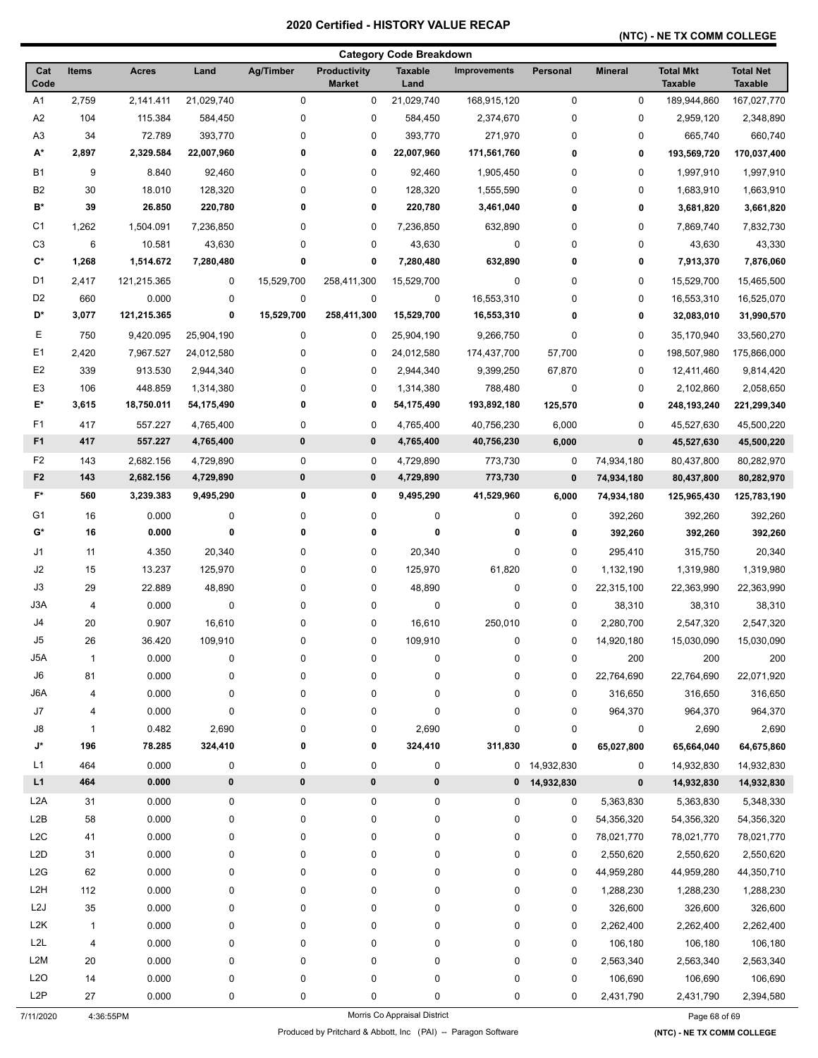## **(NTC) - NE TX COMM COLLEGE**

|                  |              |              |                        |                  |                                      | <b>Category Code Breakdown</b> |                     |              |                |                                    |                                    |
|------------------|--------------|--------------|------------------------|------------------|--------------------------------------|--------------------------------|---------------------|--------------|----------------|------------------------------------|------------------------------------|
| Cat<br>Code      | <b>Items</b> | <b>Acres</b> | Land                   | <b>Ag/Timber</b> | <b>Productivity</b><br><b>Market</b> | <b>Taxable</b><br>Land         | <b>Improvements</b> | Personal     | <b>Mineral</b> | <b>Total Mkt</b><br><b>Taxable</b> | <b>Total Net</b><br><b>Taxable</b> |
| A <sub>1</sub>   | 2,759        | 2,141.411    | 21,029,740             | 0                | 0                                    | 21,029,740                     | 168,915,120         | 0            | $\pmb{0}$      | 189,944,860                        | 167,027,770                        |
| A2               | 104          | 115.384      | 584,450                | $\pmb{0}$        | 0                                    | 584,450                        | 2,374,670           | 0            | 0              | 2,959,120                          | 2,348,890                          |
| A <sub>3</sub>   | 34           | 72.789       | 393,770                | 0                | 0                                    | 393,770                        | 271,970             | 0            | 0              | 665,740                            | 660,740                            |
| A*               | 2,897        | 2,329.584    | 22,007,960             | 0                | 0                                    | 22,007,960                     | 171,561,760         | 0            | 0              | 193,569,720                        | 170,037,400                        |
| <b>B1</b>        | 9            | 8.840        | 92,460                 | 0                | 0                                    | 92,460                         | 1,905,450           | 0            | 0              | 1,997,910                          | 1,997,910                          |
| B <sub>2</sub>   | 30           | 18.010       | 128,320                | 0                | 0                                    | 128,320                        | 1,555,590           | 0            | 0              | 1,683,910                          | 1,663,910                          |
| B*               | 39           | 26.850       | 220,780                | 0                | 0                                    | 220,780                        | 3,461,040           | 0            | 0              | 3,681,820                          | 3,661,820                          |
| C <sub>1</sub>   | 1,262        | 1,504.091    | 7,236,850              | 0                | 0                                    | 7,236,850                      | 632,890             | 0            | 0              | 7,869,740                          | 7,832,730                          |
| C <sub>3</sub>   | 6            | 10.581       | 43,630                 | 0                | 0                                    | 43,630                         | 0                   | 0            | 0              | 43,630                             | 43,330                             |
| C*               | 1,268        | 1,514.672    | 7,280,480              | 0                | 0                                    | 7,280,480                      | 632,890             | 0            | 0              | 7,913,370                          | 7,876,060                          |
| D <sub>1</sub>   | 2,417        | 121,215.365  | 0                      | 15,529,700       | 258,411,300                          | 15,529,700                     | $\pmb{0}$           | 0            | 0              | 15,529,700                         | 15,465,500                         |
| D <sub>2</sub>   | 660          | 0.000        | 0                      | $\pmb{0}$        | 0                                    | 0                              | 16,553,310          | 0            | 0              | 16,553,310                         | 16,525,070                         |
| D*               | 3,077        | 121,215.365  | 0                      | 15,529,700       | 258,411,300                          | 15,529,700                     | 16,553,310          | 0            | 0              | 32,083,010                         | 31,990,570                         |
| Е                | 750          | 9,420.095    | 25,904,190             | 0                | 0                                    | 25,904,190                     | 9,266,750           | 0            | 0              | 35,170,940                         | 33,560,270                         |
| E <sub>1</sub>   | 2,420        | 7,967.527    | 24,012,580             | 0                | 0                                    | 24,012,580                     | 174,437,700         | 57,700       | 0              | 198,507,980                        | 175,866,000                        |
| E <sub>2</sub>   | 339          | 913.530      |                        | 0                | 0                                    |                                | 9,399,250           | 67,870       | 0              |                                    | 9,814,420                          |
| E <sub>3</sub>   | 106          | 448.859      | 2,944,340<br>1,314,380 | 0                | 0                                    | 2,944,340<br>1,314,380         | 788,480             | 0            | 0              | 12,411,460<br>2,102,860            | 2,058,650                          |
| E*               | 3,615        | 18,750.011   | 54,175,490             | 0                | 0                                    | 54,175,490                     | 193,892,180         |              | 0              | 248,193,240                        | 221,299,340                        |
|                  |              |              |                        |                  |                                      |                                |                     | 125,570      |                |                                    |                                    |
| F1               | 417          | 557.227      | 4,765,400              | $\pmb{0}$        | 0                                    | 4,765,400                      | 40,756,230          | 6,000        | 0              | 45,527,630                         | 45,500,220                         |
| F <sub>1</sub>   | 417          | 557.227      | 4,765,400              | 0                | 0                                    | 4,765,400                      | 40,756,230          | 6,000        | $\pmb{0}$      | 45,527,630                         | 45,500,220                         |
| F <sub>2</sub>   | 143          | 2,682.156    | 4,729,890              | 0                | 0                                    | 4,729,890                      | 773,730             | 0            | 74,934,180     | 80,437,800                         | 80,282,970                         |
| F <sub>2</sub>   | 143          | 2,682.156    | 4,729,890              | $\bf{0}$         | 0                                    | 4,729,890                      | 773,730             | $\bf{0}$     | 74,934,180     | 80,437,800                         | 80,282,970                         |
| $F^*$            | 560          | 3,239.383    | 9,495,290              | 0                | 0                                    | 9,495,290                      | 41,529,960          | 6,000        | 74,934,180     | 125,965,430                        | 125,783,190                        |
| G <sub>1</sub>   | 16           | 0.000        | 0                      | 0                | 0                                    | 0                              | 0                   | 0            | 392,260        | 392,260                            | 392,260                            |
| G*               | 16           | 0.000        | 0                      | 0                | 0                                    | 0                              | 0                   | 0            | 392,260        | 392,260                            | 392,260                            |
| J1               | 11           | 4.350        | 20,340                 | 0                | 0                                    | 20,340                         | 0                   | 0            | 295,410        | 315,750                            | 20,340                             |
| J2               | 15           | 13.237       | 125,970                | 0                | 0                                    | 125,970                        | 61,820              | 0            | 1,132,190      | 1,319,980                          | 1,319,980                          |
| J3               | 29           | 22.889       | 48,890                 | 0                | 0                                    | 48,890                         | $\pmb{0}$           | 0            | 22,315,100     | 22,363,990                         | 22,363,990                         |
| J3A              | 4            | 0.000        | 0                      | 0                | 0                                    | 0                              | $\pmb{0}$           | 0            | 38,310         | 38,310                             | 38,310                             |
| J4               | 20           | 0.907        | 16,610                 | 0                | 0                                    | 16,610                         | 250,010             | 0            | 2,280,700      | 2,547,320                          | 2,547,320                          |
| J5               | 26           | 36.420       | 109,910                | 0                | 0                                    | 109,910                        | 0                   | 0            | 14,920,180     | 15,030,090                         | 15,030,090                         |
| J5A              | $\mathbf{1}$ | 0.000        | 0                      | 0                | 0                                    | 0                              | $\pmb{0}$           | 0            | 200            | 200                                | 200                                |
| J6               | 81           | 0.000        | 0                      | 0                | 0                                    | 0                              | $\pmb{0}$           | 0            | 22,764,690     | 22,764,690                         | 22,071,920                         |
| J6A              | 4            | 0.000        | 0                      | 0                | 0                                    | 0                              | $\pmb{0}$           | 0            | 316,650        | 316,650                            | 316,650                            |
| J7               | 4            | 0.000        | 0                      | 0                | 0                                    | 0                              | $\pmb{0}$           | 0            | 964,370        | 964,370                            | 964,370                            |
| J8               | $\mathbf{1}$ | 0.482        | 2,690                  | $\pmb{0}$        | 0                                    | 2,690                          | $\pmb{0}$           | 0            | 0              | 2,690                              | 2,690                              |
| J*               | 196          | 78.285       | 324,410                | 0                | 0                                    | 324,410                        | 311,830             | 0            | 65,027,800     | 65,664,040                         | 64,675,860                         |
| L1               | 464          | 0.000        | 0                      | 0                | 0                                    | 0                              |                     | 0 14,932,830 | 0              | 14,932,830                         | 14,932,830                         |
| L1               | 464          | 0.000        | $\pmb{0}$              | $\pmb{0}$        | 0                                    | 0                              | 0                   | 14,932,830   | $\pmb{0}$      | 14,932,830                         | 14,932,830                         |
| L <sub>2</sub> A | 31           | 0.000        | 0                      | $\pmb{0}$        | 0                                    | 0                              | $\pmb{0}$           | 0            | 5,363,830      | 5,363,830                          | 5,348,330                          |
| L2B              | 58           | 0.000        | 0                      | 0                | 0                                    | 0                              | $\pmb{0}$           | 0            | 54,356,320     | 54,356,320                         | 54,356,320                         |
| L2C              | 41           | 0.000        | 0                      | 0                | 0                                    | 0                              | $\pmb{0}$           | 0            | 78,021,770     | 78,021,770                         | 78,021,770                         |
| L <sub>2</sub> D | 31           | 0.000        | 0                      | 0                | 0                                    | 0                              | $\pmb{0}$           | 0            | 2,550,620      | 2,550,620                          | 2,550,620                          |
| L2G              | 62           | 0.000        | 0                      | 0                | 0                                    | 0                              | $\pmb{0}$           | 0            | 44,959,280     | 44,959,280                         | 44,350,710                         |
| L <sub>2</sub> H | 112          | 0.000        | 0                      | 0                | 0                                    | 0                              | $\pmb{0}$           | 0            | 1,288,230      | 1,288,230                          | 1,288,230                          |
| L <sub>2</sub> J | 35           | 0.000        | 0                      | 0                | 0                                    | 0                              | $\pmb{0}$           | 0            | 326,600        | 326,600                            | 326,600                            |
| L <sub>2</sub> K | $\mathbf{1}$ | 0.000        | 0                      | 0                | 0                                    | 0                              | $\pmb{0}$           | 0            | 2,262,400      | 2,262,400                          | 2,262,400                          |
| L2L              | 4            | 0.000        | 0                      | 0                | 0                                    | 0                              | $\pmb{0}$           | 0            | 106,180        | 106,180                            | 106,180                            |
| L <sub>2</sub> M | 20           | 0.000        | 0                      | 0                | 0                                    | 0                              | $\pmb{0}$           | 0            | 2,563,340      | 2,563,340                          | 2,563,340                          |
| L2O              | 14           | 0.000        | 0                      | 0                | 0                                    | 0                              | $\pmb{0}$           | 0            | 106,690        | 106,690                            | 106,690                            |
| L <sub>2</sub> P | 27           | 0.000        | 0                      | 0                | 0                                    | 0                              | 0                   | 0            | 2,431,790      | 2,431,790                          | 2,394,580                          |